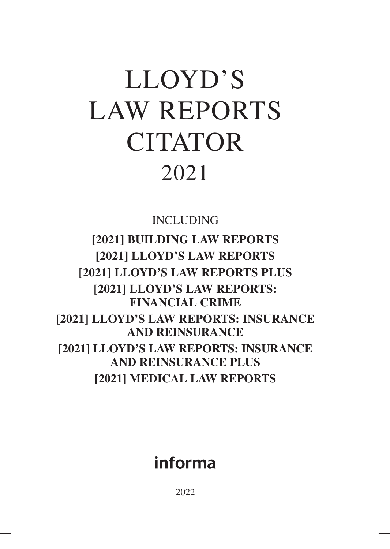# LLOYD'S LAW REPORTS CITATOR 2021

INCLUDING

**[2021] BUILDING LAW REPORTS [2021] LLOYD'S LAW REPORTS [2021] LLOYD'S LAW REPORTS PLUS [2021] LLOYD'S LAW REPORTS: FINANCIAL CRIME [2021] LLOYD'S LAW REPORTS: INSURANCE AND REINSURANCE [2021] LLOYD'S LAW REPORTS: INSURANCE AND REINSURANCE PLUS [2021] MEDICAL LAW REPORTS** 

# informa

2022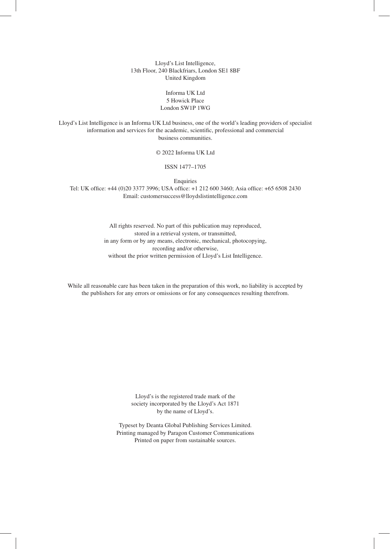Lloyd's List Intelligence, 13th Floor, 240 Blackfriars, London SE1 8BF United Kingdom

#### Informa UK Ltd 5 Howick Place London SW1P 1WG

Lloyd's List Intelligence is an Informa UK Ltd business, one of the world's leading providers of specialist information and services for the academic, scientific, professional and commercial business communities.

© 2022 Informa UK Ltd

ISSN 1477–1705

Enquiries

Tel: UK office: +44 (0)20 3377 3996; USA office: +1 212 600 3460; Asia office: +65 6508 2430 Email: customersuccess@lloydslistintelligence.com

> All rights reserved. No part of this publication may reproduced, stored in a retrieval system, or transmitted, in any form or by any means, electronic, mechanical, photocopying, recording and/or otherwise, without the prior written permission of Lloyd's List Intelligence.

While all reasonable care has been taken in the preparation of this work, no liability is accepted by the publishers for any errors or omissions or for any consequences resulting therefrom.

> Lloyd's is the registered trade mark of the society incorporated by the Lloyd's Act 1871 by the name of Lloyd's.

Typeset by Deanta Global Publishing Services Limited. Printing managed by Paragon Customer Communications Printed on paper from sustainable sources.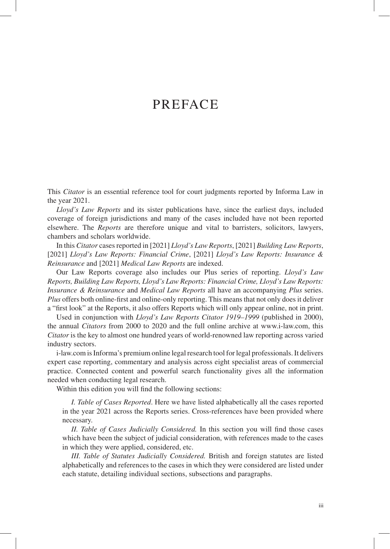### PREFACE

This *Citator* is an essential reference tool for court judgments reported by Informa Law in the year 2021.

*Lloyd's Law Reports* and its sister publications have, since the earliest days, included coverage of foreign jurisdictions and many of the cases included have not been reported elsewhere. The *Reports* are therefore unique and vital to barristers, solicitors, lawyers, chambers and scholars worldwide.

In this *Citator* cases reported in [2021] *Lloyd's Law Reports*, [2021] *Building Law Reports*, [2021] *Lloyd's Law Reports: Financial Crime*, [2021] *Lloyd's Law Reports: Insurance & Reinsurance* and [2021] *Medical Law Reports* are indexed.

Our Law Reports coverage also includes our Plus series of reporting. *Lloyd's Law Reports, Building Law Reports, Lloyd's Law Reports: Financial Crime, Lloyd's Law Reports: Insurance & Reinsurance* and *Medical Law Reports* all have an accompanying *Plus* series. *Plus* offers both online-first and online-only reporting. This means that not only does it deliver a "first look" at the Reports, it also offers Reports which will only appear online, not in print.

Used in conjunction with *Lloyd's Law Reports Citator 1919–1999* (published in 2000), the annual *Citators* from 2000 to 2020 and the full online archive at www.i-law.com, this *Citator* is the key to almost one hundred years of world-renowned law reporting across varied industry sectors.

i-law.com is Informa's premium online legal research tool for legal professionals. It delivers expert case reporting, commentary and analysis across eight specialist areas of commercial practice. Connected content and powerful search functionality gives all the information needed when conducting legal research.

Within this edition you will find the following sections:

*I. Table of Cases Reported*. Here we have listed alphabetically all the cases reported in the year 2021 across the Reports series. Cross-references have been provided where necessary.

*II. Table of Cases Judicially Considered.* In this section you will find those cases which have been the subject of judicial consideration, with references made to the cases in which they were applied, considered, etc.

*III. Table of Statutes Judicially Considered.* British and foreign statutes are listed alphabetically and references to the cases in which they were considered are listed under each statute, detailing individual sections, subsections and paragraphs.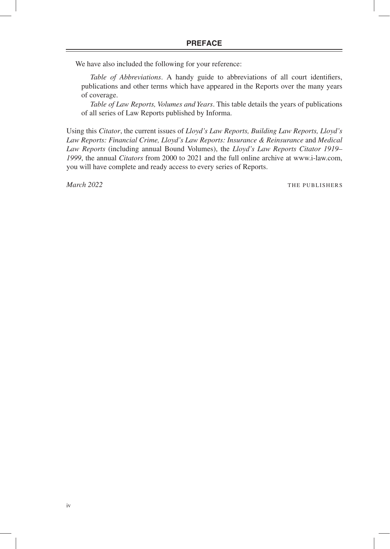We have also included the following for your reference:

*Table of Abbreviations*. A handy guide to abbreviations of all court identifiers, publications and other terms which have appeared in the Reports over the many years of coverage.

*Table of Law Reports, Volumes and Years*. This table details the years of publications of all series of Law Reports published by Informa.

Using this *Citator*, the current issues of *Lloyd's Law Reports, Building Law Reports, Lloyd's Law Reports: Financial Crime, Lloyd's Law Reports: Insurance & Reinsurance* and *Medical Law Reports* (including annual Bound Volumes), the *Lloyd's Law Reports Citator 1919– 1999*, the annual *Citators* from 2000 to 2021 and the full online archive at www.i-law.com, you will have complete and ready access to every series of Reports.

*March* 2022 **THE PUBLISHERS**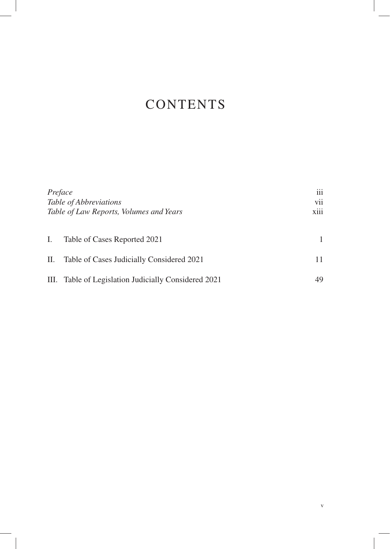# **CONTENTS**

| Preface<br>Table of Abbreviations<br>Table of Law Reports, Volumes and Years |                                                      | iii<br>vii<br>$\cdots$<br><b>X111</b> |
|------------------------------------------------------------------------------|------------------------------------------------------|---------------------------------------|
| Ι.                                                                           | Table of Cases Reported 2021                         |                                       |
| П.                                                                           | Table of Cases Judicially Considered 2021            | 11                                    |
|                                                                              | III. Table of Legislation Judicially Considered 2021 | 49                                    |

v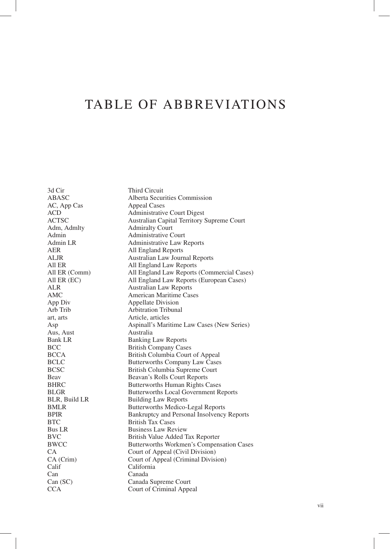3d Cir Third Circuit<br>ABASC Alberta Secur Alberta Securities Commission<br>Appeal Cases AC, App Cas ACD Administrative Court Digest<br>ACTSC Australian Capital Territory 9 Australian Capital Territory Supreme Court Adm, Admlty **Admiralty Court**<br>Administrative C Admin Administrative Court<br>
Admin LR Administrative Law F Administrative Law Reports AER All England Reports ALJR Australian Law Journal Reports All ER All England Law Reports<br>All ER (Comm) All England Law Reports All ER (Comm) All England Law Reports (Commercial Cases)<br>All ER (EC) All England Law Reports (European Cases) All England Law Reports (European Cases) ALR Australian Law Reports<br>AMC American Maritime Cas AMC American Maritime Cases<br>
App Div Appellate Division App Div<br>
Arb Trib Arbitration Tribuna Arbitration Tribunal art, arts Article, articles Asp Aspinall's Maritime Law Cases (New Series) Aus, Aust Australia Bank LR Banking Law Reports BCC British Company Cases BCCA British Columbia Court of Appeal<br>BCLC Butterworths Company Law Cases BCLC Butterworths Company Law Cases<br>BCSC British Columbia Supreme Court British Columbia Supreme Court Beav Beavan's Rolls Court Reports BHRC Butterworths Human Rights Cases<br>BLGR Butterworths Local Government Re Butterworths Local Government Reports BLR, Build LR<br>BMLR<br>Butterworths Medico-Butterworths Medico-Legal Reports BPIR Bankruptcy and Personal Insolvency Reports BTC British Tax Cases Bus LR Business Law Review BVC British Value Added Tax Reporter BWCC Butterworths Workmen's Compensation Cases CA Court of Appeal (Civil Division) CA (Crim) Court of Appeal (Criminal Division) Calif<sup>Calif</sup> California<br>
Canada<br>
Canada Can Canada Can (SC) Canada Supreme Court CCA Court of Criminal Appeal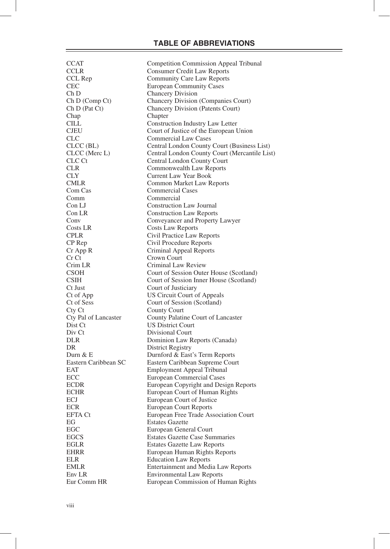| <b>CCAT</b>          | Competition Commission Appeal Tribunal        |
|----------------------|-----------------------------------------------|
| <b>CCLR</b>          | <b>Consumer Credit Law Reports</b>            |
| CCL Rep              | Community Care Law Reports                    |
| <b>CEC</b>           | <b>European Community Cases</b>               |
| Ch D                 | <b>Chancery Division</b>                      |
| Ch D (Comp Ct)       | Chancery Division (Companies Court)           |
| Ch D (Pat Ct)        | Chancery Division (Patents Court)             |
| Chap                 | Chapter                                       |
| <b>CILL</b>          | Construction Industry Law Letter              |
| <b>CJEU</b>          | Court of Justice of the European Union        |
| <b>CLC</b>           | <b>Commercial Law Cases</b>                   |
|                      |                                               |
| $CLCC$ (BL)          | Central London County Court (Business List)   |
| CLCC (Merc L)        | Central London County Court (Mercantile List) |
| CLC Ct               | Central London County Court                   |
| <b>CLR</b>           | Commonwealth Law Reports                      |
| <b>CLY</b>           | Current Law Year Book                         |
| <b>CMLR</b>          | Common Market Law Reports                     |
| Com Cas              | <b>Commercial Cases</b>                       |
| Comm                 | Commercial                                    |
| Con LJ               | <b>Construction Law Journal</b>               |
| Con LR               | <b>Construction Law Reports</b>               |
| Conv                 | Conveyancer and Property Lawyer               |
| Costs LR             | Costs Law Reports                             |
| <b>CPLR</b>          | Civil Practice Law Reports                    |
| CP Rep               | Civil Procedure Reports                       |
| Cr App R             |                                               |
| Cr Ct                | Criminal Appeal Reports                       |
|                      | Crown Court                                   |
| Crim LR              | Criminal Law Review                           |
| <b>CSOH</b>          | Court of Session Outer House (Scotland)       |
| <b>CSIH</b>          | Court of Session Inner House (Scotland)       |
| Ct Just              | Court of Justiciary                           |
| Ct of App            | US Circuit Court of Appeals                   |
| Ct of Sess           | Court of Session (Scotland)                   |
| Cty Ct               | <b>County Court</b>                           |
| Cty Pal of Lancaster | County Palatine Court of Lancaster            |
| Dist Ct              | <b>US District Court</b>                      |
| Div Ct               | Divisional Court                              |
| <b>DLR</b>           | Dominion Law Reports (Canada)                 |
| DR.                  | <b>District Registry</b>                      |
| Durn $& E$           | Durnford & East's Term Reports                |
| Eastern Caribbean SC | Eastern Caribbean Supreme Court               |
| EAT                  | Employment Appeal Tribunal                    |
| ECC                  | <b>European Commercial Cases</b>              |
| ECDR                 | European Copyright and Design Reports         |
|                      |                                               |
| ECHR                 | European Court of Human Rights                |
| ECJ                  | European Court of Justice                     |
| <b>ECR</b>           | <b>European Court Reports</b>                 |
| <b>EFTA Ct</b>       | European Free Trade Association Court         |
| EG                   | <b>Estates Gazette</b>                        |
| EGC                  | European General Court                        |
| <b>EGCS</b>          | <b>Estates Gazette Case Summaries</b>         |
| <b>EGLR</b>          | <b>Estates Gazette Law Reports</b>            |
| <b>EHRR</b>          | European Human Rights Reports                 |
| ELR                  | <b>Education Law Reports</b>                  |
| <b>EMLR</b>          | Entertainment and Media Law Reports           |
| Env <sub>LR</sub>    | <b>Environmental Law Reports</b>              |
| Eur Comm HR          | European Commission of Human Rights           |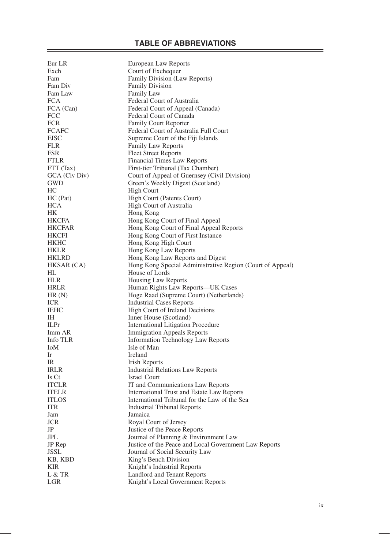| Eur LR                | European Law Reports                                           |
|-----------------------|----------------------------------------------------------------|
| Exch                  | Court of Exchequer                                             |
| Fam                   | Family Division (Law Reports)                                  |
| Fam Div               | <b>Family Division</b>                                         |
| Fam Law               | <b>Family Law</b>                                              |
| <b>FCA</b>            | Federal Court of Australia                                     |
| FCA (Can)             | Federal Court of Appeal (Canada)                               |
| FCC                   | Federal Court of Canada                                        |
| <b>FCR</b>            | <b>Family Court Reporter</b>                                   |
| <b>FCAFC</b>          | Federal Court of Australia Full Court                          |
| <b>FJSC</b>           | Supreme Court of the Fiji Islands                              |
| <b>FLR</b>            | <b>Family Law Reports</b>                                      |
| FSR                   | <b>Fleet Street Reports</b>                                    |
| <b>FTLR</b>           | Financial Times Law Reports                                    |
| FTT (Tax)             | First-tier Tribunal (Tax Chamber)                              |
| GCA (Civ Div)         | Court of Appeal of Guernsey (Civil Division)                   |
| GWD                   | Green's Weekly Digest (Scotland)                               |
| HС                    | High Court                                                     |
| HC (Pat)              | High Court (Patents Court)                                     |
| HCA                   | High Court of Australia                                        |
| HK                    | Hong Kong                                                      |
| <b>HKCFA</b>          | Hong Kong Court of Final Appeal                                |
| <b>HKCFAR</b>         | Hong Kong Court of Final Appeal Reports                        |
| <b>HKCFI</b>          | Hong Kong Court of First Instance                              |
| HKHC                  | Hong Kong High Court                                           |
| <b>HKLR</b>           | Hong Kong Law Reports                                          |
| <b>HKLRD</b>          | Hong Kong Law Reports and Digest                               |
| HKSAR (CA)            | Hong Kong Special Administrative Region (Court of Appeal)      |
| НL                    | House of Lords                                                 |
| <b>HLR</b>            | Housing Law Reports                                            |
| <b>HRLR</b>           | Human Rights Law Reports—UK Cases                              |
| HR(N)                 | Hoge Raad (Supreme Court) (Netherlands)                        |
| <b>ICR</b>            | <b>Industrial Cases Reports</b>                                |
| <b>IEHC</b>           | High Court of Ireland Decisions                                |
| IН                    | Inner House (Scotland)                                         |
| <b>ILPr</b>           | International Litigation Procedure                             |
| Imm AR                | <b>Immigration Appeals Reports</b>                             |
| Info TLR              | Information Technology Law Reports                             |
| IoM                   | Isle of Man                                                    |
| 1r                    | Ireland                                                        |
| IR                    | <b>Irish Reports</b>                                           |
| <b>IRLR</b>           |                                                                |
| Is Ct                 | <b>Industrial Relations Law Reports</b><br><b>Israel Court</b> |
| <b>ITCLR</b>          | IT and Communications Law Reports                              |
| <b>ITELR</b>          | International Trust and Estate Law Reports                     |
| <b>ITLOS</b>          | International Tribunal for the Law of the Sea                  |
| <b>ITR</b>            | <b>Industrial Tribunal Reports</b>                             |
| Jam                   | Jamaica                                                        |
| <b>JCR</b>            | Royal Court of Jersey                                          |
| JP                    | Justice of the Peace Reports                                   |
|                       |                                                                |
| JPL                   | Journal of Planning & Environment Law                          |
| JP Rep<br><b>JSSL</b> | Justice of the Peace and Local Government Law Reports          |
|                       | Journal of Social Security Law                                 |
| KB, KBD               | King's Bench Division                                          |
| KIR                   | Knight's Industrial Reports                                    |
| L & TR                | Landlord and Tenant Reports                                    |
| LGR                   | Knight's Local Government Reports                              |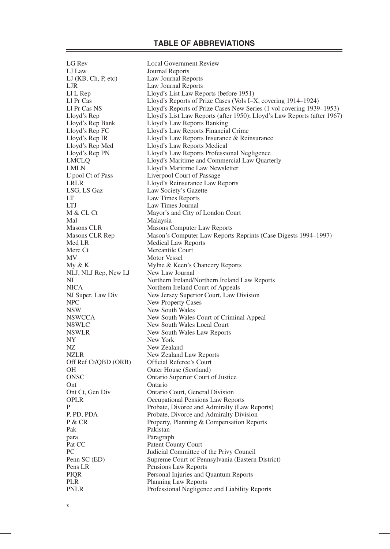LG Rev Local Government Review LJ Law Journal Reports LJ (KB, Ch, P, etc) Law Journal Reports LJR Law Journal Reports<br>
LL L Rep Lloyd's List Law Rep Ll L Rep Lloyd's List Law Reports (before 1951)<br>
Ll Pr Cas Lloyd's Reports of Prize Cases (Vols I-2 Ll Pr Cas Lloyd's Reports of Prize Cases (Vols I–X, covering 1914–1924)<br>Ll Pr Cas NS Lloyd's Reports of Prize Cases New Series (1 vol covering 1939 Ll Pr Cas NS Lloyd's Reports of Prize Cases New Series (1 vol covering 1939–1953)<br>
Lloyd's Reports (Lloyd's List Law Reports (after 1950); Lloyd's Law Reports (after 1967 Lloyd's List Law Reports (after 1950); Lloyd's Law Reports (after 1967) Lloyd's Rep Bank Lloyd's Law Reports Banking Lloyd's Rep FC Lloyd's Law Reports Financial Crime<br>
Lloyd's Rep IR Lloyd's Law Reports Insurance & Rei Lloyd's Law Reports Insurance & Reinsurance Lloyd's Rep Med Lloyd's Law Reports Medical Lloyd's Rep PN Lloyd's Law Reports Professional Negligence LMCLQ Lloyd's Maritime and Commercial Law Quarterly LMLN Lloyd's Maritime Law Newsletter L'pool Ct of Pass Liverpool Court of Passage<br>
LION CHERE LANGE LION COURT LONGING COURT LANGE LAW LRLR LOYd's Reinsurance Law Reports<br>
LSG. LS Gaz<br>
Law Society's Gazette Law Society's Gazette LT<br>
Law Times Reports<br>
Law Times Journal LTJ Law Times Journal<br>M & CL Ct Mayor's and City o Mayor's and City of London Court Mal<br>
Malaysia Masons CLR Masons Computer Law Reports Masons CLR Rep Mason's Computer Law Reports Reprints (Case Digests 1994–1997) Med LR Medical Law Reports Merc Ct Mercantile Court MV Motor Vessel My & K Mylne & Keen's Chancery Reports<br>NLJ, NLJ Rep. New LJ New Law Journal NLJ, NLJ Rep, New LJ NI Northern Ireland/Northern Ireland Law Reports NICA Northern Ireland Court of Appeals<br>NJ Super, Law Div New Jersey Superior Court, Law D NJ Super, Law Div New Jersey Superior Court, Law Division<br>NPC New Property Cases NPC New Property Cases<br>
New South Wales<br>
New South Wales NSW New South Wales<br>
New South Wales<br>
New South Wales NSWCCA New South Wales Court of Criminal Appeal<br>NSWLC New South Wales Local Court New South Wales Local Court NSWLR New South Wales Law Reports NY New York NZ New Zealand NZLR New Zealand Law Reports<br>Off Ref Ct/OBD (ORB) Official Referee's Court Off Ref Ct/QBD (ORB) OH Outer House (Scotland) ONSC Ontario Superior Court of Justice Ont Ct. Gen Div Chario Ontario Court, General Division OPLR Occupational Pensions Law Reports P Probate, Divorce and Admiralty (Law Reports) P, PD, PDA Probate, Divorce and Admiralty Division<br>P & CR Property. Planning & Compensation Repo Property, Planning & Compensation Reports Pak Pakistan para Paragraph Pat CC Patent County Court<br>PC Patent Committee of Budicial Committee of Budicial Committee of Patent Patent Patent Patent Patent Patent Patent Patent Patent Patent Patent Patent Patent Patent Patent Patent Patent Patent Pa Judicial Committee of the Privy Council Penn SC (ED) Supreme Court of Pennsylvania (Eastern District) Pens LR<br>
Pensions Law Reports<br>
Personal Injuries and C Personal Injuries and Quantum Reports PLR Planning Law Reports PNLR Professional Negligence and Liability Reports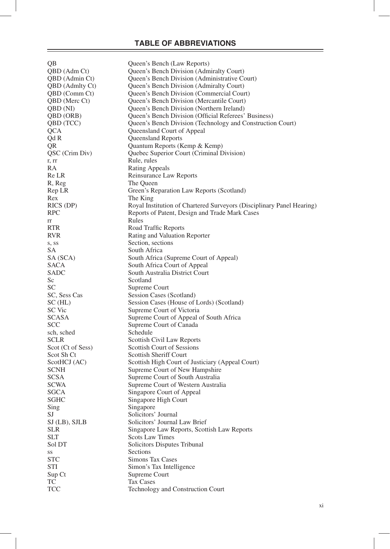| QB                | Queen's Bench (Law Reports)                                           |
|-------------------|-----------------------------------------------------------------------|
| QBD (Adm Ct)      | Queen's Bench Division (Admiralty Court)                              |
| QBD (Admin Ct)    | Queen's Bench Division (Administrative Court)                         |
| QBD (Admlty Ct)   | Queen's Bench Division (Admiralty Court)                              |
| QBD (Comm Ct)     | Queen's Bench Division (Commercial Court)                             |
|                   |                                                                       |
| QBD (Merc Ct)     | Queen's Bench Division (Mercantile Court)                             |
| QBD (NI)          | Queen's Bench Division (Northern Ireland)                             |
| QBD (ORB)         | Queen's Bench Division (Official Referees' Business)                  |
| QBD (TCC)         | Queen's Bench Division (Technology and Construction Court)            |
| <b>QCA</b>        | Queensland Court of Appeal                                            |
| Qd R              | Queensland Reports                                                    |
| QR                | Quantum Reports (Kemp & Kemp)                                         |
|                   |                                                                       |
| QSC (Crim Div)    | Quebec Superior Court (Criminal Division)                             |
| r, rr             | Rule, rules                                                           |
| RA                | <b>Rating Appeals</b>                                                 |
| Re LR             | Reinsurance Law Reports                                               |
| R, Reg            | The Queen                                                             |
| Rep LR            | Green's Reparation Law Reports (Scotland)                             |
| Rex               | The King                                                              |
|                   |                                                                       |
| RICS (DP)         | Royal Institution of Chartered Surveyors (Disciplinary Panel Hearing) |
| <b>RPC</b>        | Reports of Patent, Design and Trade Mark Cases                        |
| rr                | Rules                                                                 |
| <b>RTR</b>        | Road Traffic Reports                                                  |
| RVR.              | Rating and Valuation Reporter                                         |
| s, ss             | Section, sections                                                     |
| SА                | South Africa                                                          |
|                   |                                                                       |
| SA (SCA)          | South Africa (Supreme Court of Appeal)                                |
| SACA              | South Africa Court of Appeal                                          |
| SADC              | South Australia District Court                                        |
| Sc                | Scotland                                                              |
| SС                | Supreme Court                                                         |
| SC, Sess Cas      | Session Cases (Scotland)                                              |
| SC(HL)            | Session Cases (House of Lords) (Scotland)                             |
| SC Vic            | Supreme Court of Victoria                                             |
| <b>SCASA</b>      | Supreme Court of Appeal of South Africa                               |
|                   |                                                                       |
| SCC               | Supreme Court of Canada                                               |
| sch, sched        | Schedule                                                              |
| <b>SCLR</b>       | Scottish Civil Law Reports                                            |
| Scot (Ct of Sess) | <b>Scottish Court of Sessions</b>                                     |
| Scot Sh Ct        | <b>Scottish Sheriff Court</b>                                         |
| ScotHCJ (AC)      | Scottish High Court of Justiciary (Appeal Court)                      |
| <b>SCNH</b>       | Supreme Court of New Hampshire                                        |
| SCSA              |                                                                       |
|                   | Supreme Court of South Australia                                      |
| SCWA              | Supreme Court of Western Australia                                    |
| SGCA              | Singapore Court of Appeal                                             |
| SGHC              | Singapore High Court                                                  |
| Sing              | Singapore                                                             |
| SJ                | Solicitors' Journal                                                   |
| $SI$ (LB), SJLB   | Solicitors' Journal Law Brief                                         |
| <b>SLR</b>        | Singapore Law Reports, Scottish Law Reports                           |
| <b>SLT</b>        |                                                                       |
|                   | <b>Scots Law Times</b>                                                |
| Sol DT            | Solicitors Disputes Tribunal                                          |
| SS                | Sections                                                              |
| <b>STC</b>        | Simons Tax Cases                                                      |
| STI               | Simon's Tax Intelligence                                              |
| Sup Ct            | Supreme Court                                                         |
| TC                | Tax Cases                                                             |
| <b>TCC</b>        | Technology and Construction Court                                     |
|                   |                                                                       |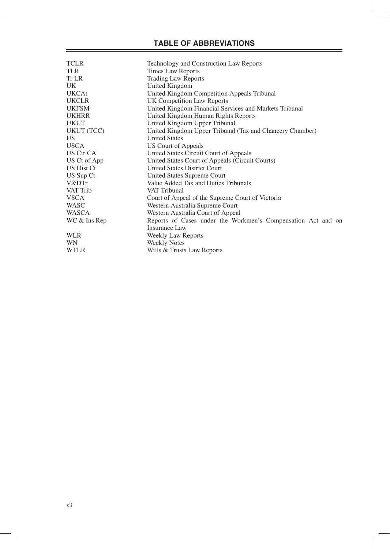| <b>TCLR</b>  | Technology and Construction Law Reports                      |
|--------------|--------------------------------------------------------------|
| <b>TLR</b>   | <b>Times Law Reports</b>                                     |
| Tr LR        | <b>Trading Law Reports</b>                                   |
| UK           | United Kingdom                                               |
| <b>UKCAt</b> | United Kingdom Competition Appeals Tribunal                  |
| <b>UKCLR</b> | UK Competition Law Reports                                   |
| <b>UKFSM</b> | United Kingdom Financial Services and Markets Tribunal       |
| <b>UKHRR</b> | United Kingdom Human Rights Reports                          |
| <b>UKUT</b>  | United Kingdom Upper Tribunal                                |
| UKUT (TCC)   | United Kingdom Upper Tribunal (Tax and Chancery Chamber)     |
| US           | <b>United States</b>                                         |
| <b>USCA</b>  | US Court of Appeals                                          |
| US Cir CA    | United States Circuit Court of Appeals                       |
| US Ct of App | United States Court of Appeals (Circuit Courts)              |
| US Dist Ct   | <b>United States District Court</b>                          |
| US Sup Ct    | United States Supreme Court                                  |
| V&DTr        | Value Added Tax and Duties Tribunals                         |
| VAT Trib     | VAT Tribunal                                                 |
| <b>VSCA</b>  | Court of Appeal of the Supreme Court of Victoria             |
| <b>WASC</b>  | Western Australia Supreme Court                              |
| WASCA        | Western Australia Court of Appeal                            |
| WC & Ins Rep | Reports of Cases under the Workmen's Compensation Act and on |
|              | Insurance Law                                                |
| <b>WLR</b>   | Weekly Law Reports                                           |
| WN           | <b>Weekly Notes</b>                                          |
| <b>WTLR</b>  | Wills & Trusts Law Reports                                   |
|              |                                                              |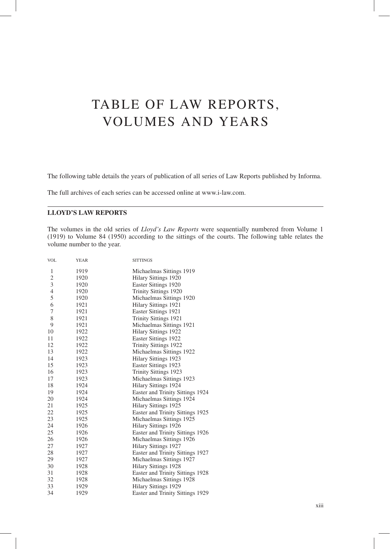The following table details the years of publication of all series of Law Reports published by Informa.

The full archives of each series can be accessed online at www.i-law.com.

#### **LLOYD'S LAW REPORTS**

The volumes in the old series of *Lloyd's Law Reports* were sequentially numbered from Volume 1 (1919) to Volume 84 (1950) according to the sittings of the courts. The following table relates the volume number to the year.

| <b>VOL</b>     | YEAR | <b>SITTINGS</b>                  |
|----------------|------|----------------------------------|
| 1              | 1919 | Michaelmas Sittings 1919         |
| $\mathfrak{2}$ | 1920 | Hilary Sittings 1920             |
| 3              | 1920 | Easter Sittings 1920             |
| $\overline{4}$ | 1920 | Trinity Sittings 1920            |
| 5              | 1920 | Michaelmas Sittings 1920         |
| 6              | 1921 | Hilary Sittings 1921             |
| 7              | 1921 | Easter Sittings 1921             |
| 8              | 1921 | Trinity Sittings 1921            |
| 9              | 1921 | Michaelmas Sittings 1921         |
| 10             | 1922 | Hilary Sittings 1922             |
| 11             | 1922 | Easter Sittings 1922             |
| 12             | 1922 | Trinity Sittings 1922            |
| 13             | 1922 | Michaelmas Sittings 1922         |
| 14             | 1923 | Hilary Sittings 1923             |
| 15             | 1923 | Easter Sittings 1923             |
| 16             | 1923 | Trinity Sittings 1923            |
| 17             | 1923 | Michaelmas Sittings 1923         |
| 18             | 1924 | Hilary Sittings 1924             |
| 19             | 1924 | Easter and Trinity Sittings 1924 |
| 20             | 1924 | Michaelmas Sittings 1924         |
| 21             | 1925 | Hilary Sittings 1925             |
| 22             | 1925 | Easter and Trinity Sittings 1925 |
| 23             | 1925 | Michaelmas Sittings 1925         |
| 24             | 1926 | Hilary Sittings 1926             |
| 25             | 1926 | Easter and Trinity Sittings 1926 |
| 26             | 1926 | Michaelmas Sittings 1926         |
| 27             | 1927 | Hilary Sittings 1927             |
| 28             | 1927 | Easter and Trinity Sittings 1927 |
| 29             | 1927 | Michaelmas Sittings 1927         |
| 30             | 1928 | Hilary Sittings 1928             |
| 31             | 1928 | Easter and Trinity Sittings 1928 |
| 32             | 1928 | Michaelmas Sittings 1928         |
| 33             | 1929 | Hilary Sittings 1929             |
| 34             | 1929 | Easter and Trinity Sittings 1929 |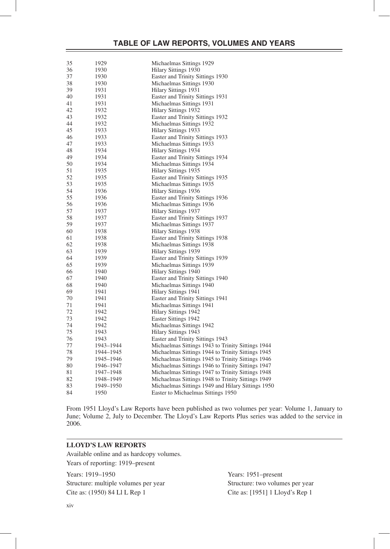| 35 | 1929      | Michaelmas Sittings 1929                          |
|----|-----------|---------------------------------------------------|
| 36 | 1930      | Hilary Sittings 1930                              |
| 37 | 1930      | Easter and Trinity Sittings 1930                  |
| 38 | 1930      | Michaelmas Sittings 1930                          |
| 39 | 1931      | Hilary Sittings 1931                              |
| 40 | 1931      | Easter and Trinity Sittings 1931                  |
| 41 | 1931      | Michaelmas Sittings 1931                          |
| 42 | 1932      | Hilary Sittings 1932                              |
| 43 | 1932      | Easter and Trinity Sittings 1932                  |
| 44 | 1932      | Michaelmas Sittings 1932                          |
| 45 | 1933      | Hilary Sittings 1933                              |
| 46 | 1933      | Easter and Trinity Sittings 1933                  |
| 47 | 1933      | Michaelmas Sittings 1933                          |
| 48 | 1934      | Hilary Sittings 1934                              |
| 49 | 1934      | Easter and Trinity Sittings 1934                  |
| 50 | 1934      |                                                   |
| 51 | 1935      | Michaelmas Sittings 1934                          |
| 52 |           | Hilary Sittings 1935                              |
| 53 | 1935      | Easter and Trinity Sittings 1935                  |
|    | 1935      | Michaelmas Sittings 1935                          |
| 54 | 1936      | Hilary Sittings 1936                              |
| 55 | 1936      | Easter and Trinity Sittings 1936                  |
| 56 | 1936      | Michaelmas Sittings 1936                          |
| 57 | 1937      | Hilary Sittings 1937                              |
| 58 | 1937      | Easter and Trinity Sittings 1937                  |
| 59 | 1937      | Michaelmas Sittings 1937                          |
| 60 | 1938      | Hilary Sittings 1938                              |
| 61 | 1938      | Easter and Trinity Sittings 1938                  |
| 62 | 1938      | Michaelmas Sittings 1938                          |
| 63 | 1939      | Hilary Sittings 1939                              |
| 64 | 1939      | Easter and Trinity Sittings 1939                  |
| 65 | 1939      | Michaelmas Sittings 1939                          |
| 66 | 1940      | Hilary Sittings 1940                              |
| 67 | 1940      | Easter and Trinity Sittings 1940                  |
| 68 | 1940      | Michaelmas Sittings 1940                          |
| 69 | 1941      | Hilary Sittings 1941                              |
| 70 | 1941      | Easter and Trinity Sittings 1941                  |
| 71 | 1941      | Michaelmas Sittings 1941                          |
| 72 | 1942      | Hilary Sittings 1942                              |
| 73 | 1942      | Easter Sittings 1942                              |
| 74 | 1942      | Michaelmas Sittings 1942                          |
| 75 | 1943      | Hilary Sittings 1943                              |
| 76 | 1943      | Easter and Trinity Sittings 1943                  |
| 77 | 1943–1944 | Michaelmas Sittings 1943 to Trinity Sittings 1944 |
| 78 | 1944-1945 | Michaelmas Sittings 1944 to Trinity Sittings 1945 |
| 79 | 1945–1946 | Michaelmas Sittings 1945 to Trinity Sittings 1946 |
| 80 | 1946–1947 | Michaelmas Sittings 1946 to Trinity Sittings 1947 |
| 81 | 1947–1948 | Michaelmas Sittings 1947 to Trinity Sittings 1948 |
| 82 | 1948–1949 | Michaelmas Sittings 1948 to Trinity Sittings 1949 |
| 83 | 1949–1950 | Michaelmas Sittings 1949 and Hilary Sittings 1950 |
| 84 | 1950      | Easter to Michaelmas Sittings 1950                |

From 1951 Lloyd's Law Reports have been published as two volumes per year: Volume 1, January to June; Volume 2, July to December. The Lloyd's Law Reports Plus series was added to the service in 2006.

#### **LLOYD'S LAW REPORTS**

Available online and as hardcopy volumes. Years of reporting: 1919–present

Years: 1919–1950 Years: 1951–present Structure: multiple volumes per year Structure: two volumes per year

Cite as: (1950) 84 Ll L Rep 1 Cite as: [1951] 1 Lloyd's Rep 1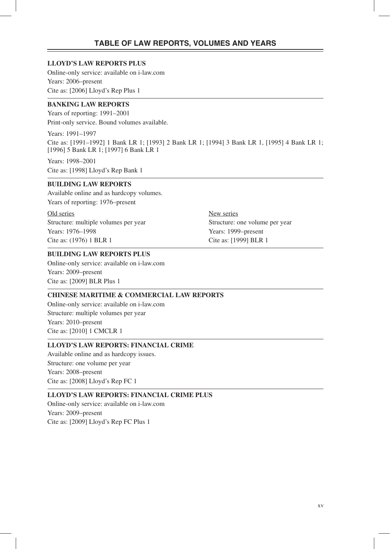#### **LLOYD'S LAW REPORTS PLUS**

Online-only service: available on i-law.com Years: 2006–present Cite as: [2006] Lloyd's Rep Plus 1

#### **BANKING LAW REPORTS**

Years of reporting: 1991–2001 Print-only service. Bound volumes available.

Years: 1991–1997 Cite as: [1991–1992] 1 Bank LR 1; [1993] 2 Bank LR 1; [1994] 3 Bank LR 1, [1995] 4 Bank LR 1; [1996] 5 Bank LR 1; [1997] 6 Bank LR 1

Years: 1998–2001 Cite as: [1998] Lloyd's Rep Bank 1

#### **BUILDING LAW REPORTS**

Available online and as hardcopy volumes. Years of reporting: 1976–present

Old series New series Structure: multiple volumes per year Structure: one volume per year Years: 1976–1998 Years: 1999–present Cite as: (1976) 1 BLR 1 Cite as: [1999] BLR 1

#### **BUILDING LAW REPORTS PLUS**

Online-only service: available on i-law.com Years: 2009–present Cite as: [2009] BLR Plus 1

#### **CHINESE MARITIME & COMMERCIAL LAW REPORTS**

Online-only service: available on i-law.com Structure: multiple volumes per year Years: 2010–present Cite as: [2010] 1 CMCLR 1

#### **LLOYD'S LAW REPORTS: FINANCIAL CRIME**

Available online and as hardcopy issues. Structure: one volume per year Years: 2008–present Cite as: [2008] Lloyd's Rep FC 1

#### **LLOYD'S LAW REPORTS: FINANCIAL CRIME PLUS**

Online-only service: available on i-law.com Years: 2009–present Cite as: [2009] Lloyd's Rep FC Plus 1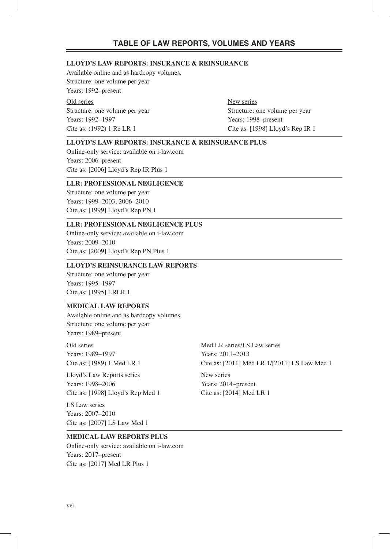#### **LLOYD'S LAW REPORTS: INSURANCE & REINSURANCE**

Available online and as hardcopy volumes. Structure: one volume per year Years: 1992–present

Old series New series Years: 1992–1997 Years: 1998–present

Structure: one volume per year Structure: one volume per year Cite as: (1992) 1 Re LR 1 Cite as: [1998] Lloyd's Rep IR 1

#### **LLOYD'S LAW REPORTS: INSURANCE & REINSURANCE PLUS**

Online-only service: available on i-law.com Years: 2006–present Cite as: [2006] Lloyd's Rep IR Plus 1

#### **LLR: PROFESSIONAL NEGLIGENCE**

Structure: one volume per year Years: 1999–2003, 2006–2010 Cite as: [1999] Lloyd's Rep PN 1

#### **LLR: PROFESSIONAL NEGLIGENCE PLUS**

Online-only service: available on i-law.com Years: 2009–2010 Cite as: [2009] Lloyd's Rep PN Plus 1

#### **LLOYD'S REINSURANCE LAW REPORTS**

Structure: one volume per year Years: 1995–1997 Cite as: [1995] LRLR 1

#### **MEDICAL LAW REPORTS**

Available online and as hardcopy volumes. Structure: one volume per year Years: 1989–present

Years: 1989–1997 Years: 2011–2013

Lloyd's Law Reports series New series Years: 1998–2006 Years: 2014–present Cite as: [1998] Lloyd's Rep Med 1 Cite as: [2014] Med LR 1

LS Law series Years: 2007–2010 Cite as: [2007] LS Law Med 1

Old series Med LR series/LS Law series Cite as: (1989) 1 Med LR 1 Cite as: [2011] Med LR 1/[2011] LS Law Med 1

#### **MEDICAL LAW REPORTS PLUS**

Online-only service: available on i-law.com Years: 2017–present Cite as: [2017] Med LR Plus 1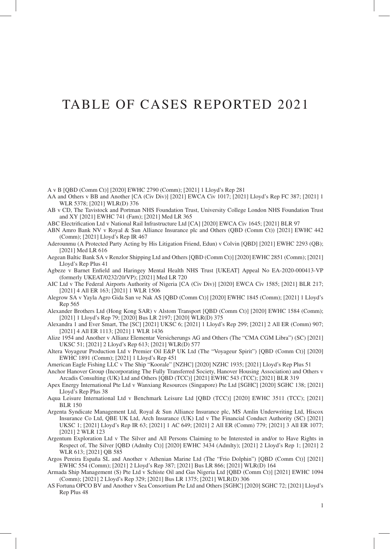### TABLE OF CASES REPORTED 2021

A v B [QBD (Comm Ct)] [2020] EWHC 2790 (Comm); [2021] 1 Lloyd's Rep 281

- AA and Others v BB and Another [CA (Civ Div)] [2021] EWCA Civ 1017; [2021] Lloyd's Rep FC 387; [2021] 1 WLR 5378; [2021] WLR(D) 376
- AB v CD, The Tavistock and Portman NHS Foundation Trust, University College London NHS Foundation Trust and XY [2021] EWHC 741 (Fam); [2021] Med LR 365
- ABC Electrification Ltd v National Rail Infrastructure Ltd [CA] [2020] EWCA Civ 1645; [2021] BLR 97
- ABN Amro Bank NV v Royal & Sun Alliance Insurance plc and Others (QBD (Comm Ct)) [2021] EWHC 442 (Comm); [2021] Lloyd's Rep IR 467
- Aderounmu (A Protected Party Acting by His Litigation Friend, Edun) v Colvin [QBD] [2021] EWHC 2293 (QB); [2021] Med LR 616
- Aegean Baltic Bank SA v Renzlor Shipping Ltd and Others [QBD (Comm Ct)] [2020] EWHC 2851 (Comm); [2021] Lloyd's Rep Plus 41
- Agbeze v Barnet Enfield and Haringey Mental Health NHS Trust [UKEAT] Appeal No EA-2020-000413-VP (formerly UKEAT/0232/20/VP); [2021] Med LR 720
- AIC Ltd v The Federal Airports Authority of Nigeria [CA (Civ Div)] [2020] EWCA Civ 1585; [2021] BLR 217; [2021] 4 All ER 163; [2021] 1 WLR 1506
- Alegrow SA v Yayla Agro Gida San ve Nak AS [QBD (Comm Ct)] [2020] EWHC 1845 (Comm); [2021] 1 Lloyd's Rep 565
- Alexander Brothers Ltd (Hong Kong SAR) v Alstom Transport [QBD (Comm Ct)] [2020] EWHC 1584 (Comm); [2021] 1 Lloyd's Rep 79; [2020] Bus LR 2197; [2020] WLR(D) 375
- Alexandra 1 and Ever Smart, The [SC] [2021] UKSC 6; [2021] 1 Lloyd's Rep 299; [2021] 2 All ER (Comm) 907; [2021] 4 All ER 1113; [2021] 1 WLR 1436
- Alize 1954 and Another v Allianz Elementar Versicherungs AG and Others (The "CMA CGM Libra") (SC) [2021] UKSC 51; [2021] 2 Lloyd's Rep 613; [2021] WLR(D) 577
- Altera Voyageur Production Ltd v Premier Oil E&P UK Ltd (The "Voyageur Spirit") [QBD (Comm Ct)] [2020] EWHC 1891 (Comm); [2021] 1 Lloyd's Rep 451
- American Eagle Fishing LLC v The Ship "Koorale" [NZHC] [2020] NZHC 1935; [2021] Lloyd's Rep Plus 51
- Anchor Hanover Group (Incorporating The Fully Transferred Society, Hanover Housing Association) and Others v Arcadis Consulting (UK) Ltd and Others [QBD (TCC)] [2021] EWHC 543 (TCC); [2021] BLR 319
- Apex Energy International Pte Ltd v Wanxiang Resources (Singapore) Pte Ltd [SGHC] [2020] SGHC 138; [2021] Lloyd's Rep Plus 38
- Aqua Leisure International Ltd v Benchmark Leisure Ltd [QBD (TCC)] [2020] EWHC 3511 (TCC); [2021] BLR 150
- Argenta Syndicate Management Ltd, Royal & Sun Alliance Insurance plc, MS Amlin Underwriting Ltd, Hiscox Insurance Co Ltd, QBE UK Ltd, Arch Insurance (UK) Ltd v The Financial Conduct Authority (SC) [2021] UKSC 1; [2021] Lloyd's Rep IR 63; [2021] 1 AC 649; [2021] 2 All ER (Comm) 779; [2021] 3 All ER 1077; [2021] 2 WLR 123
- Argentum Exploration Ltd v The Silver and All Persons Claiming to be Interested in and/or to Have Rights in Respect of, The Silver [QBD (Admlty Ct)] [2020] EWHC 3434 (Admlty); [2021] 2 Lloyd's Rep 1; [2021] 2 WLR 613; [2021] QB 585
- Argos Pereira España SL and Another v Athenian Marine Ltd (The "Frio Dolphin") [QBD (Comm Ct)] [2021] EWHC 554 (Comm); [2021] 2 Lloyd's Rep 387; [2021] Bus LR 866; [2021] WLR(D) 164
- Armada Ship Management (S) Pte Ltd v Schiste Oil and Gas Nigeria Ltd [QBD (Comm Ct)] [2021] EWHC 1094 (Comm); [2021] 2 Lloyd's Rep 329; [2021] Bus LR 1375; [2021] WLR(D) 306
- AS Fortuna OPCO BV and Another v Sea Consortium Pte Ltd and Others [SGHC] [2020] SGHC 72; [2021] Lloyd's Rep Plus 48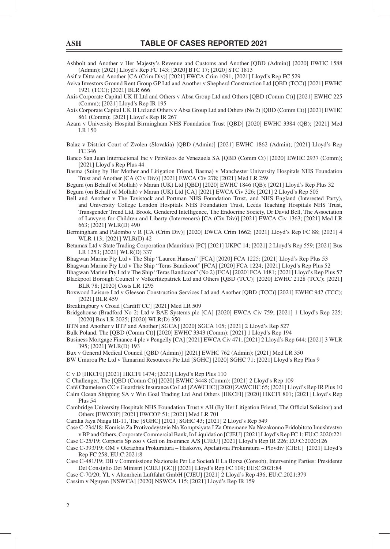Ashbolt and Another v Her Majesty's Revenue and Customs and Another [QBD (Admin)] [2020] EWHC 1588 (Admin); [2021] Lloyd's Rep FC 143; [2020] BTC 17; [2020] STC 1813

Asif v Ditta and Another [CA (Crim Div)] [2021] EWCA Crim 1091; [2021] Lloyd's Rep FC 529

Aviva Investors Ground Rent Group GP Ltd and Another v Shepherd Construction Ltd [QBD (TCC)] [2021] EWHC 1921 (TCC); [2021] BLR 666

Axis Corporate Capital UK II Ltd and Others v Absa Group Ltd and Others [QBD (Comm Ct)] [2021] EWHC 225 (Comm); [2021] Lloyd's Rep IR 195

Axis Corporate Capital UK II Ltd and Others v Absa Group Ltd and Others (No 2) [QBD (Comm Ct)] [2021] EWHC 861 (Comm); [2021] Lloyd's Rep IR 267

Azam v University Hospital Birmingham NHS Foundation Trust [QBD] [2020] EWHC 3384 (QB); [2021] Med LR 150

Balaz v District Court of Zvolen (Slovakia) [QBD (Admin)] [2021] EWHC 1862 (Admin); [2021] Lloyd's Rep FC 346

Banco San Juan Internacional Inc v Petróleos de Venezuela SA [QBD (Comm Ct)] [2020] EWHC 2937 (Comm); [2021] Lloyd's Rep Plus 44

Basma (Suing by Her Mother and Litigation Friend, Basma) v Manchester University Hospitals NHS Foundation Trust and Another [CA (Civ Div)] [2021] EWCA Civ 278; [2021] Med LR 259

Begum (on Behalf of Mollah) v Maran (UK) Ltd [QBD] [2020] EWHC 1846 (QB); [2021] Lloyd's Rep Plus 32 Begum (on Behalf of Mollah) v Maran (UK) Ltd [CA] [2021] EWCA Civ 326; [2021] 2 Lloyd's Rep 505

Bell and Another v The Tavistock and Portman NHS Foundation Trust, and NHS England (Interested Party), and University College London Hospitals NHS Foundation Trust, Leeds Teaching Hospitals NHS Trust, Transgender Trend Ltd, Brook, Gendered Intelligence, The Endocrine Society, Dr David Bell, The Association of Lawyers for Children and Liberty (Interveners) [CA (Civ Div)] [2021] EWCA Civ 1363; [2021] Med LR 663; [2021] WLR(D) 490

Bermingham and Palombo v R [CA (Crim Div)] [2020] EWCA Crim 1662; [2021] Lloyd's Rep FC 88; [2021] 4 WLR 113; [2021] WLR(D) 42

Betamax Ltd v State Trading Corporation (Mauritius) [PC] [2021] UKPC 14; [2021] 2 Lloyd's Rep 559; [2021] Bus LR 1253; [2021] WLR(D) 337

Bhagwan Marine Pty Ltd v The Ship "Lauren Hansen" [FCA] [2020] FCA 1225; [2021] Lloyd's Rep Plus 53

Bhagwan Marine Pty Ltd v The Ship "Teras Bandicoot" [FCA] [2020] FCA 1224; [2021] Lloyd's Rep Plus 52

Bhagwan Marine Pty Ltd v The Ship "Teras Bandicoot" (No 2) [FCA] [2020] FCA 1481; [2021] Lloyd's Rep Plus 57

Blackpool Borough Council v Volkerfitzpatrick Ltd and Others [QBD (TCC)] [2020] EWHC 2128 (TCC); [2021] BLR 78; [2020] Costs LR 1295

Boxwood Leisure Ltd v Gleeson Construction Services Ltd and Another [QBD (TCC)] [2021] EWHC 947 (TCC); [2021] BLR 459

Breakingbury v Croad [Cardiff CC] [2021] Med LR 509

Bridgehouse (Bradford No 2) Ltd v BAE Systems plc [CA] [2020] EWCA Civ 759; [2021] 1 Lloyd's Rep 225; [2020] Bus LR 2025; [2020] WLR(D) 350

BTN and Another v BTP and Another [SGCA] [2020] SGCA 105; [2021] 2 Lloyd's Rep 527

Bulk Poland, The [QBD (Comm Ct)] [2020] EWHC 3343 (Comm); [2021] 1 Lloyd's Rep 194

Business Mortgage Finance 4 plc v Pengelly [CA] [2021] EWCA Civ 471; [2021] 2 Lloyd's Rep 644; [2021] 3 WLR 395; [2021] WLR(D) 193

Bux v General Medical Council [QBD (Admin)] [2021] EWHC 762 (Admin); [2021] Med LR 350

BW Umuroa Pte Ltd v Tamarind Resources Pte Ltd [SGHC] [2020] SGHC 71; [2021] Lloyd's Rep Plus 9

C v D [HKCFI] [2021] HKCFI 1474; [2021] Lloyd's Rep Plus 110

C Challenger, The [QBD (Comm Ct)] [2020] EWHC 3448 (Comm); [2021] 2 Lloyd's Rep 109

Café Chameleon CC v Guardrisk Insurance Co Ltd [ZAWCHC] [2020] ZAWCHC 65; [2021] Lloyd's Rep IR Plus 10 Calm Ocean Shipping SA v Win Goal Trading Ltd And Others [HKCFI] [2020] HKCFI 801; [2021] Lloyd's Rep Plus 54

Cambridge University Hospitals NHS Foundation Trust v AH (By Her Litigation Friend, The Official Solicitor) and Others [EWCOP] [2021] EWCOP 51; [2021] Med LR 701

Caraka Jaya Niaga III-11, The [SGHC] [2021] SGHC 43; [2021] 2 Lloyd's Rep 549

Case C-234/18; Komisia Za Protivodeystvie Na Koruptsiyata I Za Otnemane Na Nezakonno Pridobitoto Imushtestvo v BP and Others, Corporate Commercial Bank, In Liquidation [CJEU] [2021] Lloyd's Rep FC 1; EU:C:2020:221 Case C-25/19; Corporis Sp zoo v Gefi on Insurance A/S [CJEU] [2021] Lloyd's Rep IR 226; EU:C:2020:126

Case C-393/19; OM v Okrazhna Prokuratura – Haskovo, Apelativna Prokuratura – Plovdiv [CJEU] [2021] Lloyd's Rep FC 258; EU:C:2021:8

Case C-481/19; DB v Commissione Nazionale Per Le Società E La Borsa (Consob), Intervening Parties: Presidente Del Consiglio Dei Ministri [CJEU [GC]] [2021] Lloyd's Rep FC 109; EU:C:2021:84

Case C-70/20; YL v Altenrhein Luftfahrt GmbH [CJEU] [2021] 2 Lloyd's Rep 436; EU:C:2021:379

Cassim v Nguyen [NSWCA] [2020] NSWCA 115; [2021] Lloyd's Rep IR 159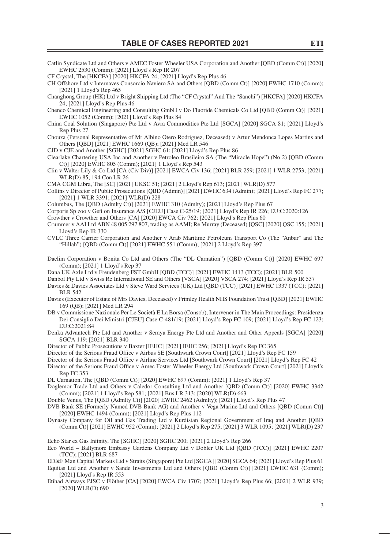Catlin Syndicate Ltd and Others v AMEC Foster Wheeler USA Corporation and Another [QBD (Comm Ct)] [2020]

EWHC 2530 (Comm); [2021] Lloyd's Rep IR 207

- CF Crystal, The [HKCFA] [2020] HKCFA 24; [2021] Lloyd's Rep Plus 46 CH Offshore Ltd v Internaves Consorcio Naviero SA and Others [QBD (Comm Ct)] [2020] EWHC 1710 (Comm); [2021] 1 Lloyd's Rep 465 Changhong Group (HK) Ltd v Bright Shipping Ltd (The "CF Crystal" And The "Sanchi") [HKCFA] [2020] HKCFA 24; [2021] Lloyd's Rep Plus 46 Chenco Chemical Engineering and Consulting GmbH v Do Fluoride Chemicals Co Ltd [QBD (Comm Ct)] [2021] EWHC 1052 (Comm); [2021] Lloyd's Rep Plus 84 China Coal Solution (Singapore) Pte Ltd v Avra Commodities Pte Ltd [SGCA] [2020] SGCA 81; [2021] Lloyd's Rep Plus 27 Chouza (Personal Representative of Mr Albino Otero Rodriguez, Deceased) v Artur Mendonca Lopes Martins and Others [QBD] [2021] EWHC 1669 (QB); [2021] Med LR 546 CJD v CJE and Another [SGHC] [2021] SGHC 61; [2021] Lloyd's Rep Plus 86 Clearlake Chartering USA Inc and Another v Petroleo Brasileiro SA (The "Miracle Hope") (No 2) [QBD (Comm Ct)] [2020] EWHC 805 (Comm); [2021] 1 Lloyd's Rep 543 Clin v Walter Lily & Co Ltd [CA (Civ Div)] [2021] EWCA Civ 136; [2021] BLR 259; [2021] 1 WLR 2753; [2021] WLR(D) 85; 194 Con LR 26 CMA CGM Libra, The [SC] [2021] UKSC 51; [2021] 2 Lloyd's Rep 613; [2021] WLR(D) 577 Collins v Director of Public Prosecutions [QBD (Admin)] [2021] EWHC 634 (Admin); [2021] Lloyd's Rep FC 277; [2021] 1 WLR 3391; [2021] WLR(D) 228 Columbus, The [QBD (Admlty Ct)] [2021] EWHC 310 (Admlty); [2021] Lloyd's Rep Plus 67 Corporis Sp zoo v Gefi on Insurance A/S [CJEU] Case C-25/19; [2021] Lloyd's Rep IR 226; EU:C:2020:126 Crowther v Crowther and Others [CA] [2020] EWCA Civ 762; [2021] Lloyd's Rep Plus 60
- Crummer v AAI Ltd ABN 48 005 297 807, trading as AAMI; Re Murray (Deceased) [QSC] [2020] QSC 155; [2021] Lloyd's Rep IR 330
- CVLC Three Carrier Corporation and Another v Arab Maritime Petroleum Transport Co (The "Anbar" and The "Hillah") [QBD (Comm Ct)] [2021] EWHC 551 (Comm); [2021] 2 Lloyd's Rep 397
- Daelim Corporation v Bonita Co Ltd and Others (The "DL Carnation") [QBD (Comm Ct)] [2020] EWHC 697 (Comm); [2021] 1 Lloyd's Rep 37
- Dana UK Axle Ltd v Freudenberg FST GmbH [QBD (TCC)] [2021] EWHC 1413 (TCC); [2021] BLR 500
- Danbol Pty Ltd v Swiss Re International SE and Others [VSCA] [2020] VSCA 274; [2021] Lloyd's Rep IR 537
- Davies & Davies Associates Ltd v Steve Ward Services (UK) Ltd [QBD (TCC)] [2021] EWHC 1337 (TCC); [2021] BLR 542
- Davies (Executor of Estate of Mrs Davies, Deceased) v Frimley Health NHS Foundation Trust [QBD] [2021] EWHC 169 (QB); [2021] Med LR 294
- DB v Commissione Nazionale Per Le Società E La Borsa (Consob), Intervener in The Main Proceedings: Presidenza Dei Consiglio Dei Ministri [CJEU] Case C-481/19; [2021] Lloyd's Rep FC 109; [2021] Lloyd's Rep FC 123; EU:C:2021:84
- Denka Advantech Pte Ltd and Another v Seraya Energy Pte Ltd and Another and Other Appeals [SGCA] [2020] SGCA 119; [2021] BLR 340
- Director of Public Prosecutions v Baxter [IEHC] [2021] IEHC 256; [2021] Lloyd's Rep FC 365
- Director of the Serious Fraud Office v Airbus SE [Southwark Crown Court] [2021] Lloyd's Rep FC 159
- Director of the Serious Fraud Office v Airline Services Ltd [Southwark Crown Court] [2021] Lloyd's Rep FC 42
- Director of the Serious Fraud Office v Amec Foster Wheeler Energy Ltd [Southwark Crown Court] [2021] Lloyd's Rep FC 353
- DL Carnation, The [QBD (Comm Ct)] [2020] EWHC 697 (Comm); [2021] 1 Lloyd's Rep 37
- Doglemor Trade Ltd and Others v Caledor Consulting Ltd and Another [QBD (Comm Ct)] [2020] EWHC 3342 (Comm); [2021] 1 Lloyd's Rep 581; [2021] Bus LR 313; [2020] WLR(D) 663
- Double Venus, The [QBD (Admlty Ct)] [2020] EWHC 2462 (Admlty); [2021] Lloyd's Rep Plus 47
- DVB Bank SE (Formerly Named DVB Bank AG) and Another v Vega Marine Ltd and Others [QBD (Comm Ct)] [2020] EWHC 1494 (Comm); [2021] Lloyd's Rep Plus 112
- Dynasty Company for Oil and Gas Trading Ltd v Kurdistan Regional Government of Iraq and Another [QBD (Comm Ct)] [2021] EWHC 952 (Comm); [2021] 2 Lloyd's Rep 275; [2021] 3 WLR 1095; [2021] WLR(D) 237
- Echo Star ex Gas Infinity, The [SGHC] [2020] SGHC 200; [2021] 2 Lloyd's Rep 266
- Eco World Ballymore Embassy Gardens Company Ltd v Dobler UK Ltd [QBD (TCC)] [2021] EWHC 2207 (TCC); [2021] BLR 687
- ED&F Man Capital Markets Ltd v Straits (Singapore) Pte Ltd [SGCA] [2020] SGCA 64; [2021] Lloyd's Rep Plus 61 Equitas Ltd and Another v Sande Investments Ltd and Others [QBD (Comm Ct)] [2021] EWHC 631 (Comm); [2021] Lloyd's Rep IR 553
- Etihad Airways PJSC v Flöther [CA] [2020] EWCA Civ 1707; [2021] Lloyd's Rep Plus 66; [2021] 2 WLR 939; [2020] WLR(D) 690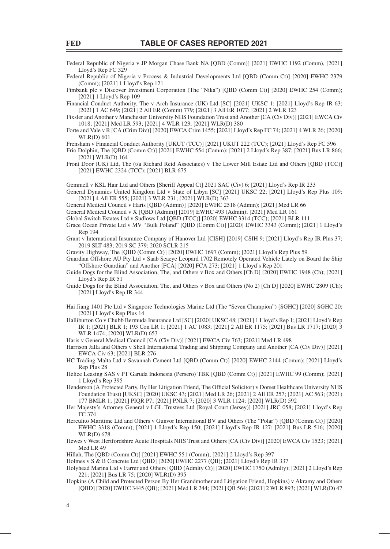Federal Republic of Nigeria v JP Morgan Chase Bank NA [QBD (Comm)] [2021] EWHC 1192 (Comm), [2021] Lloyd's Rep FC 329

Federal Republic of Nigeria v Process & Industrial Developments Ltd [QBD (Comm Ct)] [2020] EWHC 2379 (Comm); [2021] 1 Lloyd's Rep 121

Fimbank plc v Discover Investment Corporation (The "Nika") [OBD (Comm Ct)] [2020] EWHC 254 (Comm); [2021] 1 Lloyd's Rep 109

Financial Conduct Authority, The v Arch Insurance (UK) Ltd [SC] [2021] UKSC 1; [2021] Lloyd's Rep IR 63; [2021] 1 AC 649; [2021] 2 All ER (Comm) 779; [2021] 3 All ER 1077; [2021] 2 WLR 123

Fixsler and Another v Manchester University NHS Foundation Trust and Another [CA (Civ Div)] [2021] EWCA Civ 1018; [2021] Med LR 593; [2021] 4 WLR 123; [2021] WLR(D) 380

Forte and Vale v R [CA (Crim Div)] [2020] EWCA Crim 1455; [2021] Lloyd's Rep FC 74; [2021] 4 WLR 26; [2020] WLR(D) 601

Frensham v Financial Conduct Authority [UKUT (TCC)] [2021] UKUT 222 (TCC); [2021] Lloyd's Rep FC 596

Frio Dolphin, The [QBD (Comm Ct)] [2021] EWHC 554 (Comm); [2021] 2 Lloyd's Rep 387; [2021] Bus LR 866; [2021] WLR(D) 164

Front Door (UK) Ltd, The (t/a Richard Reid Associates) v The Lower Mill Estate Ltd and Others [QBD (TCC)] [2021] EWHC 2324 (TCC); [2021] BLR 675

Gemmell v KSL Hair Ltd and Others [Sheriff Appeal Ct] 2021 SAC (Civ) 6; [2021] Lloyd's Rep IR 233

General Dynamics United Kingdom Ltd v State of Libya [SC] [2021] UKSC 22; [2021] Lloyd's Rep Plus 109; [2021] 4 All ER 555; [2021] 3 WLR 231; [2021] WLR(D) 363

General Medical Council v Haris [QBD (Admin)] [2020] EWHC 2518 (Admin); [2021] Med LR 66

General Medical Council v X [QBD (Admin)] [2019] EWHC 493 (Admin); [2021] Med LR 161

Global Switch Estates Ltd v Sudlows Ltd [QBD (TCC)] [2020] EWHC 3314 (TCC); [2021] BLR 111

Grace Ocean Private Ltd v MV "Bulk Poland" [QBD (Comm Ct)] [2020] EWHC 3343 (Comm); [2021] 1 Lloyd's Rep 194

Grant v International Insurance Company of Hanover Ltd [CISH] [2019] CSIH 9; [2021] Lloyd's Rep IR Plus 37; 2019 SLT 483; 2019 SC 379; 2020 SCLR 215

Gravity Highway, The [QBD (Comm Ct)] [2020] EWHC 1697 (Comm); [2021] Lloyd's Rep Plus 59

Guardian Offshore AU Pty Ltd v Saab Seaeye Leopard 1702 Remotely Operated Vehicle Lately on Board the Ship "Offshore Guardian" and Another [FCA] [2020] FCA 273; [2021] 1 Lloyd's Rep 201

Guide Dogs for the Blind Association, The, and Others v Box and Others [Ch D] [2020] EWHC 1948 (Ch); [2021] Lloyd's Rep IR 51

Guide Dogs for the Blind Association, The, and Others v Box and Others (No 2) [Ch D] [2020] EWHC 2809 (Ch); [2021] Lloyd's Rep IR 344

Hai Jiang 1401 Pte Ltd v Singapore Technologies Marine Ltd (The "Seven Champion") [SGHC] [2020] SGHC 20; [2021] Lloyd's Rep Plus 14

Halliburton Co v Chubb Bermuda Insurance Ltd [SC] [2020] UKSC 48; [2021] 1 Lloyd's Rep 1; [2021] Lloyd's Rep IR 1; [2021] BLR 1; 193 Con LR 1; [2021] 1 AC 1083; [2021] 2 All ER 1175; [2021] Bus LR 1717; [2020] 3 WLR 1474; [2020] WLR(D) 653

Haris v General Medical Council [CA (Civ Div)] [2021] EWCA Civ 763; [2021] Med LR 498

Harrison Jalla and Others v Shell International Trading and Shipping Company and Another [CA (Civ Div)] [2021] EWCA Civ 63; [2021] BLR 276

HC Trading Malta Ltd v Savannah Cement Ltd [QBD (Comm Ct)] [2020] EWHC 2144 (Comm); [2021] Lloyd's Rep Plus 28

Helice Leasing SAS v PT Garuda Indonesia (Persero) TBK [QBD (Comm Ct)] [2021] EWHC 99 (Comm); [2021] 1 Lloyd's Rep 395

Henderson (A Protected Party, By Her Litigation Friend, The Official Solicitor) v Dorset Healthcare University NHS Foundation Trust) [UKSC] [2020] UKSC 43; [2021] Med LR 26; [2021] 2 All ER 257; [2021] AC 563; (2021) 177 BMLR 1; [2021] PIQR P7; [2021] PNLR 7; [2020] 3 WLR 1124; [2020] WLR(D) 592

Her Majesty's Attorney General v LGL Trustees Ltd [Royal Court (Jersey)] [2021] JRC 058; [2021] Lloyd's Rep FC 374

- Herculito Maritime Ltd and Others v Gunvor International BV and Others (The "Polar") [QBD (Comm Ct)] [2020] EWHC 3318 (Comm); [2021] 1 Lloyd's Rep 150; [2021] Lloyd's Rep IR 127; [2021] Bus LR 516; [2020] WLR(D) 678
- Hewes v West Hertfordshire Acute Hospitals NHS Trust and Others [CA (Civ Div)] [2020] EWCA Civ 1523; [2021] Med LR 49

Hillah, The [QBD (Comm Ct)] [2021] EWHC 551 (Comm); [2021] 2 Lloyd's Rep 397

Holmes v S & B Concrete Ltd [QBD] [2020] EWHC 2277 (QB); [2021] Lloyd's Rep IR 337

Holyhead Marina Ltd v Farrer and Others [QBD (Admlty Ct)] [2020] EWHC 1750 (Admlty); [2021] 2 Lloyd's Rep 221; [2021] Bus LR 75; [2020] WLR(D) 395

Hopkins (A Child and Protected Person By Her Grandmother and Litigation Friend, Hopkins) v Akramy and Others [QBD] [2020] EWHC 3445 (QB); [2021] Med LR 244; [2021] QB 564; [2021] 2 WLR 893; [2021] WLR(D) 47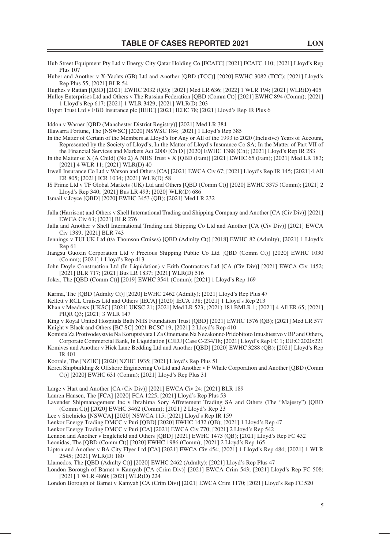Hub Street Equipment Pty Ltd v Energy City Qatar Holding Co [FCAFC] [2021] FCAFC 110; [2021] Lloyd's Rep

Plus 107

Huber and Another v X-Yachts (GB) Ltd and Another [QBD (TCC)] [2020] EWHC 3082 (TCC); [2021] Lloyd's Rep Plus 55; [2021] BLR 54 Hughes v Rattan [QBD] [2021] EWHC 2032 (QB); [2021] Med LR 636; [2022] 1 WLR 194; [2021] WLR(D) 405 Hulley Enterprises Ltd and Others v The Russian Federation [QBD (Comm Ct)] [2021] EWHC 894 (Comm); [2021] 1 Lloyd's Rep 617; [2021] 1 WLR 3429; [2021] WLR(D) 203 Hyper Trust Ltd v FBD Insurance plc [IEHC] [2021] IEHC 78; [2021] Lloyd's Rep IR Plus 6 Iddon v Warner [QBD (Manchester District Registry)] [2021] Med LR 384 Illawarra Fortune, The [NSWSC] [2020] NSWSC 184; [2021] 1 Lloyd's Rep 385 In the Matter of Certain of the Members at Lloyd's for Any or All of the 1993 to 2020 (Inclusive) Years of Account, Represented by the Society of Lloyd's; In the Matter of Lloyd's Insurance Co SA; In the Matter of Part VII of the Financial Services and Markets Act 2000 [Ch D] [2020] EWHC 1388 (Ch); [2021] Lloyd's Rep IR 283 In the Matter of X (A Child) (No 2) A NHS Trust v X [QBD (Fam)] [2021] EWHC 65 (Fam); [2021] Med LR 183; [2021] 4 WLR 11; [2021] WLR(D) 40 Irwell Insurance Co Ltd v Watson and Others [CA] [2021] EWCA Civ 67; [2021] Lloyd's Rep IR 145; [2021] 4 All ER 805; [2021] ICR 1034; [2021] WLR(D) 58 IS Prime Ltd v TF Global Markets (UK) Ltd and Others [QBD (Comm Ct)] [2020] EWHC 3375 (Comm); [2021] 2 Lloyd's Rep 340; [2021] Bus LR 493; [2020] WLR(D) 686 Ismail v Joyce [QBD] [2020] EWHC 3453 (QB); [2021] Med LR 232 Jalla (Harrison) and Others v Shell International Trading and Shipping Company and Another [CA (Civ Div)] [2021] EWCA Civ 63; [2021] BLR 276 Jalla and Another v Shell International Trading and Shipping Co Ltd and Another [CA (Civ Div)] [2021] EWCA Civ 1389; [2021] BLR 743

Jennings v TUI UK Ltd (t/a Thomson Cruises) [QBD (Admlty Ct)] [2018] EWHC 82 (Admlty); [2021] 1 Lloyd's Rep 61

Jiangsu Guoxin Corporation Ltd v Precious Shipping Public Co Ltd [QBD (Comm Ct)] [2020] EWHC 1030 (Comm); [2021] 1 Lloyd's Rep 413

John Doyle Construction Ltd (In Liquidation) v Erith Contractors Ltd [CA (Civ Div)] [2021] EWCA Civ 1452; [2021] BLR 717; [2021] Bus LR 1837; [2021] WLR(D) 516

Joker, The [QBD (Comm Ct)] [2019] EWHC 3541 (Comm); [2021] 1 Lloyd's Rep 169

Karma, The [QBD (Admlty Ct)] [2020] EWHC 2462 (Admlty); [2021] Lloyd's Rep Plus 47

Kellett v RCL Cruises Ltd and Others [IECA] [2020] IECA 138; [2021] 1 Lloyd's Rep 213

Khan v Meadows [UKSC] [2021] UKSC 21; [2021] Med LR 523; (2021) 181 BMLR 1; [2021] 4 All ER 65; [2021] PIQR Q3; [2021] 3 WLR 147

King v Royal United Hospitals Bath NHS Foundation Trust [QBD] [2021] EWHC 1576 (QB); [2021] Med LR 577 Knight v Black and Others [BC SC] 2021 BCSC 19; [2021] 2 Lloyd's Rep 410

Komisia Za Protivodeystvie Na Koruptsiyata I Za Otnemane Na Nezakonno Pridobitoto Imushtestvo v BP and Others, Corporate Commercial Bank, In Liquidation [CJEU] Case C-234/18; [2021] Lloyd's Rep FC 1; EU:C:2020:221

Komives and Another v Hick Lane Bedding Ltd and Another [QBD] [2020] EWHC 3288 (QB); [2021] Lloyd's Rep IR 401

Koorale, The [NZHC] [2020] NZHC 1935; [2021] Lloyd's Rep Plus 51

Korea Shipbuilding & Offshore Engineering Co Ltd and Another v F Whale Corporation and Another [QBD (Comm Ct)] [2020] EWHC 631 (Comm); [2021] Lloyd's Rep Plus 31

Large v Hart and Another [CA (Civ Div)] [2021] EWCA Civ 24; [2021] BLR 189

Lauren Hansen, The [FCA] [2020] FCA 1225; [2021] Lloyd's Rep Plus 53

Lavender Shipmanagement Inc v Ibrahima Sory Affretement Trading SA and Others (The "Majesty") [QBD (Comm Ct)] [2020] EWHC 3462 (Comm); [2021] 2 Lloyd's Rep 23

Lee v Strelnicks [NSWCA] [2020] NSWCA 115; [2021] Lloyd's Rep IR 159

Lenkor Energy Trading DMCC v Puri [QBD] [2020] EWHC 1432 (QB); [2021] 1 Lloyd's Rep 47

Lenkor Energy Trading DMCC v Puri [CA] [2021] EWCA Civ 770; [2021] 2 Lloyd's Rep 542

Lennon and Another v Englefield and Others [QBD] [2021] EWHC 1473 (QB); [2021] Lloyd's Rep FC 432

Leonidas, The [QBD (Comm Ct)] [2020] EWHC 1986 (Comm); [2021] 2 Lloyd's Rep 165

#### Lipton and Another v BA City Flyer Ltd [CA] [2021] EWCA Civ 454; [2021] 1 Lloyd's Rep 484; [2021] 1 WLR 2545; [2021] WLR(D) 180

Llamedos, The [QBD (Admlty Ct)] [2020] EWHC 2462 (Admlty); [2021] Lloyd's Rep Plus 47

London Borough of Barnet v Kamyab [CA (Crim Div)] [2021] EWCA Crim 543; [2021] Lloyd's Rep FC 508; [2021] 1 WLR 4860; [2021] WLR(D) 224

London Borough of Barnet v Kamyab [CA (Crim Div)] [2021] EWCA Crim 1170; [2021] Lloyd's Rep FC 520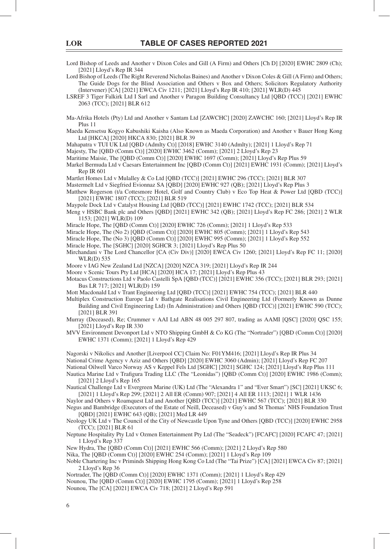Lord Bishop of Leeds and Another v Dixon Coles and Gill (A Firm) and Others [Ch D] [2020] EWHC 2809 (Ch); [2021] Lloyd's Rep IR 344

Lord Bishop of Leeds (The Right Reverend Nicholas Baines) and Another v Dixon Coles & Gill (A Firm) and Others; The Guide Dogs for the Blind Association and Others v Box and Others; Solicitors Regulatory Authority (Intervener) [CA] [2021] EWCA Civ 1211; [2021] Lloyd's Rep IR 410; [2021] WLR(D) 445

LSREF 3 Tiger Falkirk Ltd I Sarl and Another v Paragon Building Consultancy Ltd [QBD (TCC)] [2021] EWHC 2063 (TCC); [2021] BLR 612

Ma-Afrika Hotels (Pty) Ltd and Another v Santam Ltd [ZAWCHC] [2020] ZAWCHC 160; [2021] Lloyd's Rep IR Plus 11

Maeda Kensetsu Kogyo Kabushiki Kaisha (Also Known as Maeda Corporation) and Another v Bauer Hong Kong Ltd [HKCA] [2020] HKCA 830; [2021] BLR 39

Mahapatra v TUI UK Ltd [QBD (Admlty Ct)] [2018] EWHC 3140 (Admlty); [2021] 1 Lloyd's Rep 71

Majesty, The [QBD (Comm Ct)] [2020] EWHC 3462 (Comm); [2021] 2 Lloyd's Rep 23

Maritime Maisie, The [QBD (Comm Ct)] [2020] EWHC 1697 (Comm); [2021] Lloyd's Rep Plus 59

Markel Bermuda Ltd v Caesars Entertainment Inc [QBD (Comm Ct)] [2021] EWHC 1931 (Comm); [2021] Lloyd's Rep IR 601

Martlet Homes Ltd v Mulalley & Co Ltd [QBD (TCC)] [2021] EWHC 296 (TCC); [2021] BLR 307

Mastermelt Ltd v Siegfried Evionnaz SA [QBD] [2020] EWHC 927 (QB); [2021] Lloyd's Rep Plus 3

Matthew Rogerson (t/a Cottesmore Hotel, Golf and Country Club) v Eco Top Heat & Power Ltd [QBD (TCC)] [2021] EWHC 1807 (TCC); [2021] BLR 519

Maypole Dock Ltd v Catalyst Housing Ltd [QBD (TCC)] [2021] EWHC 1742 (TCC); [2021] BLR 534

Meng v HSBC Bank plc and Others [QBD] [2021] EWHC 342 (QB); [2021] Lloyd's Rep FC 286; [2021] 2 WLR 1153; [2021] WLR(D) 109

Miracle Hope, The [QBD (Comm Ct)] [2020] EWHC 726 (Comm); [2021] 1 Lloyd's Rep 533

Miracle Hope, The (No 2) [QBD (Comm Ct)] [2020] EWHC 805 (Comm); [2021] 1 Lloyd's Rep 543

Miracle Hope, The (No 3) [QBD (Comm Ct)] [2020] EWHC 995 (Comm); [2021] 1 Lloyd's Rep 552

Miracle Hope, The [SGHC] [2020] SGHCR 3; [2021] Lloyd's Rep Plus 50

Mirchandani v The Lord Chancellor [CA (Civ Div)] [2020] EWCA Civ 1260; [2021] Lloyd's Rep FC 11; [2020] WLR(D) 535

Moore v IAG New Zealand Ltd [NZCA] [2020] NZCA 319; [2021] Lloyd's Rep IR 244

Moore v Scenic Tours Pty Ltd [HCA] [2020] HCA 17; [2021] Lloyd's Rep Plus 43

Motacus Constructions Ltd v Paolo Castelli SpA [QBD (TCC)] [2021] EWHC 356 (TCC); [2021] BLR 293; [2021] Bus LR 717; [2021] WLR(D) 159

Mott Macdonald Ltd v Trant Engineering Ltd [QBD (TCC)] [2021] EWHC 754 (TCC); [2021] BLR 440

Multiplex Construction Europe Ltd v Bathgate Realisations Civil Engineering Ltd (Formerly Known as Dunne Building and Civil Engineering Ltd) (In Administration) and Others [QBD (TCC)] [2021] EWHC 590 (TCC); [2021] BLR 391

Murray (Deceased), Re; Crummer v AAI Ltd ABN 48 005 297 807, trading as AAMI [QSC] [2020] QSC 155; [2021] Lloyd's Rep IR 330

MVV Environment Devonport Ltd v NTO Shipping GmbH & Co KG (The "Nortrader") [QBD (Comm Ct)] [2020] EWHC 1371 (Comm); [2021] 1 Lloyd's Rep 429

Nagorski v Nikolics and Another [Liverpool CC] Claim No: F01YM416; [2021] Lloyd's Rep IR Plus 34 National Crime Agency v Aziz and Others [QBD] [2020] EWHC 3060 (Admin); [2021] Lloyd's Rep FC 207 National Oilwell Varco Norway AS v Keppel Fels Ltd [SGHC] [2021] SGHC 124; [2021] Lloyd's Rep Plus 111

Nautica Marine Ltd v Trafigura Trading LLC (The "Leonidas") [QBD (Comm Ct)] [2020] EWHC 1986 (Comm); [2021] 2 Lloyd's Rep 165

Nautical Challenge Ltd v Evergreen Marine (UK) Ltd (The "Alexandra 1" and "Ever Smart") [SC] [2021] UKSC 6; [2021] 1 Lloyd's Rep 299; [2021] 2 All ER (Comm) 907; [2021] 4 All ER 1113; [2021] 1 WLR 1436

Naylor and Others v Roamquest Ltd and Another [QBD (TCC)] [2021] EWHC 567 (TCC); [2021] BLR 330

Negus and Bambridge (Executors of the Estate of Neill, Deceased) v Guy's and St Thomas' NHS Foundation Trust [QBD] [2021] EWHC 643 (QB); [2021] Med LR 449

Neology UK Ltd v The Council of the City of Newcastle Upon Tyne and Others [QBD (TCC)] [2020] EWHC 2958 (TCC); [2021] BLR 61

Neptune Hospitality Pty Ltd v Ozmen Entertainment Pty Ltd (The "Seadeck") [FCAFC] [2020] FCAFC 47; [2021] 1 Lloyd's Rep 337

New Hydra, The [QBD (Comm Ct)] [2021] EWHC 566 (Comm); [2021] 2 Lloyd's Rep 580

Nika, The [QBD (Comm Ct)] [2020] EWHC 254 (Comm); [2021] 1 Lloyd's Rep 109

Noble Chartering Inc v Priminds Shipping Hong Kong Co Ltd (The "Tai Prize") [CA] [2021] EWCA Civ 87; [2021] 2 Lloyd's Rep 36

Nortrader, The [QBD (Comm Ct)] [2020] EWHC 1371 (Comm); [2021] 1 Lloyd's Rep 429 Nounou, The [QBD (Comm Ct)] [2020] EWHC 1795 (Comm); [2021] 1 Lloyd's Rep 258

Nounou, The [CA] [2021] EWCA Civ 718; [2021] 2 Lloyd's Rep 591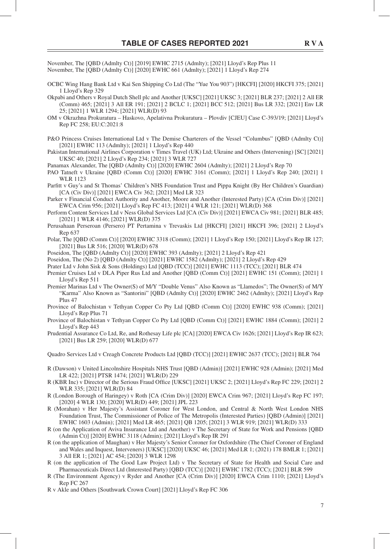November, The [QBD (Admlty Ct)] [2019] EWHC 2715 (Admlty); [2021] Lloyd's Rep Plus 11 November, The [QBD (Admlty Ct)] [2020] EWHC 661 (Admlty); [2021] 1 Lloyd's Rep 274

- OCBC Wing Hang Bank Ltd v Kai Sen Shipping Co Ltd (The "Yue You 903") [HKCFI] [2020] HKCFI 375; [2021] 1 Lloyd's Rep 329
- Okpabi and Others v Royal Dutch Shell plc and Another [UKSC] [2021] UKSC 3; [2021] BLR 237; [2021] 2 All ER (Comm) 465; [2021] 3 All ER 191; [2021] 2 BCLC 1; [2021] BCC 512; [2021] Bus LR 332; [2021] Env LR 25; [2021] 1 WLR 1294; [2021] WLR(D) 93
- OM v Okrazhna Prokuratura Haskovo, Apelativna Prokuratura Plovdiv [CJEU] Case C-393/19; [2021] Lloyd's Rep FC 258; EU:C:2021:8
- P&O Princess Cruises International Ltd v The Demise Charterers of the Vessel "Columbus" [QBD (Admlty Ct)] [2021] EWHC 113 (Admlty); [2021] 1 Lloyd's Rep 440
- Pakistan International Airlines Corporation v Times Travel (UK) Ltd; Ukraine and Others (Intervening) [SC] [2021] UKSC 40; [2021] 2 Lloyd's Rep 234; [2021] 3 WLR 727

Panamax Alexander, The [QBD (Admlty Ct)] [2020] EWHC 2604 (Admlty); [2021] 2 Lloyd's Rep 70

- PAO Tatneft v Ukraine [QBD (Comm Ct)] [2020] EWHC 3161 (Comm); [2021] 1 Lloyd's Rep 240; [2021] 1 WLR 1123
- Parfitt v Guy's and St Thomas' Children's NHS Foundation Trust and Pippa Knight (By Her Children's Guardian) [CA (Civ Div)] [2021] EWCA Civ 362; [2021] Med LR 323
- Parker v Financial Conduct Authority and Another, Moore and Another (Interested Party) [CA (Crim Div)] [2021] EWCA Crim 956; [2021] Lloyd's Rep FC 413; [2021] 4 WLR 121; [2021] WLR(D) 368
- Perform Content Services Ltd v Ness Global Services Ltd [CA (Civ Div)] [2021] EWCA Civ 981; [2021] BLR 485; [2021] 1 WLR 4146; [2021] WLR(D) 375
- Perusahaan Perseroan (Persero) PT Pertamina v Trevaskis Ltd [HKCFI] [2021] HKCFI 396; [2021] 2 Lloyd's Rep 637
- Polar, The [QBD (Comm Ct)] [2020] EWHC 3318 (Comm); [2021] 1 Lloyd's Rep 150; [2021] Lloyd's Rep IR 127; [2021] Bus LR 516; [2020] WLR(D) 678
- Poseidon, The [QBD (Admlty Ct)] [2020] EWHC 393 (Admlty); [2021] 2 Lloyd's Rep 421
- Poseidon, The (No 2) [QBD (Admlty Ct)] [2021] EWHC 1582 (Admlty); [2021] 2 Lloyd's Rep 429
- Prater Ltd v John Sisk & Sons (Holdings) Ltd [QBD (TCC)] [2021] EWHC 1113 (TCC); [2021] BLR 474
- Premier Cruises Ltd v DLA Piper Rus Ltd and Another [QBD (Comm Ct)] [2021] EWHC 151 (Comm); [2021] 1 Lloyd's Rep 511
- Premier Marinas Ltd v The Owner(S) of M/Y "Double Venus" Also Known as "Llamedos"; The Owner(S) of M/Y "Karma" Also Known as "Santorini" [QBD (Admlty Ct)] [2020] EWHC 2462 (Admlty); [2021] Lloyd's Rep Plus 47
- Province of Balochistan v Tethyan Copper Co Pty Ltd [QBD (Comm Ct)] [2020] EWHC 938 (Comm); [2021] Lloyd's Rep Plus 71
- Province of Balochistan v Tethyan Copper Co Pty Ltd [QBD (Comm Ct)] [2021] EWHC 1884 (Comm); [2021] 2 Lloyd's Rep 443
- Prudential Assurance Co Ltd, Re, and Rothesay Life plc [CA] [2020] EWCA Civ 1626; [2021] Lloyd's Rep IR 623; [2021] Bus LR 259; [2020] WLR(D) 677

Quadro Services Ltd v Creagh Concrete Products Ltd [QBD (TCC)] [2021] EWHC 2637 (TCC); [2021] BLR 764

- R (Dawson) v United Lincolnshire Hospitals NHS Trust [QBD (Admin)] [2021] EWHC 928 (Admin); [2021] Med LR 422; [2021] PTSR 1474; [2021] WLR(D) 229
- R (KBR Inc) v Director of the Serious Fraud Office [UKSC] [2021] UKSC 2; [2021] Lloyd's Rep FC 229; [2021] 2 WLR 335; [2021] WLR(D) 84
- R (London Borough of Haringey) v Roth [CA (Crim Div)] [2020] EWCA Crim 967; [2021] Lloyd's Rep FC 197; [2020] 4 WLR 130; [2020] WLR(D) 449; [2021] JPL 223
- R (Morahan) v Her Majesty's Assistant Coroner for West London, and Central & North West London NHS Foundation Trust, The Commissioner of Police of The Metropolis (Interested Parties) [QBD (Admin)] [2021] EWHC 1603 (Admin); [2021] Med LR 465; [2021] QB 1205; [2021] 3 WLR 919; [2021] WLR(D) 333
- R (on the Application of Aviva Insurance Ltd and Another) v The Secretary of State for Work and Pensions [QBD (Admin Ct)] [2020] EWHC 3118 (Admin); [2021] Lloyd's Rep IR 291
- R (on the application of Maughan) v Her Majesty's Senior Coroner for Oxfordshire (The Chief Coroner of England and Wales and Inquest, Interveners) [UKSC] [2020] UKSC 46; [2021] Med LR 1; (2021) 178 BMLR 1; [2021] 3 All ER 1; [2021] AC 454; [2020] 3 WLR 1298
- R (on the application of The Good Law Project Ltd) v The Secretary of State for Health and Social Care and Pharmaceuticals Direct Ltd (Interested Party) [QBD (TCC)] [2021] EWHC 1782 (TCC); [2021] BLR 599
- R (The Environment Agency) v Ryder and Another [CA (Crim Div)] [2020] EWCA Crim 1110; [2021] Lloyd's Rep FC 267
- R v Akle and Others [Southwark Crown Court] [2021] Lloyd's Rep FC 306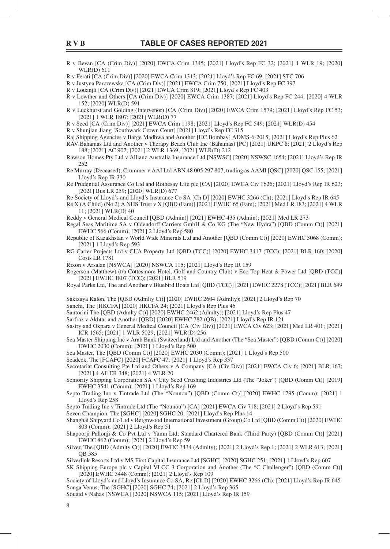- R v Bevan [CA (Crim Div)] [2020] EWCA Crim 1345; [2021] Lloyd's Rep FC 32; [2021] 4 WLR 19; [2020] WLR(D) 611
- R v Ferati [CA (Crim Div)] [2020] EWCA Crim 1313; [2021] Lloyd's Rep FC 69; [2021] STC 706
- R v Justyna Parczewska [CA (Crim Div)] [2021] EWCA Crim 750; [2021] Lloyd's Rep FC 397
- R v Louanjli [CA (Crim Div)] [2021] EWCA Crim 819; [2021] Lloyd's Rep FC 403
- R v Lowther and Others [CA (Crim Div)] [2020] EWCA Crim 1387; [2021] Lloyd's Rep FC 244; [2020] 4 WLR 152; [2020] WLR(D) 591
- R v Luckhurst and Golding (Intervenor) [CA (Crim Div)] [2020] EWCA Crim 1579; [2021] Lloyd's Rep FC 53; [2021] 1 WLR 1807; [2021] WLR(D) 77
- R v Seed [CA (Crim Div)] [2021] EWCA Crim 1198; [2021] Lloyd's Rep FC 549; [2021] WLR(D) 454
- R v Shunjian Jiang [Southwark Crown Court] [2021] Lloyd's Rep FC 315
- Raj Shipping Agencies v Barge Madhwa and Another [HC Bombay] ADMS-6-2015; [2021] Lloyd's Rep Plus 62
- RAV Bahamas Ltd and Another v Therapy Beach Club Inc (Bahamas) [PC] [2021] UKPC 8; [2021] 2 Lloyd's Rep 188; [2021] AC 907; [2021] 2 WLR 1369; [2021] WLR(D) 212
- Rawson Homes Pty Ltd v Allianz Australia Insurance Ltd [NSWSC] [2020] NSWSC 1654; [2021] Lloyd's Rep IR 252
- Re Murray (Deceased); Crummer v AAI Ltd ABN 48 005 297 807, trading as AAMI [QSC] [2020] QSC 155; [2021] Lloyd's Rep IR 330
- Re Prudential Assurance Co Ltd and Rothesay Life plc [CA] [2020] EWCA Civ 1626; [2021] Lloyd's Rep IR 623; [2021] Bus LR 259; [2020] WLR(D) 677
- Re Society of Lloyd's and Lloyd's Insurance Co SA [Ch D] [2020] EWHC 3266 (Ch); [2021] Lloyd's Rep IR 645
- Re X (A Child) (No 2) A NHS Trust v X [QBD (Fam)] [2021] EWHC 65 (Fam); [2021] Med LR 183; [2021] 4 WLR 11; [2021] WLR(D) 40
- Reddy v General Medical Council [QBD (Admin)] [2021] EWHC 435 (Admin); [2021] Med LR 273
- Regal Seas Maritime SA v Oldendorff Carriers GmbH & Co KG (The "New Hydra") [QBD (Comm Ct)] [2021] EWHC 566 (Comm); [2021] 2 Lloyd's Rep 580
- Republic of Kazakhstan v World Wide Minerals Ltd and Another [QBD (Comm Ct)] [2020] EWHC 3068 (Comm); [2021] 1 Lloyd's Rep 593
- RG Carter Projects Ltd v CUA Property Ltd [QBD (TCC)] [2020] EWHC 3417 (TCC); [2021] BLR 160; [2020] Costs LR 1781
- Rixon v Arsalan [NSWCA] [2020] NSWCA 115; [2021] Lloyd's Rep IR 159
- Rogerson (Matthew) (t/a Cottesmore Hotel, Golf and Country Club) v Eco Top Heat & Power Ltd [QBD (TCC)] [2021] EWHC 1807 (TCC); [2021] BLR 519
- Royal Parks Ltd, The and Another v Bluebird Boats Ltd [QBD (TCC)] [2021] EWHC 2278 (TCC); [2021] BLR 649
- Sakizaya Kalon, The [QBD (Admlty Ct)] [2020] EWHC 2604 (Admlty); [2021] 2 Lloyd's Rep 70
- Sanchi, The [HKCFA] [2020] HKCFA 24; [2021] Lloyd's Rep Plus 46
- Santorini The [QBD (Admlty Ct)] [2020] EWHC 2462 (Admlty); [2021] Lloyd's Rep Plus 47
- Sarfraz v Akhtar and Another [QBD] [2020] EWHC 782 (QB); [2021] Lloyd's Rep IR 121
- Sastry and Okpara v General Medical Council [CA (Civ Div)] [2021] EWCA Civ 623; [2021] Med LR 401; [2021] ICR 1565; [2021] 1 WLR 5029; [2021] WLR(D) 256
- Sea Master Shipping Inc v Arab Bank (Switzerland) Ltd and Another (The "Sea Master") [QBD (Comm Ct)] [2020] EWHC 2030 (Comm); [2021] 1 Lloyd's Rep 500
- Sea Master, The [QBD (Comm Ct)] [2020] EWHC 2030 (Comm); [2021] 1 Lloyd's Rep 500
- Seadeck, The [FCAFC] [2020] FCAFC 47; [2021] 1 Lloyd's Rep 337
- Secretariat Consulting Pte Ltd and Others v A Company [CA (Civ Div)] [2021] EWCA Civ 6; [2021] BLR 167; [2021] 4 All ER 348; [2021] 4 WLR 20
- Seniority Shipping Corporation SA v City Seed Crushing Industries Ltd (The "Joker") [QBD (Comm Ct)] [2019] EWHC 3541 (Comm); [2021] 1 Lloyd's Rep 169
- Septo Trading Inc v Tintrade Ltd (The "Nounou") [QBD (Comm Ct)] [2020] EWHC 1795 (Comm); [2021] 1 Lloyd's Rep 258
- Septo Trading Inc v Tintrade Ltd (The "Nounou") [CA] [2021] EWCA Civ 718; [2021] 2 Lloyd's Rep 591
- Seven Champion, The [SGHC] [2020] SGHC 20; [2021] Lloyd's Rep Plus 14
- Shanghai Shipyard Co Ltd v Reignwood International Investment (Group) Co Ltd [QBD (Comm Ct)] [2020] EWHC 803 (Comm); [2021] 2 Lloyd's Rep 51
- Shapoorji Pallonji & Co Pvt Ltd v Yumn Ltd; Standard Chartered Bank (Third Party) [QBD (Comm Ct)] [2021] EWHC 862 (Comm); [2021] 2 Lloyd's Rep 59
- Silver, The [QBD (Admlty Ct)] [2020] EWHC 3434 (Admlty); [2021] 2 Lloyd's Rep 1; [2021] 2 WLR 613; [2021] QB 585
- Silverlink Resorts Ltd v MS First Capital Insurance Ltd [SGHC] [2020] SGHC 251; [2021] 1 Lloyd's Rep 607
- SK Shipping Europe plc v Capital VLCC 3 Corporation and Another (The "C Challenger") [QBD (Comm Ct)] [2020] EWHC 3448 (Comm); [2021] 2 Lloyd's Rep 109
- Society of Lloyd's and Lloyd's Insurance Co SA, Re [Ch D] [2020] EWHC 3266 (Ch); [2021] Lloyd's Rep IR 645 Songa Venus, The [SGHC] [2020] SGHC 74; [2021] 2 Lloyd's Rep 365

Souaid v Nahas [NSWCA] [2020] NSWCA 115; [2021] Lloyd's Rep IR 159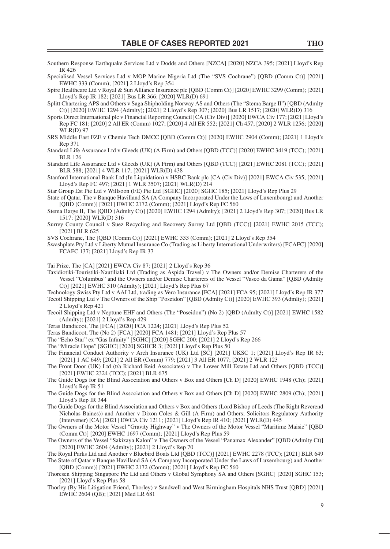Southern Response Earthquake Services Ltd v Dodds and Others [NZCA] [2020] NZCA 395; [2021] Lloyd's Rep IR 426

Specialised Vessel Services Ltd v MOP Marine Nigeria Ltd (The "SVS Cochrane") [QBD (Comm Ct)] [2021] EWHC 333 (Comm); [2021] 2 Lloyd's Rep 354

Spire Healthcare Ltd v Royal & Sun Alliance Insurance plc [QBD (Comm Ct)] [2020] EWHC 3299 (Comm); [2021] Lloyd's Rep IR 182; [2021] Bus LR 366; [2020] WLR(D) 691

Splitt Chartering APS and Others v Saga Shipholding Norway AS and Others (The "Stema Barge II") [QBD (Admlty Ct)] [2020] EWHC 1294 (Admlty); [2021] 2 Lloyd's Rep 307; [2020] Bus LR 1517; [2020] WLR(D) 316

Sports Direct International plc v Financial Reporting Council [CA (Civ Div)] [2020] EWCA Civ 177; [2021] Lloyd's Rep FC 181; [2020] 2 All ER (Comm) 1027; [2020] 4 All ER 552; [2021] Ch 457; [2020] 2 WLR 1256; [2020] WLR(D) 97

- SRS Middle East FZE v Chemie Tech DMCC [QBD (Comm Ct)] [2020] EWHC 2904 (Comm); [2021] 1 Lloyd's Rep 371
- Standard Life Assurance Ltd v Gleeds (UK) (A Firm) and Others [QBD (TCC)] [2020] EWHC 3419 (TCC); [2021] BLR 126

Standard Life Assurance Ltd v Gleeds (UK) (A Firm) and Others [QBD (TCC)] [2021] EWHC 2081 (TCC); [2021] BLR 588; [2021] 4 WLR 117; [2021] WLR(D) 438

Stanford International Bank Ltd (In Liquidation) v HSBC Bank plc [CA (Civ Div)] [2021] EWCA Civ 535; [2021] Lloyd's Rep FC 497; [2021] 1 WLR 3507; [2021] WLR(D) 214

Star Group Est Pte Ltd v Willsoon (FE) Pte Ltd [SGHC] [2020] SGHC 185; [2021] Lloyd's Rep Plus 29

- State of Qatar, The v Banque Havilland SA (A Company Incorporated Under the Laws of Luxembourg) and Another [QBD (Comm)] [2021] EWHC 2172 (Comm); [2021] Lloyd's Rep FC 560
- Stema Barge II, The [QBD (Admlty Ct)] [2020] EWHC 1294 (Admlty); [2021] 2 Lloyd's Rep 307; [2020] Bus LR 1517; [2020] WLR(D) 316
- Surrey County Council v Suez Recycling and Recovery Surrey Ltd [QBD (TCC)] [2021] EWHC 2015 (TCC); [2021] BLR 625

SVS Cochrane, The [QBD (Comm Ct)] [2021] EWHC 333 (Comm); [2021] 2 Lloyd's Rep 354

Swashplate Pty Ltd v Liberty Mutual Insurance Co (Trading as Liberty International Underwriters) [FCAFC] [2020] FCAFC 137; [2021] Lloyd's Rep IR 37

Tai Prize, The [CA] [2021] EWCA Civ 87; [2021] 2 Lloyd's Rep 36

Taxidiotiki-Touristiki-Nautiliaki Ltd (Trading as Aspida Travel) v The Owners and/or Demise Charterers of the Vessel "Columbus" and the Owners and/or Demise Charterers of the Vessel "Vasco da Gama" [QBD (Admlty Ct)] [2021] EWHC 310 (Admlty); [2021] Lloyd's Rep Plus 67

Technology Swiss Pty Ltd v AAI Ltd, trading as Vero Insurance [FCA] [2021] FCA 95; [2021] Lloyd's Rep IR 377 Tecoil Shipping Ltd v The Owners of the Ship "Poseidon" [QBD (Admlty Ct)] [2020] EWHC 393 (Admlty); [2021] 2 Lloyd's Rep 421

Tecoil Shipping Ltd v Neptune EHF and Others (The "Poseidon") (No 2) [QBD (Admlty Ct)] [2021] EWHC 1582 (Admlty); [2021] 2 Lloyd's Rep 429

Teras Bandicoot, The [FCA] [2020] FCA 1224; [2021] Lloyd's Rep Plus 52

Teras Bandicoot, The (No 2) [FCA] [2020] FCA 1481; [2021] Lloyd's Rep Plus 57

The "Echo Star" ex "Gas Infinity" [SGHC] [2020] SGHC 200; [2021] 2 Lloyd's Rep 266

The "Miracle Hope" [SGHC] [2020] SGHCR 3; [2021] Lloyd's Rep Plus 50

- The Financial Conduct Authority v Arch Insurance (UK) Ltd [SC] [2021] UKSC 1; [2021] Lloyd's Rep IR 63; [2021] 1 AC 649; [2021] 2 All ER (Comm) 779; [2021] 3 All ER 1077; [2021] 2 WLR 123
- The Front Door (UK) Ltd (t/a Richard Reid Associates) v The Lower Mill Estate Ltd and Others [QBD (TCC)] [2021] EWHC 2324 (TCC); [2021] BLR 675
- The Guide Dogs for the Blind Association and Others v Box and Others [Ch D] [2020] EWHC 1948 (Ch); [2021] Lloyd's Rep IR 51
- The Guide Dogs for the Blind Association and Others v Box and Others [Ch D] [2020] EWHC 2809 (Ch); [2021] Lloyd's Rep IR 344
- The Guide Dogs for the Blind Association and Others v Box and Others (Lord Bishop of Leeds (The Right Reverend Nicholas Baines)) and Another v Dixon Coles & Gill (A Firm) and Others; Solicitors Regulatory Authority (Intervener) [CA] [2021] EWCA Civ 1211; [2021] Lloyd's Rep IR 410; [2021] WLR(D) 445
- The Owners of the Motor Vessel "Gravity Highway" v The Owners of the Motor Vessel "Maritime Maisie" [QBD (Comm Ct)] [2020] EWHC 1697 (Comm); [2021] Lloyd's Rep Plus 59
- The Owners of the Vessel "Sakizaya Kalon" v The Owners of the Vessel "Panamax Alexander" [QBD (Admlty Ct)] [2020] EWHC 2604 (Admlty); [2021] 2 Lloyd's Rep 70

The Royal Parks Ltd and Another v Bluebird Boats Ltd [QBD (TCC)] [2021] EWHC 2278 (TCC); [2021] BLR 649 The State of Qatar v Banque Havilland SA (A Company Incorporated Under the Laws of Luxembourg) and Another [QBD (Comm)] [2021] EWHC 2172 (Comm); [2021] Lloyd's Rep FC 560

- Thoresen Shipping Singapore Pte Ltd and Others v Global Symphony SA and Others [SGHC] [2020] SGHC 153; [2021] Lloyd's Rep Plus 58
- Thorley (By His Litigation Friend, Thorley) v Sandwell and West Birmingham Hospitals NHS Trust [QBD] [2021] EWHC 2604 (QB); [2021] Med LR 681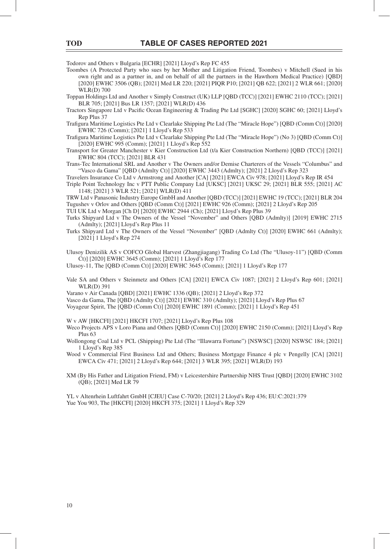Todorov and Others v Bulgaria [ECHR] [2021] Lloyd's Rep FC 455

- Toombes (A Protected Party who sues by her Mother and Litigation Friend, Toombes) v Mitchell (Sued in his own right and as a partner in, and on behalf of all the partners in the Hawthorn Medical Practice) [QBD] [2020] EWHC 3506 (QB); [2021] Med LR 220; [2021] PIQR P10; [2021] QB 622; [2021] 2 WLR 661; [2020] WLR(D) 700
- Toppan Holdings Ltd and Another v Simply Construct (UK) LLP [QBD (TCC)] [2021] EWHC 2110 (TCC); [2021] BLR 705; [2021] Bus LR 1357; [2021] WLR(D) 436
- Tractors Singapore Ltd v Pacific Ocean Engineering & Trading Pte Ltd [SGHC] [2020] SGHC 60; [2021] Lloyd's Rep Plus 37
- Trafigura Maritime Logistics Pte Ltd v Clearlake Shipping Pte Ltd (The "Miracle Hope") [QBD (Comm Ct)] [2020] EWHC 726 (Comm); [2021] 1 Lloyd's Rep 533
- Trafigura Maritime Logistics Pte Ltd v Clearlake Shipping Pte Ltd (The "Miracle Hope") (No 3) [OBD (Comm Ct)] [2020] EWHC 995 (Comm); [2021] 1 Lloyd's Rep 552
- Transport for Greater Manchester v Kier Construction Ltd (t/a Kier Construction Northern) [QBD (TCC)] [2021] EWHC 804 (TCC); [2021] BLR 431
- Trans-Tec International SRL and Another v The Owners and/or Demise Charterers of the Vessels "Columbus" and "Vasco da Gama" [QBD (Admlty Ct)] [2020] EWHC 3443 (Admlty); [2021] 2 Lloyd's Rep 323
- Travelers Insurance Co Ltd v Armstrong and Another [CA] [2021] EWCA Civ 978; [2021] Lloyd's Rep IR 454
- Triple Point Technology Inc v PTT Public Company Ltd [UKSC] [2021] UKSC 29; [2021] BLR 555; [2021] AC 1148; [2021] 3 WLR 521; [2021] WLR(D) 411

TRW Ltd v Panasonic Industry Europe GmbH and Another [QBD (TCC)] [2021] EWHC 19 (TCC); [2021] BLR 204 Tugushev v Orlov and Others [QBD (Comm Ct)] [2021] EWHC 926 (Comm); [2021] 2 Lloyd's Rep 205

- TUI UK Ltd v Morgan [Ch D] [2020] EWHC 2944 (Ch); [2021] Lloyd's Rep Plus 39
- Turks Shipyard Ltd v The Owners of the Vessel "November" and Others [QBD (Admlty)] [2019] EWHC 2715 (Admlty); [2021] Lloyd's Rep Plus 11
- Turks Shipyard Ltd v The Owners of the Vessel "November" [QBD (Admlty Ct)] [2020] EWHC 661 (Admlty); [2021] 1 Lloyd's Rep 274

Ulusoy Denizilik AS v COFCO Global Harvest (Zhangjiagang) Trading Co Ltd (The "Ulusoy-11") [QBD (Comm Ct)] [2020] EWHC 3645 (Comm); [2021] 1 Lloyd's Rep 177

Ulusoy-11, The [QBD (Comm Ct)] [2020] EWHC 3645 (Comm); [2021] 1 Lloyd's Rep 177

- Vale SA and Others v Steinmetz and Others [CA] [2021] EWCA Civ 1087; [2021] 2 Lloyd's Rep 601; [2021] WLR(D) 391
- Varano v Air Canada [QBD] [2021] EWHC 1336 (QB); [2021] 2 Lloyd's Rep 372
- Vasco da Gama, The [QBD (Admlty Ct)] [2021] EWHC 310 (Admlty); [2021] Lloyd's Rep Plus 67

Voyageur Spirit, The [QBD (Comm Ct)] [2020] EWHC 1891 (Comm); [2021] 1 Lloyd's Rep 451

W v AW [HKCFI] [2021] HKCFI 1707; [2021] Lloyd's Rep Plus 108

- Weco Projects APS v Loro Piana and Others [QBD (Comm Ct)] [2020] EWHC 2150 (Comm); [2021] Lloyd's Rep Plus 63
- Wollongong Coal Ltd v PCL (Shipping) Pte Ltd (The "Illawarra Fortune") [NSWSC] [2020] NSWSC 184; [2021] 1 Lloyd's Rep 385
- Wood v Commercial First Business Ltd and Others; Business Mortgage Finance 4 plc v Pengelly [CA] [2021] EWCA Civ 471; [2021] 2 Lloyd's Rep 644; [2021] 3 WLR 395; [2021] WLR(D) 193

XM (By His Father and Litigation Friend, FM) v Leicestershire Partnership NHS Trust [QBD] [2020] EWHC 3102 (QB); [2021] Med LR 79

YL v Altenrhein Luftfahrt GmbH [CJEU] Case C-70/20; [2021] 2 Lloyd's Rep 436; EU:C:2021:379 Yue You 903, The [HKCFI] [2020] HKCFI 375; [2021] 1 Lloyd's Rep 329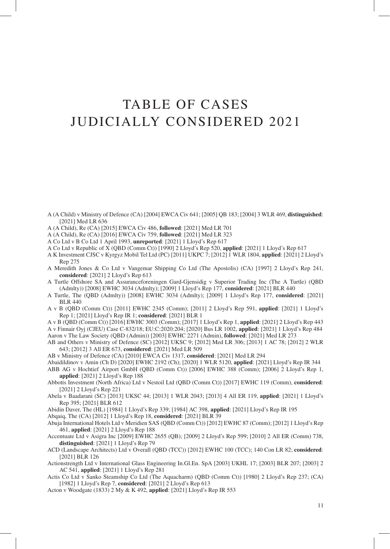## TABLE OF CASES JUDICIALLY CONSIDERED 2021

- A (A Child) v Ministry of Defence (CA) [2004] EWCA Civ 641; [2005] QB 183; [2004] 3 WLR 469, **distinguished**: [2021] Med LR 636
- A (A Child), Re (CA) [2015] EWCA Civ 486, **followed**: [2021] Med LR 701
- A (A Child), Re (CA) [2016] EWCA Civ 759, **followed**: [2021] Med LR 323
- A Co Ltd v B Co Ltd 1 April 1993, **unreported**: [2021] 1 Lloyd's Rep 617
- A Co Ltd v Republic of X (QBD (Comm Ct)) [1990] 2 Lloyd's Rep 520, **applied**: [2021] 1 Lloyd's Rep 617
- A K Investment CJSC v Kyrgyz Mobil Tel Ltd (PC) [2011] UKPC 7; [2012] 1 WLR 1804, **applied**: [2021] 2 Lloyd's Rep 275
- A Meredith Jones & Co Ltd v Vangemar Shipping Co Ltd (The Apostolis) (CA) [1997] 2 Lloyd's Rep 241, **considered**: [2021] 2 Lloyd's Rep 613
- A Turtle Offshore SA and Assuranceforeningen Gard-Gjensidig v Superior Trading Inc (The A Turtle) (QBD (Admlty)) [2008] EWHC 3034 (Admlty); [2009] 1 Lloyd's Rep 177, **considered**: [2021] BLR 440
- A Turtle, The (QBD (Admlty)) [2008] EWHC 3034 (Admlty); [2009] 1 Lloyd's Rep 177, **considered**: [2021] BLR 440
- A v B (QBD (Comm Ct)) [2011] EWHC 2345 (Comm); [2011] 2 Lloyd's Rep 591, **applied**: [2021] 1 Lloyd's Rep 1; [2021] Lloyd's Rep IR 1; **considered**: [2021] BLR 1
- A v B (QBD (Comm Ct)) [2016] EWHC 3003 (Comm); [2017] 1 Lloyd's Rep 1, **applied**: [2021] 2 Lloyd's Rep 443 A v Finnair Oyj (CJEU) Case C-832/18; EU:C:2020:204; [2020] Bus LR 1002, **applied**: [2021] 1 Lloyd's Rep 484 Aaron v The Law Society (QBD (Admin)) [2003] EWHC 2271 (Admin), **followed**: [2021] Med LR 273
- AB and Others v Ministry of Defence (SC) [2012] UKSC 9; [2012] Med LR 306; [2013] 1 AC 78; [2012] 2 WLR 643; [2012] 3 All ER 673, **considered**: [2021] Med LR 509
- AB v Ministry of Defence (CA) [2010] EWCA Civ 1317, **considered**: [2021] Med LR 294
- Abaidildinov v Amin (Ch D) [2020] EWHC 2192 (Ch); [2020] 1 WLR 5120, **applied**: [2021] Lloyd's Rep IR 344 ABB AG v Hochtief Airport GmbH (QBD (Comm Ct)) [2006] EWHC 388 (Comm); [2006] 2 Lloyd's Rep 1, **applied**: [2021] 2 Lloyd's Rep 188
- Abbotts Investment (North Africa) Ltd v Nestoil Ltd (QBD (Comm Ct)) [2017] EWHC 119 (Comm), **considered**: [2021] 2 Lloyd's Rep 221
- Abela v Baadarani (SC) [2013] UKSC 44; [2013] 1 WLR 2043; [2013] 4 All ER 119, **applied**: [2021] 1 Lloyd's Rep 395; [2021] BLR 612
- Abidin Daver, The (HL) [1984] 1 Lloyd's Rep 339; [1984] AC 398, **applied**: [2021] Lloyd's Rep IR 195

Abqaiq, The (CA) [2012] 1 Lloyd's Rep 18, **considered**: [2021] BLR 39

- Abuja International Hotels Ltd v Meridien SAS (QBD (Comm Ct)) [2012] EWHC 87 (Comm); [2012] 1 Lloyd's Rep 461, **applied**: [2021] 2 Lloyd's Rep 188
- Accentuate Ltd v Asigra Inc [2009] EWHC 2655 (QB); [2009] 2 Lloyd's Rep 599; [2010] 2 All ER (Comm) 738, **distinguished**: [2021] 1 Lloyd's Rep 79
- ACD (Landscape Architects) Ltd v Overall (QBD (TCC)) [2012] EWHC 100 (TCC); 140 Con LR 82; **considered**: [2021] BLR 126
- Actionstrength Ltd v International Glass Engineering In.Gl.En. SpA [2003] UKHL 17; [2003] BLR 207; [2003] 2 AC 541, **applied**: [2021] 1 Lloyd's Rep 281
- Actis Co Ltd v Sanko Steamship Co Ltd (The Aquacharm) (QBD (Comm Ct)) [1980] 2 Lloyd's Rep 237; (CA) [1982] 1 Lloyd's Rep 7, **considered**: [2021] 2 Lloyd's Rep 613
- Acton v Woodgate (1833) 2 My & K 492, **applied**: [2021] Lloyd's Rep IR 553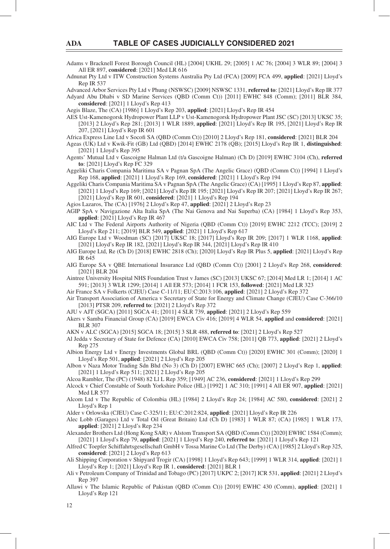Adams v Bracknell Forest Borough Council (HL) [2004] UKHL 29; [2005] 1 AC 76; [2004] 3 WLR 89; [2004] 3 All ER 897, **considered**: [2021] Med LR 616

Adnunat Pty Ltd v ITW Construction Systems Australia Pty Ltd (FCA) [2009] FCA 499, **applied**: [2021] Lloyd's Rep IR 537

Advanced Arbor Services Pty Ltd v Phung (NSWSC) [2009] NSWSC 1331, **referred to**: [2021] Lloyd's Rep IR 377 Adyard Abu Dhabi v SD Marine Services (QBD (Comm Ct)) [2011] EWHC 848 (Comm); [2011] BLR 384, **considered**: [2021] 1 Lloyd's Rep 413

Aegis Blaze, The (CA) [1986] 1 Lloyd's Rep 203, **applied**: [2021] Lloyd's Rep IR 454

AES Ust-Kamenogorsk Hydropower Plant LLP v Ust-Kamenogorsk Hydropower Plant JSC (SC) [2013] UKSC 35; [2013] 2 Lloyd's Rep 281; [2013] 1 WLR 1889, **applied**: [2021] Lloyd's Rep IR 195, [2021] Lloyd's Rep IR 207, [2021] Lloyd's Rep IR 601

Africa Express Line Ltd v Socofi SA (QBD (Comm Ct)) [2010] 2 Lloyd's Rep 181, **considered**: [2021] BLR 204

- Ageas (UK) Ltd v Kwik-Fit (GB) Ltd (QBD) [2014] EWHC 2178 (QB); [2015] Lloyd's Rep IR 1, **distinguished**: [2021] 1 Lloyd's Rep 395
- Agents' Mutual Ltd v Gascoigne Halman Ltd (t/a Gascoigne Halman) (Ch D) [2019] EWHC 3104 (Ch), **referred to**: [2021] Lloyd's Rep FC 329
- Aggeliki Charis Compania Maritima SA v Pagnan SpA (The Angelic Grace) (QBD (Comm Ct)) [1994] 1 Lloyd's Rep 168, **applied**: [2021] 1 Lloyd's Rep 169, **considered**: [2021] 1 Lloyd's Rep 194
- Aggeliki Charis Compania Maritima SA v Pagnan SpA (The Angelic Grace) (CA) [1995] 1 Lloyd's Rep 87, **applied**: [2021] 1 Lloyd's Rep 169; [2021] Lloyd's Rep IR 195; [2021] Lloyd's Rep IR 207; [2021] Lloyd's Rep IR 267; [2021] Lloyd's Rep IR 601, **considered**: [2021] 1 Lloyd's Rep 194

Agios Lazaros, The (CA) [1976] 2 Lloyd's Rep 47, **applied**: [2021] 2 Lloyd's Rep 23

- AGIP SpA v Navigazione Alta Italia SpA (The Nai Genova and Nai Superba) (CA) [1984] 1 Lloyd's Rep 353, **applied**: [2021] Lloyd's Rep IR 467
- AIC Ltd v The Federal Airports Authority of Nigeria (QBD (Comm Ct)) [2019] EWHC 2212 (TCC); [2019] 2 Lloyd's Rep 211; [2019] BLR 549, **applied**: [2021] 1 Lloyd's Rep 617
- AIG Europe Ltd v Woodman (SC) [2017] UKSC 18; [2017] Lloyd's Rep IR 209; [2017] 1 WLR 1168, **applied**: [2021] Lloyd's Rep IR 182, [2021] Lloyd's Rep IR 344, [2021] Lloyd's Rep IR 410
- AIG Europe Ltd, Re (Ch D) [2018] EWHC 2818 (Ch); [2020] Lloyd's Rep IR Plus 5, **applied**: [2021] Lloyd's Rep IR 645
- AIG Europe SA v QBE International Insurance Ltd (QBD (Comm Ct)) [2001] 2 Lloyd's Rep 268, **considered**: [2021] BLR 204
- Aintree University Hospital NHS Foundation Trust v James (SC) [2013] UKSC 67; [2014] Med LR 1; [2014] 1 AC 591; [2013] 3 WLR 1299; [2014] 1 All ER 573; [2014] 1 FCR 153, **followed**: [2021] Med LR 323
- Air France SA v Folkerts (CJEU) Case C-11/11; EU:C:2013:106, **applied**: [2021] 2 Lloyd's Rep 372
- Air Transport Association of America v Secretary of State for Energy and Climate Change (CJEU) Case C-366/10 [2013] PTSR 209, **referred to**: [2021] 2 Lloyd's Rep 372
- AJU v AJT (SGCA) [2011] SGCA 41; [2011] 4 SLR 739, **applied**: [2021] 2 Lloyd's Rep 559
- Akers v Samba Financial Group (CA) [2019] EWCA Civ 416; [2019] 4 WLR 54, **applied** and **considered**: [2021] BLR 307
- AKN v ALC (SGCA) [2015] SGCA 18; [2015] 3 SLR 488, **referred to**: [2021] 2 Lloyd's Rep 527
- Al Jedda v Secretary of State for Defence (CA) [2010] EWCA Civ 758; [2011] QB 773, **applied**: [2021] 2 Lloyd's Rep 275
- Albion Energy Ltd v Energy Investments Global BRL (QBD (Comm Ct)) [2020] EWHC 301 (Comm); [2020] 1 Lloyd's Rep 501, **applied**: [2021] 2 Lloyd's Rep 205

Albon v Naza Motor Trading Sdn Bhd (No 3) (Ch D) [2007] EWHC 665 (Ch); [2007] 2 Lloyd's Rep 1, **applied**: [2021] 1 Lloyd's Rep 511; [2021] 2 Lloyd's Rep 205

- Alcoa Rambler, The (PC) (1948) 82 Ll L Rep 359; [1949] AC 236, **considered**: [2021] 1 Lloyd's Rep 299
- Alcock v Chief Constable of South Yorkshire Police (HL) [1992] 1 AC 310; [1991] 4 All ER 907, **applied**: [2021] Med LR 577
- Alcom Ltd v The Republic of Colombia (HL) [1984] 2 Lloyd's Rep 24; [1984] AC 580, **considered**: [2021] 2 Lloyd's Rep 1
- Alder v Orlowska (CJEU) Case C-325/11; EU:C:2012:824, **applied**: [2021] Lloyd's Rep IR 226
- Alec Lobb (Garages) Ltd v Total Oil (Great Britain) Ltd (Ch D) [1983] 1 WLR 87; (CA) [1985] 1 WLR 173, **applied**: [2021] 2 Lloyd's Rep 234
- Alexander Brothers Ltd (Hong Kong SAR) v Alstom Transport SA (QBD (Comm Ct)) [2020] EWHC 1584 (Comm); [2021] 1 Lloyd's Rep 79, **applied**: [2021] 1 Lloyd's Rep 240, **referred to**: [2021] 1 Lloyd's Rep 121
- Alfred C Toepfer Schiffahrtsgesellschaft GmbH v Tossa Marine Co Ltd (The Derby) (CA) [1985] 2 Lloyd's Rep 325, **considered**: [2021] 2 Lloyd's Rep 613
- Ali Shipping Corporation v Shipyard Trogir (CA) [1998] 1 Lloyd's Rep 643; [1999] 1 WLR 314, **applied**: [2021] 1 Lloyd's Rep 1; [2021] Lloyd's Rep IR 1, **considered**: [2021] BLR 1
- Ali v Petroleum Company of Trinidad and Tobago (PC) [2017] UKPC 2; [2017] ICR 531, **applied**: [2021] 2 Lloyd's Rep 397
- Allawi v The Islamic Republic of Pakistan (QBD (Comm Ct)) [2019] EWHC 430 (Comm), **applied**: [2021] 1 Lloyd's Rep 121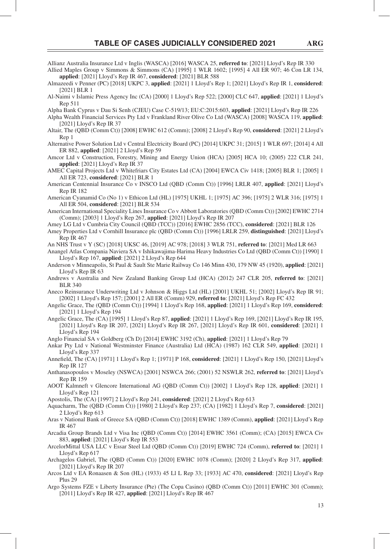- Allianz Australia Insurance Ltd v Inglis (WASCA) [2016] WASCA 25, **referred to**: [2021] Lloyd's Rep IR 330
- Allied Maples Group v Simmons & Simmons (CA) [1995] 1 WLR 1602; [1995] 4 All ER 907; 46 Con LR 134, **applied**: [2021] Lloyd's Rep IR 467, **considered**: [2021] BLR 588
- Almazeedi v Penner (PC) [2018] UKPC 3, **applied**: [2021] 1 Lloyd's Rep 1; [2021] Lloyd's Rep IR 1, **considered**: [2021] BLR 1
- Al-Naimi v Islamic Press Agency Inc (CA) [2000] 1 Lloyd's Rep 522; [2000] CLC 647, **applied**: [2021] 1 Lloyd's Rep 511
- Alpha Bank Cyprus v Dau Si Senh (CJEU) Case C-519/13; EU:C:2015:603, **applied**: [2021] Lloyd's Rep IR 226
- Alpha Wealth Financial Services Pty Ltd v Frankland River Olive Co Ltd (WASCA) [2008] WASCA 119, **applied**: [2021] Lloyd's Rep IR 37
- Altair, The (QBD (Comm Ct)) [2008] EWHC 612 (Comm); [2008] 2 Lloyd's Rep 90, **considered**: [2021] 2 Lloyd's Rep 1
- Alternative Power Solution Ltd v Central Electricity Board (PC) [2014] UKPC 31; [2015] 1 WLR 697; [2014] 4 All ER 882, **applied**: [2021] 2 Lloyd's Rep 59
- Amcor Ltd v Construction, Forestry, Mining and Energy Union (HCA) [2005] HCA 10; (2005) 222 CLR 241, **applied**: [2021] Lloyd's Rep IR 37
- AMEC Capital Projects Ltd v Whitefriars City Estates Ltd (CA) [2004] EWCA Civ 1418; [2005] BLR 1; [2005] 1 All ER 723, **considered**: [2021] BLR 1
- American Centennial Insurance Co v INSCO Ltd (QBD (Comm Ct)) [1996] LRLR 407, **applied**: [2021] Lloyd's Rep IR 182
- American Cyanamid Co (No 1) v Ethicon Ltd (HL) [1975] UKHL 1; [1975] AC 396; [1975] 2 WLR 316; [1975] 1 All ER 504, **considered**: [2021] BLR 534
- American International Speciality Lines Insurance Co v Abbott Laboratories (QBD (Comm Ct)) [2002] EWHC 2714 (Comm); [2003] 1 Lloyd's Rep 267, **applied**: [2021] Lloyd's Rep IR 207
- Amey LG Ltd v Cumbria City Council (QBD (TCC)) [2016] EWHC 2856 (TCC), **considered**: [2021] BLR 126
- Amey Properties Ltd v Cornhill Insurance plc (QBD (Comm Ct)) [1996] LRLR 259, **distinguished**: [2021] Lloyd's Rep IR 467
- An NHS Trust v Y (SC) [2018] UKSC 46, [2019] AC 978; [2018] 3 WLR 751, **referred to**: [2021] Med LR 663
- Anangel Atlas Compania Naviera SA v Ishikawajima-Harima Heavy Industries Co Ltd (QBD (Comm Ct)) [1990] 1 Lloyd's Rep 167, **applied**: [2021] 2 Lloyd's Rep 644
- Anderson v Minneapolis, St Paul & Sault Ste Marie Railway Co 146 Minn 430, 179 NW 45 (1920), **applied**: [2021] Lloyd's Rep IR 63
- Andrews v Australia and New Zealand Banking Group Ltd (HCA) (2012) 247 CLR 205, **referred to**: [2021] BLR 340
- Aneco Reinsurance Underwriting Ltd v Johnson & Higgs Ltd (HL) [2001] UKHL 51; [2002] Lloyd's Rep IR 91; [2002] 1 Lloyd's Rep 157; [2001] 2 All ER (Comm) 929, **referred to**: [2021] Lloyd's Rep FC 432
- Angelic Grace, The (QBD (Comm Ct)) [1994] 1 Lloyd's Rep 168, **applied**: [2021] 1 Lloyd's Rep 169, **considered**: [2021] 1 Lloyd's Rep 194
- Angelic Grace, The (CA) [1995] 1 Lloyd's Rep 87, **applied**: [2021] 1 Lloyd's Rep 169, [2021] Lloyd's Rep IR 195, [2021] Lloyd's Rep IR 207, [2021] Lloyd's Rep IR 267, [2021] Lloyd's Rep IR 601, **considered**: [2021] 1 Lloyd's Rep 194
- Anglo Financial SA v Goldberg (Ch D) [2014] EWHC 3192 (Ch), **applied**: [2021] 1 Lloyd's Rep 79
- Ankar Pty Ltd v National Westminster Finance (Australia) Ltd (HCA) (1987) 162 CLR 549, **applied**: [2021] 1 Lloyd's Rep 337
- Annefi eld, The (CA) [1971] 1 Lloyd's Rep 1; [1971] P 168, **considered**: [2021] 1 Lloyd's Rep 150, [2021] Lloyd's Rep IR 127
- Anthanasopoulos v Moseley (NSWCA) [2001] NSWCA 266; (2001) 52 NSWLR 262, **referred to**: [2021] Lloyd's Rep IR 159
- AOOT Kalmneft v Glencore International AG (QBD (Comm Ct)) [2002] 1 Lloyd's Rep 128, **applied**: [2021] 1 Lloyd's Rep 121
- Apostolis, The (CA) [1997] 2 Lloyd's Rep 241, **considered**: [2021] 2 Lloyd's Rep 613
- Aquacharm, The (QBD (Comm Ct)) [1980] 2 Lloyd's Rep 237; (CA) [1982] 1 Lloyd's Rep 7, **considered**: [2021] 2 Lloyd's Rep 613
- Aras v National Bank of Greece SA (QBD (Comm Ct)) [2018] EWHC 1389 (Comm), **applied**: [2021] Lloyd's Rep IR 467
- Arcadia Group Brands Ltd v Visa Inc (QBD (Comm Ct)) [2014] EWHC 3561 (Comm); (CA) [2015] EWCA Civ 883, **applied**: [2021] Lloyd's Rep IR 553
- ArcelorMittal USA LLC v Essar Steel Ltd (QBD (Comm Ct)) [2019] EWHC 724 (Comm), **referred to**: [2021] 1 Lloyd's Rep 617
- Archagelos Gabriel, The (QBD (Comm Ct)) [2020] EWHC 1078 (Comm); [2020] 2 Lloyd's Rep 317, **applied**: [2021] Lloyd's Rep IR 207
- Arcos Ltd v EA Ronaasen & Son (HL) (1933) 45 Ll L Rep 33; [1933] AC 470, **considered**: [2021] Lloyd's Rep Plus 29
- Argo Systems FZE v Liberty Insurance (Pte) (The Copa Casino) (QBD (Comm Ct)) [2011] EWHC 301 (Comm); [2011] Lloyd's Rep IR 427, **applied**: [2021] Lloyd's Rep IR 467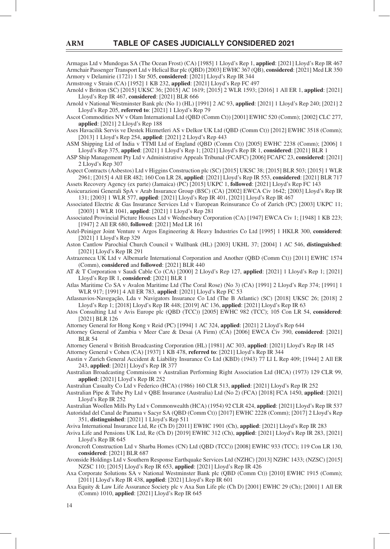Armagas Ltd v Mundogas SA (The Ocean Frost) (CA) [1985] 1 Lloyd's Rep 1, **applied**: [2021] Lloyd's Rep IR 467 Armchair Passenger Transport Ltd v Helical Bar plc (QBD) [2003] EWHC 367 (QB), **considered**: [2021] Med LR 350 Armory v Delamirie (1721) 1 Str 505, **considered**: [2021] Lloyd's Rep IR 344

Armstrong v Strain (CA) [1952] 1 KB 232, **applied**: [2021] Lloyd's Rep FC 497

Arnold v Britton (SC) [2015] UKSC 36; [2015] AC 1619; [2015] 2 WLR 1593; [2016] 1 All ER 1, **applied**: [2021] Lloyd's Rep IR 467, **considered**: [2021] BLR 666

Arnold v National Westminster Bank plc (No 1) (HL) [1991] 2 AC 93, **applied**: [2021] 1 Lloyd's Rep 240; [2021] 2 Lloyd's Rep 205, **referred to**: [2021] 1 Lloyd's Rep 79

Ascot Commodities NV v Olam International Ltd (QBD (Comm Ct)) [2001] EWHC 520 (Comm); [2002] CLC 277, **applied**: [2021] 2 Lloyd's Rep 188

Ases Havacilik Servis ve Destek Hizmetleri AS v Delkor UK Ltd (QBD (Comm Ct)) [2012] EWHC 3518 (Comm); [2013] 1 Lloyd's Rep 254, **applied**: [2021] 2 Lloyd's Rep 443

ASM Shipping Ltd of India v TTMI Ltd of England (QBD (Comm Ct)) [2005] EWHC 2238 (Comm); [2006] 1 Lloyd's Rep 375, **applied**: [2021] 1 Lloyd's Rep 1; [2021] Lloyd's Rep IR 1, **considered**: [2021] BLR 1

ASP Ship Management Pty Ltd v Administrative Appeals Tribunal (FCAFC) [2006] FCAFC 23, **considered**: [2021] 2 Lloyd's Rep 307

Aspect Contracts (Asbestos) Ltd v Higgins Construction plc (SC) [2015] UKSC 38; [2015] BLR 503; [2015] 1 WLR 2961; [2015] 4 All ER 482; 160 Con LR 28, **applied**: [2021] Lloyd's Rep IR 553, **considered**: [2021] BLR 717

Assets Recovery Agency (ex parte) (Jamaica) (PC) [2015] UKPC 1, **followed**: [2021] Lloyd's Rep FC 143 Assicurazioni Generali SpA v Arab Insurance Group (BSC) (CA) [2002] EWCA Civ 1642; [2003] Lloyd's Rep IR 131; [2003] 1 WLR 577, **applied**: [2021] Lloyd's Rep IR 401, [2021] Lloyd's Rep IR 467

- Associated Electric & Gas Insurance Services Ltd v European Reinsurance Co of Zurich (PC) [2003] UKPC 11; [2003] 1 WLR 1041, **applied**: [2021] 1 Lloyd's Rep 281
- Associated Provincial Picture Houses Ltd v Wednesbury Corporation (CA) [1947] EWCA Civ 1; [1948] 1 KB 223; [1947] 2 All ER 680, **followed**: [2021] Med LR 161
- Astel-Peiniger Joint Venture v Argos Engineering & Heavy Industries Co Ltd [1995] 1 HKLR 300, **considered**: [2021] 1 Lloyd's Rep 329
- Aston Cantlow Parochial Church Council v Wallbank (HL) [2003] UKHL 37; [2004] 1 AC 546, **distinguished**: [2021] Lloyd's Rep IR 291
- Astrazeneca UK Ltd v Albemarle International Corporation and Another (QBD (Comm Ct)) [2011] EWHC 1574 (Comm), **considered** and **followed**: [2021] BLR 440

AT & T Corporation v Saudi Cable Co (CA) [2000] 2 Lloyd's Rep 127, **applied**: [2021] 1 Lloyd's Rep 1; [2021] Lloyd's Rep IR 1, **considered**: [2021] BLR 1

Atlas Maritime Co SA v Avalon Maritime Ltd (The Coral Rose) (No 3) (CA) [1991] 2 Lloyd's Rep 374; [1991] 1 WLR 917; [1991] 4 All ER 783, **applied**: [2021] Lloyd's Rep FC 53

- Atlasnavios-Navegação, Lda v Navigators Insurance Co Ltd (The B Atlantic) (SC) [2018] UKSC 26; [2018] 2 Lloyd's Rep 1; [2018] Lloyd's Rep IR 448; [2019] AC 136, **applied**: [2021] Lloyd's Rep IR 63
- Atos Consulting Ltd v Avis Europe plc (QBD (TCC)) [2005] EWHC 982 (TCC); 105 Con LR 54, **considered**: [2021] BLR 126
- Attorney General for Hong Kong v Reid (PC) [1994] 1 AC 324, **applied**: [2021] 2 Lloyd's Rep 644
- Attorney General of Zambia v Meer Care & Desai (A Firm) (CA) [2006] EWCA Civ 390, **considered**: [2021] BLR 54
- Attorney General v British Broadcasting Corporation (HL) [1981] AC 303, **applied**: [2021] Lloyd's Rep IR 145 Attorney General v Cohen (CA) [1937] 1 KB 478, **referred to**: [2021] Lloyd's Rep IR 344
- Austin v Zurich General Accident & Liability Insurance Co Ltd (KBD) (1943) 77 Ll L Rep 409; [1944] 2 All ER 243, **applied**: [2021] Lloyd's Rep IR 377

Australian Broadcasting Commission v Australian Performing Right Association Ltd (HCA) (1973) 129 CLR 99, **applied**: [2021] Lloyd's Rep IR 252

- Australian Casualty Co Ltd v Federico (HCA) (1986) 160 CLR 513, **applied**: [2021] Lloyd's Rep IR 252
- Australian Pipe & Tube Pty Ltd v QBE Insurance (Australia) Ltd (No 2) (FCA) [2018] FCA 1450, **applied**: [2021] Lloyd's Rep IR 252

Australian Woollen Mills Pty Ltd v Commonwealth (HCA) (1954) 92 CLR 424, **applied**: [2021] Lloyd's Rep IR 537 Autoridad del Canal de Panama v Sacyr SA (QBD (Comm Ct)) [2017] EWHC 2228 (Comm); [2017] 2 Lloyd's Rep 351, **distinguished**: [2021] 1 Lloyd's Rep 511

- Aviva International Insurance Ltd, Re (Ch D) [2011] EWHC 1901 (Ch), **applied**: [2021] Lloyd's Rep IR 283
- Aviva Life and Pensions UK Ltd, Re (Ch D) [2019] EWHC 312 (Ch), **applied**: [2021] Lloyd's Rep IR 283, [2021] Lloyd's Rep IR 645
- Avoncroft Construction Ltd v Sharba Homes (CN) Ltd (QBD (TCC)) [2008] EWHC 933 (TCC); 119 Con LR 130, **considered**: [2021] BLR 687

Avonside Holdings Ltd v Southern Response Earthquake Services Ltd (NZHC) [2013] NZHC 1433; (NZSC) [2015] NZSC 110; [2015] Lloyd's Rep IR 653, **applied**: [2021] Lloyd's Rep IR 426

- Axa Corporate Solutions SA v National Westminster Bank plc (QBD (Comm Ct)) [2010] EWHC 1915 (Comm); [2011] Lloyd's Rep IR 438, **applied**: [2021] Lloyd's Rep IR 601
- Axa Equity & Law Life Assurance Society plc v Axa Sun Life plc (Ch D) [2001] EWHC 29 (Ch); [2001] 1 All ER (Comm) 1010, **applied**: [2021] Lloyd's Rep IR 645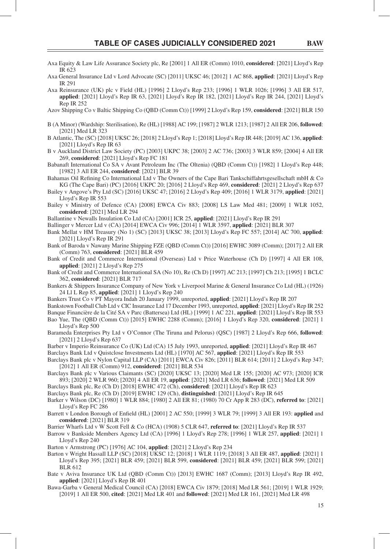- Axa Equity & Law Life Assurance Society plc, Re [2001] 1 All ER (Comm) 1010, **considered**: [2021] Lloyd's Rep IR 623
- Axa General Insurance Ltd v Lord Advocate (SC) [2011] UKSC 46; [2012] 1 AC 868, **applied**: [2021] Lloyd's Rep IR 291
- Axa Reinsurance (UK) plc v Field (HL) [1996] 2 Lloyd's Rep 233; [1996] 1 WLR 1026; [1996] 3 All ER 517, **applied**: [2021] Lloyd's Rep IR 63, [2021] Lloyd's Rep IR 182, [2021] Lloyd's Rep IR 244, [2021] Lloyd's Rep IR 252
- Azov Shipping Co v Baltic Shipping Co (QBD (Comm Ct)) [1999] 2 Lloyd's Rep 159, **considered**: [2021] BLR 150
- B (A Minor) (Wardship: Sterilisation), Re (HL) [1988] AC 199; [1987] 2 WLR 1213; [1987] 2 All ER 206, **followed**: [2021] Med LR 323
- B Atlantic, The (SC) [2018] UKSC 26; [2018] 2 Lloyd's Rep 1; [2018] Lloyd's Rep IR 448; [2019] AC 136, **applied**: [2021] Lloyd's Rep IR 63
- B v Auckland District Law Society (PC) [2003] UKPC 38; [2003] 2 AC 736; [2003] 3 WLR 859; [2004] 4 All ER 269, **considered**: [2021] Lloyd's Rep FC 181
- Babanaft International Co SA v Avant Petroleum Inc (The Oltenia) (QBD (Comm Ct)) [1982] 1 Lloyd's Rep 448; [1982] 3 All ER 244, **considered**: [2021] BLR 39
- Bahamas Oil Refining Co International Ltd v The Owners of the Cape Bari Tankschiffahrtsgesellschaft mbH & Co KG (The Cape Bari) (PC) [2016] UKPC 20; [2016] 2 Lloyd's Rep 469, **considered**: [2021] 2 Lloyd's Rep 637
- Bailey v Angove's Pty Ltd (SC) [2016] UKSC 47; [2016] 2 Lloyd's Rep 409; [2016] 1 WLR 3179, **applied**: [2021] Lloyd's Rep IR 553
- Bailey v Ministry of Defence (CA) [2008] EWCA Civ 883; [2008] LS Law Med 481; [2009] 1 WLR 1052, **considered**: [2021] Med LR 294
- Ballantine v Newalls Insulation Co Ltd (CA) [2001] ICR 25, **applied**: [2021] Lloyd's Rep IR 291
- Ballinger v Mercer Ltd v (CA) [2014] EWCA Civ 996; [2014] 1 WLR 3597, **applied**: [2021] BLR 307
- Bank Mellat v HM Treasury (No 1) (SC) [2013] UKSC 38; [2013] Lloyd's Rep FC 557; [2014] AC 700, **applied**: [2021] Lloyd's Rep IR 291
- Bank of Baroda v Nawany Marine Shipping FZE (QBD (Comm Ct)) [2016] EWHC 3089 (Comm); [2017] 2 All ER (Comm) 763, **considered**: [2021] BLR 459
- Bank of Credit and Commerce International (Overseas) Ltd v Price Waterhouse (Ch D) [1997] 4 All ER 108, **applied**: [2021] 2 Lloyd's Rep 275
- Bank of Credit and Commerce International SA (No 10), Re (Ch D) [1997] AC 213; [1997] Ch 213; [1995] 1 BCLC 362, **considered**: [2021] BLR 717
- Bankers & Shippers Insurance Company of New York v Liverpool Marine & General Insurance Co Ltd (HL) (1926) 24 Ll L Rep 85, **applied**: [2021] 1 Lloyd's Rep 240
- Bankers Trust Co v PT Mayora Indah 20 January 1999, unreported, **applied**: [2021] Lloyd's Rep IR 207
- Bankstown Football Club Ltd v CIC Insurance Ltd 17 December 1993, unreported, **applied**: [2021] Lloyd's Rep IR 252 Banque Financière de la Cité SA v Parc (Battersea) Ltd (HL) [1999] 1 AC 221, **applied**: [2021] Lloyd's Rep IR 553
- Bao Yue, The (QBD (Comm Ct)) [2015] EWHC 2288 (Comm); [2016] 1 Lloyd's Rep 320, **considered**: [2021] 1 Lloyd's Rep 500
- Barameda Enterprises Pty Ltd v O'Connor (The Tiruna and Pelorus) (QSC) [1987] 2 Lloyd's Rep 666, **followed**: [2021] 2 Lloyd's Rep 637
- Barber v Imperio Reinsurance Co (UK) Ltd (CA) 15 July 1993, unreported, **applied**: [2021] Lloyd's Rep IR 467 Barclays Bank Ltd v Quistclose Investments Ltd (HL) [1970] AC 567, **applied**: [2021] Lloyd's Rep IR 553
- Barclays Bank plc v Nylon Capital LLP (CA) [2011] EWCA Civ 826; [2011] BLR 614; [2011] 2 Lloyd's Rep 347; [2012] 1 All ER (Comm) 912, **considered**: [2021] BLR 534
- Barclays Bank plc v Various Claimants (SC) [2020] UKSC 13; [2020] Med LR 155; [2020] AC 973; [2020] ICR 893; [2020] 2 WLR 960; [2020] 4 All ER 19, **applied**: [2021] Med LR 636; **followed**: [2021] Med LR 509
- Barclays Bank plc, Re (Ch D) [2018] EWHC 472 (Ch), **considered**: [2021] Lloyd's Rep IR 623
- Barclays Bank plc, Re (Ch D) [2019] EWHC 129 (Ch), **distinguished**: [2021] Lloyd's Rep IR 645
- Barker v Wilson (DC) [1980] 1 WLR 884; [1980] 2 All ER 81; (1980) 70 Cr App R 283 (DC), **referred to**: [2021] Lloyd's Rep FC 286
- Barrett v London Borough of Enfield (HL) [2001] 2 AC 550; [1999] 3 WLR 79; [1999] 3 All ER 193: **applied** and **considered**: [2021] BLR 319
- Barrier Wharfs Ltd v W Scott Fell & Co (HCA) (1908) 5 CLR 647, **referred to**: [2021] Lloyd's Rep IR 537
- Barrow v Bankside Members Agency Ltd (CA) [1996] 1 Lloyd's Rep 278; [1996] 1 WLR 257, **applied**: [2021] 1 Lloyd's Rep 240
- Barton v Armstrong (PC) [1976] AC 104, **applied**: [2021] 2 Lloyd's Rep 234
- Barton v Wright Hassall LLP (SC) [2018] UKSC 12; [2018] 1 WLR 1119; [2018] 3 All ER 487, **applied**: [2021] 1 Lloyd's Rep 395; [2021] BLR 459; [2021] BLR 599, **considered**: [2021] BLR 459; [2021] BLR 599; [2021] BLR 612
- Bate v Aviva Insurance UK Ltd (QBD (Comm Ct)) [2013] EWHC 1687 (Comm); [2013] Lloyd's Rep IR 492, **applied**: [2021] Lloyd's Rep IR 401
- Bawa-Garba v General Medical Council (CA) [2018] EWCA Civ 1879; [2018] Med LR 561; [2019] 1 WLR 1929; [2019] 1 All ER 500, **cited**: [2021] Med LR 401 and **followed**: [2021] Med LR 161, [2021] Med LR 498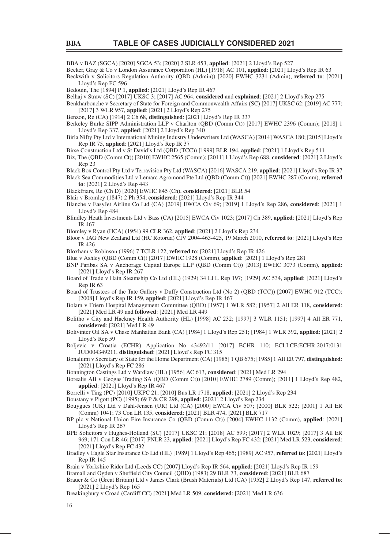BBA v BAZ (SGCA) [2020] SGCA 53; [2020] 2 SLR 453, **applied**: [2021] 2 Lloyd's Rep 527

Becker, Gray & Co v London Assurance Corporation (HL) [1918] AC 101, **applied**: [2021] Lloyd's Rep IR 63

Beckwith v Solicitors Regulation Authority (QBD (Admin)) [2020] EWHC 3231 (Admin), **referred to**: [2021] Lloyd's Rep FC 596

Bedouin, The [1894] P 1, **applied**: [2021] Lloyd's Rep IR 467

Belhaj v Straw (SC) [2017] UKSC 3; [2017] AC 964, **considered** and **explained**: [2021] 2 Lloyd's Rep 275

Benkharbouche v Secretary of State for Foreign and Commonwealth Affairs (SC) [2017] UKSC 62; [2019] AC 777; [2017] 3 WLR 957, **applied**: [2021] 2 Lloyd's Rep 275

Benzon, Re (CA) [1914] 2 Ch 68, **distinguished**: [2021] Lloyd's Rep IR 337

Berkeley Burke SIPP Administration LLP v Charlton (QBD (Comm Ct)) [2017] EWHC 2396 (Comm); [2018] 1 Lloyd's Rep 337, **applied**: [2021] 2 Lloyd's Rep 340

Birla Nifty Pty Ltd v International Mining Industry Underwriters Ltd (WASCA) [2014] WASCA 180; [2015] Lloyd's Rep IR 75, **applied**: [2021] Lloyd's Rep IR 37

Birse Construction Ltd v St David's Ltd (QBD (TCC)) [1999] BLR 194, **applied**: [2021] 1 Lloyd's Rep 511

- Biz, The (QBD (Comm Ct)) [2010] EWHC 2565 (Comm); [2011] 1 Lloyd's Rep 688, **considered**: [2021] 2 Lloyd's Rep 23
- Black Box Control Pty Ltd v Terravision Pty Ltd (WASCA) [2016] WASCA 219, **applied**: [2021] Lloyd's Rep IR 37 Black Sea Commodities Ltd v Lemarc Agromond Pte Ltd (QBD (Comm Ct)) [2021] EWHC 287 (Comm), **referred to**: [2021] 2 Lloyd's Rep 443

Blackfriars, Re (Ch D) [2020] EWHC 845 (Ch), **considered**: [2021] BLR 54

- Blair v Bromley (1847) 2 Ph 354, **considered**: [2021] Lloyd's Rep IR 344
- Blanche v EasyJet Airline Co Ltd (CA) [2019] EWCA Civ 69; [2019] 1 Lloyd's Rep 286, **considered**: [2021] 1 Lloyd's Rep 484
- Blindley Heath Investments Ltd v Bass (CA) [2015] EWCA Civ 1023; [2017] Ch 389, **applied**: [2021] Lloyd's Rep IR 467
- Blomley v Ryan (HCA) (1954) 99 CLR 362, **applied**: [2021] 2 Lloyd's Rep 234
- Bloor v IAG New Zealand Ltd (HC Rotorua) CIV 2004-463-425, 19 March 2010, **referred to**: [2021] Lloyd's Rep IR 426
- Bloxham v Robinson (1996) 7 TCLR 122, **referred to**: [2021] Lloyd's Rep IR 426
- Blue v Ashley (QBD (Comm Ct)) [2017] EWHC 1928 (Comm), **applied**: [2021] 1 Lloyd's Rep 281
- BNP Paribas SA v Anchorage Capital Europe LLP (QBD (Comm Ct)) [2013] EWHC 3073 (Comm), **applied**: [2021] Lloyd's Rep IR 267
- Board of Trade v Hain Steamship Co Ltd (HL) (1929) 34 Ll L Rep 197; [1929] AC 534, **applied**: [2021] Lloyd's Rep IR 63

Board of Trustees of the Tate Gallery v Duffy Construction Ltd (No 2) (QBD (TCC)) [2007] EWHC 912 (TCC); [2008] Lloyd's Rep IR 159, **applied**: [2021] Lloyd's Rep IR 467

Bolam v Friern Hospital Management Committee (QBD) [1957] 1 WLR 582; [1957] 2 All ER 118, **considered**: [2021] Med LR 49 and **followed**: [2021] Med LR 449

Bolitho v City and Hackney Health Authority (HL) [1998] AC 232; [1997] 3 WLR 1151; [1997] 4 All ER 771, **considered**: [2021] Med LR 49

Bolivinter Oil SA v Chase Manhattan Bank (CA) [1984] 1 Lloyd's Rep 251; [1984] 1 WLR 392, **applied**: [2021] 2 Lloyd's Rep 59

Boljevic v Croatia (ECHR) Application No 43492/11 [2017] ECHR 110; ECLI:CE:ECHR:2017:0131 JUD004349211, **distinguished**: [2021] Lloyd's Rep FC 315

Bonalumi v Secretary of State for the Home Department (CA) [1985] 1 QB 675; [1985] 1 All ER 797, **distinguished**: [2021] Lloyd's Rep FC 286

Bonnington Castings Ltd v Wardlaw (HL) [1956] AC 613, **considered**: [2021] Med LR 294

Borealis AB v Geogas Trading SA (QBD (Comm Ct)) [2010] EWHC 2789 (Comm); [2011] 1 Lloyd's Rep 482, **applied**: [2021] Lloyd's Rep IR 467

Borrelli v Ting (PC) [2010] UKPC 21; [2010] Bus LR 1718, **applied**: [2021] 2 Lloyd's Rep 234

Boustany v Pigott (PC) (1995) 69 P & CR 298, **applied**: [2021] 2 Lloyd's Rep 234

Bouygues (UK) Ltd v Dahl-Jensen (UK) Ltd (CA) [2000] EWCA Civ 507; [2000] BLR 522; [2001] 1 All ER (Comm) 1041; 73 Con LR 135, **considered**: [2021] BLR 474, [2021] BLR 717

BP plc v National Union Fire Insurance Co (QBD (Comm Ct)) [2004] EWHC 1132 (Comm), **applied**: [2021] Lloyd's Rep IR 267

- BPE Solicitors v Hughes-Holland (SC) [2017] UKSC 21; [2018] AC 599; [2017] 2 WLR 1029; [2017] 3 All ER 969; 171 Con LR 46; [2017] PNLR 23, **applied**: [2021] Lloyd's Rep FC 432; [2021] Med LR 523, **considered**: [2021] Lloyd's Rep FC 432
- Bradley v Eagle Star Insurance Co Ltd (HL) [1989] 1 Lloyd's Rep 465; [1989] AC 957, **referred to**: [2021] Lloyd's Rep IR 145

Brain v Yorkshire Rider Ltd (Leeds CC) [2007] Lloyd's Rep IR 564, **applied**: [2021] Lloyd's Rep IR 159 Bramall and Ogden v Sheffield City Council (QBD) (1983) 29 BLR 73, considered: [2021] BLR 687

Brauer & Co (Great Britain) Ltd v James Clark (Brush Materials) Ltd (CA) [1952] 2 Lloyd's Rep 147, **referred to**: [2021] 2 Lloyd's Rep 165

Breakingbury v Croad (Cardiff CC) [2021] Med LR 509, **considered**: [2021] Med LR 636

16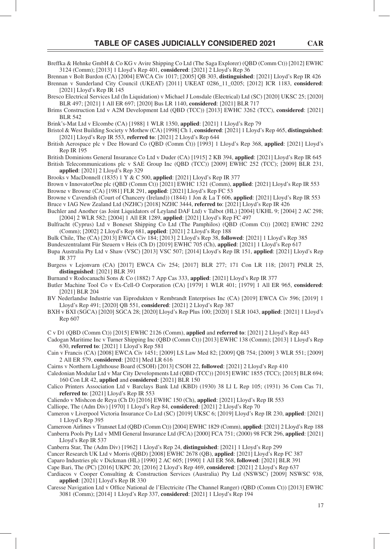- Breffka & Hehnke GmbH & Co KG v Avire Shipping Co Ltd (The Saga Explorer) (QBD (Comm Ct)) [2012] EWHC 3124 (Comm); [2013] 1 Lloyd's Rep 401, **considered**: [2021] 2 Lloyd's Rep 36
- Brennan v Bolt Burdon (CA) [2004] EWCA Civ 1017; [2005] QB 303, **distinguished**: [2021] Lloyd's Rep IR 426 Brennan v Sunderland City Council (UKEAT) [2011] UKEAT 0286\_11\_0205; [2012] ICR 1183, **considered**:
- [2021] Lloyd's Rep IR 145
- Bresco Electrical Services Ltd (In Liquidation) v Michael J Lonsdale (Electrical) Ltd (SC) [2020] UKSC 25; [2020] BLR 497; [2021] 1 All ER 697; [2020] Bus LR 1140, **considered**: [2021] BLR 717
- Brims Construction Ltd v A2M Development Ltd (QBD (TCC)) [2013] EWHC 3262 (TCC), **considered**: [2021] BLR 542
- Brink's-Mat Ltd v Elcombe (CA) [1988] 1 WLR 1350, **applied**: [2021] 1 Lloyd's Rep 79
- Bristol & West Building Society v Mothew (CA) [1998] Ch 1, **considered**: [2021] 1 Lloyd's Rep 465, **distinguished**: [2021] Lloyd's Rep IR 553, **referred to**: [2021] 2 Lloyd's Rep 644
- British Aerospace plc v Dee Howard Co (QBD (Comm Ct)) [1993] 1 Lloyd's Rep 368, **applied**: [2021] Lloyd's Rep IR 195
- British Dominions General Insurance Co Ltd v Duder (CA) [1915] 2 KB 394, **applied**: [2021] Lloyd's Rep IR 645
- British Telecommunications plc v SAE Group Inc (QBD (TCC)) [2009] EWHC 252 (TCC); [2009] BLR 231, **applied**: [2021] 2 Lloyd's Rep 329
- Brooks v MacDonnell (1835) 1 Y & C 500, **applied**: [2021] Lloyd's Rep IR 377
- Brown v InnovatorOne plc (QBD (Comm Ct)) [2021] EWHC 1321 (Comm), **applied**: [2021] Lloyd's Rep IR 553 Browne v Browne (CA) [1981] FLR 291, **applied**: [2021] Lloyd's Rep FC 53
- Browne v Cavendish (Court of Chancery (Ireland)) (1844) 1 Jon & La T 606, **applied**: [2021] Lloyd's Rep IR 553 Bruce v IAG New Zealand Ltd (NZHC) [2018] NZHC 3444, **referred to**: [2021] Lloyd's Rep IR 426
- Buchler and Another (as Joint Liquidators of Leyland DAF Ltd) v Talbot (HL) [2004] UKHL 9; [2004] 2 AC 298; [2004] 2 WLR 582; [2004] 1 All ER 1289, **applied**: [2021] Lloyd's Rep FC 497
- Bulfracht (Cyprus) Ltd v Boneset Shipping Co Ltd (The Pamphilos) (QBD (Comm Ct)) [2002] EWHC 2292 (Comm); [2002] 2 Lloyd's Rep 681, **applied**: [2021] 2 Lloyd's Rep 188
- Bulk Chile, The (CA) [2013] EWCA Civ 184; [2013] 2 Lloyd's Rep 38, **followed**: [2021] 1 Lloyd's Rep 385
- Bundeszentralamt Für Steuern v Heis (Ch D) [2019] EWHC 705 (Ch), **applied**: [2021] 1 Lloyd's Rep 617
- Bupa Australia Pty Ltd v Shaw (VSC) [2013] VSC 507; [2014] Lloyd's Rep IR 151, **applied**: [2021] Lloyd's Rep IR 377
- Burgess v Lejonvarn (CA) [2017] EWCA Civ 254; [2017] BLR 277; 171 Con LR 118; [2017] PNLR 25, **distinguished**: [2021] BLR 391
- Burnand v Rodocanachi Sons & Co (1882) 7 App Cas 333, **applied**: [2021] Lloyd's Rep IR 377
- Butler Machine Tool Co v Ex-Cell-O Corporation (CA) [1979] 1 WLR 401; [1979] 1 All ER 965, **considered**: [2021] BLR 204
- BV Nederlandse Industrie van Eiprodukten v Rembrandt Enterprises Inc (CA) [2019] EWCA Civ 596; [2019] 1 Lloyd's Rep 491; [2020] QB 551, **considered**: [2021] 2 Lloyd's Rep 387
- BXH v BXI (SGCA) [2020] SGCA 28; [2020] Lloyd's Rep Plus 100; [2020] 1 SLR 1043, **applied**: [2021] 1 Lloyd's Rep 607

C v D1 (QBD (Comm Ct)) [2015] EWHC 2126 (Comm), **applied** and **referred to**: [2021] 2 Lloyd's Rep 443

- Cadogan Maritime Inc v Turner Shipping Inc (QBD (Comm Ct)) [2013] EWHC 138 (Comm); [2013] 1 Lloyd's Rep 630, **referred to**: [2021] 1 Lloyd's Rep 581
- Cain v Francis (CA) [2008] EWCA Civ 1451; [2009] LS Law Med 82; [2009] QB 754; [2009] 3 WLR 551; [2009] 2 All ER 579, **considered**: [2021] Med LR 616
- Cairns v Northern Lighthouse Board (CSOH) [2013] CSOH 22, **followed**: [2021] 2 Lloyd's Rep 410
- Caledonian Modular Ltd v Mar City Developments Ltd (QBD (TCC)) [2015] EWHC 1855 (TCC); [2015] BLR 694; 160 Con LR 42, **applied** and **considered**: [2021] BLR 150
- Calico Printers Association Ltd v Barclays Bank Ltd (KBD) (1930) 38 Ll L Rep 105; (1931) 36 Com Cas 71, **referred to**: [2021] Lloyd's Rep IR 553
- Caliendo v Mishcon de Reya (Ch D) [2016] EWHC 150 (Ch), **applied**: [2021] Lloyd's Rep IR 553

Calliope, The (Adm Div) [1970] 1 Lloyd's Rep 84, **considered**: [2021] 2 Lloyd's Rep 70

- Cameron v Liverpool Victoria Insurance Co Ltd (SC) [2019] UKSC 6; [2019] Lloyd's Rep IR 230, **applied**: [2021] 1 Lloyd's Rep 395
- Cameroon Airlines v Transnet Ltd (QBD (Comm Ct)) [2004] EWHC 1829 (Comm), **applied**: [2021] 2 Lloyd's Rep 188 Canberra Pools Pty Ltd v MMI General Insurance Ltd (FCA) [2000] FCA 751; (2000) 98 FCR 296, **applied**: [2021] Lloyd's Rep IR 537
- Canberra Star, The (Adm Div) [1962] 1 Lloyd's Rep 24, **distinguished**: [2021] 1 Lloyd's Rep 299
- Cancer Research UK Ltd v Morris (QBD) [2008] EWHC 2678 (QB), **applied**: [2021] Lloyd's Rep FC 387
- Caparo Industries plc v Dickman (HL) [1990] 2 AC 605; [1990] 1 All ER 568, **followed**: [2021] BLR 391
- Cape Bari, The (PC) [2016] UKPC 20; [2016] 2 Lloyd's Rep 469, **considered**: [2021] 2 Lloyd's Rep 637
- Cardiacos v Cooper Consulting & Construction Services (Australia) Pty Ltd (NSWSC) [2009] NSWSC 938, **applied**: [2021] Lloyd's Rep IR 330
- Caresse Navigation Ltd v Office National de l'Electricite (The Channel Ranger) (QBD (Comm Ct)) [2013] EWHC 3081 (Comm); [2014] 1 Lloyd's Rep 337, **considered**: [2021] 1 Lloyd's Rep 194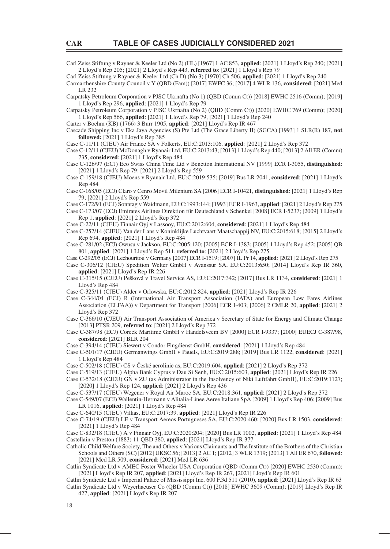Carl Zeiss Stiftung v Rayner & Keeler Ltd (No 2) (HL) [1967] 1 AC 853, **applied**: [2021] 1 Lloyd's Rep 240; [2021] 2 Lloyd's Rep 205; [2021] 2 Lloyd's Rep 443, **referred to**: [2021] 1 Lloyd's Rep 79

Carl Zeiss Stiftung v Rayner & Keeler Ltd (Ch D) (No 3) [1970] Ch 506, **applied**: [2021] 1 Lloyd's Rep 240

Carmarthenshire County Council v Y (QBD (Fam)) [2017] EWFC 36; [2017] 4 WLR 136, **considered**: [2021] Med LR 232

Carpatsky Petroleum Corporation v PJSC Ukrnafta (No 1) (QBD (Comm Ct)) [2018] EWHC 2516 (Comm); [2019] 1 Lloyd's Rep 296, **applied**: [2021] 1 Lloyd's Rep 79

Carpatsky Petroleum Corporation v PJSC Ukrnafta (No 2) (QBD (Comm Ct)) [2020] EWHC 769 (Comm); [2020] 1 Lloyd's Rep 566, **applied**: [2021] 1 Lloyd's Rep 79, [2021] 1 Lloyd's Rep 240

Carter v Boehm (KB) (1766) 3 Burr 1905, **applied**: [2021] Lloyd's Rep IR 467

Cascade Shipping Inc v Eka Jaya Agencies (S) Pte Ltd (The Grace Liberty II) (SGCA) [1993] 1 SLR(R) 187, **not followed:** [2021] 1 Lloyd's Rep 385

Case C-11/11 (CJEU) Air France SA v Folkerts, EU:C:2013:106, **applied**: [2021] 2 Lloyd's Rep 372

Case C-12/11 (CJEU) McDonagh v Ryanair Ltd, EU:C:2013:43; [2013] 1 Lloyd's Rep 440; [2013] 2 All ER (Comm) 735, **considered**: [2021] 1 Lloyd's Rep 484

Case C-126/97 (ECJ) Eco Swiss China Time Ltd v Benetton International NV [1999] ECR I-3055, **distinguished**: [2021] 1 Lloyd's Rep 79; [2021] 2 Lloyd's Rep 559

Case C-159/18 (CJEU) Moens v Ryanair Ltd, EU:C:2019:535; [2019] Bus LR 2041, **considered**: [2021] 1 Lloyd's Rep 484

Case C-168/05 (ECJ) Claro v Cenro Movil Milenium SA [2006] ECR I-10421, **distinguished**: [2021] 1 Lloyd's Rep 79; [2021] 2 Lloyd's Rep 559

Case C-172/91 (ECJ) Sonntag v Waidmann, EU:C:1993:144; [1993] ECR I-1963, **applied**: [2021] 2 Lloyd's Rep 275

Case C-173/07 (ECJ) Emirates Airlines Direktion für Deutschland v Schenkel [2008] ECR I-5237; [2009] 1 Lloyd's Rep 1, **applied**: [2021] 2 Lloyd's Rep 372

Case C-22/11 (CJEU) Finnair Oyj v Lassooy, EU:C:2012:604, **considered**: [2021] 1 Lloyd's Rep 484

Case C-257/14 (CJEU) Van der Lans v Koninklijke Luchtvaart Maatschappij NV, EU:C:2015:618; [2015] 2 Lloyd's Rep 694, **applied**: [2021] 1 Lloyd's Rep 484

Case C-281/02 (ECJ) Owusu v Jackson, EU:C:2005:120; [2005] ECR I-1383; [2005] 1 Lloyd's Rep 452; [2005] QB 801, **applied**: [2021] 1 Lloyd's Rep 511, **referred to**: [2021] 2 Lloyd's Rep 275

Case C-292/05 (ECJ) Lechouritou v Germany [2007] ECR I-1519; [2007] IL Pr 14, **applied**: [2021] 2 Lloyd's Rep 275

- Case C-306/12 (CJEU) Spedition Welter GmbH v Avanssur SA, EU:C:2013:650; [2014] Lloyd's Rep IR 360, **applied**: [2021] Lloyd's Rep IR 226
- Case C-315/15 (CJEU) Pešková v Travel Service AS, EU:C:2017:342; [2017] Bus LR 1134, **considered**: [2021] 1 Lloyd's Rep 484

Case C-325/11 (CJEU) Alder v Orlowska, EU:C:2012:824, **applied**: [2021] Lloyd's Rep IR 226

Case C-344/04 (ECJ) R (International Air Transport Association (IATA) and European Low Fares Airlines Association (ELFAA)) v Department for Transport [2006] ECR I-403; [2006] 2 CMLR 20, **applied**: [2021] 2 Lloyd's Rep 372

Case C-366/10 (CJEU) Air Transport Association of America v Secretary of State for Energy and Climate Change [2013] PTSR 209, **referred to**: [2021] 2 Lloyd's Rep 372

Case C-387/98 (ECJ) Coreck Maritime GmbH v Handelsveem BV [2000] ECR I-9337; [2000] EUECJ C-387/98, **considered**: [2021] BLR 204

Case C-394/14 (CJEU) Siewert v Condor Flugdienst GmbH, **considered**: [2021] 1 Lloyd's Rep 484

Case C-501/17 (CJEU) Germanwings GmbH v Pauels, EU:C:2019:288; [2019] Bus LR 1122, **considered**: [2021] 1 Lloyd's Rep 484

Case C-502/18 (CJEU) CS v České aerolinie as, EU:C:2019:604, **applied**: [2021] 2 Lloyd's Rep 372

Case C-519/13 (CJEU) Alpha Bank Cyprus v Dau Si Senh, EU:C:2015:603, **applied**: [2021] Lloyd's Rep IR 226

Case C-532/18 (CJEU) GN v ZU (as Administrator in the Insolvency of Niki Luftfahrt GmbH), EU:C:2019:1127; [2020] 1 Lloyd's Rep 124, **applied**: [2021] 2 Lloyd's Rep 436

Case C-537/17 (CJEU) Wegener v Royal Air Maroc SA, EU:C:2018:361, **applied**: [2021] 2 Lloyd's Rep 372

Case C-549/07 (ECJ) Wallentin-Hermann v Alitalia-Linee Aeree Italiane SpA [2009] 1 Lloyd's Rep 406; [2009] Bus LR 1016, **applied**: [2021] 1 Lloyd's Rep 484

Case C-640/15 (CJEU) Vilkas, EU:C:2017:39, **applied**: [2021] Lloyd's Rep IR 226

Case C-74/19 (CJEU) LE v Transport Aereos Portugueses SA, EU:C:2020:460; [2020] Bus LR 1503, **considered**: [2021] 1 Lloyd's Rep 484

Case C-832/18 (CJEU) A v Finnair Oyj, EU:C:2020:204; [2020] Bus LR 1002, **applied**: [2021] 1 Lloyd's Rep 484 Castellain v Preston (1883) 11 QBD 380, **applied**: [2021] Lloyd's Rep IR 377

Catholic Child Welfare Society, The and Others v Various Claimants and The Institute of the Brothers of the Christian Schools and Others (SC) [2012] UKSC 56; [2013] 2 AC 1; [2012] 3 WLR 1319; [2013] 1 All ER 670, **followed**: [2021] Med LR 509; **considered**: [2021] Med LR 636

Catlin Syndicate Ltd v AMEC Foster Wheeler USA Corporation (QBD (Comm Ct)) [2020] EWHC 2530 (Comm); [2021] Lloyd's Rep IR 207, **applied**: [2021] Lloyd's Rep IR 267, [2021] Lloyd's Rep IR 601

Catlin Syndicate Ltd v Imperial Palace of Mississippi Inc, 600 F.3d 511 (2010), **applied**: [2021] Lloyd's Rep IR 63 Catlin Syndicate Ltd v Weyerhaeuser Co (QBD (Comm Ct)) [2018] EWHC 3609 (Comm); [2019] Lloyd's Rep IR

427, **applied**: [2021] Lloyd's Rep IR 207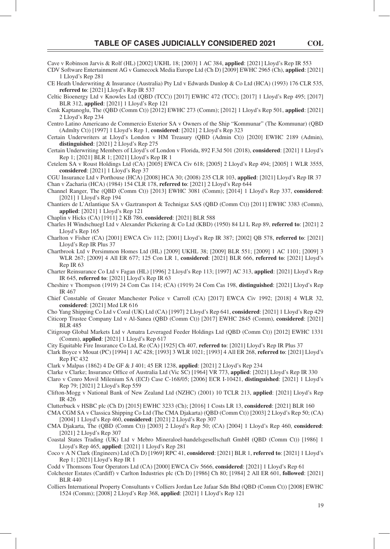- Cave v Robinson Jarvis & Rolf (HL) [2002] UKHL 18; [2003] 1 AC 384, **applied**: [2021] Lloyd's Rep IR 553
- CDV Software Entertainment AG v Gamecock Media Europe Ltd (Ch D) [2009] EWHC 2965 (Ch), **applied**: [2021] 1 Lloyd's Rep 281
- CE Heath Underwriting & Insurance (Australia) Pty Ltd v Edwards Dunlop & Co Ltd (HCA) (1993) 176 CLR 535, **referred to**: [2021] Lloyd's Rep IR 537
- Celtic Bioenergy Ltd v Knowles Ltd (QBD (TCC)) [2017] EWHC 472 (TCC); [2017] 1 Lloyd's Rep 495; [2017] BLR 312, **applied**: [2021] 1 Lloyd's Rep 121
- Cenk Kaptanoglu, The (QBD (Comm Ct)) [2012] EWHC 273 (Comm); [2012] 1 Lloyd's Rep 501, **applied**: [2021] 2 Lloyd's Rep 234
- Centro Latino Americano de Commercio Exterior SA v Owners of the Ship "Kommunar" (The Kommunar) (QBD (Admlty Ct)) [1997] 1 Lloyd's Rep 1, **considered**: [2021] 2 Lloyd's Rep 323
- Certain Underwriters at Lloyd's London v HM Treasury (QBD (Admin Ct)) [2020] EWHC 2189 (Admin), **distinguished**: [2021] 2 Lloyd's Rep 275
- Certain Underwriting Members of Lloyd's of London v Florida, 892 F.3d 501 (2018), **considered**: [2021] 1 Lloyd's Rep 1; [2021] BLR 1; [2021] Lloyd's Rep IR 1
- Cetelem SA v Roust Holdings Ltd (CA) [2005] EWCA Civ 618; [2005] 2 Lloyd's Rep 494; [2005] 1 WLR 3555, **considered**: [2021] 1 Lloyd's Rep 37

CGU Insurance Ltd v Porthouse (HCA) [2008] HCA 30; (2008) 235 CLR 103, **applied**: [2021] Lloyd's Rep IR 37 Chan v Zacharia (HCA) (1984) 154 CLR 178, **referred to**: [2021] 2 Lloyd's Rep 644

- Channel Ranger, The (QBD (Comm Ct)) [2013] EWHC 3081 (Comm); [2014] 1 Lloyd's Rep 337, **considered**: [2021] 1 Lloyd's Rep 194
- Chantiers de L'Atlantique SA v Gaztransport & Technigaz SAS (QBD (Comm Ct)) [2011] EWHC 3383 (Comm), **applied**: [2021] 1 Lloyd's Rep 121
- Chaplin v Hicks (CA) [1911] 2 KB 786, **considered**: [2021] BLR 588
- Charles H Windschuegl Ltd v Alexander Pickering & Co Ltd (KBD) (1950) 84 Ll L Rep 89, **referred to**: [2021] 2 Lloyd's Rep 165
- Charlton v Fisher (CA) [2001] EWCA Civ 112; [2001] Lloyd's Rep IR 387; [2002] QB 578, **referred to**: [2021] Lloyd's Rep IR Plus 37
- Chartbrook Ltd v Persimmon Homes Ltd (HL) [2009] UKHL 38; [2009] BLR 551; [2009] 1 AC 1101; [2009] 3 WLR 267; [2009] 4 All ER 677; 125 Con LR 1, **considered**: [2021] BLR 666, **referred to**: [2021] Lloyd's Rep IR 63
- Charter Reinsurance Co Ltd v Fagan (HL) [1996] 2 Lloyd's Rep 113; [1997] AC 313, **applied**: [2021] Lloyd's Rep IR 645, **referred to**: [2021] Lloyd's Rep IR 63
- Cheshire v Thompson (1919) 24 Com Cas 114; (CA) (1919) 24 Com Cas 198, **distinguished**: [2021] Lloyd's Rep IR 467
- Chief Constable of Greater Manchester Police v Carroll (CA) [2017] EWCA Civ 1992; [2018] 4 WLR 32, **considered**: [2021] Med LR 616

Cho Yang Shipping Co Ltd v Coral (UK) Ltd (CA) [1997] 2 Lloyd's Rep 641, **considered**: [2021] 1 Lloyd's Rep 429

- Citicorp Trustee Company Ltd v Al-Sanea (QBD (Comm Ct)) [2017] EWHC 2845 (Comm), **considered**: [2021] BLR 485
- Citigroup Global Markets Ltd v Amatra Leveraged Feeder Holdings Ltd (QBD (Comm Ct)) [2012] EWHC 1331 (Comm), **applied**: [2021] 1 Lloyd's Rep 617

City Equitable Fire Insurance Co Ltd, Re (CA) [1925] Ch 407, **referred to**: [2021] Lloyd's Rep IR Plus 37

- Clark Boyce v Mouat (PC) [1994] 1 AC 428; [1993] 3 WLR 1021; [1993] 4 All ER 268, **referred to**: [2021] Lloyd's Rep FC 432
- Clark v Malpas (1862) 4 De GF & J 401; 45 ER 1238, **applied**: [2021] 2 Lloyd's Rep 234
- Clarke v Clarke; Insurance Office of Australia Ltd (Vic SC) [1964] VR 773, **applied**: [2021] Lloyd's Rep IR 330
- Claro v Cenro Movil Milenium SA (ECJ) Case C-168/05; [2006] ECR I-10421, **distinguished**: [2021] 1 Lloyd's Rep 79; [2021] 2 Lloyd's Rep 559
- Clifton-Mogg v National Bank of New Zealand Ltd (NZHC) (2001) 10 TCLR 213, **applied**: [2021] Lloyd's Rep IR 426
- Clutterbuck v HSBC plc (Ch D) [2015] EWHC 3233 (Ch); [2016] 1 Costs LR 13, **considered**: [2021] BLR 160

CMA CGM SA v Classica Shipping Co Ltd (The CMA Djakarta) (QBD (Comm Ct)) [2003] 2 Lloyd's Rep 50; (CA) [2004] 1 Lloyd's Rep 460, **considered**: [2021] 2 Lloyd's Rep 307

- CMA Djakarta, The (QBD (Comm Ct)) [2003] 2 Lloyd's Rep 50; (CA) [2004] 1 Lloyd's Rep 460, **considered**: [2021] 2 Lloyd's Rep 307
- Coastal States Trading (UK) Ltd v Mebro Mineraloel-handelsgesellschaft GmbH (QBD (Comm Ct)) [1986] 1 Lloyd's Rep 465, **applied**: [2021] 1 Lloyd's Rep 281
- Coco v A N Clark (Engineers) Ltd (Ch D) [1969] RPC 41, **considered**: [2021] BLR 1, **referred to**: [2021] 1 Lloyd's Rep 1; [2021] Lloyd's Rep IR 1

Codd v Thomsons Tour Operators Ltd (CA) [2000] EWCA Civ 5666, **considered**: [2021] 1 Lloyd's Rep 61

- Colchester Estates (Cardiff) v Carlton Industries plc (Ch D) [1986] Ch 80; [1984] 2 All ER 601, **followed**: [2021] BLR 440
- Colliers International Property Consultants v Colliers Jordan Lee Jafaar Sdn Bhd (QBD (Comm Ct)) [2008] EWHC 1524 (Comm); [2008] 2 Lloyd's Rep 368, **applied**: [2021] 1 Lloyd's Rep 121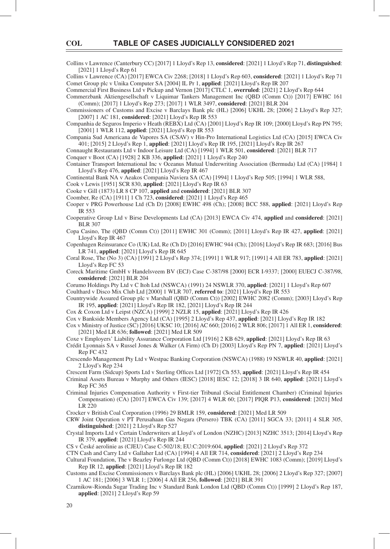Collins v Lawrence (Canterbury CC) [2017] 1 Lloyd's Rep 13, **considered**: [2021] 1 Lloyd's Rep 71, **distinguished**: [2021] 1 Lloyd's Rep 61

Collins v Lawrence (CA) [2017] EWCA Civ 2268; [2018] 1 Lloyd's Rep 603, **considered**: [2021] 1 Lloyd's Rep 71 Comet Group plc v Unika Computer SA [2004] IL Pr 1, **applied**: [2021] Lloyd's Rep IR 207

Commercial First Business Ltd v Pickup and Vernon [2017] CTLC 1, **overruled**: [2021] 2 Lloyd's Rep 644

Commerzbank Aktiengesellschaft v Liquimar Tankers Management Inc (QBD (Comm Ct)) [2017] EWHC 161

(Comm); [2017] 1 Lloyd's Rep 273; [2017] 1 WLR 3497, **considered**: [2021] BLR 204 Commissioners of Customs and Excise v Barclays Bank plc (HL) [2006] UKHL 28; [2006] 2 Lloyd's Rep 327; [2007] 1 AC 181, **considered**: [2021] Lloyd's Rep IR 553

Companhia de Seguros Imperio v Heath (REBX) Ltd (CA) [2001] Lloyd's Rep IR 109; [2000] Lloyd's Rep PN 795; [2001] 1 WLR 112, **applied**: [2021] Lloyd's Rep IR 553

Compania Sud Americana de Vapores SA (CSAV) v Hin-Pro International Logistics Ltd (CA) [2015] EWCA Civ 401; [2015] 2 Lloyd's Rep 1, **applied**: [2021] Lloyd's Rep IR 195, [2021] Lloyd's Rep IR 267

Connaught Restaurants Ltd v Indoor Leisure Ltd (CA) [1994] 1 WLR 501, **considered**: [2021] BLR 717

Conquer v Boot (CA) [1928] 2 KB 336, **applied**: [2021] 1 Lloyd's Rep 240

Container Transport International Inc v Oceanus Mutual Underwriting Association (Bermuda) Ltd (CA) [1984] 1 Lloyd's Rep 476, **applied**: [2021] Lloyd's Rep IR 467

Continental Bank NA v Aeakos Compania Naviera SA (CA) [1994] 1 Lloyd's Rep 505; [1994] 1 WLR 588,

Cook v Lewis [1951] SCR 830, **applied**: [2021] Lloyd's Rep IR 63

Cooke v Gill (1873) LR 8 CP 107, **applied** and **considered**: [2021] BLR 307

Coomber, Re (CA) [1911] 1 Ch 723, **considered**: [2021] 1 Lloyd's Rep 465

Cooper v PRG Powerhouse Ltd (Ch D) [2008] EWHC 498 (Ch); [2008] BCC 588, **applied**: [2021] Lloyd's Rep IR 553

- Cooperative Group Ltd v Birse Developments Ltd (CA) [2013] EWCA Civ 474, **applied** and **considered**: [2021] BLR 307
- Copa Casino, The (QBD (Comm Ct)) [2011] EWHC 301 (Comm); [2011] Lloyd's Rep IR 427, **applied**: [2021] Lloyd's Rep IR 467

Copenhagen Reinsurance Co (UK) Ltd, Re (Ch D) [2016] EWHC 944 (Ch); [2016] Lloyd's Rep IR 683; [2016] Bus LR 741, **applied**: [2021] Lloyd's Rep IR 645

Coral Rose, The (No 3) (CA) [1991] 2 Lloyd's Rep 374; [1991] 1 WLR 917; [1991] 4 All ER 783, **applied**: [2021] Lloyd's Rep FC 53

Coreck Maritime GmbH v Handelsveem BV (ECJ) Case C-387/98 [2000] ECR I-9337; [2000] EUECJ C-387/98, **considered**: [2021] BLR 204

Corumo Holdings Pty Ltd v C Itoh Ltd (NSWCA) (1991) 24 NSWLR 370, **applied**: [2021] 1 Lloyd's Rep 607

Coulthard v Disco Mix Club Ltd [2000] 1 WLR 707, **referred to**: [2021] Lloyd's Rep IR 553

Countrywide Assured Group plc v Marshall (QBD (Comm Ct)) [2002] EWHC 2082 (Comm); [2003] Lloyd's Rep IR 195, **applied**: [2021] Lloyd's Rep IR 182, [2021] Lloyd's Rep IR 244

Cox & Coxon Ltd v Leipst (NZCA) [1999] 2 NZLR 15, **applied**: [2021] Lloyd's Rep IR 426

Cox v Bankside Members Agency Ltd (CA) [1995] 2 Lloyd's Rep 437, **applied**: [2021] Lloyd's Rep IR 182

Cox v Ministry of Justice (SC) [2016] UKSC 10; [2016] AC 660; [2016] 2 WLR 806; [2017] 1 All ER 1, **considered**: [2021] Med LR 636; **followed**: [2021] Med LR 509

Coxe v Employers' Liability Assurance Corporation Ltd [1916] 2 KB 629, **applied**: [2021] Lloyd's Rep IR 63

Crédit Lyonnais SA v Russel Jones & Walker (A Firm) (Ch D) [2003] Lloyd's Rep PN 7, **applied**: [2021] Lloyd's Rep FC 432

Crescendo Management Pty Ltd v Westpac Banking Corporation (NSWCA) (1988) 19 NSWLR 40, **applied**: [2021] 2 Lloyd's Rep 234

Crescent Farm (Sidcup) Sports Ltd v Sterling Offices Ltd [1972] Ch 553, applied: [2021] Lloyd's Rep IR 454

- Criminal Assets Bureau v Murphy and Others (IESC) [2018] IESC 12; [2018] 3 IR 640, **applied**: [2021] Lloyd's Rep FC 365
- Criminal Injuries Compensation Authority v First-tier Tribunal (Social Entitlement Chamber) (Criminal Injuries Compensation) (CA) [2017] EWCA Civ 139; [2017] 4 WLR 60; [2017] PIQR P13, **considered**: [2021] Med LR 220

Crocker v British Coal Corporation (1996) 29 BMLR 159, **considered**: [2021] Med LR 509

CRW Joint Operation v PT Perusahaan Gas Negara (Persero) TBK (CA) [2011] SGCA 33; [2011] 4 SLR 305, **distinguished**: [2021] 2 Lloyd's Rep 527

- Crystal Imports Ltd v Certain Underwriters at Lloyd's of London (NZHC) [2013] NZHC 3513; [2014] Lloyd's Rep IR 379, **applied**: [2021] Lloyd's Rep IR 244
- CS v České aerolinie as (CJEU) Case C-502/18; EU:C:2019:604, **applied**: [2021] 2 Lloyd's Rep 372

CTN Cash and Carry Ltd v Gallaher Ltd (CA) [1994] 4 All ER 714, **considered**: [2021] 2 Lloyd's Rep 234

Cultural Foundation, The v Beazley Furlonge Ltd (QBD (Comm Ct)) [2018] EWHC 1083 (Comm); [2019] Lloyd's Rep IR 12, **applied**: [2021] Lloyd's Rep IR 182

Customs and Excise Commissioners v Barclays Bank plc (HL) [2006] UKHL 28; [2006] 2 Lloyd's Rep 327; [2007] 1 AC 181; [2006] 3 WLR 1; [2006] 4 All ER 256, **followed**: [2021] BLR 391

Czarnikow-Rionda Sugar Trading Inc v Standard Bank London Ltd (QBD (Comm Ct)) [1999] 2 Lloyd's Rep 187, **applied**: [2021] 2 Lloyd's Rep 59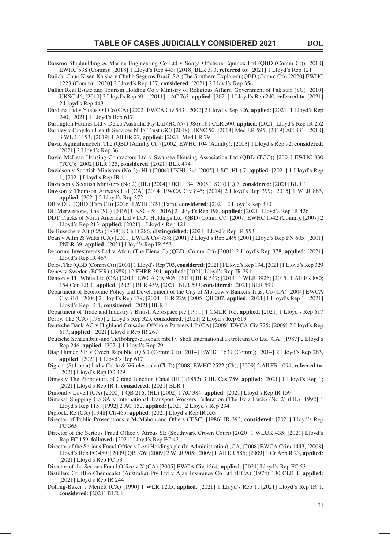Daewoo Shipbuilding & Marine Engineering Co Ltd v Songa Offshore Equinox Ltd (QBD (Comm Ct)) [2018] EWHC 538 (Comm); [2018] 1 Lloyd's Rep 443; [2018] BLR 393, **referred to**: [2021] 1 Lloyd's Rep 121

Daiichi Chuo Kisen Kaisha v Chubb Seguros Brasil SA (The Southern Explorer) (QBD (Comm Ct)) [2020] EWHC 1223 (Comm); [2020] 2 Lloyd's Rep 137, **considered**: [2021] 2 Lloyd's Rep 354

Dallah Real Estate and Tourism Holding Co v Ministry of Religious Affairs, Government of Pakistan (SC) [2010] UKSC 46; [2010] 2 Lloyd's Rep 691; [2011] 1 AC 763, **applied**: [2021] 1 Lloyd's Rep 240, **referred to**: [2021] 2 Lloyd's Rep 443

Dardana Ltd v Yukos Oil Co (CA) [2002] EWCA Civ 543; [2002] 2 Lloyd's Rep 326, **applied**: [2021] 1 Lloyd's Rep 240, [2021] 1 Lloyd's Rep 617

Darlington Futures Ltd v Delco Australia Pty Ltd (HCA) (1986) 161 CLR 500, **applied**: [2021] Lloyd's Rep IR 252 Darnley v Croydon Health Services NHS Trust (SC) [2018] UKSC 50; [2018] Med LR 595; [2019] AC 831; [2018] 3 WLR 1153; [2019] 1 All ER 27, **applied**: [2021] Med LR 79

David Agmashenebeli, The (QBD (Admlty Ct)) [2002] EWHC 104 (Admlty); [2003] 1 Lloyd's Rep 92, **considered**: [2021] 2 Lloyd's Rep 36

David McLean Housing Contractors Ltd v Swansea Housing Association Ltd (QBD (TCC)) [2001] EWHC 830 (TCC); [2002] BLR 125, **considered**: [2021] BLR 474

Davidson v Scottish Ministers (No 2) (HL) [2004] UKHL 34; [2005] 1 SC (HL) 7, **applied**: [2021] 1 Lloyd's Rep 1; [2021] Lloyd's Rep IR 1

Davidson v Scottish Ministers (No 2) (HL) [2004] UKHL 34; 2005 1 SC (HL) 7, **considered**: [2021] BLR 1

Dawson v Thomson Airways Ltd (CA) [2014] EWCA Civ 845; [2014] 2 Lloyd's Rep 399; [2015] 1 WLR 883, **applied**: [2021] 2 Lloyd's Rep 372

DB v DLJ (QBD (Fam Ct)) [2016] EWHC 324 (Fam), **considered**: [2021] 2 Lloyd's Rep 340

DC Merwestone, The (SC) [2016] UKSC 45; [2016] 2 Lloyd's Rep 198, **applied**: [2021] Lloyd's Rep IR 426 DDT Trucks of North America Ltd v DDT Holdings Ltd (QBD (Comm Ct)) [2007] EWHC 1542 (Comm); [2007] 2

Lloyd's Rep 213, **applied**: [2021] 1 Lloyd's Rep 121

De Bussche v Alt (CA) (1878) 8 Ch D 286, **distinguished**: [2021] Lloyd's Rep IR 553

Dean v Allin & Watts (CA) [2001] EWCA Civ 758; [2001] 2 Lloyd's Rep 249; [2001] Lloyd's Rep PN 605; [2001] PNLR 39, **applied**: [2021] Lloyd's Rep IR 553

Decorum Investments Ltd v Atkin (The Elena G) (QBD (Comm Ct)) [2001] 2 Lloyd's Rep 378, **applied**: [2021] Lloyd's Rep IR 467

Delos, The (QBD (Comm Ct)) [2001] 1 Lloyd's Rep 703, **considered**: [2021] 1 Lloyd's Rep 194, [2021] 1 Lloyd's Rep 329 Denev v Sweden (ECHR) (1989) 12 EHRR 391, **applied**: [2021] Lloyd's Rep IR 291

Denton v TH White Ltd (CA) [2014] EWCA Civ 906; [2014] BLR 547; [2014] 1 WLR 3926; [2015] 1 All ER 880; 154 Con LR 1, **applied**: [2021] BLR 459, [2021] BLR 599, **considered**: [2021] BLR 599

Department of Economic Policy and Development of the City of Moscow v Bankers Trust Co (CA) [2004] EWCA Civ 314; [2004] 2 Lloyd's Rep 179; [2004] BLR 229; [2005] QB 207, **applied**: [2021] 1 Lloyd's Rep 1; [2021] Lloyd's Rep IR 1, **considered**: [2021] BLR 1

Department of Trade and Industry v British Aerospace plc [1991] 1 CMLR 165, **applied**: [2021] 1 Lloyd's Rep 617 Derby, The (CA) [1985] 2 Lloyd's Rep 325, **considered**: [2021] 2 Lloyd's Rep 613

Deutsche Bank AG v Highland Crusader Offshore Partners LP (CA) [2009] EWCA Civ 725; [2009] 2 Lloyd's Rep 617, **applied**: [2021] Lloyd's Rep IR 267

Deutsche Schachtbau-und Tiefbohrgesellschaft mbH v Shell International Petroleum Co Ltd (CA) [1987] 2 Lloyd's Rep 246, **applied**: [2021] 1 Lloyd's Rep 79

Diag Human SE v Czech Republic (QBD (Comm Ct)) [2014] EWHC 1639 (Comm); [2014] 2 Lloyd's Rep 283, **applied**: [2021] 1 Lloyd's Rep 617

Digicel (St Lucia) Ltd v Cable & Wireless plc (Ch D) [2008] EWHC 2522 (Ch); [2009] 2 All ER 1094, **referred to**: [2021] Lloyd's Rep FC 329

Dimes v The Proprietors of Grand Junction Canal (HL) (1852) 3 HL Cas 759, **applied**: [2021] 1 Lloyd's Rep 1; [2021] Lloyd's Rep IR 1, **considered**: [2021] BLR 1

Dimond v Lovell (CA) [2000] 1 QB 216; (HL) [2002] 1 AC 384, **applied**: [2021] Lloyd's Rep IR 159

Dimskal Shipping Co SA v International Transport Workers Federation (The Evia Luck) (No 2) (HL) [1992] 1 Lloyd's Rep 115; [1992] 2 AC 152, **applied**: [2021] 2 Lloyd's Rep 234

Diplock, Re (CA) [1948] Ch 465, **applied**: [2021] Lloyd's Rep IR 553

Director of Public Prosecutions v McMahon and Others (IESC) [1986] IR 393, **considered**: [2021] Lloyd's Rep FC 365

Director of the Serious Fraud Office v Airbus SE (Southwark Crown Court) [2020] 1 WLUK 435; [2021] Lloyd's Rep FC 159, **followed**: [2021] Lloyd's Rep FC 42

Director of the Serious Fraud Office v Lexi Holdings plc (In Administration) (CA) [2008] EWCA Crim 1443; [2008] Lloyd's Rep FC 489; [2009] QB 376; [2009] 2 WLR 905; [2009] 1 All ER 586; [2009] 1 Cr App R 23, **applied**: [2021] Lloyd's Rep FC 53

Director of the Serious Fraud Office v X (CA) [2005] EWCA Civ 1564, **applied**: [2021] Lloyd's Rep FC 53

Distillers Co (Bio-Chemicals) (Australia) Pty Ltd v Ajax Insurance Co Ltd (HCA) (1974) 130 CLR 1, **applied**: [2021] Lloyd's Rep IR 244

Dolling-Baker v Merrett (CA) [1990] 1 WLR 1205, **applied**: [2021] 1 Lloyd's Rep 1; [2021] Lloyd's Rep IR 1, **considered**: [2021] BLR 1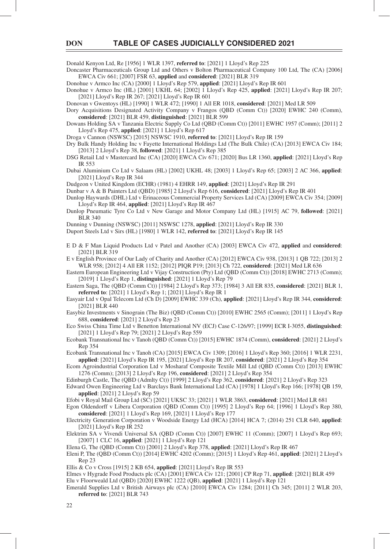Donald Kenyon Ltd, Re [1956] 1 WLR 1397, **referred to**: [2021] 1 Lloyd's Rep 225

Doncaster Pharmaceuticals Group Ltd and Others v Bolton Pharmaceutical Company 100 Ltd, The (CA) [2006] EWCA Civ 661; [2007] FSR 63, **applied** and **considered**: [2021] BLR 319

Donohue v Armco Inc (CA) [2000] 1 Lloyd's Rep 579, **applied**: [2021] Lloyd's Rep IR 601

Donohue v Armco Inc (HL) [2001] UKHL 64; [2002] 1 Lloyd's Rep 425, **applied**: [2021] Lloyd's Rep IR 207; [2021] Lloyd's Rep IR 267; [2021] Lloyd's Rep IR 601

Donovan v Gwentoys (HL) [1990] 1 WLR 472; [1990] 1 All ER 1018, **considered**: [2021] Med LR 509

Dory Acquisitions Designated Activity Company v Frangos (QBD (Comm Ct)) [2020] EWHC 240 (Comm), **considered**: [2021] BLR 459, **distinguished**: [2021] BLR 599

Dowans Holding SA v Tanzania Electric Supply Co Ltd (QBD (Comm Ct)) [2011] EWHC 1957 (Comm); [2011] 2 Lloyd's Rep 475, **applied**: [2021] 1 Lloyd's Rep 617

Droga v Cannon (NSWSC) [2015] NSWSC 1910, **referred to**: [2021] Lloyd's Rep IR 159

Dry Bulk Handy Holding Inc v Fayette International Holdings Ltd (The Bulk Chile) (CA) [2013] EWCA Civ 184; [2013] 2 Lloyd's Rep 38, **followed**: [2021] 1 Lloyd's Rep 385

DSG Retail Ltd v Mastercard Inc (CA) [2020] EWCA Civ 671; [2020] Bus LR 1360, **applied**: [2021] Lloyd's Rep IR 553

Dubai Aluminium Co Ltd v Salaam (HL) [2002] UKHL 48; [2003] 1 Lloyd's Rep 65; [2003] 2 AC 366, **applied**: [2021] Lloyd's Rep IR 344

Dudgeon v United Kingdom (ECHR) (1981) 4 EHRR 149, **applied**: [2021] Lloyd's Rep IR 291

Dunbar v A & B Painters Ltd (QBD) [1985] 2 Lloyd's Rep 616, **considered**: [2021] Lloyd's Rep IR 401

Dunlop Haywards (DHL) Ltd v Erinaceous Commercial Property Services Ltd (CA) [2009] EWCA Civ 354; [2009] Lloyd's Rep IR 464, **applied**: [2021] Lloyd's Rep IR 467

Dunlop Pneumatic Tyre Co Ltd v New Garage and Motor Company Ltd (HL) [1915] AC 79, **followed**: [2021] BLR 340

Dunning v Dunning (NSWSC) [2011] NSWSC 1278, **applied**: [2021] Lloyd's Rep IR 330

Duport Steels Ltd v Sirs (HL) [1980] 1 WLR 142, **referred to**: [2021] Lloyd's Rep IR 145

E D & F Man Liquid Products Ltd v Patel and Another (CA) [2003] EWCA Civ 472, **applied** and **considered**: [2021] BLR 319

E v English Province of Our Lady of Charity and Another (CA) [2012] EWCA Civ 938, [2013] 1 QB 722; [2013] 2 WLR 958; [2012] 4 All ER 1152; [2012] PIQR P19; [2013] Ch 722, **considered**: [2021] Med LR 636

Eastern European Engineering Ltd v Vijay Construction (Pty) Ltd (QBD (Comm Ct)) [2018] EWHC 2713 (Comm); [2019] 1 Lloyd's Rep 1, **distinguished**: [2021] 1 Lloyd's Rep 79

Eastern Saga, The (QBD (Comm Ct)) [1984] 2 Lloyd's Rep 373; [1984] 3 All ER 835, **considered**: [2021] BLR 1, **referred to**: [2021] 1 Lloyd's Rep 1; [2021] Lloyd's Rep IR 1

Easyair Ltd v Opal Telecom Ltd (Ch D) [2009] EWHC 339 (Ch), **applied**: [2021] Lloyd's Rep IR 344, **considered**: [2021] BLR 440

Easybiz Investments v Sinograin (The Biz) (QBD (Comm Ct)) [2010] EWHC 2565 (Comm); [2011] 1 Lloyd's Rep 688, **considered**: [2021] 2 Lloyd's Rep 23

Eco Swiss China Time Ltd v Benetton International NV (ECJ) Case C-126/97; [1999] ECR I-3055, **distinguished**: [2021] 1 Lloyd's Rep 79; [2021] 2 Lloyd's Rep 559

Ecobank Transnational Inc v Tanoh (QBD (Comm Ct)) [2015] EWHC 1874 (Comm), **considered**: [2021] 2 Lloyd's Rep 354

Ecobank Transnational Inc v Tanoh (CA) [2015] EWCA Civ 1309; [2016] 1 Lloyd's Rep 360; [2016] 1 WLR 2231, **applied**: [2021] Lloyd's Rep IR 195, [2021] Lloyd's Rep IR 207, **considered**: [2021] 2 Lloyd's Rep 354

Ecom Agroindustrial Corporation Ltd v Mosharaf Composite Textile Mill Ltd (QBD (Comm Ct)) [2013] EWHC 1276 (Comm); [2013] 2 Lloyd's Rep 196, **considered**: [2021] 2 Lloyd's Rep 354

Edinburgh Castle, The (QBD (Admlty Ct)) [1999] 2 Lloyd's Rep 362, **considered**: [2021] 2 Lloyd's Rep 323

Edward Owen Engineering Ltd v Barclays Bank International Ltd (CA) [1978] 1 Lloyd's Rep 166; [1978] QB 159, **applied**: [2021] 2 Lloyd's Rep 59

Efobi v Royal Mail Group Ltd (SC) [2021] UKSC 33; [2021] 1 WLR 3863, **considered**: [2021] Med LR 681

Egon Oldendorff v Libera Corporation (QBD (Comm Ct)) [1995] 2 Lloyd's Rep 64; [1996] 1 Lloyd's Rep 380, **considered**: [2021] 1 Lloyd's Rep 169, [2021] 1 Lloyd's Rep 177

Electricity Generation Corporation v Woodside Energy Ltd (HCA) [2014] HCA 7; (2014) 251 CLR 640, **applied**: [2021] Lloyd's Rep IR 252

Elektrim SA v Vivendi Universal SA (QBD (Comm Ct)) [2007] EWHC 11 (Comm); [2007] 1 Lloyd's Rep 693; [2007] 1 CLC 16, **applied**: [2021] 1 Lloyd's Rep 121

Elena G, The (QBD (Comm Ct)) [2001] 2 Lloyd's Rep 378, **applied**: [2021] Lloyd's Rep IR 467

Eleni P, The (QBD (Comm Ct)) [2014] EWHC 4202 (Comm); [2015] 1 Lloyd's Rep 461, **applied**: [2021] 2 Lloyd's Rep 23

Ellis & Co v Cross [1915] 2 KB 654, **applied**: [2021] Lloyd's Rep IR 553

Elmes v Hygrade Food Products plc (CA) [2001] EWCA Civ 121; [2001] CP Rep 71, **applied**: [2021] BLR 459 Elu v Floorweald Ltd (QBD) [2020] EWHC 1222 (QB), **applied**: [2021] 1 Lloyd's Rep 121

Emerald Supplies Ltd v British Airways plc (CA) [2010] EWCA Civ 1284; [2011] Ch 345; [2011] 2 WLR 203, **referred to**: [2021] BLR 743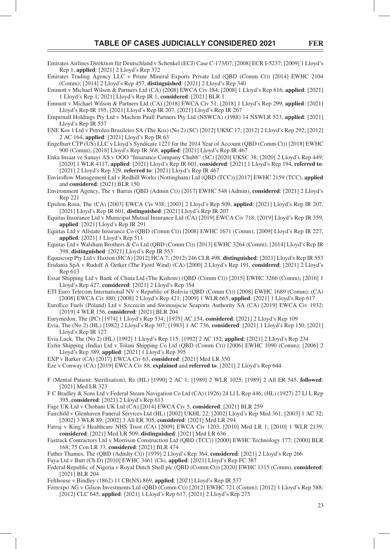- Emirates Airlines Direktion für Deutschland v Schenkel (ECJ) Case C-173/07; [2008] ECR I-5237; [2009] 1 Lloyd's Rep 1, **applied**: [2021] 2 Lloyd's Rep 372
- Emirates Trading Agency LLC v Prime Mineral Exports Private Ltd (QBD (Comm Ct)) [2014] EWHC 2104 (Comm); [2014] 2 Lloyd's Rep 457, **distinguished**: [2021] 2 Lloyd's Rep 340

Emmott v Michael Wilson & Partners Ltd (CA) [2008] EWCA Civ 184; [2008] 1 Lloyd's Rep 616, **applied**: [2021] 1 Lloyd's Rep 1; 2021] Lloyd's Rep IR 1, **considered**: [2021] BLR 1

Emmott v Michael Wilson & Partners Ltd (CA) [2018] EWCA Civ 51; [2018] 1 Lloyd's Rep 299, **applied**: [2021] Lloyd's Rep IR 195, [2021] Lloyd's Rep IR 207, [2021] Lloyd's Rep IR 267

Empirnall Holdings Pty Ltd v Machon Paull Partners Pty Ltd (NSWCA) (1988) 14 NSWLR 523, **applied**: [2021] Lloyd's Rep IR 537

ENE Kos 1 Ltd v Petroleo Brasileiro SA (The Kos) (No 2) (SC) [2012] UKSC 17; [2012] 2 Lloyd's Rep 292; [2012] 2 AC 164, **applied**: [2021] Lloyd's Rep IR 63

Engelhart CTP (US) LLC v Lloyd's Syndicate 1221 for the 2014 Year of Account (QBD (Comm Ct)) [2018] EWHC 900 (Comm); [2018] Lloyd's Rep IR 368, **applied**: [2021] Lloyd's Rep IR 467

Enka Insaat ve Sanayi AS v OOO "Insurance Company Chubb" (SC) [2020] UKSC 38; [2020] 2 Lloyd's Rep 449; [2020] 1 WLR 4117, **applied**: [2021] Lloyd's Rep IR 601, **considered**: [2021] 1 Lloyd's Rep 194, **referred to**: [2021] 2 Lloyd's Rep 329, **referred to**: [2021] Lloyd's Rep IR 467

Enviroflow Management Ltd v Redhill Works (Nottingham) Ltd (OBD (TCC)) [2017] EWHC 2159 (TCC), applied and **considered**: [2021] BLR 150

Environment Agency, The v Barras (QBD (Admin Ct)) [2017] EWHC 548 (Admin), **considered**: [2021] 2 Lloyd's Rep 221

Epsilon Rosa, The (CA) [2003] EWCA Civ 938; [2003] 2 Lloyd's Rep 509, **applied**: [2021] Lloyd's Rep IR 207, [2021] Lloyd's Rep IR 601, **distinguished**: [2021] Lloyd's Rep IR 207

Equitas Insurance Ltd v Municipal Mutual Insurance Ltd (CA) [2019] EWCA Civ 718; [2019] Lloyd's Rep IR 359, **applied**: [2021] Lloyd's Rep IR 291

Equitas Ltd v Allstate Insurance Co (QBD (Comm Ct)) [2008] EWHC 1671 (Comm); [2009] Lloyd's Rep IR 227, **applied**: [2021] 1 Lloyd's Rep 511

Equitas Ltd v Walsham Brothers & Co Ltd (QBD (Comm Ct)) [2013] EWHC 3264 (Comm); [2014] Lloyd's Rep IR 398, **distinguished**: [2021] Lloyd's Rep IR 553

Equuscorp Pty Ltd v Haxton (HCA) [2012] HCA 7; (2012) 246 CLR 498, **distinguished**: [2021] Lloyd's Rep IR 553

Eridania SpA v Rudolf A Oetker (The Fjord Wind) (CA) [2000] 2 Lloyd's Rep 191, **considered**: [2021] 2 Lloyd's Rep 613

Essar Shipping Ltd v Bank of China Ltd (The Kishore) (QBD (Comm Ct)) [2015] EWHC 3266 (Comm); [2016] 1 Lloyd's Rep 427, **considered**: [2021] 2 Lloyd's Rep 354

ETI Euro Telecom International NV v Republic of Bolivia (QBD (Comm Ct)) [2008] EWHC 1689 (Comm); (CA) [2008] EWCA Civ 880; [2008] 2 Lloyd's Rep 421; [2009] 1 WLR 665, **applied**: [2021] 1 Lloyd's Rep 617

EuroEco Fuels (Poland) Ltd v Szczecin and Swinoujscie Seaports Authority SA (CA) [2019] EWCA Civ 1932; [2019] 4 WLR 156, **considered**: [2021] BLR 204

Eurymedon, The (PC) [1974] 1 Lloyd's Rep 534; [1975] AC 154, **considered**: [2021] 2 Lloyd's Rep 109

Evia, The (No 2) (HL) [1982] 2 Lloyd's Rep 307; [1983] 1 AC 736, **considered**: [2021] 1 Lloyd's Rep 150, [2021] Lloyd's Rep IR 127

Evia Luck, The (No 2) (HL) [1992] 1 Lloyd's Rep 115; [1992] 2 AC 152, **applied**: [2021] 2 Lloyd's Rep 234

Exfin Shipping (India) Ltd v Tolani Shipping Co Ltd (QBD (Comm Ct)) [2006] EWHC 1090 (Comm); [2006] 2 Lloyd's Rep 389, **applied**: [2021] 1 Lloyd's Rep 395

EXP v Barker (CA) [2017] EWCA Civ 63, **considered**: [2021] Med LR 350

Eze v Conway (CA) [2019] EWCA Civ 88, **explained** and **referred to**: [2021] 2 Lloyd's Rep 644

F (Mental Patient: Sterilisation), Re (HL) [1990] 2 AC 1; [1989] 2 WLR 1025; [1989] 2 All ER 545, **followed**: [2021] Med LR 323

F C Bradley & Sons Ltd v Federal Steam Navigation Co Ltd (CA) (1926) 24 Ll L Rep 446; (HL) (1927) 27 Ll L Rep 395, **considered**: [2021] 2 Lloyd's Rep 613

Fage UK Ltd v Chobani UK Ltd (CA) [2014] EWCA Civ 5, **considered**: [2021] BLR 259

Fairchild v Glenhaven Funeral Services Ltd (HL) [2002] UKHL 22; [2002] Lloyd's Rep Med 361; [2003] 1 AC 32; [2002] 3 WLR 89; [2002] 3 All ER 305, **considered**: [2021] Med LR 294

Farraj v King's Healthcare NHS Trust (CA) [2009] EWCA Civ 1203; [2010] Med LR 1; [2010] 1 WLR 2139, **considered**: [2021] Med LR 509; **distinguished**: [2021] Med LR 636

Fastrack Contractors Ltd v Morrison Construction Ltd (QBD (TCC)) [2000] EWHC Technology 177; [2000] BLR 168; 75 Con LR 33, **considered**: [2021] BLR 474

Father Thames, The (QBD (Admlty Ct)) [1979] 2 Lloyd's Rep 364, **considered**: [2021] 2 Lloyd's Rep 266

Faya Ltd v Butt (Ch D) [2010] EWHC 3461 (Ch), **applied**: [2021] Lloyd's Rep FC 387

Federal Republic of Nigeria v Royal Dutch Shell plc (QBD (Comm Ct)) [2020] EWHC 1315 (Comm), **considered**: [2021] BLR 204

Felthouse v Bindley (1862) 11 CB(NS) 869, **applied**: [2021] Lloyd's Rep IR 537

Ferrexpo AG v Gilson Investments Ltd (QBD (Comm Ct)) [2012] EWHC 721 (Comm); [2012] 1 Lloyd's Rep 588; [2012] CLC 645, **applied**: [2021] 1 Lloyd's Rep 617, [2021] 2 Lloyd's Rep 275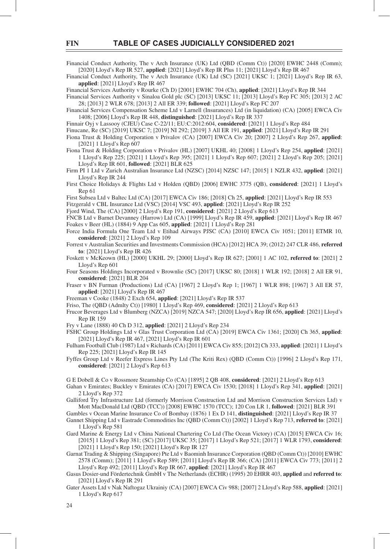Financial Conduct Authority, The v Arch Insurance (UK) Ltd (OBD (Comm Ct)) [2020] EWHC 2448 (Comm); [2020] Lloyd's Rep IR 527, **applied**: [2021] Lloyd's Rep IR Plus 11; [2021] Lloyd's Rep IR 467

Financial Conduct Authority, The v Arch Insurance (UK) Ltd (SC) [2021] UKSC 1; [2021] Lloyd's Rep IR 63, **applied**: [2021] Lloyd's Rep IR 467

Financial Services Authority v Rourke (Ch D) [2001] EWHC 704 (Ch), **applied**: [2021] Lloyd's Rep IR 344

Financial Services Authority v Sinaloa Gold plc (SC) [2013] UKSC 11; [2013] Lloyd's Rep FC 305; [2013] 2 AC 28; [2013] 2 WLR 678; [2013] 2 All ER 339; **followed**: [2021] Lloyd's Rep FC 207

Financial Services Compensation Scheme Ltd v Larnell (Insurances) Ltd (in liquidation) (CA) [2005] EWCA Civ 1408; [2006] Lloyd's Rep IR 448, **distinguished**: [2021] Lloyd's Rep IR 337

Finnair Oyj v Lassooy (CJEU) Case C-22/11; EU:C:2012:604, **considered**: [2021] 1 Lloyd's Rep 484

Finucane, Re (SC) [2019] UKSC 7; [2019] NI 292; [2019] 3 All ER 191, **applied**: [2021] Lloyd's Rep IR 291

Fiona Trust & Holding Corporation v Privalov (CA) [2007] EWCA Civ 20; [2007] 2 Lloyd's Rep 267, **applied**: [2021] 1 Lloyd's Rep 607

Fiona Trust & Holding Corporation v Privalov (HL) [2007] UKHL 40; [2008] 1 Lloyd's Rep 254, **applied**: [2021] 1 Lloyd's Rep 225; [2021] 1 Lloyd's Rep 395; [2021] 1 Lloyd's Rep 607; [2021] 2 Lloyd's Rep 205; [2021] Lloyd's Rep IR 601, **followed**: [2021] BLR 625

Firm PI 1 Ltd v Zurich Australian Insurance Ltd (NZSC) [2014] NZSC 147; [2015] 1 NZLR 432, **applied**: [2021] Lloyd's Rep IR 244

First Choice Holidays & Flights Ltd v Holden (QBD) [2006] EWHC 3775 (QB), **considered**: [2021] 1 Lloyd's Rep 61

First Subsea Ltd v Baltec Ltd (CA) [2017] EWCA Civ 186; [2018] Ch 25, **applied**: [2021] Lloyd's Rep IR 553

Fitzgerald v CBL Insurance Ltd (VSC) [2014] VSC 493, **applied**: [2021] Lloyd's Rep IR 252

Fjord Wind, The (CA) [2000] 2 Lloyd's Rep 191, **considered**: [2021] 2 Lloyd's Rep 613

FNCB Ltd v Barnet Devanney (Harrow) Ltd (CA) [1999] Lloyd's Rep IR 459, **applied**: [2021] Lloyd's Rep IR 467 Foakes v Beer (HL) (1884) 9 App Cas 605, **applied**: [2021] 1 Lloyd's Rep 281

Force India Formula One Team Ltd v Etihad Airways PJSC (CA) [2010] EWCA Civ 1051; [2011] ETMR 10, **considered**: [2021] 2 Lloyd's Rep 109

Forrest v Australian Securities and Investments Commission (HCA) [2012] HCA 39; (2012) 247 CLR 486, **referred to**: [2021] Lloyd's Rep IR 426

- Foskett v McKeown (HL) [2000] UKHL 29; [2000] Lloyd's Rep IR 627; [2001] 1 AC 102, **referred to**: [2021] 2 Lloyd's Rep 601
- Four Seasons Holdings Incorporated v Brownlie (SC) [2017] UKSC 80; [2018] 1 WLR 192; [2018] 2 All ER 91, **considered**: [2021] BLR 204

Fraser v BN Furman (Productions) Ltd (CA) [1967] 2 Lloyd's Rep 1; [1967] 1 WLR 898; [1967] 3 All ER 57, **applied**: [2021] Lloyd's Rep IR 467

Freeman v Cooke (1848) 2 Exch 654, **applied**: [2021] Lloyd's Rep IR 537

Friso, The (QBD (Admlty Ct)) [1980] 1 Lloyd's Rep 469, **considered**: [2021] 2 Lloyd's Rep 613

Frucor Beverages Ltd v Blumberg (NZCA) [2019] NZCA 547; [2020] Lloyd's Rep IR 656, **applied**: [2021] Lloyd's Rep IR 159

Fry v Lane (1888) 40 Ch D 312, **applied**: [2021] 2 Lloyd's Rep 234

FSHC Group Holdings Ltd v Glas Trust Corporation Ltd (CA) [2019] EWCA Civ 1361; [2020] Ch 365, **applied**: [2021] Lloyd's Rep IR 467, [2021] Lloyd's Rep IR 601

Fulham Football Club (1987) Ltd v Richards (CA) [2011] EWCA Civ 855; [2012] Ch 333, **applied**: [2021] 1 Lloyd's Rep 225; [2021] Lloyd's Rep IR 145

Fyffes Group Ltd v Reefer Express Lines Pty Ltd (The Kriti Rex) (QBD (Comm Ct)) [1996] 2 Lloyd's Rep 171, **considered**: [2021] 2 Lloyd's Rep 613

G E Dobell & Co v Rossmore Steamship Co (CA) [1895] 2 QB 408, **considered**: [2021] 2 Lloyd's Rep 613

Gahan v Emirates; Buckley v Emirates (CA) [2017] EWCA Civ 1530; [2018] 1 Lloyd's Rep 341, **applied**: [2021] 2 Lloyd's Rep 372

Galliford Try Infrastructure Ltd (formerly Morrison Construction Ltd and Morrison Construction Services Ltd) v Mott MacDonald Ltd (QBD (TCC)) [2008] EWHC 1570 (TCC); 120 Con LR 1, **followed**: [2021] BLR 391

Gambles v Ocean Marine Insurance Co of Bombay (1876) 1 Ex D 141, **distinguished**: [2021] Lloyd's Rep IR 37

Gannet Shipping Ltd v Eastrade Commodities Inc (QBD (Comm Ct)) [2002] 1 Lloyd's Rep 713, **referred to**: [2021] 1 Lloyd's Rep 581

Gard Marine & Energy Ltd v China National Chartering Co Ltd (The Ocean Victory) (CA) [2015] EWCA Civ 16; [2015] 1 Lloyd's Rep 381; (SC) [2017] UKSC 35; [2017] 1 Lloyd's Rep 521; [2017] 1 WLR 1793, **considered**: [2021] 1 Lloyd's Rep 150; [2021] Lloyd's Rep IR 127

Garnat Trading & Shipping (Singapore) Pte Ltd v Baominh Insurance Corporation (QBD (Comm Ct)) [2010] EWHC 2578 (Comm); [2011] 1 Lloyd's Rep 589; [2011] Lloyd's Rep IR 366; (CA) [2011] EWCA Civ 773; [2011] 2 Lloyd's Rep 492; [2011] Lloyd's Rep IR 667, **applied**: [2021] Lloyd's Rep IR 467

Gasus Dosier-und Fördertechnik GmbH v The Netherlands (ECHR) (1995) 20 EHRR 403, **applied** and **referred to**: [2021] Lloyd's Rep IR 291

Gater Assets Ltd v Nak Naftogaz Ukrainiy (CA) [2007] EWCA Civ 988; [2007] 2 Lloyd's Rep 588, **applied**: [2021] 1 Lloyd's Rep 617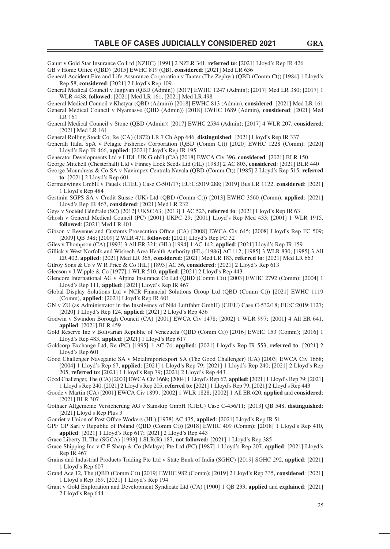Gaunt v Gold Star Insurance Co Ltd (NZHC) [1991] 2 NZLR 341, **referred to**: [2021] Lloyd's Rep IR 426 GB v Home Office (OBD) [2015] EWHC 819 (OB), **considered**: [2021] Med LR 636

General Accident Fire and Life Assurance Corporation v Tanter (The Zephyr) (QBD (Comm Ct)) [1984] 1 Lloyd's Rep 58, **considered**: [2021] 2 Lloyd's Rep 109

General Medical Council v Jagjivan (QBD (Admin)) [2017] EWHC 1247 (Admin); [2017] Med LR 380; [2017] 1 WLR 4438, **followed**: [2021] Med LR 161, [2021] Med LR 498

General Medical Council v Khetyar (QBD (Admin)) [2018] EWHC 813 (Admin), **considered**: [2021] Med LR 161 General Medical Council v Nyamasve (QBD (Admin)) [2018] EWHC 1689 (Admin), **considered**: [2021] Med LR 161

General Medical Council v Stone (QBD (Admin)) [2017] EWHC 2534 (Admin); [2017] 4 WLR 207, **considered**: [2021] Med LR 161

General Rolling Stock Co, Re (CA) (1872) LR 7 Ch App 646, **distinguished**: [2021] Lloyd's Rep IR 337

Generali Italia SpA v Pelagic Fisheries Corporation (QBD (Comm Ct)) [2020] EWHC 1228 (Comm); [2020] Lloyd's Rep IR 466, **applied**: [2021] Lloyd's Rep IR 195

Generator Developments Ltd v LIDL UK GmbH (CA) [2018] EWCA Civ 396, **considered**: [2021] BLR 150

George Mitchell (Chesterhall) Ltd v Finney Lock Seeds Ltd (HL) [1983] 2 AC 803, **considered**: [2021] BLR 440 George Moundreas & Co SA v Navimpex Centrala Navala (QBD (Comm Ct)) [1985] 2 Lloyd's Rep 515, **referred to**: [2021] 2 Lloyd's Rep 601

Germanwings GmbH v Pauels (CJEU) Case C-501/17; EU:C:2019:288; [2019] Bus LR 1122, **considered**: [2021] 1 Lloyd's Rep 484

Gestmin SGPS SA v Credit Suisse (UK) Ltd (QBD (Comm Ct)) [2013] EWHC 3560 (Comm), **applied**: [2021] Lloyd's Rep IR 467, **considered**: [2021] Med LR 232

Geys v Société Générale (SC) [2012] UKSC 63; [2013] 1 AC 523, **referred to**: [2021] Lloyd's Rep IR 63

Ghosh v General Medical Council (PC) [2001] UKPC 29; [2001] Lloyd's Rep Med 433; [2001] 1 WLR 1915, **followed**: [2021] Med LR 401

Gibson v Revenue and Customs Prosecution Office (CA) [2008] EWCA Civ 645; [2008] Lloyd's Rep FC 509; [2009] QB 348; [2009] 2 WLR 471, **followed**: [2021] Lloyd's Rep FC 32

Giles v Thompson (CA) [1993] 3 All ER 321; (HL) [1994] 1 AC 142, **applied**: [2021] Lloyd's Rep IR 159

Gillick v West Norfolk and Wisbech Area Health Authority (HL) [1986] AC 112; [1985] 3 WLR 830; [1985] 3 All ER 402, **applied**: [2021] Med LR 365, **considered**: [2021] Med LR 183, **referred to**: [2021] Med LR 663

Gilroy Sons & Co v W R Price & Co (HL) [1893] AC 56, **considered**: [2021] 2 Lloyd's Rep 613

Gleeson v J Wipple & Co [1977] 1 WLR 510, **applied**: [2021] 2 Lloyd's Rep 443

Glencore International AG v Alpina Insurance Co Ltd (QBD (Comm Ct)) [2003] EWHC 2792 (Comm); [2004] 1 Lloyd's Rep 111, **applied**: [2021] Lloyd's Rep IR 467

Global Display Solutions Ltd v NCR Financial Solutions Group Ltd (QBD (Comm Ct)) [2021] EWHC 1119 (Comm), **applied**: [2021] Lloyd's Rep IR 601

GN v ZU (as Administrator in the Insolvency of Niki Luftfahrt GmbH) (CJEU) Case C-532/18; EU:C:2019:1127; [2020] 1 Lloyd's Rep 124, **applied**: [2021] 2 Lloyd's Rep 436

Godwin v Swindon Borough Council (CA) [2001] EWCA Civ 1478; [2002] 1 WLR 997; [2001] 4 All ER 641, **applied**: [2021] BLR 459

Gold Reserve Inc v Bolivarian Republic of Venezuela (QBD (Comm Ct)) [2016] EWHC 153 (Comm); [2016] 1 Lloyd's Rep 483, **applied**: [2021] 1 Lloyd's Rep 617

Goldcorp Exchange Ltd, Re (PC) [1995] 1 AC 74, **applied**: [2021] Lloyd's Rep IR 553, **referred to**: [2021] 2 Lloyd's Rep 601

Good Challenger Navegante SA v Metalimportexport SA (The Good Challenger) (CA) [2003] EWCA Civ 1668; [2004] 1 Lloyd's Rep 67, **applied**: [2021] 1 Lloyd's Rep 79; [2021] 1 Lloyd's Rep 240; [2021] 2 Lloyd's Rep 205, **referred to**: [2021] 1 Lloyd's Rep 79; [2021] 2 Lloyd's Rep 443

Good Challenger, The (CA) [2003] EWCA Civ 1668; [2004] 1 Lloyd's Rep 67, **applied**: [2021] 1 Lloyd's Rep 79; [2021] 1 Lloyd's Rep 240; [2021] 2 Lloyd's Rep 205, **referred to**: [2021] 1 Lloyd's Rep 79; [2021] 2 Lloyd's Rep 443

Goode v Martin (CA) [2001] EWCA Civ 1899; [2002] 1 WLR 1828; [2002] 1 All ER 620, **applied** and **considered**: [2021] BLR 307

Gothaer Allgemeine Versicherung AG v Samskip GmbH (CJEU) Case C-456/11; [2013] QB 548, **distinguished**: [2021] Lloyd's Rep Plus 3

Gouriet v Union of Post Office Workers (HL) [1978] AC 435, **applied**: [2021] Lloyd's Rep IR 51

GPF GP Sarl v Republic of Poland (QBD (Comm Ct)) [2018] EWHC 409 (Comm); [2018] 1 Lloyd's Rep 410, **applied**: [2021] 1 Lloyd's Rep 617; [2021] 2 Lloyd's Rep 443

Grace Liberty II, The (SGCA) [1993] 1 SLR(R) 187, **not followed:** [2021] 1 Lloyd's Rep 385

Grace Shipping Inc v C F Sharp & Co (Malaya) Pte Ltd (PC) [1987] 1 Lloyd's Rep 207, **applied**: [2021] Lloyd's Rep IR 467

Grains and Industrial Products Trading Pte Ltd v State Bank of India (SGHC) [2019] SGHC 292, **applied**: [2021] 1 Lloyd's Rep 607

Grand Ace 12, The (QBD (Comm Ct)) [2019] EWHC 982 (Comm); [2019] 2 Lloyd's Rep 335, **considered**: [2021] 1 Lloyd's Rep 169, [2021] 1 Lloyd's Rep 194

Grant v Gold Exploration and Development Syndicate Ltd (CA) [1900] 1 QB 233, **applied** and **explained**: [2021] 2 Lloyd's Rep 644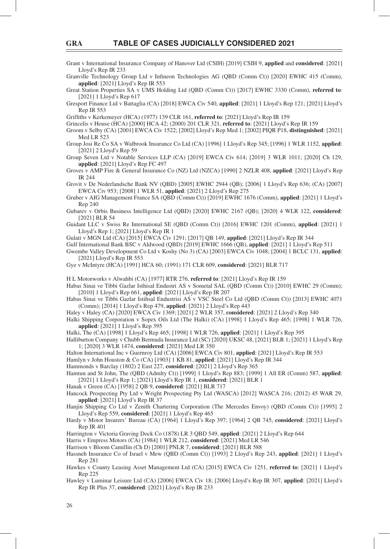Grant v International Insurance Company of Hanover Ltd (CSIH) [2019] CSIH 9, **applied** and **considered**: [2021] Lloyd's Rep IR 233

Granville Technology Group Ltd v Infineon Technologies AG (QBD (Comm Ct)) [2020] EWHC 415 (Comm), **applied**: [2021] Lloyd's Rep IR 553

Great Station Properties SA v UMS Holding Ltd (QBD (Comm Ct)) [2017] EWHC 3330 (Comm), **referred to**: [2021] 1 Lloyd's Rep 617

Gresport Finance Ltd v Battaglia (CA) [2018] EWCA Civ 540, **applied**: [2021] 1 Lloyd's Rep 121; [2021] Lloyd's Rep IR 553

Griffiths v Kerkemeyer (HCA) (1977) 139 CLR 161, **referred to**: [2021] Lloyd's Rep IR 159

Grincelis v House (HCA) [2000] HCA 42; (2000) 201 CLR 321, **referred to**: [2021] Lloyd's Rep IR 159

Groom v Selby (CA) [2001] EWCA Civ 1522; [2002] Lloyd's Rep Med 1; [2002] PIQR P18, **distinguished**: [2021] Med LR 523

Group Josi Re Co SA v Walbrook Insurance Co Ltd (CA) [1996] 1 Lloyd's Rep 345; [1996] 1 WLR 1152, **applied**: [2021] 2 Lloyd's Rep 59

Group Seven Ltd v Notable Services LLP (CA) [2019] EWCA Civ 614; [2019] 3 WLR 1011; [2020] Ch 129, **applied**: [2021] Lloyd's Rep FC 497

Groves v AMP Fire & General Insurance Co (NZ) Ltd (NZCA) [1990] 2 NZLR 408, **applied**: [2021] Lloyd's Rep IR 244

Grovit v De Nederlandsche Bank NV (QBD) [2005] EWHC 2944 (QB); [2006] 1 Lloyd's Rep 636; (CA) [2007] EWCA Civ 953; [2008] 1 WLR 51, **applied**: [2021] 2 Lloyd's Rep 275

- Gruber v AIG Management France SA (QBD (Comm Ct)) [2019] EWHC 1676 (Comm), **applied**: [2021] 1 Lloyd's Rep 240
- Gubarev v Orbis Business Intelligence Ltd (QBD) [2020] EWHC 2167 (QB); [2020] 4 WLR 122, **considered**: [2021] BLR 54
- Guidant LLC v Swiss Re International SE (QBD (Comm Ct)) [2016] EWHC 1201 (Comm), **applied**: [2021] 1 Lloyd's Rep 1; [2021] Lloyd's Rep IR 1

Gulati v MGN Ltd (CA) [2015] EWCA Civ 1291; [2017] QB 149, **applied**: [2021] Lloyd's Rep IR 344

Gulf International Bank BSC v Aldwood (QBD) [2019] EWHC 1666 (QB), **applied**: [2021] 1 Lloyd's Rep 511

Gwembe Valley Development Co Ltd v Koshy (No 3) (CA) [2003] EWCA Civ 1048; [2004] 1 BCLC 131, **applied**: [2021] Lloyd's Rep IR 553

Gye v McIntyre (HCA) [1991] HCA 60; (1991) 171 CLR 609, **considered**: [2021] BLR 717

H L Motorworks v Alwahbi (CA) [1977] RTR 276, **referred to**: [2021] Lloyd's Rep IR 159

- Habas Sinai ve Tibbi Gazlar Isthisal Endustri AS v Sometal SAL (QBD (Comm Ct)) [2010] EWHC 29 (Comm); [2010] 1 Lloyd's Rep 661, **applied**: [2021] Lloyd's Rep IR 207
- Habas Sinai ve Tibbi Gazlar Istihsal Endustrisi AS v VSC Steel Co Ltd (QBD (Comm Ct)) [2013] EWHC 4071 (Comm); [2014] 1 Lloyd's Rep 479, **applied**: [2021] 2 Lloyd's Rep 443

Haley v Haley (CA) [2020] EWCA Civ 1369; [2021] 2 WLR 357, **considered**: [2021] 2 Lloyd's Rep 340

Halki Shipping Corporation v Sopex Oils Ltd (The Halki) (CA) [1998] 1 Lloyd's Rep 465; [1998] 1 WLR 726, **applied**: [2021] 1 Lloyd's Rep 395

Halki, The (CA) [1998] 1 Lloyd's Rep 465; [1998] 1 WLR 726, **applied**: [2021] 1 Lloyd's Rep 395

Halliburton Company v Chubb Bermuda Insurance Ltd (SC) [2020] UKSC 48, [2021] BLR 1; [2021] 1 Lloyd's Rep 1; [2020] 3 WLR 1474, **considered**: [2021] Med LR 350

Halton International Inc v Guernroy Ltd (CA) [2006] EWCA Civ 801, **applied**: [2021] Lloyd's Rep IR 553

Hamlyn v John Houston & Co (CA) [1903] 1 KB 81, **applied**: [2021] Lloyd's Rep IR 344

Hammonds v Barclay (1802) 2 East 227, **considered**: [2021] 2 Lloyd's Rep 365

Hamtun and St John, The (QBD (Admlty Ct)) [1999] 1 Lloyd's Rep 883; [1999] 1 All ER (Comm) 587, **applied**: [2021] 1 Lloyd's Rep 1; [2021] Lloyd's Rep IR 1, **considered**: [2021] BLR 1

Hanak v Green (CA) [1958] 2 QB 9, **considered**: [2021] BLR 717

Hancock Prospecting Pty Ltd v Wright Prospecting Pty Ltd (WASCA) [2012] WASCA 216; (2012) 45 WAR 29, **applied**: [2021] Lloyd's Rep IR 37

Hanjin Shipping Co Ltd v Zenith Chartering Corporation (The Mercedes Envoy) (QBD (Comm Ct)) [1995] 2 Lloyd's Rep 559, **considered**: [2021] 1 Lloyd's Rep 465

Hardy v Motor Insurers' Bureau (CA) [1964] 1 Lloyd's Rep 397; [1964] 2 QB 745, **considered**: [2021] Lloyd's Rep IR 401

Harrington v Victoria Graving Dock Co (1878) LR 3 QBD 549, **applied**: [2021] 2 Lloyd's Rep 644

Harris v Empress Motors (CA) [1984] 1 WLR 212, **considered**: [2021] Med LR 546

Harrison v Bloom Camillin (Ch D) [2001] PNLR 7, **considered**: [2021] BLR 588

Hassneh Insurance Co of Israel v Mew (QBD (Comm Ct)) [1993] 2 Lloyd's Rep 243, **applied**: [2021] 1 Lloyd's Rep 281

Hawkes v County Leasing Asset Management Ltd (CA) [2015] EWCA Civ 1251, **referred to**: [2021] 1 Lloyd's Rep 225

Hawley v Luminar Leisure Ltd (CA) [2006] EWCA Civ 18; [2006] Lloyd's Rep IR 307, **applied**: [2021] Lloyd's Rep IR Plus 37, **considered**: [2021] Lloyd's Rep IR 233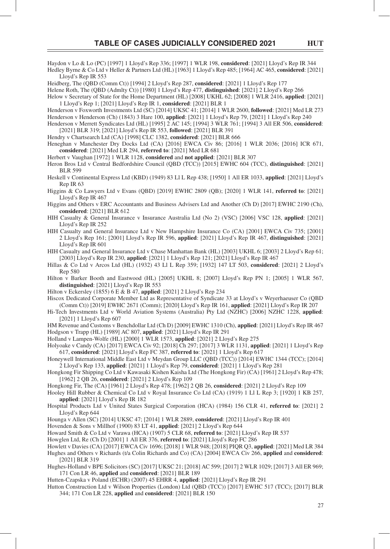Haydon v Lo & Lo (PC) [1997] 1 Lloyd's Rep 336; [1997] 1 WLR 198, **considered**: [2021] Lloyd's Rep IR 344 Hedley Byrne & Co Ltd v Heller & Partners Ltd (HL) [1963] 1 Lloyd's Rep 485; [1964] AC 465, **considered**: [2021] Lloyd's Rep IR 553

Heidberg, The (QBD (Comm Ct)) [1994] 2 Lloyd's Rep 287, **considered**: [2021] 1 Lloyd's Rep 177

Helene Roth, The (QBD (Admlty Ct)) [1980] 1 Lloyd's Rep 477, **distinguished**: [2021] 2 Lloyd's Rep 266

Helow v Secretary of State for the Home Department (HL) [2008] UKHL 62; [2008] 1 WLR 2416, **applied**: [2021] 1 Lloyd's Rep 1; [2021] Lloyd's Rep IR 1, **considered**: [2021] BLR 1

Henderson v Foxworth Investments Ltd (SC) [2014] UKSC 41; [2014] 1 WLR 2600, **followed**: [2021] Med LR 273 Henderson v Henderson (Ch) (1843) 3 Hare 100, **applied**: [2021] 1 Lloyd's Rep 79, [2021] 1 Lloyd's Rep 240 Henderson v Merrett Syndicates Ltd (HL) [1995] 2 AC 145; [1994] 3 WLR 761; [1994] 3 All ER 506, **considered**:

[2021] BLR 319; [2021] Lloyd's Rep IR 553, **followed**: [2021] BLR 391

Hendry v Chartsearch Ltd (CA) [1998] CLC 1382, **considered**: [2021] BLR 666

Heneghan v Manchester Dry Docks Ltd (CA) [2016] EWCA Civ 86; [2016] 1 WLR 2036; [2016] ICR 671, **considered**: [2021] Med LR 294, **referred to**: [2021] Med LR 681

Herbert v Vaughan [1972] 1 WLR 1128, **considered** and **not applied**: [2021] BLR 307

Heron Bros Ltd v Central Bedfordshire Council (QBD (TCC)) [2015] EWHC 604 (TCC), **distinguished**: [2021] BLR 599

Heskell v Continental Express Ltd (KBD) (1949) 83 Ll L Rep 438; [1950] 1 All ER 1033, **applied**: [2021] Lloyd's Rep IR 63

Higgins & Co Lawyers Ltd v Evans (QBD) [2019] EWHC 2809 (QB); [2020] 1 WLR 141, **referred to**: [2021] Lloyd's Rep IR 467

Higgins and Others v ERC Accountants and Business Advisers Ltd and Another (Ch D) [2017] EWHC 2190 (Ch), **considered**: [2021] BLR 612

- HIH Casualty & General Insurance v Insurance Australia Ltd (No 2) (VSC) [2006] VSC 128, **applied**: [2021] Lloyd's Rep IR 252
- HIH Casualty and General Insurance Ltd v New Hampshire Insurance Co (CA) [2001] EWCA Civ 735; [2001] 2 Lloyd's Rep 161; [2001] Lloyd's Rep IR 596, **applied**: [2021] Lloyd's Rep IR 467, **distinguished**: [2021] Lloyd's Rep IR 601

HIH Casualty and General Insurance Ltd v Chase Manhattan Bank (HL) [2003] UKHL 6; [2003] 2 Lloyd's Rep 61; [2003] Lloyd's Rep IR 230, **applied**: [2021] 1 Lloyd's Rep 121; [2021] Lloyd's Rep IR 467

Hillas & Co Ltd v Arcos Ltd (HL) (1932) 43 Ll L Rep 359; [1932] 147 LT 503, **considered**: [2021] 2 Lloyd's Rep 580

Hilton v Barker Booth and Eastwood (HL) [2005] UKHL 8; [2007] Lloyd's Rep PN 1; [2005] 1 WLR 567, **distinguished**: [2021] Lloyd's Rep IR 553

Hilton v Eckersley (1855) 6 E & B 47, **applied**: [2021] 2 Lloyd's Rep 234

Hiscox Dedicated Corporate Member Ltd as Representative of Syndicate 33 at Lloyd's v Weyerhaeuser Co (QBD (Comm Ct)) [2019] EWHC 2671 (Comm); [2020] Lloyd's Rep IR 161, **applied**: [2021] Lloyd's Rep IR 207

Hi-Tech Investments Ltd v World Aviation Systems (Australia) Pty Ltd (NZHC) [2006] NZHC 1228, **applied**: [2021] 1 Lloyd's Rep 607

HM Revenue and Customs v Benchdollar Ltd (Ch D) [2009] EWHC 1310 (Ch), **applied**: [2021] Lloyd's Rep IR 467 Hodgson v Trapp (HL) [1989] AC 807, **applied**: [2021] Lloyd's Rep IR 291

Holland v Lampen-Wolfe (HL) [2000] 1 WLR 1573, **applied**: [2021] 2 Lloyd's Rep 275

Holyoake v Candy (CA) [2017] EWCA Civ 92; [2018] Ch 297; [2017] 3 WLR 1131, **applied**: [2021] 1 Lloyd's Rep 617, **considered**: [2021] Lloyd's Rep FC 387, **referred to**: [2021] 1 Lloyd's Rep 617

Honeywell International Middle East Ltd v Meydan Group LLC (QBD (TCC)) [2014] EWHC 1344 (TCC); [2014] 2 Lloyd's Rep 133, **applied**: [2021] 1 Lloyd's Rep 79, **considered**: [2021] 1 Lloyd's Rep 281

Hongkong Fir Shipping Co Ltd v Kawasaki Kishen Kaisha Ltd (The Hongkong Fir) (CA) [1961] 2 Lloyd's Rep 478; [1962] 2 QB 26, **considered**: [2021] 2 Lloyd's Rep 109

Hongkong Fir, The (CA) [1961] 2 Lloyd's Rep 478; [1962] 2 QB 26, **considered**: [2021] 2 Lloyd's Rep 109

Hooley Hill Rubber & Chemical Co Ltd v Royal Insurance Co Ltd (CA) (1919) 1 Ll L Rep 3; [1920] 1 KB 257, **applied**: [2021] Lloyd's Rep IR 182

Hounga v Allen (SC) [2014] UKSC 47; [2014] 1 WLR 2889, **considered**: [2021] Lloyd's Rep IR 401

Hovenden & Sons v Millhof (1900) 83 LT 41, **applied**: [2021] 2 Lloyd's Rep 644

Howard Smith & Co Ltd v Varawa (HCA) (1907) 5 CLR 68, **referred to**: [2021] Lloyd's Rep IR 537

Howglen Ltd, Re (Ch D) [2001] 1 All ER 376, **referred to**: [2021] Lloyd's Rep FC 286

Howlett v Davies (CA) [2017] EWCA Civ 1696; [2018] 1 WLR 948; [2018] PIQR Q3, **applied**: [2021] Med LR 384 Hughes and Others v Richards (t/a Colin Richards and Co) (CA) [2004] EWCA Civ 266, **applied** and **considered**: [2021] BLR 319

Hughes-Holland v BPE Solicitors (SC) [2017] UKSC 21; [2018] AC 599; [2017] 2 WLR 1029; [2017] 3 All ER 969; 171 Con LR 46, **applied** and **considered**: [2021] BLR 189

Hutten-Czapska v Poland (ECHR) (2007) 45 EHRR 4, **applied**: [2021] Lloyd's Rep IR 291

Hutton Construction Ltd v Wilson Properties (London) Ltd (QBD (TCC)) [2017] EWHC 517 (TCC); [2017] BLR 344; 171 Con LR 228, **applied** and **considered**: [2021] BLR 150

Hospital Products Ltd v United States Surgical Corporation (HCA) (1984) 156 CLR 41, **referred to**: [2021] 2 Lloyd's Rep 644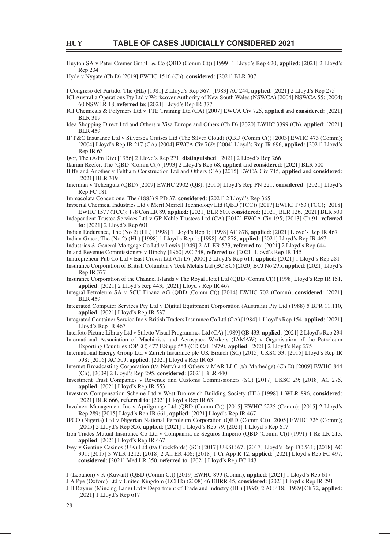Huyton SA v Peter Cremer GmbH & Co (QBD (Comm Ct)) [1999] 1 Lloyd's Rep 620, **applied**: [2021] 2 Lloyd's Rep 234

Hyde v Nygate (Ch D) [2019] EWHC 1516 (Ch), **considered**: [2021] BLR 307

I Congreso del Partido, The (HL) [1981] 2 Lloyd's Rep 367; [1983] AC 244, **applied**: [2021] 2 Lloyd's Rep 275

ICI Australia Operations Pty Ltd v Workcover Authority of New South Wales (NSWCA) [2004] NSWCA 55; (2004) 60 NSWLR 18, **referred to**: [2021] Lloyd's Rep IR 377

- ICI Chemicals & Polymers Ltd v TTE Training Ltd (CA) [2007] EWCA Civ 725, **applied** and **considered**: [2021] BLR 319
- Idea Shopping Direct Ltd and Others v Visa Europe and Others (Ch D) [2020] EWHC 3399 (Ch), **applied**: [2021] BLR 459
- IF P&C Insurance Ltd v Silversea Cruises Ltd (The Silver Cloud) (QBD (Comm Ct)) [2003] EWHC 473 (Comm); [2004] Lloyd's Rep IR 217 (CA) [2004] EWCA Civ 769; [2004] Lloyd's Rep IR 696, **applied**: [2021] Lloyd's Rep IR 63

Igor, The (Adm Div) [1956] 2 Lloyd's Rep 271, **distinguished**: [2021] 2 Lloyd's Rep 266

Ikarian Reefer, The (QBD (Comm Ct)) [1993] 2 Lloyd's Rep 68, **applied** and **considered**: [2021] BLR 500

- Iliffe and Another v Feltham Construction Ltd and Others (CA) [2015] EWCA Civ 715, **applied** and **considered**: [2021] BLR 319
- Imerman v Tchenguiz (QBD) [2009] EWHC 2902 (QB); [2010] Lloyd's Rep PN 221, **considered**: [2021] Lloyd's Rep FC 181

Immacolata Concezione, The (1883) 9 PD 37, **considered**: [2021] 2 Lloyd's Rep 365

- Imperial Chemical Industries Ltd v Merit Merrell Technology Ltd (QBD (TCC)) [2017] EWHC 1763 (TCC); [2018] EWHC 1577 (TCC); 178 Con LR 89, **applied**: [2021] BLR 500, **considered**: [2021] BLR 126, [2021] BLR 500
- Independent Trustee Services Ltd v GP Noble Trustees Ltd (CA) [2012] EWCA Civ 195; [2013] Ch 91, **referred to**: [2021] 2 Lloyd's Rep 601

Indian Endurance, The (No 2) (HL) [1998] 1 Lloyd's Rep 1; [1998] AC 878, **applied**: [2021] Lloyd's Rep IR 467 Indian Grace, The (No 2) (HL) [1998] 1 Lloyd's Rep 1; [1998] AC 878, **applied**: [2021] Lloyd's Rep IR 467 Industries & General Mortgage Co Ltd v Lewis [1949] 2 All ER 573, **referred to**: [2021] 2 Lloyd's Rep 644 Inland Revenue Commissioners v Hinchy [1960] AC 748, **referred to**: [2021] Lloyd's Rep IR 145

- Inntrepreneur Pub Co Ltd v East Crown Ltd (Ch D) [2000] 2 Lloyd's Rep 611, **applied**: [2021] 1 Lloyd's Rep 281 Insurance Corporation of British Columbia v Teck Metals Ltd (BC SC) [2020] BCJ No 295, **applied**: [2021] Lloyd's Rep IR 377
- Insurance Corporation of the Channel Islands v The Royal Hotel Ltd (QBD (Comm Ct)) [1998] Lloyd's Rep IR 151, **applied**: [2021] 2 Lloyd's Rep 443; [2021] Lloyd's Rep IR 467
- Integral Petroleum SA v SCU Finanz AG (QBD (Comm Ct)) [2014] EWHC 702 (Comm), **considered**: [2021] BLR 459
- Integrated Computer Services Pty Ltd v Digital Equipment Corporation (Australia) Pty Ltd (1988) 5 BPR 11,110, **applied**: [2021] Lloyd's Rep IR 537
- Integrated Container Service Inc v British Traders Insurance Co Ltd (CA) [1984] 1 Lloyd's Rep 154, **applied**: [2021] Lloyd's Rep IR 467

Interfoto Picture Library Ltd v Stiletto Visual Programmes Ltd (CA) [1989] QB 433, **applied**: [2021] 2 Lloyd's Rep 234

- International Association of Machinists and Aerospace Workers (IAMAW) v Organisation of the Petroleum Exporting Countries (OPEC) 477 F.Supp 553 (CD Cal, 1979), **applied**: [2021] 2 Lloyd's Rep 275
- International Energy Group Ltd v Zurich Insurance plc UK Branch (SC) [2015] UKSC 33; [2015] Lloyd's Rep IR 598; [2016] AC 509, **applied**: [2021] Lloyd's Rep IR 63
- Internet Broadcasting Corporation (t/a Nettv) and Others v MAR LLC (t/a Marhedge) (Ch D) [2009] EWHC 844 (Ch); [2009] 2 Lloyd's Rep 295, **considered**: [2021] BLR 440
- Investment Trust Companies v Revenue and Customs Commissioners (SC) [2017] UKSC 29; [2018] AC 275, **applied**: [2021] Lloyd's Rep IR 553
- Investors Compensation Scheme Ltd v West Bromwich Building Society (HL) [1998] 1 WLR 896, **considered**: [2021] BLR 666, **referred to**: [2021] Lloyd's Rep IR 63
- Involnert Management Inc v Aprilgrange Ltd (QBD (Comm Ct)) [2015] EWHC 2225 (Comm); [2015] 2 Lloyd's Rep 289; [2015] Lloyd's Rep IR 661, **applied**: [2021] Lloyd's Rep IR 467

IPCO (Nigeria) Ltd v Nigerian National Petroleum Corporation (QBD (Comm Ct)) [2005] EWHC 726 (Comm); [2005] 2 Lloyd's Rep 326, **applied**: [2021] 1 Lloyd's Rep 79, [2021] 1 Lloyd's Rep 617

Iron Trades Mutual Insurance Co Ltd v Companhia de Seguros Imperio (QBD (Comm Ct)) (1991) 1 Re LR 213, **applied**: [2021] Lloyd's Rep IR 467

Ivey v Genting Casinos (UK) Ltd (t/a Crockfords) (SC) [2017] UKSC 67; [2017] Lloyd's Rep FC 561; [2018] AC 391; [2017] 3 WLR 1212; [2018] 2 All ER 406; [2018] 1 Cr App R 12, **applied**: [2021] Lloyd's Rep FC 497, **considered**: [2021] Med LR 350, **referred to**: [2021] Lloyd's Rep FC 143

J (Lebanon) v K (Kuwait) (QBD (Comm Ct)) [2019] EWHC 899 (Comm), **applied**: [2021] 1 Lloyd's Rep 617

J A Pye (Oxford) Ltd v United Kingdom (ECHR) (2008) 46 EHRR 45, **considered**: [2021] Lloyd's Rep IR 291

J H Rayner (Mincing Lane) Ltd v Department of Trade and Industry (HL) [1990] 2 AC 418; [1989] Ch 72, **applied**: [2021] 1 Lloyd's Rep 617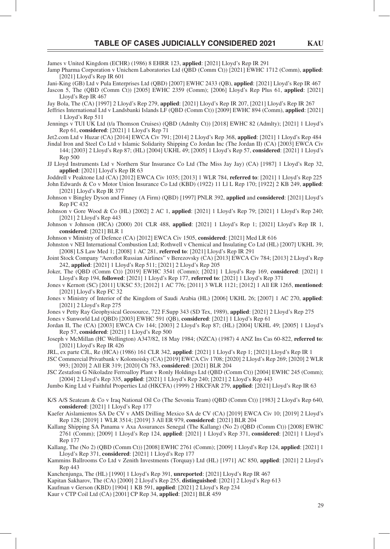James v United Kingdom (ECHR) (1986) 8 EHRR 123, **applied**: [2021] Lloyd's Rep IR 291

Jamp Pharma Corporation v Unichem Laboratories Ltd (QBD (Comm Ct)) [2021] EWHC 1712 (Comm), **applied**: [2021] Lloyd's Rep IR 601

Jani-King (GB) Ltd v Pula Enterprises Ltd (QBD) [2007] EWHC 2433 (QB), **applied**: [2021] Lloyd's Rep IR 467 Jascon 5, The (QBD (Comm Ct)) [2005] EWHC 2359 (Comm); [2006] Lloyd's Rep Plus 61, **applied**: [2021] Lloyd's Rep IR 467

Jay Bola, The (CA) [1997] 2 Lloyd's Rep 279, **applied**: [2021] Lloyd's Rep IR 207, [2021] Lloyd's Rep IR 267

- Jeffries International Ltd v Landsbanki Islands LF (QBD (Comm Ct)) [2009] EWHC 894 (Comm), **applied**: [2021] 1 Lloyd's Rep 511
- Jennings v TUI UK Ltd (t/a Thomson Cruises) (QBD (Admlty Ct)) [2018] EWHC 82 (Admlty); [2021] 1 Lloyd's Rep 61, **considered**: [2021] 1 Lloyd's Rep 71

Jet2.com Ltd v Huzar (CA) [2014] EWCA Civ 791; [2014] 2 Lloyd's Rep 368, **applied**: [2021] 1 Lloyd's Rep 484

- Jindal Iron and Steel Co Ltd v Islamic Solidarity Shipping Co Jordan Inc (The Jordan II) (CA) [2003] EWCA Civ 144; [2003] 2 Lloyd's Rep 87; (HL) [2004] UKHL 49; [2005] 1 Lloyd's Rep 57, **considered**: [2021] 1 Lloyd's Rep 500
- JJ Lloyd Instruments Ltd v Northern Star Insurance Co Ltd (The Miss Jay Jay) (CA) [1987] 1 Lloyd's Rep 32, **applied**: [2021] Lloyd's Rep IR 63

Joddrell v Peaktone Ltd (CA) [2012] EWCA Civ 1035; [2013] 1 WLR 784, **referred to**: [2021] 1 Lloyd's Rep 225 John Edwards & Co v Motor Union Insurance Co Ltd (KBD) (1922) 11 Ll L Rep 170; [1922] 2 KB 249, **applied**: [2021] Lloyd's Rep IR 377

Johnson v Bingley Dyson and Finney (A Firm) (QBD) [1997] PNLR 392, **applied** and **considered**: [2021] Lloyd's Rep FC 432

Johnson v Gore Wood & Co (HL) [2002] 2 AC 1, **applied**: [2021] 1 Lloyd's Rep 79; [2021] 1 Lloyd's Rep 240; [2021] 2 Lloyd's Rep 443

Johnson v Johnson (HCA) (2000) 201 CLR 488, **applied**: [2021] 1 Lloyd's Rep 1; [2021] Lloyd's Rep IR 1, **considered**: [2021] BLR 1

Johnson v Ministry of Defence (CA) [2012] EWCA Civ 1505, **considered**: [2021] Med LR 616

Johnston v NEI International Combustion Ltd; Rothwell v Chemical and Insulating Co Ltd (HL) [2007] UKHL 39; [2008] LS Law Med 1; [2008] 1 AC 281, **referred to**: [2021] Lloyd's Rep IR 291

Joint Stock Company "Aeroflot Russian Airlines" v Berezovsky (CA) [2013] EWCA Civ 784; [2013] 2 Lloyd's Rep 242, **applied**: [2021] 1 Lloyd's Rep 511; [2021] 2 Lloyd's Rep 205

Joker, The (QBD (Comm Ct)) [2019] EWHC 3541 (Comm); [2021] 1 Lloyd's Rep 169, **considered**: [2021] 1 Lloyd's Rep 194, **followed**: [2021] 1 Lloyd's Rep 177, **referred to**: [2021] 1 Lloyd's Rep 371

Jones v Kernott (SC) [2011] UKSC 53; [2012] 1 AC 776; [2011] 3 WLR 1121; [2012] 1 All ER 1265, **mentioned**: [2021] Lloyd's Rep FC 32

Jones v Ministry of Interior of the Kingdom of Saudi Arabia (HL) [2006] UKHL 26; [2007] 1 AC 270, **applied**: [2021] 2 Lloyd's Rep 275

Jones v Petty Ray Geophysical Geosource, 722 F.Supp 343 (SD Tex, 1989), **applied**: [2021] 2 Lloyd's Rep 275

Jones v Sunworld Ltd (QBD) [2003] EWHC 591 (QB), **considered**: [2021] 1 Lloyd's Rep 61

Jordan II, The (CA) [2003] EWCA Civ 144; [2003] 2 Lloyd's Rep 87; (HL) [2004] UKHL 49; [2005] 1 Lloyd's Rep 57, **considered**: [2021] 1 Lloyd's Rep 500

Joseph v McMillan (HC Wellington) A347/82, 18 May 1984; (NZCA) (1987) 4 ANZ Ins Cas 60-822, **referred to**: [2021] Lloyd's Rep IR 426

JRL, ex parte CJL, Re (HCA) (1986) 161 CLR 342, **applied**: [2021] 1 Lloyd's Rep 1; [2021] Lloyd's Rep IR 1

JSC Commercial Privatbank v Kolomoisky (CA) [2019] EWCA Civ 1708; [2020] 2 Lloyd's Rep 269; [2020] 2 WLR 993; [2020] 2 All ER 319; [2020] Ch 783, **considered**: [2021] BLR 204

JSC Zestafoni G Nikoladze Ferroalloy Plant v Ronly Holdings Ltd (QBD (Comm Ct)) [2004] EWHC 245 (Comm); [2004] 2 Lloyd's Rep 335, **applied**: [2021] 1 Lloyd's Rep 240; [2021] 2 Lloyd's Rep 443

- Jumbo King Ltd v Faithful Properties Ltd (HKCFA) (1999) 2 HKCFAR 279, **applied**: [2021] Lloyd's Rep IR 63
- K/S A/S Seateam & Co v Iraq National Oil Co (The Sevonia Team) (QBD (Comm Ct)) [1983] 2 Lloyd's Rep 640, **considered**: [2021] 1 Lloyd's Rep 177

Kaefer Aislamientos SA De CV v AMS Drilling Mexico SA de CV (CA) [2019] EWCA Civ 10; [2019] 2 Lloyd's Rep 128; [2019] 1 WLR 3514; [2019] 3 All ER 979, **considered**: [2021] BLR 204

Kallang Shipping SA Panama v Axa Assurances Senegal (The Kallang) (No 2) (QBD (Comm Ct)) [2008] EWHC 2761 (Comm); [2009] 1 Lloyd's Rep 124, **applied**: [2021] 1 Lloyd's Rep 371, **considered**: [2021] 1 Lloyd's Rep 177

Kallang, The (No 2) (QBD (Comm Ct)) [2008] EWHC 2761 (Comm); [2009] 1 Lloyd's Rep 124, **applied**: [2021] 1 Lloyd's Rep 371, **considered**: [2021] 1 Lloyd's Rep 177

Kammins Ballrooms Co Ltd v Zenith Investments (Torquay) Ltd (HL) [1971] AC 850, **applied**: [2021] 2 Lloyd's Rep 443

Kanchenjunga, The (HL) [1990] 1 Lloyd's Rep 391, **unreported**: [2021] Lloyd's Rep IR 467

Kapitan Sakharov, The (CA) [2000] 2 Lloyd's Rep 255, **distinguished**: [2021] 2 Lloyd's Rep 613

Kaufman v Gerson (KBD) [1904] 1 KB 591, **applied**: [2021] 2 Lloyd's Rep 234

Kaur v CTP Coil Ltd (CA) [2001] CP Rep 34, **applied**: [2021] BLR 459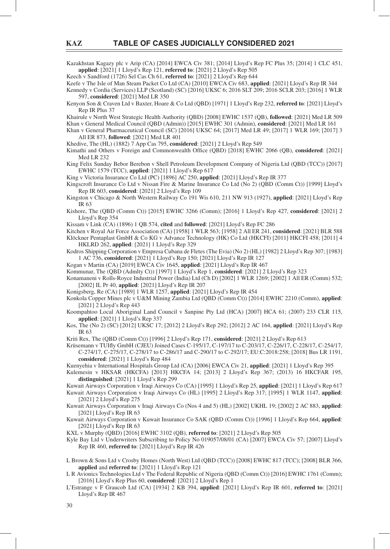Kazakhstan Kagazy plc v Arip (CA) [2014] EWCA Civ 381; [2014] Lloyd's Rep FC Plus 35; [2014] 1 CLC 451, **applied**: [2021] 1 Lloyd's Rep 121, **referred to**: [2021] 2 Lloyd's Rep 505

Keech v Sandford (1726) Sel Cas Ch 61, **referred to**: [2021] 2 Lloyd's Rep 644

Keefe v The Isle of Man Steam Packet Co Ltd (CA) [2010] EWCA Civ 683, **applied**: [2021] Lloyd's Rep IR 344 Kennedy v Cordia (Services) LLP (Scotland) (SC) [2016] UKSC 6; 2016 SLT 209; 2016 SCLR 203; [2016] 1 WLR 597, **considered**: [2021] Med LR 350

Kenyon Son & Craven Ltd v Baxter, Hoare & Co Ltd (QBD) [1971] 1 Lloyd's Rep 232, **referred to**: [2021] Lloyd's Rep IR Plus 37

Khairule v North West Strategic Health Authority (QBD) [2008] EWHC 1537 (QB), **followed**: [2021] Med LR 509 Khan v General Medical Council (QBD (Admin)) [2015] EWHC 301 (Admin), **considered**: [2021] Med LR 161

Khan v General Pharmaceutical Council (SC) [2016] UKSC 64; [2017] Med LR 49; [2017] 1 WLR 169; [2017] 3 All ER 873, **followed**: [2021] Med LR 401

Khedive, The (HL) (1882) 7 App Cas 795, **considered**: [2021] 2 Lloyd's Rep 549

Kimathi and Others v Foreign and Commonwealth Office (OBD) [2018] EWHC 2066 (OB), **considered**: [2021] Med LR 232

King Felix Sunday Bebor Berebon v Shell Petroleum Development Company of Nigeria Ltd (QBD (TCC)) [2017] EWHC 1579 (TCC), **applied**: [2021] 1 Lloyd's Rep 617

King v Victoria Insurance Co Ltd (PC) [1896] AC 250, **applied**: [2021] Lloyd's Rep IR 377

Kingscroft Insurance Co Ltd v Nissan Fire & Marine Insurance Co Ltd (No 2) (QBD (Comm Ct)) [1999] Lloyd's Rep IR 603, **considered**: [2021] 2 Lloyd's Rep 109

Kingston v Chicago & North Western Railway Co 191 Wis 610, 211 NW 913 (1927), **applied**: [2021] Lloyd's Rep IR 63

Kishore, The (QBD (Comm Ct)) [2015] EWHC 3266 (Comm); [2016] 1 Lloyd's Rep 427, **considered**: [2021] 2 Lloyd's Rep 354

Kissam v Link (CA) (1896) 1 QB 574, **cited** and **followed**: [2021] Lloyd's Rep FC 286

Kitchen v Royal Air Force Association (CA) [1958] 1 WLR 563; [1958] 2 All ER 241, **considered**: [2021] BLR 588

Klöckner Pentaplast GmbH & Co KG v Advance Technology (HK) Co Ltd (HKCFI) [2011] HKCFI 458; [2011] 4 HKLRD 262, **applied**: [2021] 1 Lloyd's Rep 329

Kodros Shipping Corporation v Empresa Cubana de Fletes (The Evia) (No 2) (HL) [1982] 2 Lloyd's Rep 307; [1983] 1 AC 736, **considered**: [2021] 1 Lloyd's Rep 150; [2021] Lloyd's Rep IR 127

Kogan v Martin (CA) [2019] EWCA Civ 1645, **applied**: [2021] Lloyd's Rep IR 467

Kommunar, The (QBD (Admlty Ct)) [1997] 1 Lloyd's Rep 1, **considered**: [2021] 2 Lloyd's Rep 323

Konamaneni v Rolls-Royce Industrial Power (India) Ltd (Ch D) [2002] 1 WLR 1269; [2002] 1 All ER (Comm) 532; [2002] IL Pr 40, **applied**: [2021] Lloyd's Rep IR 207

Konigsberg, Re (CA) [1989] 1 WLR 1257, **applied**: [2021] Lloyd's Rep IR 454

Konkola Copper Mines plc v U&M Mining Zambia Ltd (QBD (Comm Ct)) [2014] EWHC 2210 (Comm), **applied**: [2021] 2 Lloyd's Rep 443

Koompahtoo Local Aboriginal Land Council v Sanpine Pty Ltd (HCA) [2007] HCA 61; (2007) 233 CLR 115, **applied**: [2021] 1 Lloyd's Rep 337

Kos, The (No 2) (SC) [2012] UKSC 17; [2012] 2 Lloyd's Rep 292; [2012] 2 AC 164, **applied**: [2021] Lloyd's Rep IR 63

Kriti Rex, The (QBD (Comm Ct)) [1996] 2 Lloyd's Rep 171, **considered**: [2021] 2 Lloyd's Rep 613

Krüsemann v TUIfly GmbH (CJEU) Joined Cases C-195/17, C-197/17 to C-203/17, C-226/17, C-228/17, C-254/17, C-274/17, C-275/17, C-278/17 to C-286/17 and C-290/17 to C-292/17; EU:C:2018:258; [2018] Bus LR 1191, **considered**: [2021] 1 Lloyd's Rep 484

Kuenyehia v International Hospitals Group Ltd (CA) [2006] EWCA Civ 21, **applied**: [2021] 1 Lloyd's Rep 395

Kulemesin v HKSAR (HKCFA) [2013] HKCFA 14; [2013] 2 Lloyd's Rep 367; (2013) 16 HKCFAR 195, **distinguished**: [2021] 1 Lloyd's Rep 299

Kuwait Airways Corporation v Iraqi Airways Co (CA) [1995] 1 Lloyd's Rep 25, **applied**: [2021] 1 Lloyd's Rep 617 Kuwait Airways Corporation v Iraqi Airways Co (HL) [1995] 2 Lloyd's Rep 317; [1995] 1 WLR 1147, **applied**: [2021] 2 Lloyd's Rep 275

Kuwait Airways Corporation v Iraqi Airways Co (Nos 4 and 5) (HL) [2002] UKHL 19; [2002] 2 AC 883, **applied**: [2021] Lloyd's Rep IR 63

Kuwait Airways Corporation v Kuwait Insurance Co SAK (QBD (Comm Ct)) [1996] 1 Lloyd's Rep 664, **applied**: [2021] Lloyd's Rep IR 63

KXL v Murphy (QBD) [2016] EWHC 3102 (QB), **referred to**: [2021] 2 Lloyd's Rep 505

Kyle Bay Ltd v Underwriters Subscribing to Policy No 019057/08/01 (CA) [2007] EWCA Civ 57; [2007] Lloyd's Rep IR 460, **referred to**: [2021] Lloyd's Rep IR 426

L Brown & Sons Ltd v Crosby Homes (North West) Ltd (QBD (TCC)) [2008] EWHC 817 (TCC); [2008] BLR 366, **applied** and **referred to**: [2021] 1 Lloyd's Rep 121

L R Avionics Technologies Ltd v The Federal Republic of Nigeria (QBD (Comm Ct)) [2016] EWHC 1761 (Comm); [2016] Lloyd's Rep Plus 60, **considered**: [2021] 2 Lloyd's Rep 1

L'Estrange v F Graucob Ltd (CA) [1934] 2 KB 394, **applied**: [2021] Lloyd's Rep IR 601, **referred to**: [2021] Lloyd's Rep IR 467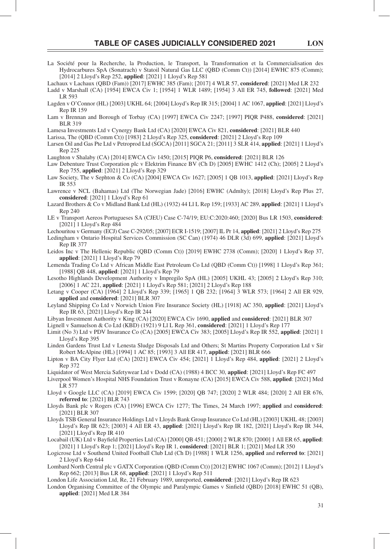- La Société pour la Recherche, la Production, le Transport, la Transformation et la Commercialisation des Hydrocarbures SpA (Sonatrach) v Statoil Natural Gas LLC (QBD (Comm Ct)) [2014] EWHC 875 (Comm); [2014] 2 Lloyd's Rep 252, **applied**: [2021] 1 Lloyd's Rep 581
- Lachaux v Lachaux (QBD (Fam)) [2017] EWHC 385 (Fam); [2017] 4 WLR 57, **considered**: [2021] Med LR 232 Ladd v Marshall (CA) [1954] EWCA Civ 1; [1954] 1 WLR 1489; [1954] 3 All ER 745, **followed**: [2021] Med LR 593
- Lagden v O'Connor (HL) [2003] UKHL 64; [2004] Lloyd's Rep IR 315; [2004] 1 AC 1067, **applied**: [2021] Lloyd's Rep IR 159
- Lam v Brennan and Borough of Torbay (CA) [1997] EWCA Civ 2247; [1997] PIQR P488, **considered**: [2021] BLR 319

Lamesa Investments Ltd v Cynergy Bank Ltd (CA) [2020] EWCA Civ 821, **considered**: [2021] BLR 440

- Larissa, The (QBD (Comm Ct)) [1983] 2 Lloyd's Rep 325, **considered**: [2021] 2 Lloyd's Rep 109
- Larsen Oil and Gas Pte Ltd v Petroprod Ltd (SGCA) [2011] SGCA 21; [2011] 3 SLR 414, **applied**: [2021] 1 Lloyd's Rep 225
- Laughton v Shalaby (CA) [2014] EWCA Civ 1450; [2015] PIQR P6, **considered**: [2021] BLR 126
- Law Debenture Trust Corporation plc v Elektrim Finance BV (Ch D) [2005] EWHC 1412 (Ch); [2005] 2 Lloyd's Rep 755, **applied**: [2021] 2 Lloyd's Rep 329
- Law Society, The v Sephton & Co (CA) [2004] EWCA Civ 1627; [2005] 1 QB 1013, **applied**: [2021] Lloyd's Rep IR 553
- Lawrence v NCL (Bahamas) Ltd (The Norwegian Jade) [2016] EWHC (Admlty); [2018] Lloyd's Rep Plus 27, **considered**: [2021] 1 Lloyd's Rep 61
- Lazard Brothers & Co v Midland Bank Ltd (HL) (1932) 44 Ll L Rep 159; [1933] AC 289, **applied**: [2021] 1 Lloyd's Rep 240
- LE v Transport Aereos Portugueses SA (CJEU) Case C-74/19; EU:C:2020:460; [2020] Bus LR 1503, **considered**: [2021] 1 Lloyd's Rep 484
- Lechouritou v Germany (ECJ) Case C-292/05; [2007] ECR I-1519; [2007] IL Pr 14, **applied**: [2021] 2 Lloyd's Rep 275
- Ledingham v Ontario Hospital Services Commission (SC Can) (1974) 46 DLR (3d) 699, **applied**: [2021] Lloyd's Rep IR 377
- Leidos Inc v The Hellenic Republic (QBD (Comm Ct)) [2019] EWHC 2738 (Comm); [2020] 1 Lloyd's Rep 37, **applied**: [2021] 1 Lloyd's Rep 79
- Lemenda Trading Co Ltd v African Middle East Petroleum Co Ltd (QBD (Comm Ct)) [1998] 1 Lloyd's Rep 361; [1988] QB 448, **applied**: [2021] 1 Lloyd's Rep 79
- Lesotho Highlands Development Authority v Impregilo SpA (HL) [2005] UKHL 43; [2005] 2 Lloyd's Rep 310; [2006] 1 AC 221, **applied**: [2021] 1 Lloyd's Rep 581; [2021] 2 Lloyd's Rep 188
- Letang v Cooper (CA) [1964] 2 Lloyd's Rep 339; [1965] 1 QB 232; [1964] 3 WLR 573; [1964] 2 All ER 929, **applied** and **considered**: [2021] BLR 307
- Leyland Shipping Co Ltd v Norwich Union Fire Insurance Society (HL) [1918] AC 350, **applied**: [2021] Lloyd's Rep IR 63, [2021] Lloyd's Rep IR 244
- Libyan Investment Authority v King (CA) [2020] EWCA Civ 1690, **applied** and **considered**: [2021] BLR 307

Lignell v Samuelson & Co Ltd (KBD) (1921) 9 Ll L Rep 361, **considered**: [2021] 1 Lloyd's Rep 177

- Limit (No 3) Ltd v PDV Insurance Co (CA) [2005] EWCA Civ 383; [2005] Lloyd's Rep IR 552, **applied**: [2021] 1 Lloyd's Rep 395
- Linden Gardens Trust Ltd v Lenesta Sludge Disposals Ltd and Others; St Martins Property Corporation Ltd v Sir Robert McAlpine (HL) [1994] 1 AC 85; [1993] 3 All ER 417, **applied**: [2021] BLR 666
- Lipton v BA City Flyer Ltd (CA) [2021] EWCA Civ 454; [2021] 1 Lloyd's Rep 484, **applied**: [2021] 2 Lloyd's Rep 372
- Liquidator of West Mercia Safetywear Ltd v Dodd (CA) (1988) 4 BCC 30, **applied**: [2021] Lloyd's Rep FC 497
- Liverpool Women's Hospital NHS Foundation Trust v Ronayne (CA) [2015] EWCA Civ 588, **applied**: [2021] Med LR 577
- Lloyd v Google LLC (CA) [2019] EWCA Civ 1599; [2020] QB 747; [2020] 2 WLR 484; [2020] 2 All ER 676, **referred to**: [2021] BLR 743
- Lloyds Bank plc v Rogers (CA) [1996] EWCA Civ 1277; The Times, 24 March 1997; **applied** and **considered**: [2021] BLR 307
- Lloyds TSB General Insurance Holdings Ltd v Lloyds Bank Group Insurance Co Ltd (HL) [2003] UKHL 48; [2003] Lloyd's Rep IR 623; [2003] 4 All ER 43, **applied**: [2021] Lloyd's Rep IR 182, [2021] Lloyd's Rep IR 344, [2021] Lloyd's Rep IR 410
- Locabail (UK) Ltd v Bayfield Properties Ltd (CA) [2000] QB 451; [2000] 2 WLR 870; [2000] 1 All ER 65, **applied**: [2021] 1 Lloyd's Rep 1; [2021] Lloyd's Rep IR 1, **considered**: [2021] BLR 1; [2021] Med LR 350
- Logicrose Ltd v Southend United Football Club Ltd (Ch D) [1988] 1 WLR 1256, **applied** and **referred to**: [2021] 2 Lloyd's Rep 644
- Lombard North Central plc v GATX Corporation (QBD (Comm Ct)) [2012] EWHC 1067 (Comm); [2012] 1 Lloyd's Rep 662; [2013] Bus LR 68, **applied**: [2021] 1 Lloyd's Rep 511
- London Life Association Ltd, Re, 21 February 1989, unreported, **considered**: [2021] Lloyd's Rep IR 623
- London Organising Committee of the Olympic and Paralympic Games v Sinfield (OBD) [2018] EWHC 51 (OB), **applied**: [2021] Med LR 384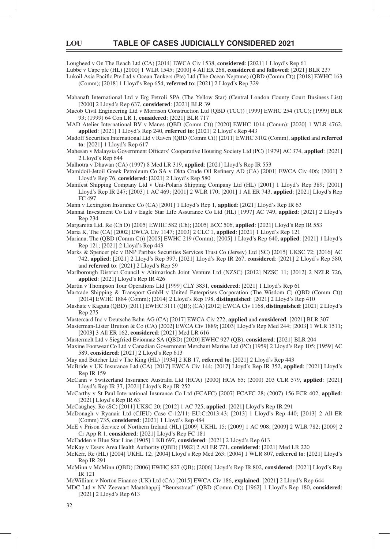Lougheed v On The Beach Ltd (CA) [2014] EWCA Civ 1538, **considered**: [2021] 1 Lloyd's Rep 61

Lubbe v Cape plc (HL) [2000] 1 WLR 1545; [2000] 4 All ER 268, **considered** and **followed**: [2021] BLR 237

- Lukoil Asia Pacific Pte Ltd v Ocean Tankers (Pte) Ltd (The Ocean Neptune) (QBD (Comm Ct)) [2018] EWHC 163 (Comm); [2018] 1 Lloyd's Rep 654, **referred to**: [2021] 2 Lloyd's Rep 329
- Mabanaft International Ltd v Erg Petroli SPA (The Yellow Star) (Central London County Court Business List) [2000] 2 Lloyd's Rep 637, **considered**: [2021] BLR 39

Macob Civil Engineering Ltd v Morrison Construction Ltd (QBD (TCC)) [1999] EWHC 254 (TCC); [1999] BLR 93; (1999) 64 Con LR 1, **considered**: [2021] BLR 717

- MAD Atelier International BV v Manes (QBD (Comm Ct)) [2020] EWHC 1014 (Comm); [2020] 1 WLR 4762, **applied**: [2021] 1 Lloyd's Rep 240, **referred to**: [2021] 2 Lloyd's Rep 443
- Madoff Securities International Ltd v Raven (QBD (Comm Ct)) [2011] EWHC 3102 (Comm), **applied** and **referred to**: [2021] 1 Lloyd's Rep 617
- Mahesan v Malaysia Government Officers' Cooperative Housing Society Ltd (PC) [1979] AC 374, applied: [2021] 2 Lloyd's Rep 644

Malhotra v Dhawan (CA) (1997) 8 Med LR 319, **applied**: [2021] Lloyd's Rep IR 553

- Mamidoil-Jetoil Greek Petroleum Co SA v Okta Crude Oil Refinery AD (CA) [2001] EWCA Civ 406; [2001] 2 Lloyd's Rep 76, **considered**: [2021] 2 Lloyd's Rep 580
- Manifest Shipping Company Ltd v Uni-Polaris Shipping Company Ltd (HL) [2001] 1 Lloyd's Rep 389; [2001] Lloyd's Rep IR 247; [2003] 1 AC 469; [2001] 2 WLR 170; [2001] 1 All ER 743, **applied**: [2021] Lloyd's Rep FC 497
- Mann v Lexington Insurance Co (CA) [2001] 1 Lloyd's Rep 1, **applied**: [2021] Lloyd's Rep IR 63
- Mannai Investment Co Ltd v Eagle Star Life Assurance Co Ltd (HL) [1997] AC 749, **applied**: [2021] 2 Lloyd's Rep 234
- Margaretta Ltd, Re (Ch D) [2005] EWHC 582 (Ch); [2005] BCC 506, **applied**: [2021] Lloyd's Rep IR 553
- Maria K, The (CA) [2002] EWCA Civ 1147; [2003] 2 CLC 1, **applied**: [2021] 1 Lloyd's Rep 121

Mariana, The (QBD (Comm Ct)) [2005] EWHC 219 (Comm); [2005] 1 Lloyd's Rep 640, **applied**: [2021] 1 Lloyd's Rep 121; [2021] 2 Lloyd's Rep 443

- Marks & Spencer plc v BNP Paribas Securities Services Trust Co (Jersey) Ltd (SC) [2015] UKSC 72; [2016] AC 742, **applied**: [2021] 2 Lloyd's Rep 397; [2021] Lloyd's Rep IR 267, **considered**: [2021] 2 Lloyd's Rep 580, and **referred to**: [2021] 2 Lloyd's Rep 59
- Marlborough District Council v Altimarloch Joint Venture Ltd (NZSC) [2012] NZSC 11; [2012] 2 NZLR 726, **applied**: [2021] Lloyd's Rep IR 426
- Martin v Thompson Tour Operations Ltd [1999] CLY 3831, **considered**: [2021] 1 Lloyd's Rep 61
- Martrade Shipping & Transport GmbH v United Enterprises Corporation (The Wisdom C) (QBD (Comm Ct)) [2014] EWHC 1884 (Comm); [2014] 2 Lloyd's Rep 198, **distinguished**: [2021] 2 Lloyd's Rep 410
- Mashate v Kaguta (QBD) [2011] EWHC 3111 (QB); (CA) [2012] EWCA Civ 1168, **distinguished**: [2021] 2 Lloyd's Rep 275
- Mastercard Inc v Deutsche Bahn AG (CA) [2017] EWCA Civ 272, **applied** and **considered**: [2021] BLR 307
- Masterman-Lister Brutton & Co (CA) [2002] EWCA Civ 1889; [2003] Lloyd's Rep Med 244; [2003] 1 WLR 1511; [2003] 3 All ER 162, **considered**: [2021] Med LR 616
- Mastermelt Ltd v Siegfried Evionnaz SA (QBD) [2020] EWHC 927 (QB), **considered**: [2021] BLR 204
- Maxine Footwear Co Ltd v Canadian Government Merchant Marine Ltd (PC) [1959] 2 Lloyd's Rep 105; [1959] AC 589, **considered**: [2021] 2 Lloyd's Rep 613
- May and Butcher Ltd v The King (HL) [1934] 2 KB 17, **referred to**: [2021] 2 Lloyd's Rep 443
- McBride v UK Insurance Ltd (CA) [2017] EWCA Civ 144; [2017] Lloyd's Rep IR 352, **applied**: [2021] Lloyd's Rep IR 159
- McCann v Switzerland Insurance Australia Ltd (HCA) [2000] HCA 65; (2000) 203 CLR 579, **applied**: [2021] Lloyd's Rep IR 37, [2021] Lloyd's Rep IR 252
- McCarthy v St Paul International Insurance Co Ltd (FCAFC) [2007] FCAFC 28; (2007) 156 FCR 402, **applied**: [2021] Lloyd's Rep IR 63
- McCaughey, Re (SC) [2011] UKSC 20; [2012] 1 AC 725, **applied**: [2021] Lloyd's Rep IR 291
- McDonagh v Ryanair Ltd (CJEU) Case C-12/11; EU:C:2013:43; [2013] 1 Lloyd's Rep 440; [2013] 2 All ER (Comm) 735, **considered**: [2021] 1 Lloyd's Rep 484
- McE v Prison Service of Northern Ireland (HL) [2009] UKHL 15; [2009] 1 AC 908; [2009] 2 WLR 782; [2009] 2 Cr App R 1, **considered**: [2021] Lloyd's Rep FC 181
- McFadden v Blue Star Line [1905] 1 KB 697, **considered**: [2021] 2 Lloyd's Rep 613
- McKay v Essex Area Health Authority (QBD) [1982] 2 All ER 771, **considered**: [2021] Med LR 220
- McKerr, Re (HL) [2004] UKHL 12; [2004] Lloyd's Rep Med 263; [2004] 1 WLR 807, **referred to**: [2021] Lloyd's Rep IR 291
- McMinn v McMinn (QBD) [2006] EWHC 827 (QB); [2006] Lloyd's Rep IR 802, **considered**: [2021] Lloyd's Rep IR 121
- McWilliam v Norton Finance (UK) Ltd (CA) [2015] EWCA Civ 186, **explained**: [2021] 2 Lloyd's Rep 644
- MDC Ltd v NV Zeevaart Maatshappij "Beursstraat" (QBD (Comm Ct)) [1962] 1 Lloyd's Rep 180, **considered**: [2021] 2 Lloyd's Rep 613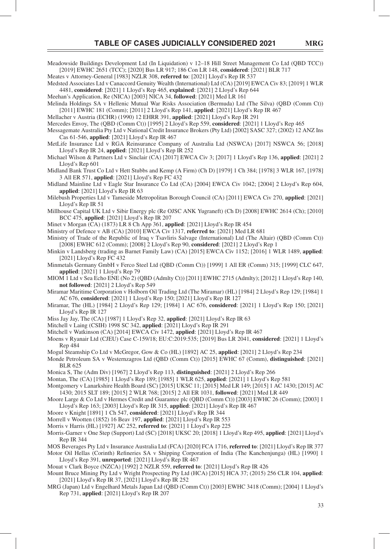Meadowside Buildings Development Ltd (In Liquidation) v 12–18 Hill Street Management Co Ltd (QBD TCC)) [2019] EWHC 2651 (TCC); [2020] Bus LR 917; 186 Con LR 148, **considered**: [2021] BLR 717

Meates v Attorney-General [1983] NZLR 308, **referred to**: [2021] Lloyd's Rep IR 537 Medsted Associates Ltd v Canaccord Genuity Wealth (International) Ltd (CA) [2019] EWCA Civ 83; [2019] 1 WLR

4481, **considered**: [2021] 1 Lloyd's Rep 465, **explained**: [2021] 2 Lloyd's Rep 644

Meehan's Application, Re (NICA) [2003] NICA 34, **followed**: [2021] Med LR 161 Melinda Holdings SA v Hellenic Mutual War Risks Association (Bermuda) Ltd (The Silva) (QBD (Comm Ct))

[2011] EWHC 181 (Comm); [2011] 2 Lloyd's Rep 141, **applied**: [2021] Lloyd's Rep IR 467

Mellacher v Austria (ECHR) (1990) 12 EHRR 391, **applied**: [2021] Lloyd's Rep IR 291

Mercedes Envoy, The (QBD (Comm Ct)) [1995] 2 Lloyd's Rep 559, **considered**: [2021] 1 Lloyd's Rep 465

Messagemate Australia Pty Ltd v National Credit Insurance Brokers (Pty Ltd) [2002] SASC 327; (2002) 12 ANZ Ins Cas 61-546, **applied**: [2021] Lloyd's Rep IR 467

MetLife Insurance Ltd v RGA Reinsurance Company of Australia Ltd (NSWCA) [2017] NSWCA 56; [2018] Lloyd's Rep IR 24, **applied**: [2021] Lloyd's Rep IR 252

Michael Wilson & Partners Ltd v Sinclair (CA) [2017] EWCA Civ 3; [2017] 1 Lloyd's Rep 136, **applied**: [2021] 2 Lloyd's Rep 601

Midland Bank Trust Co Ltd v Hett Stubbs and Kemp (A Firm) (Ch D) [1979] 1 Ch 384; [1978] 3 WLR 167, [1978] 3 All ER 571, **applied**: [2021] Lloyd's Rep FC 432

Midland Mainline Ltd v Eagle Star Insurance Co Ltd (CA) [2004] EWCA Civ 1042; [2004] 2 Lloyd's Rep 604, **applied**: [2021] Lloyd's Rep IR 63

Milebush Properties Ltd v Tameside Metropolitan Borough Council (CA) [2011] EWCA Civ 270, **applied**: [2021] Lloyd's Rep IR 51

Millhouse Capital UK Ltd v Sibir Energy plc (Re OJSC ANK Yugraneft) (Ch D) [2008] EWHC 2614 (Ch); [2010] BCC 475, **applied**: [2021] Lloyd's Rep IR 207

Minet v Morgan (CA) (1873) LR 8 Ch App 361, **applied**: [2021] Lloyd's Rep IR 454

Ministry of Defence v AB (CA) [2010] EWCA Civ 1317, **referred to**: [2021] Med LR 681

Ministry of Trade of the Republic of Iraq v Tsavliris Salvage (International) Ltd (The Altair) (QBD (Comm Ct)) [2008] EWHC 612 (Comm); [2008] 2 Lloyd's Rep 90, **considered**: [2021] 2 Lloyd's Rep 1

Minkin v Landsberg (trading as Barnet Family Law) (CA) [2015] EWCA Civ 1152; [2016] 1 WLR 1489, **applied**: [2021] Lloyd's Rep FC 432

Minmetals Germany GmbH v Ferco Steel Ltd (QBD (Comm Ct)) [1999] 1 All ER (Comm) 315; [1999] CLC 647, **applied**: [2021] 1 Lloyd's Rep 79

MIOM 1 Ltd v Sea Echo ENE (No 2) (QBD (Admlty Ct)) [2011] EWHC 2715 (Admlty); [2012] 1 Lloyd's Rep 140, **not followed**: [2021] 2 Lloyd's Rep 549

Miramar Maritime Corporation v Holborn Oil Trading Ltd (The Miramar) (HL) [1984] 2 Lloyd's Rep 129; [1984] 1 AC 676, **considered**: [2021] 1 Lloyd's Rep 150; [2021] Lloyd's Rep IR 127

Miramar, The (HL) [1984] 2 Lloyd's Rep 129; [1984] 1 AC 676, **considered**: [2021] 1 Lloyd's Rep 150; [2021] Lloyd's Rep IR 127

Miss Jay Jay, The (CA) [1987] 1 Lloyd's Rep 32, **applied**: [2021] Lloyd's Rep IR 63

Mitchell v Laing (CSIH) 1998 SC 342, **applied**: [2021] Lloyd's Rep IR 291

Mitchell v Watkinson (CA) [2014] EWCA Civ 1472, **applied**: [2021] Lloyd's Rep IR 467

Moens v Ryanair Ltd (CJEU) Case C-159/18; EU:C:2019:535; [2019] Bus LR 2041, **considered**: [2021] 1 Lloyd's Rep 484

Mogul Steamship Co Ltd v McGregor, Gow & Co (HL) [1892] AC 25, **applied**: [2021] 2 Lloyd's Rep 234

Monde Petroleum SA v Westernzagros Ltd (QBD (Comm Ct)) [2015] EWHC 67 (Comm), **distinguished**: [2021] BLR 625

Monica S, The (Adm Div) [1967] 2 Lloyd's Rep 113, **distinguished**: [2021] 2 Lloyd's Rep 266

Montan, The (CA) [1985] 1 Lloyd's Rep 189; [1985] 1 WLR 625, **applied**: [2021] 1 Lloyd's Rep 581

Montgomery v Lanarkshire Health Board (SC) [2015] UKSC 11; [2015] Med LR 149; [2015] 1 AC 1430; [2015] AC 1430; 2015 SLT 189; [2015] 2 WLR 768; [2015] 2 All ER 1031, **followed**: [2021] Med LR 449

Moore Large & Co Ltd v Hermes Credit and Guarantee plc (QBD (Comm Ct)) [2003] EWHC 26 (Comm); [2003] 1 Lloyd's Rep 163; [2003] Lloyd's Rep IR 315, **applied**: [2021] Lloyd's Rep IR 467

Moore v Knight [1891] 1 Ch 547, **considered**: [2021] Lloyd's Rep IR 344

Morrell v Wootten (1852) 16 Beav 197, **applied**: [2021] Lloyd's Rep IR 553

Morris v Harris (HL) [1927] AC 252, **referred to**: [2021] 1 Lloyd's Rep 225

Morris-Garner v One Step (Support) Ltd (SC) [2018] UKSC 20; [2018] 1 Lloyd's Rep 495, **applied**: [2021] Lloyd's Rep IR 344

MOS Beverages Pty Ltd v Insurance Australia Ltd (FCA) [2020] FCA 1716, **referred to**: [2021] Lloyd's Rep IR 377

Motor Oil Hellas (Corinth) Refineries SA v Shipping Corporation of India (The Kanchenjunga) (HL) [1990] 1 Lloyd's Rep 391, **unreported**: [2021] Lloyd's Rep IR 467

Mouat v Clark Boyce (NZCA) [1992] 2 NZLR 559, **referred to**: [2021] Lloyd's Rep IR 426

Mount Bruce Mining Pty Ltd v Wright Prospecting Pty Ltd (HCA) [2015] HCA 37; (2015) 256 CLR 104, **applied**: [2021] Lloyd's Rep IR 37, [2021] Lloyd's Rep IR 252

MRG (Japan) Ltd v Engelhard Metals Japan Ltd (QBD (Comm Ct)) [2003] EWHC 3418 (Comm); [2004] 1 Lloyd's Rep 731, **applied**: [2021] Lloyd's Rep IR 207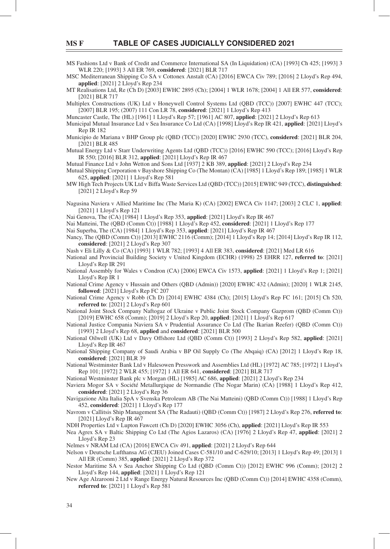MS Fashions Ltd v Bank of Credit and Commerce International SA (In Liquidation) (CA) [1993] Ch 425; [1993] 3 WLR 220; [1993] 3 All ER 769, **considered**: [2021] BLR 717

MSC Mediterranean Shipping Co SA v Cottonex Anstalt (CA) [2016] EWCA Civ 789; [2016] 2 Lloyd's Rep 494, **applied**: [2021] 2 Lloyd's Rep 234

MT Realisations Ltd, Re (Ch D) [2003] EWHC 2895 (Ch); [2004] 1 WLR 1678; [2004] 1 All ER 577, **considered**: [2021] BLR 717

Multiplex Constructions (UK) Ltd v Honeywell Control Systems Ltd (QBD (TCC)) [2007] EWHC 447 (TCC); [2007] BLR 195; (2007) 111 Con LR 78, **considered**: [2021] 1 Lloyd's Rep 413

Muncaster Castle, The (HL) [1961] 1 Lloyd's Rep 57; [1961] AC 807, **applied**: [2021] 2 Lloyd's Rep 613

Municipal Mutual Insurance Ltd v Sea Insurance Co Ltd (CA) [1998] Lloyd's Rep IR 421, **applied**: [2021] Lloyd's Rep IR 182

- Municipio de Mariana v BHP Group plc (QBD (TCC)) [2020] EWHC 2930 (TCC), **considered**: [2021] BLR 204, [2021] BLR 485
- Mutual Energy Ltd v Starr Underwriting Agents Ltd (QBD (TCC)) [2016] EWHC 590 (TCC); [2016] Lloyd's Rep IR 550; [2016] BLR 312, **applied**: [2021] Lloyd's Rep IR 467

Mutual Finance Ltd v John Wetton and Sons Ltd [1937] 2 KB 389, **applied**: [2021] 2 Lloyd's Rep 234

Mutual Shipping Corporation v Bayshore Shipping Co (The Montan) (CA) [1985] 1 Lloyd's Rep 189; [1985] 1 WLR 625, **applied**: [2021] 1 Lloyd's Rep 581

- MW High Tech Projects UK Ltd v Biffa Waste Services Ltd (QBD (TCC)) [2015] EWHC 949 (TCC), **distinguished**: [2021] 2 Lloyd's Rep 59
- Nagusina Naviera v Allied Maritime Inc (The Maria K) (CA) [2002] EWCA Civ 1147; [2003] 2 CLC 1, **applied**: [2021] 1 Lloyd's Rep 121

Nai Genova, The (CA) [1984] 1 Lloyd's Rep 353, **applied**: [2021] Lloyd's Rep IR 467

Nai Matteini, The (QBD (Comm Ct)) [1988] 1 Lloyd's Rep 452, **considered**: [2021] 1 Lloyd's Rep 177

Nai Superba, The (CA) [1984] 1 Lloyd's Rep 353, **applied**: [2021] Lloyd's Rep IR 467

Nancy, The (QBD (Comm Ct)) [2013] EWHC 2116 (Comm); [2014] 1 Lloyd's Rep 14; [2014] Lloyd's Rep IR 112, **considered**: [2021] 2 Lloyd's Rep 307

Nash v Eli Lilly & Co (CA) [1993] 1 WLR 782; [1993] 4 All ER 383, **considered**: [2021] Med LR 616

- National and Provincial Building Society v United Kingdom (ECHR) (1998) 25 EHRR 127, **referred to**: [2021] Lloyd's Rep IR 291
- National Assembly for Wales v Condron (CA) [2006] EWCA Civ 1573, **applied**: [2021] 1 Lloyd's Rep 1; [2021] Lloyd's Rep IR 1

National Crime Agency v Hussain and Others (QBD (Admin)) [2020] EWHC 432 (Admin); [2020] 1 WLR 2145, **followed**: [2021] Lloyd's Rep FC 207

- National Crime Agency v Robb (Ch D) [2014] EWHC 4384 (Ch); [2015] Lloyd's Rep FC 161; [2015] Ch 520, **referred to**: [2021] 2 Lloyd's Rep 601
- National Joint Stock Company Naftogaz of Ukraine v Public Joint Stock Company Gazprom (QBD (Comm Ct)) [2019] EWHC 658 (Comm); [2019] 2 Lloyd's Rep 20, **applied**: [2021] 1 Lloyd's Rep 617
- National Justice Compania Naviera SA v Prudential Assurance Co Ltd (The Ikarian Reefer) (QBD (Comm Ct)) [1993] 2 Lloyd's Rep 68, **applied** and **considered**: [2021] BLR 500
- National Oilwell (UK) Ltd v Davy Offshore Ltd (QBD (Comm Ct)) [1993] 2 Lloyd's Rep 582, **applied**: [2021] Lloyd's Rep IR 467
- National Shipping Company of Saudi Arabia v BP Oil Supply Co (The Abqaiq) (CA) [2012] 1 Lloyd's Rep 18, **considered**: [2021] BLR 39
- National Westminster Bank Ltd v Halesowen Presswork and Assemblies Ltd (HL) [1972] AC 785; [1972] 1 Lloyd's Rep 101; [1972] 2 WLR 455; [1972] 1 All ER 641, **considered**: [2021] BLR 717

National Westminster Bank plc v Morgan (HL) [1985] AC 686, **applied**: [2021] 2 Lloyd's Rep 234

Naviera Mogor SA v Société Metallurgique de Normandie (The Nogar Marin) (CA) [1988] 1 Lloyd's Rep 412, **considered**: [2021] 2 Lloyd's Rep 36

Navigazione Alta Italia SpA v Svenska Petroleum AB (The Nai Matteini) (QBD (Comm Ct)) [1988] 1 Lloyd's Rep 452, **considered**: [2021] 1 Lloyd's Rep 177

Navrom v Callitsis Ship Management SA (The Radauti) (QBD (Comm Ct)) [1987] 2 Lloyd's Rep 276, **referred to**: [2021] Lloyd's Rep IR 467

NDH Properties Ltd v Lupton Fawcett (Ch D) [2020] EWHC 3056 (Ch), **applied**: [2021] Lloyd's Rep IR 553

Nea Agrex SA v Baltic Shipping Co Ltd (The Agios Lazaros) (CA) [1976] 2 Lloyd's Rep 47, **applied**: [2021] 2 Lloyd's Rep 23

Nelmes v NRAM Ltd (CA) [2016] EWCA Civ 491, **applied**: [2021] 2 Lloyd's Rep 644

Nelson v Deutsche Lufthansa AG (CJEU) Joined Cases C-581/10 and C-629/10; [2013] 1 Lloyd's Rep 49; [2013] 1 All ER (Comm) 385, **applied**: [2021] 2 Lloyd's Rep 372

Nestor Maritime SA v Sea Anchor Shipping Co Ltd (QBD (Comm Ct)) [2012] EWHC 996 (Comm); [2012] 2 Lloyd's Rep 144, **applied**: [2021] 1 Lloyd's Rep 121

New Age Alzarooni 2 Ltd v Range Energy Natural Resources Inc (QBD (Comm Ct)) [2014] EWHC 4358 (Comm), **referred to**: [2021] 1 Lloyd's Rep 581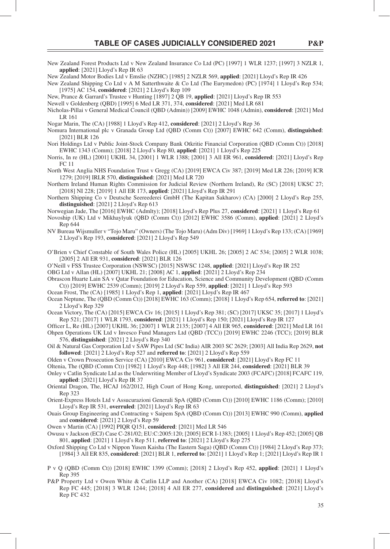- New Zealand Forest Products Ltd v New Zealand Insurance Co Ltd (PC) [1997] 1 WLR 1237; [1997] 3 NZLR 1, **applied**: [2021] Lloyd's Rep IR 63
- New Zealand Motor Bodies Ltd v Emslie (NZHC) [1985] 2 NZLR 569, **applied**: [2021] Lloyd's Rep IR 426
- New Zealand Shipping Co Ltd v A M Satterthwaite & Co Ltd (The Eurymedon) (PC) [1974] 1 Lloyd's Rep 534; [1975] AC 154, **considered**: [2021] 2 Lloyd's Rep 109

New, Prance & Garrard's Trustee v Hunting [1897] 2 QB 19, **applied**: [2021] Lloyd's Rep IR 553

Newell v Goldenberg (QBD) [1995] 6 Med LR 371, 374, **considered**: [2021] Med LR 681

Nicholas-Pillai v General Medical Council (QBD (Admin)) [2009] EWHC 1048 (Admin), **considered**: [2021] Med LR 161

Nogar Marin, The (CA) [1988] 1 Lloyd's Rep 412, **considered**: [2021] 2 Lloyd's Rep 36

- Nomura International plc v Granada Group Ltd (QBD (Comm Ct)) [2007] EWHC 642 (Comm), **distinguished**: [2021] BLR 126
- Nori Holdings Ltd v Public Joint-Stock Company Bank Otkritie Financial Corporation (QBD (Comm Ct)) [2018] EWHC 1343 (Comm); [2018] 2 Lloyd's Rep 80, **applied**: [2021] 1 Lloyd's Rep 225
- Norris, In re (HL) [2001] UKHL 34, [2001] 1 WLR 1388; [2001] 3 All ER 961, **considered**: [2021] Lloyd's Rep FC 11
- North West Anglia NHS Foundation Trust v Gregg (CA) [2019] EWCA Civ 387; [2019] Med LR 226; [2019] ICR 1279; [2019] IRLR 570, **distinguished**: [2021] Med LR 720
- Northern Ireland Human Rights Commission for Judicial Review (Northern Ireland), Re (SC) [2018] UKSC 27; [2018] NI 228; [2019] 1 All ER 173, **applied**: [2021] Lloyd's Rep IR 291
- Northern Shipping Co v Deutsche Seereederei GmbH (The Kapitan Sakharov) (CA) [2000] 2 Lloyd's Rep 255, **distinguished**: [2021] 2 Lloyd's Rep 613

Norwegian Jade, The [2016] EWHC (Admlty); [2018] Lloyd's Rep Plus 27, **considered**: [2021] 1 Lloyd's Rep 61

- Novoship (UK) Ltd v Mikhaylyuk (QBD (Comm Ct)) [2012] EWHC 3586 (Comm), **applied**: [2021] 2 Lloyd's Rep 644
- NV Bureau Wijsmuller v "Tojo Maru" (Owners) (The Tojo Maru) (Adm Div) [1969] 1 Lloyd's Rep 133; (CA) [1969] 2 Lloyd's Rep 193, **considered**: [2021] 2 Lloyd's Rep 549
- O'Brien v Chief Constable of South Wales Police (HL) [2005] UKHL 26; [2005] 2 AC 534; [2005] 2 WLR 1038; [2005] 2 All ER 931, **considered**: [2021] BLR 126
- O'Neill v FSS Trustee Corporation (NSWSC) [2015] NSWSC 1248, **applied**: [2021] Lloyd's Rep IR 252
- OBG Ltd v Allan (HL) [2007] UKHL 21; [2008] AC 1, **applied**: [2021] 2 Lloyd's Rep 234
- Obrascon Huarte Lain SA v Qatar Foundation for Education, Science and Community Development (QBD (Comm Ct)) [2019] EWHC 2539 (Comm); [2019] 2 Lloyd's Rep 559, **applied**: [2021] 1 Lloyd's Rep 593
- Ocean Frost, The (CA) [1985] 1 Lloyd's Rep 1, **applied**: [2021] Lloyd's Rep IR 467
- Ocean Neptune, The (QBD (Comm Ct)) [2018] EWHC 163 (Comm); [2018] 1 Lloyd's Rep 654, **referred to**: [2021] 2 Lloyd's Rep 329

Ocean Victory, The (CA) [2015] EWCA Civ 16; [2015] 1 Lloyd's Rep 381; (SC) [2017] UKSC 35; [2017] 1 Lloyd's Rep 521; [2017] 1 WLR 1793, **considered**: [2021] 1 Lloyd's Rep 150; [2021] Lloyd's Rep IR 127

- Officer L, Re (HL) [2007] UKHL 36; [2007] 1 WLR 2135; [2007] 4 All ER 965, considered: [2021] Med LR 161 Ohpen Operations UK Ltd v Invesco Fund Managers Ltd (QBD (TCC)) [2019] EWHC 2246 (TCC); [2019] BLR 576, **distinguished**: [2021] 2 Lloyd's Rep 340
- Oil & Natural Gas Corporation Ltd v SAW Pipes Ltd (SC India) AIR 2003 SC 2629; [2003] All India Rep 2629, **not followed**: [2021] 2 Lloyd's Rep 527 and **referred to**: [2021] 2 Lloyd's Rep 559
- Olden v Crown Prosecution Service (CA) [2010] EWCA Civ 961, **considered**: [2021] Lloyd's Rep FC 11
- Oltenia, The (QBD (Comm Ct)) [1982] 1 Lloyd's Rep 448; [1982] 3 All ER 244, **considered**: [2021] BLR 39
- Onley v Catlin Syndicate Ltd as the Underwriting Member of Lloyd's Syndicate 2003 (FCAFC) [2018] FCAFC 119, **applied**: [2021] Lloyd's Rep IR 37
- Oriental Dragon, The, HCAJ 162/2012, High Court of Hong Kong, unreported, **distinguished**: [2021] 2 Lloyd's Rep 323
- Orient-Express Hotels Ltd v Assucurazioni Generali SpA (QBD (Comm Ct)) [2010] EWHC 1186 (Comm); [2010] Lloyd's Rep IR 531, **overruled**: [2021] Lloyd's Rep IR 63
- Ouais Group Engineering and Contracting v Saipem SpA (QBD (Comm Ct)) [2013] EWHC 990 (Comm), **applied**  and **considered**: [2021] 2 Lloyd's Rep 59

Owen v Martin (CA) [1992] PIQR Q151, **considered**: [2021] Med LR 546

- Owusu v Jackson (ECJ) Case C-281/02; EU:C:2005:120; [2005] ECR I-1383; [2005] 1 Lloyd's Rep 452; [2005] QB 801, **applied**: [2021] 1 Lloyd's Rep 511, **referred to**: [2021] 2 Lloyd's Rep 275
- Oxford Shipping Co Ltd v Nippon Yusen Kaisha (The Eastern Saga) (QBD (Comm Ct)) [1984] 2 Lloyd's Rep 373; [1984] 3 All ER 835, **considered**: [2021] BLR 1, **referred to**: [2021] 1 Lloyd's Rep 1; [2021] Lloyd's Rep IR 1
- P v Q (QBD (Comm Ct)) [2018] EWHC 1399 (Comm); [2018] 2 Lloyd's Rep 452, **applied**: [2021] 1 Lloyd's Rep 395
- P&P Property Ltd v Owen White & Catlin LLP and Another (CA) [2018] EWCA Civ 1082; [2018] Lloyd's Rep FC 445; [2018] 3 WLR 1244; [2018] 4 All ER 277, **considered** and **distinguished**: [2021] Lloyd's Rep FC 432

35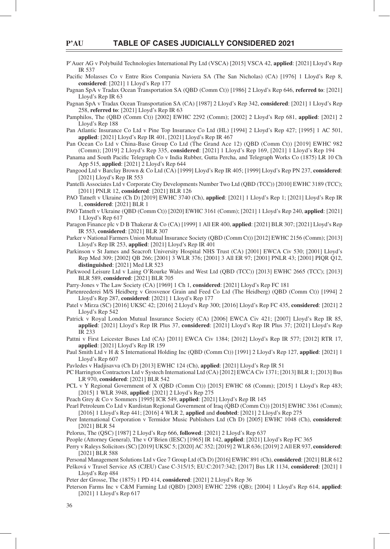P'Auer AG v Polybuild Technologies International Pty Ltd (VSCA) [2015] VSCA 42, **applied**: [2021] Lloyd's Rep IR 537

Pacific Molasses Co v Entre Rios Compania Naviera SA (The San Nicholas) (CA) [1976] 1 Lloyd's Rep 8, **considered**: [2021] 1 Lloyd's Rep 177

Pagnan SpA v Tradax Ocean Transportation SA (QBD (Comm Ct)) [1986] 2 Lloyd's Rep 646, **referred to**: [2021] Lloyd's Rep IR 63

Pagnan SpA v Tradax Ocean Transportation SA (CA) [1987] 2 Lloyd's Rep 342, **considered**: [2021] 1 Lloyd's Rep 258, **referred to**: [2021] Lloyd's Rep IR 63

Pamphilos, The (QBD (Comm Ct)) [2002] EWHC 2292 (Comm); [2002] 2 Lloyd's Rep 681, **applied**: [2021] 2 Lloyd's Rep 188

Pan Atlantic Insurance Co Ltd v Pine Top Insurance Co Ltd (HL) [1994] 2 Lloyd's Rep 427; [1995] 1 AC 501, **applied**: [2021] Lloyd's Rep IR 401, [2021] Lloyd's Rep IR 467

Pan Ocean Co Ltd v China-Base Group Co Ltd (The Grand Ace 12) (QBD (Comm Ct)) [2019] EWHC 982 (Comm); [2019] 2 Lloyd's Rep 335, **considered**: [2021] 1 Lloyd's Rep 169, [2021] 1 Lloyd's Rep 194

Panama and South Pacific Telegraph Co v India Rubber, Gutta Percha, and Telegraph Works Co (1875) LR 10 Ch App 515, **applied**: [2021] 2 Lloyd's Rep 644

Pangood Ltd v Barclay Brown & Co Ltd (CA) [1999] Lloyd's Rep IR 405; [1999] Lloyd's Rep PN 237, **considered**: [2021] Lloyd's Rep IR 553

Pantelli Associates Ltd v Corporate City Developments Number Two Ltd (QBD (TCC)) [2010] EWHC 3189 (TCC); [2011] PNLR 12, **considered**: [2021] BLR 126

PAO Tatneft v Ukraine (Ch D) [2019] EWHC 3740 (Ch), **applied**: [2021] 1 Lloyd's Rep 1; [2021] Lloyd's Rep IR 1, **considered**: [2021] BLR 1

PAO Tatneft v Ukraine (QBD (Comm Ct)) [2020] EWHC 3161 (Comm); [2021] 1 Lloyd's Rep 240, **applied**: [2021] 1 Lloyd's Rep 617

Paragon Finance plc v D B Thakerar & Co (CA) [1999] 1 All ER 400, **applied**: [2021] BLR 307; [2021] Lloyd's Rep IR 553, **considered**: [2021] BLR 307

Parker v National Farmers Union Mutual Insurance Society (QBD (Comm Ct)) [2012] EWHC 2156 (Comm); [2013] Lloyd's Rep IR 253, **applied**: [2021] Lloyd's Rep IR 401

Parkinson v St James and Seacroft University Hospital NHS Trust (CA) [2001] EWCA Civ 530; [2001] Lloyd's Rep Med 309; [2002] QB 266; [2001] 3 WLR 376; [2001] 3 All ER 97; [2001] PNLR 43; [2001] PIQR Q12, **distinguished**: [2021] Med LR 523

Parkwood Leisure Ltd v Laing O'Rourke Wales and West Ltd (QBD (TCC)) [2013] EWHC 2665 (TCC); [2013] BLR 589, **considered**: [2021] BLR 705

Parry-Jones v The Law Society (CA) [1969] 1 Ch 1, **considered**: [2021] Lloyd's Rep FC 181

Partenreederei M/S Heidberg v Grosvenor Grain and Feed Co Ltd (The Heidberg) (QBD (Comm Ct)) [1994] 2 Lloyd's Rep 287, **considered**: [2021] 1 Lloyd's Rep 177

Patel v Mirza (SC) [2016] UKSC 42; [2016] 2 Lloyd's Rep 300; [2016] Lloyd's Rep FC 435, **considered**: [2021] 2 Lloyd's Rep 542

- Patrick v Royal London Mutual Insurance Society (CA) [2006] EWCA Civ 421; [2007] Lloyd's Rep IR 85, **applied**: [2021] Lloyd's Rep IR Plus 37, **considered**: [2021] Lloyd's Rep IR Plus 37; [2021] Lloyd's Rep IR 233
- Pattni v First Leicester Buses Ltd (CA) [2011] EWCA Civ 1384; [2012] Lloyd's Rep IR 577; [2012] RTR 17, **applied**: [2021] Lloyd's Rep IR 159

Paul Smith Ltd v H & S International Holding Inc (QBD (Comm Ct)) [1991] 2 Lloyd's Rep 127, **applied**: [2021] 1 Lloyd's Rep 607

Pavledes v Hadjisavva (Ch D) [2013] EWHC 124 (Ch), **applied**: [2021] Lloyd's Rep IR 51

PC Harrington Contractors Ltd v Systech International Ltd (CA) [2012] EWCA Civ 1371; [2013] BLR 1; [2013] Bus LR 970, **considered**: [2021] BLR 542

PCL v Y Regional Government of X (QBD (Comm Ct)) [2015] EWHC 68 (Comm); [2015] 1 Lloyd's Rep 483; [2015] 1 WLR 3948, **applied**: [2021] 2 Lloyd's Rep 275

Peach Grey & Co v Sommers [1995] ICR 549, **applied**: [2021] Lloyd's Rep IR 145

Pearl Petroleum Co Ltd v Kurdistan Regional Government of Iraq (QBD (Comm Ct)) [2015] EWHC 3361 (Comm); [2016] 1 Lloyd's Rep 441; [2016] 4 WLR 2, **applied** and **doubted**: [2021] 2 Lloyd's Rep 275

Peer International Corporation v Termidor Music Publishers Ltd (Ch D) [2005] EWHC 1048 (Ch), **considered**: [2021] BLR 54

Pelorus, The (QSC) [1987] 2 Lloyd's Rep 666, **followed**: [2021] 2 Lloyd's Rep 637

People (Attorney General), The v O'Brien (IESC) [1965] IR 142, **applied**: [2021] Lloyd's Rep FC 365

Perry v Raleys Solicitors (SC) [2019] UKSC 5; [2020] AC 352; [2019] 2 WLR 636; [2019] 2 All ER 937, **considered**: [2021] BLR 588

Personal Management Solutions Ltd v Gee 7 Group Ltd (Ch D) [2016] EWHC 891 (Ch), **considered**: [2021] BLR 612 Pešková v Travel Service AS (CJEU) Case C-315/15; EU:C:2017:342; [2017] Bus LR 1134, **considered**: [2021] 1 Lloyd's Rep 484

Peter der Grosse, The (1875) 1 PD 414, **considered**: [2021] 2 Lloyd's Rep 36

Peterson Farms Inc v C&M Farming Ltd (QBD) [2003] EWHC 2298 (QB); [2004] 1 Lloyd's Rep 614, **applied**: [2021] 1 Lloyd's Rep 617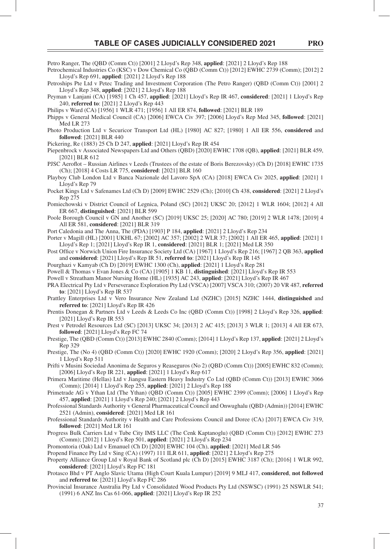Petro Ranger, The (QBD (Comm Ct)) [2001] 2 Lloyd's Rep 348, **applied**: [2021] 2 Lloyd's Rep 188

- Petrochemical Industries Co (KSC) v Dow Chemical Co (QBD (Comm Ct)) [2012] EWHC 2739 (Comm); [2012] 2 Lloyd's Rep 691, **applied**: [2021] 2 Lloyd's Rep 188
- Petroships Pte Ltd v Petec Trading and Investment Corporation (The Petro Ranger) (QBD (Comm Ct)) [2001] 2 Lloyd's Rep 348, **applied**: [2021] 2 Lloyd's Rep 188
- Peyman v Lanjani (CA) [1985] 1 Ch 457, **applied**: [2021] Lloyd's Rep IR 467, **considered**: [2021] 1 Lloyd's Rep 240, **referred to**: [2021] 2 Lloyd's Rep 443
- Philips v Ward (CA) [1956] 1 WLR 471; [1956] 1 All ER 874, **followed**: [2021] BLR 189
- Phipps v General Medical Council (CA) [2006] EWCA Civ 397; [2006] Lloyd's Rep Med 345, **followed**: [2021] Med LR 273
- Photo Production Ltd v Securicor Transport Ltd (HL) [1980] AC 827; [1980] 1 All ER 556, **considered** and **followed**: [2021] BLR 440

Pickering, Re (1883) 25 Ch D 247, **applied**: [2021] Lloyd's Rep IR 454

- Piepenbrock v Associated Newspapers Ltd and Others (QBD) [2020] EWHC 1708 (QB), **applied**: [2021] BLR 459, [2021] BLR 612
- PJSC Aeroflot Russian Airlines v Leeds (Trustees of the estate of Boris Berezovsky) (Ch D) [2018] EWHC 1735 (Ch); [2018] 4 Costs LR 775, **considered**: [2021] BLR 160
- Playboy Club London Ltd v Banca Nazionale del Lavoro SpA (CA) [2018] EWCA Civ 2025, **applied**: [2021] 1 Lloyd's Rep 79
- Pocket Kings Ltd v Safenames Ltd (Ch D) [2009] EWHC 2529 (Ch); [2010] Ch 438, **considered**: [2021] 2 Lloyd's Rep 275
- Pomiechowski v District Council of Legnica, Poland (SC) [2012] UKSC 20; [2012] 1 WLR 1604; [2012] 4 All ER 667, **distinguished**: [2021] BLR 599
- Poole Borough Council v GN and Another (SC) [2019] UKSC 25; [2020] AC 780; [2019] 2 WLR 1478; [2019] 4 All ER 581, **considered**: [2021] BLR 319

Port Caledonia and The Anna, The (PDA) [1903] P 184, **applied**: [2021] 2 Lloyd's Rep 234

- Porter v Magill (HL) [2001] UKHL 67; [2002] AC 357; [2002] 2 WLR 37; [2002] 1 All ER 465, **applied**: [2021] 1 Lloyd's Rep 1; [2021] Lloyd's Rep IR 1, **considered**: [2021] BLR 1; [2021] Med LR 350
- Post Office v Norwich Union Fire Insurance Society Ltd (CA) [1967] 1 Lloyd's Rep 216; [1967] 2 QB 363, applied and **considered**: [2021] Lloyd's Rep IR 51, **referred to**: [2021] Lloyd's Rep IR 145
- Pourghazi v Kamyab (Ch D) [2019] EWHC 1300 (Ch), **applied**: [2021] 1 Lloyd's Rep 281
- Powell & Thomas v Evan Jones & Co (CA) [1905] 1 KB 11, **distinguished**: [2021] Lloyd's Rep IR 553
- Powell v Streatham Manor Nursing Home (HL) [1935] AC 243, **applied**: [2021] Lloyd's Rep IR 467
- PRA Electrical Pty Ltd v Perseverance Exploration Pty Ltd (VSCA) [2007] VSCA 310; (2007) 20 VR 487, **referred to**: [2021] Lloyd's Rep IR 537
- Prattley Enterprises Ltd v Vero Insurance New Zealand Ltd (NZHC) [2015] NZHC 1444, **distinguished** and **referred to**: [2021] Lloyd's Rep IR 426
- Prentis Donegan & Partners Ltd v Leeds & Leeds Co Inc (QBD (Comm Ct)) [1998] 2 Lloyd's Rep 326, **applied**: [2021] Lloyd's Rep IR 553
- Prest v Petrodel Resources Ltd (SC) [2013] UKSC 34; [2013] 2 AC 415; [2013] 3 WLR 1; [2013] 4 All ER 673, **followed**: [2021] Lloyd's Rep FC 74
- Prestige, The (QBD (Comm Ct)) [2013] EWHC 2840 (Comm); [2014] 1 Lloyd's Rep 137, **applied**: [2021] 2 Lloyd's Rep 329
- Prestige, The (No 4) (QBD (Comm Ct)) [2020] EWHC 1920 (Comm); [2020] 2 Lloyd's Rep 356, **applied**: [2021] 1 Lloyd's Rep 511
- Prifti v Musini Sociedad Anonima de Seguros y Reaseguros (No 2) (QBD (Comm Ct)) [2005] EWHC 832 (Comm); [2006] Lloyd's Rep IR 221, **applied**: [2021] 1 Lloyd's Rep 617
- Primera Maritime (Hellas) Ltd v Jiangsu Eastern Heavy Industry Co Ltd (QBD (Comm Ct)) [2013] EWHC 3066 (Comm); [2014] 1 Lloyd's Rep 255, **applied**: [2021] 2 Lloyd's Rep 188
- Primetrade AG v Ythan Ltd (The Ythan) (QBD (Comm Ct)) [2005] EWHC 2399 (Comm); [2006] 1 Lloyd's Rep 457, **applied**: [2021] 1 Lloyd's Rep 240; [2021] 2 Lloyd's Rep 443
- Professional Standards Authority v General Pharmaceutical Council and Onwughalu (QBD (Admin)) [2014] EWHC 2521 (Admin), **considered**: [2021] Med LR 161
- Professional Standards Authority v Health and Care Professions Council and Doree (CA) [2017] EWCA Civ 319, **followed**: [2021] Med LR 161
- Progress Bulk Carriers Ltd v Tube City IMS LLC (The Cenk Kaptanoglu) (QBD (Comm Ct)) [2012] EWHC 273 (Comm); [2012] 1 Lloyd's Rep 501, **applied**: [2021] 2 Lloyd's Rep 234

Promontoria (Oak) Ltd v Emanuel (Ch D) [2020] EWHC 104 (Ch), **applied**: [2021] Med LR 546

Propend Finance Pty Ltd v Sing (CA) (1997) 111 ILR 611, **applied**: [2021] 2 Lloyd's Rep 275

- Property Alliance Group Ltd v Royal Bank of Scotland plc (Ch D) [2015] EWHC 3187 (Ch); [2016] 1 WLR 992, **considered**: [2021] Lloyd's Rep FC 181
- Protasco Bhd v PT Anglo Slavic Utama (High Court Kuala Lumpur) [2019] 9 MLJ 417, **considered**, **not followed**  and **referred to**: [2021] Lloyd's Rep FC 286
- Provincial Insurance Australia Pty Ltd v Consolidated Wood Products Pty Ltd (NSWSC) (1991) 25 NSWLR 541; (1991) 6 ANZ Ins Cas 61-066, **applied**: [2021] Lloyd's Rep IR 252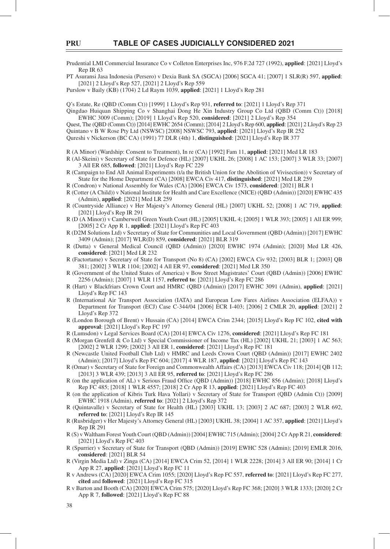Prudential LMI Commercial Insurance Co v Colleton Enterprises Inc, 976 F.2d 727 (1992), **applied**: [2021] Lloyd's Rep IR 63

PT Asuransi Jasa Indonesia (Persero) v Dexia Bank SA (SGCA) [2006] SGCA 41; [2007] 1 SLR(R) 597, **applied**: [2021] 2 Lloyd's Rep 527, [2021] 2 Lloyd's Rep 559

Purslow v Baily (KB) (1704) 2 Ld Raym 1039, **applied**: [2021] 1 Lloyd's Rep 281

Q's Estate, Re (QBD (Comm Ct)) [1999] 1 Lloyd's Rep 931, **referred to**: [2021] 1 Lloyd's Rep 371

Qingdao Huiquan Shipping Co v Shanghai Dong He Xin Industry Group Co Ltd (QBD (Comm Ct)) [2018] EWHC 3009 (Comm); [2019] 1 Lloyd's Rep 520, **considered**: [2021] 2 Lloyd's Rep 354

Quest, The (QBD (Comm Ct)) [2014] EWHC 2654 (Comm); [2014] 2 Lloyd's Rep 600, **applied**: [2021] 2 Lloyd's Rep 23 Quintano v B W Rose Pty Ltd (NSWSC) [2008] NSWSC 793, **applied**: [2021] Lloyd's Rep IR 252

Qureshi v Nickerson (BC CA) (1991) 77 DLR (4th) 1, **distinguished**: [2021] Lloyd's Rep IR 377

R (A Minor) (Wardship: Consent to Treatment), In re (CA) [1992] Fam 11, **applied**: [2021] Med LR 183

- R (Al-Skeini) v Secretary of State for Defence (HL) [2007] UKHL 26; [2008] 1 AC 153; [2007] 3 WLR 33; [2007] 3 All ER 685, **followed**: [2021] Lloyd's Rep FC 229
- R (Campaign to End All Animal Experiments (t/a the British Union for the Abolition of Vivisection)) v Secretary of State for the Home Department (CA) [2008] EWCA Civ 417, **distinguished**: [2021] Med LR 259
- R (Condron) v National Assembly for Wales (CA) [2006] EWCA Civ 1573, **considered**: [2021] BLR 1
- R (Cotter (A Child)) v National Institute for Health and Care Excellence (NICE) (QBD (Admin)) [2020] EWHC 435 (Admin), **applied**: [2021] Med LR 259
- R (Countryside Alliance) v Her Majesty's Attorney General (HL) [2007] UKHL 52; [2008] 1 AC 719, **applied**: [2021] Lloyd's Rep IR 291
- R (D (A Minor)) v Camberwell Green Youth Court (HL) [2005] UKHL 4; [2005] 1 WLR 393; [2005] 1 All ER 999; [2005] 2 Cr App R 1, **applied**: [2021] Lloyd's Rep FC 403
- R (D2M Solutions Ltd) v Secretary of State for Communities and Local Government (QBD (Admin)) [2017] EWHC 3409 (Admin); [2017] WLR(D) 859, **considered**: [2021] BLR 319
- R (Dutta) v General Medical Council (QBD (Admin)) [2020] EWHC 1974 (Admin); [2020] Med LR 426, **considered**: [2021] Med LR 232
- R (Factortame) v Secretary of State for Transport (No 8) (CA) [2002] EWCA Civ 932; [2003] BLR 1; [2003] QB 381; [2002] 3 WLR 1104; [2002] 4 All ER 97, **considered**: [2021] Med LR 350
- R (Government of the United States of America) v Bow Street Magistrates' Court (QBD (Admin)) [2006] EWHC 2256 (Admin); [2007] 1 WLR 1157, **referred to**: [2021] Lloyd's Rep FC 286
- R (Hart) v Blackfriars Crown Court and HMRC (QBD (Admin)) [2017] EWHC 3091 (Admin), **applied**: [2021] Lloyd's Rep FC 143
- R (International Air Transport Association (IATA) and European Low Fares Airlines Association (ELFAA)) v Department for Transport (ECJ) Case C-344/04 [2006] ECR I-403; [2006] 2 CMLR 20, **applied**: [2021] 2 Lloyd's Rep 372
- R (London Borough of Brent) v Hussain (CA) [2014] EWCA Crim 2344; [2015] Lloyd's Rep FC 102, **cited with approval**: [2021] Lloyd's Rep FC 197
- R (Lumsdon) v Legal Services Board (CA) [2014] EWCA Civ 1276, **considered**: [2021] Lloyd's Rep FC 181
- R (Morgan Grenfell & Co Ltd) v Special Commissioner of Income Tax (HL) [2002] UKHL 21; [2003] 1 AC 563; [2002] 2 WLR 1299; [2002] 3 All ER 1, **considered**: [2021] Lloyd's Rep FC 181
- R (Newcastle United Football Club Ltd) v HMRC and Leeds Crown Court (QBD (Admin)) [2017] EWHC 2402 (Admin); [2017] Lloyd's Rep FC 604; [2017] 4 WLR 187, **applied**: [2021] Lloyd's Rep FC 143
- R (Omar) v Secretary of State for Foreign and Commonwealth Affairs (CA) [2013] EWCA Civ 118; [2014] QB 112; [2013] 3 WLR 439; [2013] 3 All ER 95, **referred to**: [2021] Lloyd's Rep FC 286
- R (on the application of AL) v Serious Fraud Office (QBD (Admin)) [2018] EWHC 856 (Admin); [2018] Lloyd's Rep FC 485; [2018] 1 WLR 4557; [2018] 2 Cr App R 13, **applied**: [2021] Lloyd's Rep FC 403
- R (on the application of Kibris Turk Hava Yollari) v Secretary of State for Transport (QBD (Admin Ct)) [2009] EWHC 1918 (Admin), **referred to**: [2021] 2 Lloyd's Rep 372
- R (Quintavalle) v Secretary of State for Health (HL) [2003] UKHL 13; [2003] 2 AC 687; [2003] 2 WLR 692, **referred to**: [2021] Lloyd's Rep IR 145
- R (Rusbridger) v Her Majesty's Attorney General (HL) [2003] UKHL 38; [2004] 1 AC 357, **applied**: [2021] Lloyd's Rep IR 291
- R (S) v Waltham Forest Youth Court (QBD (Admin)) [2004] EWHC 715 (Admin); [2004] 2 Cr App R 21, **considered**: [2021] Lloyd's Rep FC 403
- R (Spurrier) v Secretary of State for Transport (QBD (Admin)) [2019] EWHC 528 (Admin); [2019] EMLR 2016, **considered**: [2021] BLR 54
- R (Virgin Media Ltd) v Zinga (CA) [2014] EWCA Crim 52, [2014] 1 WLR 2228; [2014] 3 All ER 90; [2014] 1 Cr App R 27, **applied**: [2021] Lloyd's Rep FC 11
- R v Andrews (CA) [2020] EWCA Crim 1055; [2020] Lloyd's Rep FC 557, **referred to**: [2021] Lloyd's Rep FC 277, **cited** and **followed**: [2021] Lloyd's Rep FC 315
- R v Barton and Booth (CA) [2020] EWCA Crim 575; [2020] Lloyd's Rep FC 368; [2020] 3 WLR 1333; [2020] 2 Cr App R 7, **followed**: [2021] Lloyd's Rep FC 88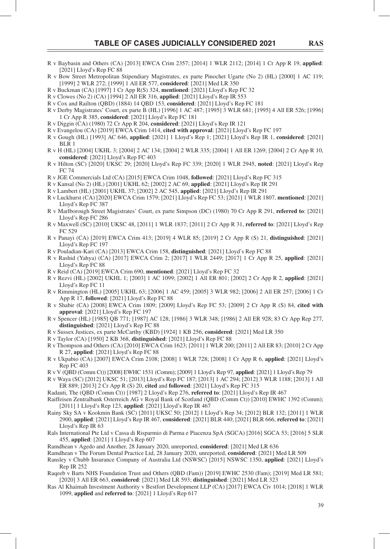- R v Baybasin and Others (CA) [2013] EWCA Crim 2357; [2014] 1 WLR 2112; [2014] 1 Cr App R 19, **applied**: [2021] Lloyd's Rep FC 88
- R v Bow Street Metropolitan Stipendiary Magistrates, ex parte Pinochet Ugarte (No 2) (HL) [2000] 1 AC 119; [1999] 2 WLR 272; [1999] 1 All ER 577, **considered**: [2021] Med LR 350
- R v Buckman (CA) [1997] 1 Cr App R(S) 324, **mentioned**: [2021] Lloyd's Rep FC 32
- R v Clowes (No 2) (CA) [1994] 2 All ER 316, **applied**: [2021] Lloyd's Rep IR 553
- R v Cox and Railton (QBD) (1884) 14 QBD 153, **considered**: [2021] Lloyd's Rep FC 181
- R v Derby Magistrates' Court, ex parte B (HL) [1996] 1 AC 487; [1995] 3 WLR 681; [1995] 4 All ER 526; [1996] 1 Cr App R 385, **considered**: [2021] Lloyd's Rep FC 181
- R v Diggin (CA) (1980) 72 Cr App R 204, **considered**: [2021] Lloyd's Rep IR 121
- R v Evangelou (CA) [2019] EWCA Crim 1414, **cited with approval**: [2021] Lloyd's Rep FC 197
- R v Gough (HL) [1993] AC 646, **applied**: [2021] 1 Lloyd's Rep 1; [2021] Lloyd's Rep IR 1, **considered**: [2021] BLR 1
- R v H (HL) [2004] UKHL 3; [2004] 2 AC 134; [2004] 2 WLR 335; [2004] 1 All ER 1269; [2004] 2 Cr App R 10, **considered**: [2021] Lloyd's Rep FC 403
- R v Hilton (SC) [2020] UKSC 29; [2020] Lloyd's Rep FC 339; [2020] 1 WLR 2945, **noted**: [2021] Lloyd's Rep FC 74
- R v JGE Commercials Ltd (CA) [2015] EWCA Crim 1048, **followed**: [2021] Lloyd's Rep FC 315
- R v Kansal (No 2) (HL) [2001] UKHL 62; [2002] 2 AC 69, **applied**: [2021] Lloyd's Rep IR 291
- R v Lambert (HL) [2001] UKHL 37; [2002] 2 AC 545, **applied**: [2021] Lloyd's Rep IR 291
- R v Luckhurst (CA) [2020] EWCA Crim 1579; [2021] Lloyd's Rep FC 53; [2021] 1 WLR 1807, **mentioned**: [2021] Lloyd's Rep FC 387
- R v Marlborough Street Magistrates' Court, ex parte Simpson (DC) (1980) 70 Cr App R 291, **referred to**: [2021] Lloyd's Rep FC 286
- R v Maxwell (SC) [2010] UKSC 48, [2011] 1 WLR 1837; [2011] 2 Cr App R 31, **referred to**: [2021] Lloyd's Rep FC 529
- R v Panayi (CA) [2019] EWCA Crim 413; [2019] 4 WLR 85; [2019] 2 Cr App R (S) 21, **distinguished**: [2021] Lloyd's Rep FC 197
- R v Pouladian-Kari (CA) [2013] EWCA Crim 158, **distinguished**: [2021] Lloyd's Rep FC 88
- R v Rashid (Yahya) (CA) [2017] EWCA Crim 2; [2017] 1 WLR 2449; [2017] 1 Cr App R 25, **applied**: [2021] Lloyd's Rep FC 88
- R v Reid (CA) [2019] EWCA Crim 690, **mentioned**: [2021] Lloyd's Rep FC 32 R v Rezvi (HL) [2002] UKHL 1; [2003] 1 AC 1099; [2002] 1 All ER 801; [2002] 2 Cr App R 2, **applied**: [2021] Lloyd's Rep FC 11
- R v Rimmington (HL) [2005] UKHL 63; [2006] 1 AC 459; [2005] 3 WLR 982; [2006] 2 All ER 257; [2006] 1 Cr App R 17, **followed**: [2021] Lloyd's Rep FC 88
- R v Shabir (CA) [2008] EWCA Crim 1809; [2009] Lloyd's Rep FC 53; [2009] 2 Cr App R (S) 84, **cited with approval**: [2021] Lloyd's Rep FC 197
- R v Spencer (HL) [1985] QB 771; [1987] AC 128; [1986] 3 WLR 348; [1986] 2 All ER 928; 83 Cr App Rep 277, **distinguished**: [2021] Lloyd's Rep FC 88
- R v Sussex Justices, ex parte McCarthy (KBD) [1924] 1 KB 256, **considered**: [2021] Med LR 350
- R v Taylor (CA) [1950] 2 KB 368, **distinguished**: [2021] Lloyd's Rep FC 88
- R v Thompson and Others (CA) [2010] EWCA Crim 1623; [2011] 1 WLR 200; [2011] 2 All ER 83; [2010] 2 Cr App R 27, **applied**: [2021] Lloyd's Rep FC 88
- R v Ukpabio (CA) [2007] EWCA Crim 2108; [2008] 1 WLR 728; [2008] 1 Cr App R 6, **applied**: [2021] Lloyd's Rep FC 403
- R v V (QBD (Comm Ct)) [2008] EWHC 1531 (Comm); [2009] 1 Lloyd's Rep 97, **applied**: [2021] 1 Lloyd's Rep 79
- R v Waya (SC) [2012] UKSC 51; [2013] Lloyd's Rep FC 187; [2013] 1 AC 294; [2012] 3 WLR 1188; [2013] 1 All ER 889; [2013] 2 Cr App R (S) 20, **cited** and **followed**: [2021] Lloyd's Rep FC 315
- Radauti, The (QBD (Comm Ct)) [1987] 2 Lloyd's Rep 276, **referred to**: [2021] Lloyd's Rep IR 467
- Raiffeisen Zentralbank Osterreich AG v Royal Bank of Scotland (QBD (Comm Ct)) [2010] EWHC 1392 (Comm); [2011] 1 Lloyd's Rep 123, **applied**: [2021] Lloyd's Rep IR 467
- Rainy Sky SA v Kookmin Bank (SC) [2011] UKSC 50; [2012] 1 Lloyd's Rep 34; [2012] BLR 132; [2011] 1 WLR 2900, **applied**: [2021] Lloyd's Rep IR 467, **considered**: [2021] BLR 440; [2021] BLR 666, **referred to**: [2021] Lloyd's Rep IR 63
- Rals International Pte Ltd v Cassa di Risparmio di Parma e Piacenza SpA (SGCA) [2016] SGCA 53; [2016] 5 SLR 455, **applied**: [2021] 1 Lloyd's Rep 607
- Ramdhean v Agedo and Another, 28 January 2020, unreported, **considered**: [2021] Med LR 636
- Ramdhean v The Forum Dental Practice Ltd, 28 January 2020, unreported, **considered**: [2021] Med LR 509
- Ransley v Chubb Insurance Company of Australia Ltd (NSWSC) [2015] NSWSC 1350, **applied**: [2021] Lloyd's Rep IR 252
- Raqeeb v Barts NHS Foundation Trust and Others (QBD (Fam)) [2019] EWHC 2530 (Fam); [2019] Med LR 581; [2020] 3 All ER 663, **considered**: [2021] Med LR 593; **distinguished**: [2021] Med LR 323
- Ras Al Khaimah Investment Authority v Bestfort Development LLP (CA) [2017] EWCA Civ 1014; [2018] 1 WLR 1099, **applied** and **referred to**: [2021] 1 Lloyd's Rep 617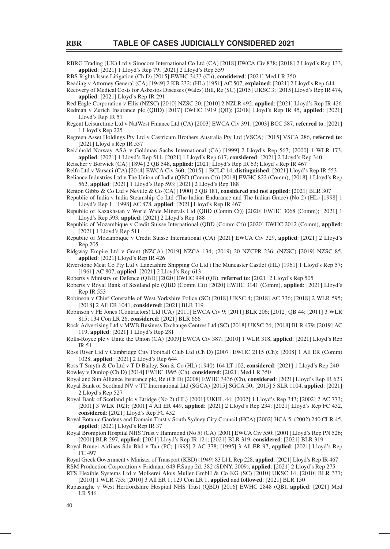RBRG Trading (UK) Ltd v Sinocore International Co Ltd (CA) [2018] EWCA Civ 838; [2018] 2 Lloyd's Rep 133, **applied**: [2021] 1 Lloyd's Rep 79; [2021] 2 Lloyd's Rep 559

RBS Rights Issue Litigation (Ch D) [2015] EWHC 3433 (Ch), **considered**: [2021] Med LR 350

Reading v Attorney General (CA) [1949] 2 KB 232; (HL) [1951] AC 507, **explained**: [2021] 2 Lloyd's Rep 644

Recovery of Medical Costs for Asbestos Diseases (Wales) Bill, Re (SC) [2015] UKSC 3; [2015] Lloyd's Rep IR 474, **applied**: [2021] Lloyd's Rep IR 291

Red Eagle Corporation v Ellis (NZSC) [2010] NZSC 20; [2010] 2 NZLR 492, **applied**: [2021] Lloyd's Rep IR 426 Redman v Zurich Insurance plc (QBD) [2017] EWHC 1919 (QB); [2018] Lloyd's Rep IR 45, **applied**: [2021]

Lloyd's Rep IR 51 Regent Leisuretime Ltd v NatWest Finance Ltd (CA) [2003] EWCA Civ 391; [2003] BCC 587, **referred to**: [2021]

1 Lloyd's Rep 225

Regreen Asset Holdings Pty Ltd v Castricum Brothers Australia Pty Ltd (VSCA) [2015] VSCA 286, **referred to**: [2021] Lloyd's Rep IR 537

Reichhold Norway ASA v Goldman Sachs International (CA) [1999] 2 Lloyd's Rep 567; [2000] 1 WLR 173, **applied**: [2021] 1 Lloyd's Rep 511, [2021] 1 Lloyd's Rep 617, **considered**: [2021] 2 Lloyd's Rep 340

Reischer v Borwick (CA) [1894] 2 QB 548, **applied**: [2021] Lloyd's Rep IR 63; Lloyd's Rep IR 467

Relfo Ltd v Varsani (CA) [2014] EWCA Civ 360; [2015] 1 BCLC 14, **distinguished**: [2021] Lloyd's Rep IR 553 Reliance Industries Ltd v The Union of India (QBD (Comm Ct)) [2018] EWHC 822 (Comm); [2018] 1 Lloyd's Rep 562, **applied**: [2021] 1 Lloyd's Rep 593; [2021] 2 Lloyd's Rep 188

Renton Gibbs & Co Ltd v Neville & Co (CA) [1900] 2 QB 181, **considered** and **not applied**: [2021] BLR 307

Republic of India v India Steamship Co Ltd (The Indian Endurance and The Indian Grace) (No 2) (HL) [1998] 1 Lloyd's Rep 1; [1998] AC 878, **applied**: [2021] Lloyd's Rep IR 467

Republic of Kazakhstan v World Wide Minerals Ltd (QBD (Comm Ct)) [2020] EWHC 3068 (Comm); [2021] 1 Lloyd's Rep 593, **applied**: [2021] 2 Lloyd's Rep 188

- Republic of Mozambique v Credit Suisse International (QBD (Comm Ct)) [2020] EWHC 2012 (Comm), **applied**: [2021] 1 Lloyd's Rep 511
- Republic of Mozambique v Credit Suisse International (CA) [2021] EWCA Civ 329, **applied**: [2021] 2 Lloyd's Rep 205

Ridgway Empire Ltd v Grant (NZCA) [2019] NZCA 134; (2019) 20 NZCPR 236; (NZSC) [2019] NZSC 85, **applied**: [2021] Lloyd's Rep IR 426

Riverstone Meat Co Pty Ltd v Lancashire Shipping Co Ltd (The Muncaster Castle) (HL) [1961] 1 Lloyd's Rep 57; [1961] AC 807, **applied**: [2021] 2 Lloyd's Rep 613

Roberts v Ministry of Defence (QBD) [2020] EWHC 994 (QB), **referred to**: [2021] 2 Lloyd's Rep 505

Roberts v Royal Bank of Scotland plc (QBD (Comm Ct)) [2020] EWHC 3141 (Comm), **applied**: [2021] Lloyd's Rep IR 553

Robinson v Chief Constable of West Yorkshire Police (SC) [2018] UKSC 4; [2018] AC 736; [2018] 2 WLR 595; [2018] 2 All ER 1041, **considered**: [2021] BLR 319

Robinson v PE Jones (Contractors) Ltd (CA) [2011] EWCA Civ 9; [2011] BLR 206; [2012] QB 44; [2011] 3 WLR 815; 134 Con LR 26, **considered**: [2021] BLR 666

Rock Advertising Ltd v MWB Business Exchange Centres Ltd (SC) [2018] UKSC 24; [2018] BLR 479; [2019] AC 119, **applied**: [2021] 1 Lloyd's Rep 281

Rolls-Royce plc v Unite the Union (CA) [2009] EWCA Civ 387; [2010] 1 WLR 318, **applied**: [2021] Lloyd's Rep IR 51

Ross River Ltd v Cambridge City Football Club Ltd (Ch D) [2007] EWHC 2115 (Ch); [2008] 1 All ER (Comm) 1028, **applied**: [2021] 2 Lloyd's Rep 644

Ross T Smyth & Co Ltd v T D Bailey, Son & Co (HL) (1940) 164 LT 102, **considered**: [2021] 1 Lloyd's Rep 240 Rowley v Dunlop (Ch D) [2014] EWHC 1995 (Ch), **considered**: [2021] Med LR 350

Royal and Sun Alliance Insurance plc, Re (Ch D) [2008] EWHC 3436 (Ch), **considered**: [2021] Lloyd's Rep IR 623

Royal Bank of Scotland NV v TT International Ltd (SGCA) [2015] SGCA 50; [2015] 5 SLR 1104, **applied**: [2021] 2 Lloyd's Rep 527

Royal Bank of Scotland plc v Etridge (No 2) (HL) [2001] UKHL 44; [2002] 1 Lloyd's Rep 343; [2002] 2 AC 773; [2001] 3 WLR 1021; [2001] 4 All ER 449, **applied**: [2021] 2 Lloyd's Rep 234; [2021] Lloyd's Rep FC 432, **considered**: [2021] Lloyd's Rep FC 432

Royal Botanic Gardens and Domain Trust v South Sydney City Council (HCA) [2002] HCA 5; (2002) 240 CLR 45, **applied**: [2021] Lloyd's Rep IR 37

Royal Brompton Hospital NHS Trust v Hammond (No 5) (CA) [2001] EWCA Civ 550; [2001] Lloyd's Rep PN 526; [2001] BLR 297, **applied**: [2021] Lloyd's Rep IR 121; [2021] BLR 319, **considered**: [2021] BLR 319

Royal Brunei Airlines Sdn Bhd v Tan (PC) [1995] 2 AC 378; [1995] 3 All ER 97, **applied**: [2021] Lloyd's Rep FC 497

Royal Greek Government v Minister of Transport (KBD) (1949) 83 Ll L Rep 228, **applied**: [2021] Lloyd's Rep IR 467 RSM Production Corporation v Fridman, 643 F.Supp 2d. 382 (SDNY, 2009), **applied**: [2021] 2 Lloyd's Rep 275 RTS Flexible Systems Ltd v Molkerei Alois Muller GmbH & Co KG (SC) [2010] UKSC 14; [2010] BLR 337;

[2010] 1 WLR 753; [2010] 3 All ER 1; 129 Con LR 1, **applied** and **followed**: [2021] BLR 150

Rupasinghe v West Hertfordshire Hospital NHS Trust (QBD) [2016] EWHC 2848 (QB), **applied**: [2021] Med LR 546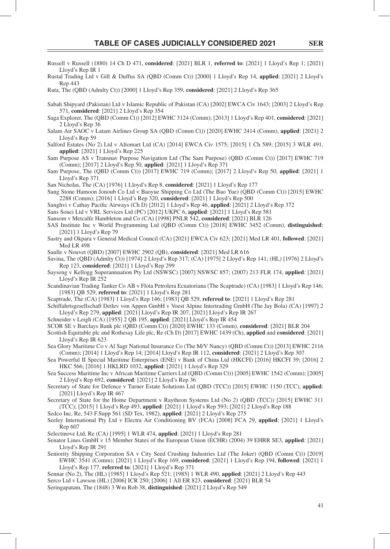- Russell v Russell (1880) 14 Ch D 471, **considered**: [2021] BLR 1, **referred to**: [2021] 1 Lloyd's Rep 1; [2021] Lloyd's Rep IR 1
- Rustal Trading Ltd v Gill & Duffus SA (QBD (Comm Ct)) [2000] 1 Lloyd's Rep 14, **applied**: [2021] 2 Lloyd's Rep 443

Ruta, The (QBD (Admlty Ct)) [2000] 1 Lloyd's Rep 359, **considered**: [2021] 2 Lloyd's Rep 365

- Sabah Shipyard (Pakistan) Ltd v Islamic Republic of Pakistan (CA) [2002] EWCA Civ 1643; [2003] 2 Lloyd's Rep 571, **considered**: [2021] 2 Lloyd's Rep 354
- Saga Explorer, The (QBD (Comm Ct)) [2012] EWHC 3124 (Comm); [2013] 1 Lloyd's Rep 401, **considered**: [2021] 2 Lloyd's Rep 36
- Salam Air SAOC v Latam Airlines Group SA (QBD (Comm Ct)) [2020] EWHC 2414 (Comm), **applied**: [2021] 2 Lloyd's Rep 59
- Salford Estates (No 2) Ltd v Altomart Ltd (CA) [2014] EWCA Civ 1575; [2015] 1 Ch 589; [2015] 3 WLR 491, **applied**: [2021] 1 Lloyd's Rep 225
- Sam Purpose AS v Transnav Purpose Navigation Ltd (The Sam Purpose) (QBD (Comm Ct)) [2017] EWHC 719 (Comm); [2017] 2 Lloyd's Rep 50, **applied**: [2021] 1 Lloyd's Rep 371
- Sam Purpose, The (QBD (Comm Ct)) [2017] EWHC 719 (Comm); [2017] 2 Lloyd's Rep 50, **applied**: [2021] 1 Lloyd's Rep 371
- San Nicholas, The (CA) [1976] 1 Lloyd's Rep 8, **considered**: [2021] 1 Lloyd's Rep 177
- Sang Stone Hamoon Jonoub Co Ltd v Baoyue Shipping Co Ltd (The Bao Yue) (QBD (Comm Ct)) [2015] EWHC 2288 (Comm); [2016] 1 Lloyd's Rep 320, **considered**: [2021] 1 Lloyd's Rep 500
- Sanghvi v Cathay Pacific Airways (Ch D) [2012] 1 Lloyd's Rep 46, applied: [2021] 2 Lloyd's Rep 372
- Sans Souci Ltd v VRL Services Ltd (PC) [2012] UKPC 6, **applied**: [2021] 1 Lloyd's Rep 581
- Sansom v Metcalfe Hambleton and Co (CA) [1998] PNLR 542, **considered**: [2021] BLR 126
- SAS Institute Inc v World Programming Ltd (QBD (Comm Ct)) [2018] EWHC 3452 (Comm), **distinguished**: [2021] 1 Lloyd's Rep 79
- Sastry and Okpara v General Medical Council (CA) [2021] EWCA Civ 623; [2021] Med LR 401, **followed**: [2021] Med LR 498
- Saulle v Nouvet (QBD) [2007] EWHC 2902 (QB), **considered**: [2021] Med LR 616
- Savina, The (QBD (Admlty Ct)) [1974] 2 Lloyd's Rep 317; (CA) [1975] 2 Lloyd's Rep 141; (HL) [1976] 2 Lloyd's Rep 123, **considered**: [2021] 1 Lloyd's Rep 299
- Sayseng v Kellogg Superannuation Pty Ltd (NSWSC) [2007] NSWSC 857; (2007) 213 FLR 174, **applied**: [2021] Lloyd's Rep IR 252
- Scandinavian Trading Tanker Co AB v Flota Petrolera Ecuatoriana (The Scaptrade) (CA) [1983] 1 Lloyd's Rep 146; [1983] QB 529, **referred to**: [2021] 1 Lloyd's Rep 281
- Scaptrade, The (CA) [1983] 1 Lloyd's Rep 146; [1983] QB 529, **referred to**: [2021] 1 Lloyd's Rep 281
- Schiffahrtsgesellschaft Detlev von Appen GmbH v Voest Alpine Intertrading GmbH (The Jay Bola) (CA) [1997] 2 Lloyd's Rep 279, **applied**: [2021] Lloyd's Rep IR 207, [2021] Lloyd's Rep IR 267
- Schneider v Leigh (CA) [1955] 2 QB 195, **applied**: [2021] Lloyd's Rep IR 454
- SCOR SE v Barclays Bank plc (QBD (Comm Ct)) [2020] EWHC 133 (Comm), **considered**: [2021] BLR 204
- Scottish Equitable plc and Rothesay Life plc, Re (Ch D) [2017] EWHC 1439 (Ch), **applied** and **considered**: [2021] Lloyd's Rep IR 623
- Sea Glory Maritime Co v Al Sagr National Insurance Co (The M/V Nancy) (QBD (Comm Ct)) [2013] EWHC 2116 (Comm); [2014] 1 Lloyd's Rep 14; [2014] Lloyd's Rep IR 112, **considered**: [2021] 2 Lloyd's Rep 307
- Sea Powerful II Special Maritime Enterprises (ENE) v Bank of China Ltd (HKCFI) [2016] HKCFI 39; [2016] 2 HKC 566; [2016] 1 HKLRD 1032, **applied**: [2021] 1 Lloyd's Rep 329
- Sea Success Maritime Inc v African Maritime Carriers Ltd (QBD (Comm Ct)) [2005] EWHC 1542 (Comm); [2005] 2 Lloyd's Rep 692, **considered**: [2021] 2 Lloyd's Rep 36
- Secretary of State for Defence v Turner Estate Solutions Ltd (QBD (TCC)) [2015] EWHC 1150 (TCC), **applied**: [2021] Lloyd's Rep IR 467
- Secretary of State for the Home Department v Raytheon Systems Ltd (No 2) (QBD (TCC)) [2015] EWHC 311 (TCC); [2015] 1 Lloyd's Rep 493, **applied**: [2021] 1 Lloyd's Rep 593; [2021] 2 Lloyd's Rep 188
- Sedco Inc, Re, 543 F.Supp 561 (SD Tex, 1982), **applied**: [2021] 2 Lloyd's Rep 275
- Seeley International Pty Ltd v Electra Air Conditioning BV (FCA) [2008] FCA 29, **applied**: [2021] 1 Lloyd's Rep 607
- Selectmove Ltd, Re (CA) [1995] 1 WLR 474, **applied**: [2021] 1 Lloyd's Rep 281
- Senator Lines GmbH v 15 Member States of the European Union (ECHR) (2004) 39 EHRR SE3, **applied**: [2021] Lloyd's Rep IR 291
- Seniority Shipping Corporation SA v City Seed Crushing Industries Ltd (The Joker) (QBD (Comm Ct)) [2019] EWHC 3541 (Comm); [2021] 1 Lloyd's Rep 169, **considered**: [2021] 1 Lloyd's Rep 194, **followed**: [2021] 1 Lloyd's Rep 177, **referred to**: [2021] 1 Lloyd's Rep 371
- Sennar (No 2), The (HL) [1985] 1 Lloyd's Rep 521; [1985] 1 WLR 490, **applied**: [2021] 2 Lloyd's Rep 443 Serco Ltd v Lawson (HL) [2006] ICR 250; [2006] 1 All ER 823, **considered**: [2021] BLR 54
- Seringapatam, The (1848) 3 Wm Rob 38, **distinguished**: [2021] 2 Lloyd's Rep 549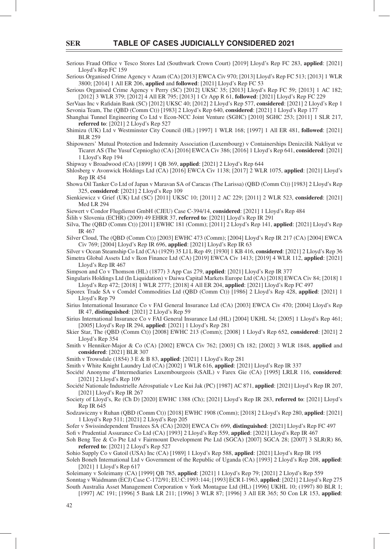Serious Fraud Office v Tesco Stores Ltd (Southwark Crown Court) [2019] Lloyd's Rep FC 283, applied: [2021] Lloyd's Rep FC 159

Serious Organised Crime Agency v Azam (CA) [2013] EWCA Civ 970; [2013] Lloyd's Rep FC 513; [2013] 1 WLR 3800; [2014] 1 All ER 206, **applied** and **followed**: [2021] Lloyd's Rep FC 53

Serious Organised Crime Agency v Perry (SC) [2012] UKSC 35; [2013] Lloyd's Rep FC 59; [2013] 1 AC 182; [2012] 3 WLR 379; [2012] 4 All ER 795; [2013] 1 Cr App R 61, **followed**: [2021] Lloyd's Rep FC 229

SerVaas Inc v Rafidain Bank (SC) [2012] UKSC 40; [2012] 2 Lloyd's Rep 577, considered: [2021] 2 Lloyd's Rep 1 Sevonia Team, The (QBD (Comm Ct)) [1983] 2 Lloyd's Rep 640, **considered**: [2021] 1 Lloyd's Rep 177

Shanghai Tunnel Engineering Co Ltd v Econ-NCC Joint Venture (SGHC) [2010] SGHC 253; [2011] 1 SLR 217, **referred to**: [2021] 2 Lloyd's Rep 527

Shimizu (UK) Ltd v Westminster City Council (HL) [1997] 1 WLR 168; [1997] 1 All ER 481, **followed**: [2021] BLR 259

Shipowners' Mutual Protection and Indemnity Association (Luxembourg) v Containerships Denizcilik Nakliyat ve Ticaret AS (The Yusuf Cepnioglu) (CA) [2016] EWCA Civ 386; [2016] 1 Lloyd's Rep 641, **considered**: [2021] 1 Lloyd's Rep 194

Shipway v Broadwood (CA) [1899] 1 QB 369, **applied**: [2021] 2 Lloyd's Rep 644

Shlosberg v Avonwick Holdings Ltd (CA) [2016] EWCA Civ 1138; [2017] 2 WLR 1075, **applied**: [2021] Lloyd's Rep IR 454

Showa Oil Tanker Co Ltd of Japan v Maravan SA of Caracas (The Larissa) (QBD (Comm Ct)) [1983] 2 Lloyd's Rep 325, **considered**: [2021] 2 Lloyd's Rep 109

Sienkiewicz v Grief (UK) Ltd (SC) [2011] UKSC 10; [2011] 2 AC 229; [2011] 2 WLR 523, **considered**: [2021] Med LR 294

Siewert v Condor Flugdienst GmbH (CJEU) Case C-394/14, **considered**: [2021] 1 Lloyd's Rep 484

Šilih v Slovenia (ECHR) (2009) 49 EHRR 37, **referred to**: [2021] Lloyd's Rep IR 291

Silva, The (QBD (Comm Ct)) [2011] EWHC 181 (Comm); [2011] 2 Lloyd's Rep 141, **applied**: [2021] Lloyd's Rep IR 467

Silver Cloud, The (QBD (Comm Ct)) [2003] EWHC 473 (Comm); [2004] Lloyd's Rep IR 217 (CA) [2004] EWCA Civ 769; [2004] Lloyd's Rep IR 696, **applied**: [2021] Lloyd's Rep IR 63

Silver v Ocean Steamship Co Ltd (CA) (1929) 35 Ll L Rep 49; [1930] 1 KB 416, **considered**: [2021] 2 Lloyd's Rep 36 Simetra Global Assets Ltd v Ikon Finance Ltd (CA) [2019] EWCA Civ 1413; [2019] 4 WLR 112, **applied**: [2021] Lloyd's Rep IR 467

Simpson and Co v Thomson (HL) (1877) 3 App Cas 279, **applied**: [2021] Lloyd's Rep IR 377

Singularis Holdings Ltd (In Liquidation) v Daiwa Capital Markets Europe Ltd (CA) [2018] EWCA Civ 84; [2018] 1 Lloyd's Rep 472; [2018] 1 WLR 2777; [2018] 4 All ER 204, **applied**: [2021] Lloyd's Rep FC 497

Siporex Trade SA v Comdel Commodities Ltd (QBD (Comm Ct)) [1986] 2 Lloyd's Rep 428, **applied**: [2021] 1 Lloyd's Rep 79

Sirius International Insurance Co v FAI General Insurance Ltd (CA) [2003] EWCA Civ 470; [2004] Lloyd's Rep IR 47, **distinguished**: [2021] 2 Lloyd's Rep 59

Sirius International Insurance Co v FAI General Insurance Ltd (HL) [2004] UKHL 54; [2005] 1 Lloyd's Rep 461; [2005] Lloyd's Rep IR 294, **applied**: [2021] 1 Lloyd's Rep 281

Skier Star, The (QBD (Comm Ct)) [2008] EWHC 213 (Comm); [2008] 1 Lloyd's Rep 652, **considered**: [2021] 2 Lloyd's Rep 354

Smith v Henniker-Major & Co (CA) [2002] EWCA Civ 762; [2003] Ch 182; [2002] 3 WLR 1848, **applied** and **considered**: [2021] BLR 307

Smith v Trowsdale (1854) 3 E & B 83, **applied**: [2021] 1 Lloyd's Rep 281

Smith v White Knight Laundry Ltd (CA) [2002] 1 WLR 616, **applied**: [2021] Lloyd's Rep IR 337

Société Anonyme d'Intermediaries Luxembourgeois (SAIL) v Farex Gie (CA) [1995] LRLR 116, **considered**: [2021] 2 Lloyd's Rep 109

Société Nationale Industrielle Aérospatiale v Lee Kui Jak (PC) [1987] AC 871, **applied**: [2021] Lloyd's Rep IR 207, [2021] Lloyd's Rep IR 267

Society of Lloyd's, Re (Ch D) [2020] EWHC 1388 (Ch); [2021] Lloyd's Rep IR 283, **referred to**: [2021] Lloyd's Rep IR 645

Sodzawiczny v Ruhan (QBD (Comm Ct)) [2018] EWHC 1908 (Comm); [2018] 2 Lloyd's Rep 280, **applied**: [2021] 1 Lloyd's Rep 511; [2021] 2 Lloyd's Rep 205

Sofer v Swissindependent Trustees SA (CA) [2020] EWCA Civ 699, **distinguished**: [2021] Lloyd's Rep FC 497

Sofi v Prudential Assurance Co Ltd (CA) [1993] 2 Lloyd's Rep 559, **applied**: [2021] Lloyd's Rep IR 467

Soh Beng Tee & Co Pte Ltd v Fairmount Development Pte Ltd (SGCA) [2007] SGCA 28; [2007] 3 SLR(R) 86, **referred to**: [2021] 2 Lloyd's Rep 527

Sohio Supply Co v Gatoil (USA) Inc (CA) [1989] 1 Lloyd's Rep 588, **applied**: [2021] Lloyd's Rep IR 195

Soleh Boneh International Ltd v Government of the Republic of Uganda (CA) [1993] 2 Lloyd's Rep 208, **applied**: [2021] 1 Lloyd's Rep 617

Soleimany v Soleimany (CA) [1999] QB 785, **applied**: [2021] 1 Lloyd's Rep 79; [2021] 2 Lloyd's Rep 559 Sonntag v Waidmann (ECJ) Case C-172/91; EU:C:1993:144; [1993] ECR I-1963, **applied**: [2021] 2 Lloyd's Rep 275 South Australia Asset Management Corporation v York Montague Ltd (HL) [1996] UKHL 10; (1997) 80 BLR 1;

[1997] AC 191; [1996] 5 Bank LR 211; [1996] 3 WLR 87; [1996] 3 All ER 365; 50 Con LR 153, **applied**: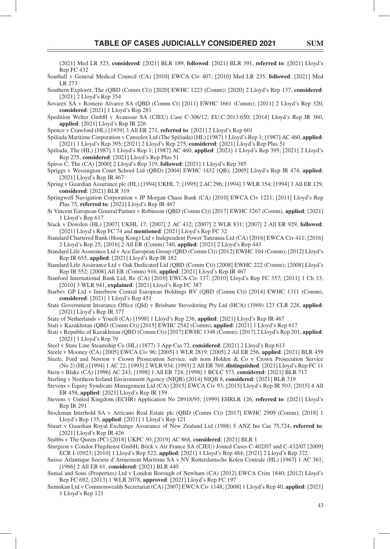[2021] Med LR 523, **considered**: [2021] BLR 189, **followed**: [2021] BLR 391, **referred to**: [2021] Lloyd's Rep FC 432

- Southall v General Medical Council (CA) [2010] EWCA Civ 407; [2010] Med LR 235, **followed**: [2021] Med LR 273
- Southern Explorer, The (QBD (Comm Ct)) [2020] EWHC 1223 (Comm); [2020] 2 Lloyd's Rep 137, **considered**: [2021] 2 Lloyd's Rep 354
- Sovarex SA v Romero Alvarez SA (QBD (Comm Ct) [2011] EWHC 1661 (Comm); [2011] 2 Lloyd's Rep 320, **considered**: [2021] 1 Lloyd's Rep 281
- Spedition Welter GmbH v Avanssur SA (CJEU) Case C-306/12; EU:C:2013:650; [2014] Lloyd's Rep IR 360, **applied**: [2021] Lloyd's Rep IR 226
- Spence v Crawford (HL) [1939] 3 All ER 271, **referred to**: [2021] 2 Lloyd's Rep 601
- Spiliada Maritime Corporation v Cansulex Ltd (The Spiliada) (HL) [1987] 1 Lloyd's Rep 1; [1987] AC 460, **applied**: [2021] 1 Lloyd's Rep 395; [2021] 2 Lloyd's Rep 275, **considered**: [2021] Lloyd's Rep Plus 51
- Spiliada, The (HL) [1987] 1 Lloyd's Rep 1; [1987] AC 460, **applied**: [2021] 1 Lloyd's Rep 395; [2021] 2 Lloyd's Rep 275, **considered**: [2021] Lloyd's Rep Plus 51
- Spiros C, The (CA) [2000] 2 Lloyd's Rep 319, **followed**: [2021] 1 Lloyd's Rep 385
- Spriggs v Wessington Court School Ltd (QBD) [2004] EWHC 1432 (QB); [2005] Lloyd's Rep IR 474, **applied**: [2021] Lloyd's Rep IR 467
- Spring v Guardian Assurance plc (HL) [1994] UKHL 7; [1995] 2 AC 296; [1994] 3 WLR 354; [1994] 3 All ER 129, **considered**: [2021] BLR 319

Springwell Navigation Corporation v JP Morgan Chase Bank (CA) [2010] EWCA Civ 1221; [2011] Lloyd's Rep Plus 75, **referred to**: [2021] Lloyd's Rep IR 467

- St Vincent European General Partner v Robinson (QBD (Comm Ct)) [2017] EWHC 3267 (Comm), **applied**: [2021] 1 Lloyd's Rep 617
- Stack v Dowden (HL) [2007] UKHL 17; [2007] 2 AC 432; [2007] 2 WLR 831; [2007] 2 All ER 929, **followed**: [2021] Lloyd's Rep FC 74 and **mentioned**: [2021] Lloyd's Rep FC 32
- Standard Chartered Bank (Hong Kong) Ltd v Independent Power Tanzania Ltd (CA) [2016] EWCA Civ 411; [2016] 2 Lloyd's Rep 25; [2016] 2 All ER (Comm) 740, **applied**: [2021] 2 Lloyd's Rep 443
- Standard Life Assurance Ltd v Ace European Group (QBD (Comm Ct)) [2012] EWHC 104 (Comm); [2012] Lloyd's Rep IR 655, **applied**: [2021] Lloyd's Rep IR 182
- Standard Life Assurance Ltd v Oak Dedicated Ltd (QBD (Comm Ct)) [2008] EWHC 222 (Comm); [2008] Lloyd's Rep IR 552; [2008] All ER (Comm) 916, **applied**: [2021] Lloyd's Rep IR 467
- Stanford International Bank Ltd, Re (CA) [2010] EWCA Civ 137; [2010] Lloyd's Rep FC 357; [2011] 1 Ch 33; [2010] 3 WLR 941, **explained**: [2021] Lloyd's Rep FC 387
- Starbev GP Ltd v Interbrew Central European Holdings BV (QBD (Comm Ct)) [2014] EWHC 1311 (Comm), **considered**: [2021] 1 Lloyd's Rep 451
- State Government Insurance Office (Qld) v Brisbane Stevedoring Pty Ltd (HCA) (1969) 123 CLR 228, applied: [2021] Lloyd's Rep IR 377
- State of Netherlands v Youell (CA) [1998] 1 Lloyd's Rep 236, **applied**: [2021] Lloyd's Rep IR 467
- Stati v Kazakhstan (QBD (Comm Ct)) [2015] EWHC 2542 (Comm), **applied**: [2021] 1 Lloyd's Rep 617
- Stati v Republic of Kazakhstan (QBD (Comm Ct)) [2017] EWHC 1348 (Comm); [2017] 2 Lloyd's Rep 201, **applied**: [2021] 1 Lloyd's Rep 79
- Steel v State Line Steamship Co (HL) (1877) 3 App Cas 72, **considered**: [2021] 2 Lloyd's Rep 613
- Steele v Mooney (CA) [2005] EWCA Civ 96; [2005] 1 WLR 2819; [2005] 2 All ER 256, **applied**: [2021] BLR 459 Steele, Ford and Newton v Crown Prosecution Service, sub nom Holden & Co v Crown Prosecution Service
- (No 2) (HL) [1994] 1 AC 22; [1993] 2 WLR 934; [1993] 2 All ER 769, **distinguished**: [2021] Lloyd's Rep FC 11 Stein v Blake (CA) [1996] AC 243; [1998] 1 All ER 724; [1998] 1 BCLC 573, **considered**: [2021] BLR 717
- Sterling v Northern Ireland Environment Agency (NIQB) [2014] NIQB 8, **considered**: [2021] BLR 319
- Stevens v Equity Syndicate Management Ltd (CA) [2015] EWCA Civ 93; [2015] Lloyd's Rep IR 503; [2015] 4 All ER 458, **applied**: [2021] Lloyd's Rep IR 159
- Stevens v United Kingdom (ECHR) Application No 28918/95; [1999] EHRLR 126, **referred to**: [2021] Lloyd's Rep IR 291
- Stockman Interhold SA v Arricano Real Estate plc (QBD (Comm Ct)) [2017] EWHC 2909 (Comm); [2018] 1 Lloyd's Rep 135, **applied**: [2021] 1 Lloyd's Rep 121
- Stuart v Guardian Royal Exchange Assurance of New Zealand Ltd (1988) 5 ANZ Ins Cas 75,724, **referred to**: [2021] Lloyd's Rep IR 426
- Stubbs v The Queen (PC) [2018] UKPC 30; [2019] AC 868, **considered**: [2021] BLR 1
- Sturgeon v Condor Flugdienst GmbH; Böck v Air France SA (CJEU) Joined Cases C-402/07 and C-432/07 [2009] ECR I-10923; [2010] 1 Lloyd's Rep 522, **applied**: [2021] 1 Lloyd's Rep 484; [2021] 2 Lloyd's Rep 372
- Suisse Atlantique Societe d'Armement Maritime SA v NV Rotterdamsche Kolen Centrale (HL) [1967] 1 AC 361; [1966] 2 All ER 61, **considered**: [2021] BLR 440
- Sumal and Sons (Properties) Ltd v London Borough of Newham (CA) [2012] EWCA Crim 1840; [2012] Lloyd's Rep FC 692; [2013] 1 WLR 2078, **approved**: [2021] Lloyd's Rep FC 197
- Sumukan Ltd v Commonwealth Secretariat (CA) [2007] EWCA Civ 1148; [2008] 1 Lloyd's Rep 40, **applied**: [2021] 1 Lloyd's Rep 121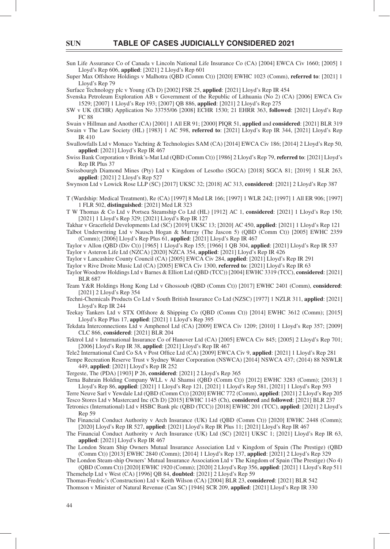Sun Life Assurance Co of Canada v Lincoln National Life Insurance Co (CA) [2004] EWCA Civ 1660; [2005] 1 Lloyd's Rep 606, **applied**: [2021] 2 Lloyd's Rep 601

Super Max Offshore Holdings v Malhotra (QBD (Comm Ct)) [2020] EWHC 1023 (Comm), **referred to**: [2021] 1 Lloyd's Rep 79

Surface Technology plc v Young (Ch D) [2002] FSR 25, **applied**: [2021] Lloyd's Rep IR 454

Svenska Petroleum Exploration AB v Government of the Republic of Lithuania (No 2) (CA) [2006] EWCA Civ 1529; [2007] 1 Lloyd's Rep 193; [2007] QB 886, **applied**: [2021] 2 Lloyd's Rep 275

SW v UK (ECHR) Application No 33755/06 [2008] ECHR 1530; 21 EHRR 363, **followed**: [2021] Lloyd's Rep FC 88

Swain v Hillman and Another (CA) [2001] 1 All ER 91; [2000] PIQR 51, **applied** and **considered**: [2021] BLR 319

Swain v The Law Society (HL) [1983] 1 AC 598, **referred to**: [2021] Lloyd's Rep IR 344, [2021] Lloyd's Rep IR 410

Swallowfalls Ltd v Monaco Yachting & Technologies SAM (CA) [2014] EWCA Civ 186; [2014] 2 Lloyd's Rep 50, **applied**: [2021] Lloyd's Rep IR 467

Swiss Bank Corporation v Brink's-Mat Ltd (QBD (Comm Ct)) [1986] 2 Lloyd's Rep 79, **referred to**: [2021] Lloyd's Rep IR Plus 37

Swissbourgh Diamond Mines (Pty) Ltd v Kingdom of Lesotho (SGCA) [2018] SGCA 81; [2019] 1 SLR 263, **applied**: [2021] 2 Lloyd's Rep 527

Swynson Ltd v Lowick Rose LLP (SC) [2017] UKSC 32; [2018] AC 313, **considered**: [2021] 2 Lloyd's Rep 387

T (Wardship: Medical Treatment), Re (CA) [1997] 8 Med LR 166; [1997] 1 WLR 242; [1997] 1 All ER 906; [1997] 1 FLR 502, **distinguished**: [2021] Med LR 323

T W Thomas & Co Ltd v Portsea Steamship Co Ltd (HL) [1912] AC 1, **considered**: [2021] 1 Lloyd's Rep 150; [2021] 1 Lloyd's Rep 329; [2021] Lloyd's Rep IR 127

Takhar v Gracefield Developments Ltd (SC) [2019] UKSC 13; [2020] AC 450, **applied**: [2021] 1 Lloyd's Rep 121 Talbot Underwriting Ltd v Nausch Hogan & Murray (The Jascon 5) (QBD (Comm Ct)) [2005] EWHC 2359 (Comm); [2006] Lloyd's Rep Plus 61, **applied**: [2021] Lloyd's Rep IR 467

Taylor v Allon (QBD (Div Ct)) [1965] 1 Lloyd's Rep 155; [1966] 1 QB 304, **applied**: [2021] Lloyd's Rep IR 537 Taylor v Asteron Life Ltd (NZCA) [2020] NZCA 354, **applied**: [2021] Lloyd's Rep IR 426

Taylor v Lancashire County Council (CA) [2005] EWCA Civ 284, **applied**: [2021] Lloyd's Rep IR 291

Taylor v Rive Droite Music Ltd (CA) [2005] EWCA Civ 1300, **referred to**: [2021] Lloyd's Rep IR 63

Taylor Woodrow Holdings Ltd v Barnes & Elliott Ltd (QBD (TCC)) [2004] EWHC 3319 (TCC), **considered**: [2021] BLR 687

Team Y&R Holdings Hong Kong Ltd v Ghossoub (QBD (Comm Ct)) [2017] EWHC 2401 (Comm), **considered**: [2021] 2 Lloyd's Rep 354

Techni-Chemicals Products Co Ltd v South British Insurance Co Ltd (NZSC) [1977] 1 NZLR 311, **applied**: [2021] Lloyd's Rep IR 244

Teekay Tankers Ltd v STX Offshore & Shipping Co (QBD (Comm Ct)) [2014] EWHC 3612 (Comm); [2015] Lloyd's Rep Plus 17, **applied**: [2021] 1 Lloyd's Rep 395

Tekdata Interconnections Ltd v Amphenol Ltd (CA) [2009] EWCA Civ 1209; [2010] 1 Lloyd's Rep 357; [2009] CLC 866, **considered**: [2021] BLR 204

Tektrol Ltd v International Insurance Co of Hanover Ltd (CA) [2005] EWCA Civ 845; [2005] 2 Lloyd's Rep 701; [2006] Lloyd's Rep IR 38, **applied**: [2021] Lloyd's Rep IR 467

Tele2 International Card Co SA v Post Office Ltd (CA) [2009] EWCA Civ 9, applied: [2021] 1 Lloyd's Rep 281

Tempe Recreation Reserve Trust v Sydney Water Corporation (NSWCA) [2014] NSWCA 437; (2014) 88 NSWLR 449, **applied**: [2021] Lloyd's Rep IR 252

Tergeste, The (PDA) [1903] P 26, **considered**: [2021] 2 Lloyd's Rep 365

Terna Bahrain Holding Company WLL v Al Shamsi (QBD (Comm Ct)) [2012] EWHC 3283 (Comm); [2013] 1 Lloyd's Rep 86, **applied**: [2021] 1 Lloyd's Rep 121, [2021] 1 Lloyd's Rep 581, [2021] 1 Lloyd's Rep 593

Terre Neuve Sarl v Yewdale Ltd (QBD (Comm Ct)) [2020] EWHC 772 (Comm), **applied**: [2021] 2 Lloyd's Rep 205 Tesco Stores Ltd v Mastercard Inc (Ch D) [2015] EWHC 1145 (Ch), **considered** and **followed**: [2021] BLR 237 Tetronics (International) Ltd v HSBC Bank plc (QBD (TCC)) [2018] EWHC 201 (TCC), **applied**: [2021] 2 Lloyd's Rep 59

The Financial Conduct Authority v Arch Insurance (UK) Ltd (QBD (Comm Ct)) [2020] EWHC 2448 (Comm); [2020] Lloyd's Rep IR 527, **applied**: [2021] Lloyd's Rep IR Plus 11; [2021] Lloyd's Rep IR 467

The Financial Conduct Authority v Arch Insurance (UK) Ltd (SC) [2021] UKSC 1; [2021] Lloyd's Rep IR 63, **applied**: [2021] Lloyd's Rep IR 467

The London Steam Ship Owners Mutual Insurance Association Ltd v Kingdom of Spain (The Prestige) (QBD (Comm Ct)) [2013] EWHC 2840 (Comm); [2014] 1 Lloyd's Rep 137, **applied**: [2021] 2 Lloyd's Rep 329

The London Steam-ship Owners' Mutual Insurance Association Ltd v The Kingdom of Spain (The Prestige) (No 4) (QBD (Comm Ct)) [2020] EWHC 1920 (Comm); [2020] 2 Lloyd's Rep 356, **applied**: [2021] 1 Lloyd's Rep 511 Themehelp Ltd v West (CA) [1996] QB 84, **doubted**: [2021] 2 Lloyd's Rep 59

Thomas-Fredric's (Construction) Ltd v Keith Wilson (CA) [2004] BLR 23, **considered**: [2021] BLR 542 Thomson v Minister of Natural Revenue (Can SC) [1946] SCR 209, **applied**: [2021] Lloyd's Rep IR 330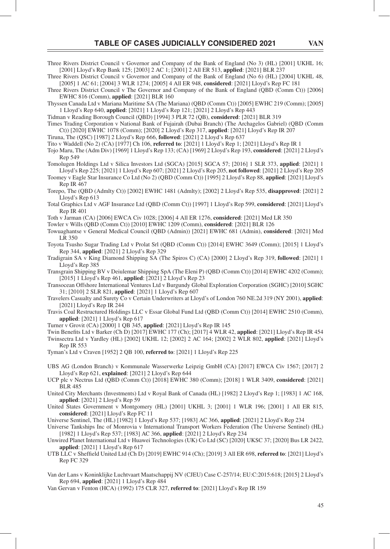[2001] Lloyd's Rep Bank 125; [2003] 2 AC 1; [2001] 2 All ER 513, **applied**: [2021] BLR 237 Three Rivers District Council v Governor and Company of the Bank of England (No 6) (HL) [2004] UKHL 48,

[2005] 1 AC 61; [2004] 3 WLR 1274; [2005] 4 All ER 948, **considered**: [2021] Lloyd's Rep FC 181 Three Rivers District Council v The Governor and Company of the Bank of England (QBD (Comm Ct)) [2006] EWHC 816 (Comm), **applied**: [2021] BLR 160

Thyssen Canada Ltd v Mariana Maritime SA (The Mariana) (QBD (Comm Ct)) [2005] EWHC 219 (Comm); [2005] 1 Lloyd's Rep 640, **applied**: [2021] 1 Lloyd's Rep 121; [2021] 2 Lloyd's Rep 443

Tidman v Reading Borough Council (QBD) [1994] 3 PLR 72 (QB), **considered**: [2021] BLR 319

Times Trading Corporation v National Bank of Fujairah (Dubai Branch) (The Archagelos Gabriel) (QBD (Comm Ct)) [2020] EWHC 1078 (Comm); [2020] 2 Lloyd's Rep 317, **applied**: [2021] Lloyd's Rep IR 207

Tiruna, The (QSC) [1987] 2 Lloyd's Rep 666, **followed**: [2021] 2 Lloyd's Rep 637

Tito v Waddell (No 2) (CA) [1977] Ch 106, **referred to**: [2021] 1 Lloyd's Rep 1; [2021] Lloyd's Rep IR 1

Tojo Maru, The (Adm Div) [1969] 1 Lloyd's Rep 133; (CA) [1969] 2 Lloyd's Rep 193, **considered**: [2021] 2 Lloyd's Rep 549

Tomolugen Holdings Ltd v Silica Investors Ltd (SGCA) [2015] SGCA 57; [2016] 1 SLR 373, **applied**: [2021] 1 Lloyd's Rep 225; [2021] 1 Lloyd's Rep 607; [2021] 2 Lloyd's Rep 205, **not followed**: [2021] 2 Lloyd's Rep 205

Toomey v Eagle Star Insurance Co Ltd (No 2) (QBD (Comm Ct)) [1995] 2 Lloyd's Rep 88, **applied**: [2021] Lloyd's Rep IR 467

Torepo, The (QBD (Admlty Ct)) [2002] EWHC 1481 (Admlty); [2002] 2 Lloyd's Rep 535, **disapproved**: [2021] 2 Lloyd's Rep 613

Total Graphics Ltd v AGF Insurance Ltd (QBD (Comm Ct)) [1997] 1 Lloyd's Rep 599, **considered**: [2021] Lloyd's Rep IR 401

Toth v Jarman (CA) [2006] EWCA Civ 1028; [2006] 4 All ER 1276, **considered**: [2021] Med LR 350

Towler v Wills (QBD (Comm Ct)) [2010] EWHC 1209 (Comm), **considered**: [2021] BLR 126

Towuaghantse v General Medical Council (QBD (Admin)) [2021] EWHC 681 (Admin), **considered**: [2021] Med LR 350

Toyota Tsusho Sugar Trading Ltd v Prolat Srl (QBD (Comm Ct)) [2014] EWHC 3649 (Comm); [2015] 1 Lloyd's Rep 344, **applied**: [2021] 2 Lloyd's Rep 329

Tradigrain SA v King Diamond Shipping SA (The Spiros C) (CA) [2000] 2 Lloyd's Rep 319, **followed**: [2021] 1 Lloyd's Rep 385

Transgrain Shipping BV v Deiulemar Shipping SpA (The Eleni P) (QBD (Comm Ct)) [2014] EWHC 4202 (Comm); [2015] 1 Lloyd's Rep 461, **applied**: [2021] 2 Lloyd's Rep 23

Transocean Offshore International Ventures Ltd v Burgundy Global Exploration Corporation (SGHC) [2010] SGHC 31; [2010] 2 SLR 821, **applied**: [2021] 1 Lloyd's Rep 607

Travelers Casualty and Surety Co v Certain Underwriters at Lloyd's of London 760 NE.2d 319 (NY 2001), **applied**: [2021] Lloyd's Rep IR 244

Travis Coal Restructured Holdings LLC v Essar Global Fund Ltd (QBD (Comm Ct)) [2014] EWHC 2510 (Comm), **applied**: [2021] 1 Lloyd's Rep 617

Turner v Grovit (CA) [2000] 1 QB 345, **applied**: [2021] Lloyd's Rep IR 145

Twin Benefits Ltd v Barker (Ch D) [2017] EWHC 177 (Ch); [2017] 4 WLR 42, **applied**: [2021] Lloyd's Rep IR 454 Twinsectra Ltd v Yardley (HL) [2002] UKHL 12; [2002] 2 AC 164; [2002] 2 WLR 802, **applied**: [2021] Lloyd's Rep IR 553

Tyman's Ltd v Craven [1952] 2 QB 100, **referred to**: [2021] 1 Lloyd's Rep 225

UBS AG (London Branch) v Kommunale Wasserwerke Leipzig GmbH (CA) [2017] EWCA Civ 1567; [2017] 2 Lloyd's Rep 621, **explained**: [2021] 2 Lloyd's Rep 644

UCP plc v Nectrus Ltd (QBD (Comm Ct)) [2018] EWHC 380 (Comm); [2018] 1 WLR 3409, **considered**: [2021] BLR 485

United City Merchants (Investments) Ltd v Royal Bank of Canada (HL) [1982] 2 Lloyd's Rep 1; [1983] 1 AC 168, **applied**: [2021] 2 Lloyd's Rep 59

United States Government v Montgomery (HL) [2001] UKHL 3; [2001] 1 WLR 196; [2001] 1 All ER 815, **considered**: [2021] Lloyd's Rep FC 11

Universe Sentinel, The (HL) [1982] 1 Lloyd's Rep 537; [1983] AC 366, **applied**: [2021] 2 Lloyd's Rep 234

Universe Tankships Inc of Monrovia v International Transport Workers Federation (The Universe Sentinel) (HL) [1982] 1 Lloyd's Rep 537; [1983] AC 366, **applied**: [2021] 2 Lloyd's Rep 234

Unwired Planet International Ltd v Huawei Technologies (UK) Co Ltd (SC) [2020] UKSC 37; [2020] Bus LR 2422, **applied**: [2021] 1 Lloyd's Rep 617

UTB LLC v Sheffi eld United Ltd (Ch D) [2019] EWHC 914 (Ch); [2019] 3 All ER 698, **referred to**: [2021] Lloyd's Rep FC 329

Van der Lans v Koninklijke Luchtvaart Maatschappij NV (CJEU) Case C-257/14; EU:C:2015:618; [2015] 2 Lloyd's Rep 694, **applied**: [2021] 1 Lloyd's Rep 484

Van Gervan v Fenton (HCA) (1992) 175 CLR 327, **referred to**: [2021] Lloyd's Rep IR 159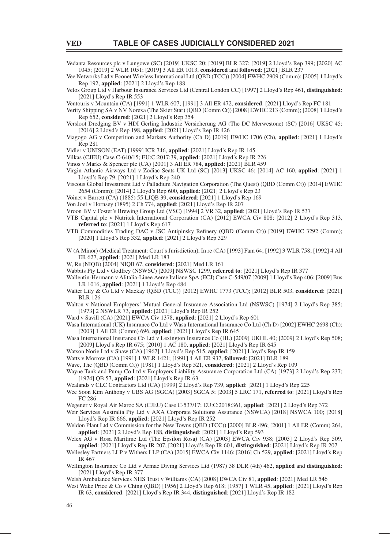Vedanta Resources plc v Lungowe (SC) [2019] UKSC 20; [2019] BLR 327; [2019] 2 Lloyd's Rep 399; [2020] AC 1045; [2019] 2 WLR 1051; [2019] 3 All ER 1013, **considered** and **followed**: [2021] BLR 237

Vee Networks Ltd v Econet Wireless International Ltd (QBD (TCC)) [2004] EWHC 2909 (Comm); [2005] 1 Lloyd's Rep 192, **applied**: [2021] 2 Lloyd's Rep 188

Velos Group Ltd v Harbour Insurance Services Ltd (Central London CC) [1997] 2 Lloyd's Rep 461, **distinguished**: [2021] Lloyd's Rep IR 553

Ventouris v Mountain (CA) [1991] 1 WLR 607; [1991] 3 All ER 472, **considered**: [2021] Lloyd's Rep FC 181

Verity Shipping SA v NV Norexa (The Skier Star) (QBD (Comm Ct)) [2008] EWHC 213 (Comm); [2008] 1 Lloyd's Rep 652, **considered**: [2021] 2 Lloyd's Rep 354

Versloot Dredging BV v HDI Gerling Industrie Versicherung AG (The DC Merwestone) (SC) [2016] UKSC 45; [2016] 2 Lloyd's Rep 198, **applied**: [2021] Lloyd's Rep IR 426

- Viagogo AG v Competition and Markets Authority (Ch D) [2019] EWHC 1706 (Ch), **applied**: [2021] 1 Lloyd's Rep 281
- Vidler v UNISON (EAT) [1999] ICR 746, **applied**: [2021] Lloyd's Rep IR 145
- Vilkas (CJEU) Case C-640/15; EU:C:2017:39, **applied**: [2021] Lloyd's Rep IR 226

Vinos v Marks & Spencer plc (CA) [2001] 3 All ER 784, **applied**: [2021] BLR 459

- Virgin Atlantic Airways Ltd v Zodiac Seats UK Ltd (SC) [2013] UKSC 46; [2014] AC 160, **applied**: [2021] 1 Lloyd's Rep 79, [2021] 1 Lloyd's Rep 240
- Viscous Global Investment Ltd v Palladium Navigation Corporation (The Quest) (QBD (Comm Ct)) [2014] EWHC 2654 (Comm); [2014] 2 Lloyd's Rep 600, **applied**: [2021] 2 Lloyd's Rep 23
- Voinet v Barrett (CA) (1885) 55 LJQB 39, **considered**: [2021] 1 Lloyd's Rep 169
- Von Joel v Hornsey (1895) 2 Ch 774, **applied**: [2021] Lloyd's Rep IR 207
- Vroon BV v Foster's Brewing Group Ltd (VSC) [1994] 2 VR 32, **applied**: [2021] Lloyd's Rep IR 537
- VTB Capital plc v Nutritek International Corporation (CA) [2012] EWCA Civ 808; [2012] 2 Lloyd's Rep 313, **referred to**: [2021] 1 Lloyd's Rep 617
- VTB Commodities Trading DAC v JSC Antipinsky Refinery (QBD (Comm Ct)) [2019] EWHC 3292 (Comm); [2020] 1 Lloyd's Rep 332, **applied**: [2021] 2 Lloyd's Rep 329
- W (A Minor) (Medical Treatment: Court's Jurisdiction), In re (CA) [1993] Fam 64; [1992] 3 WLR 758; [1992] 4 All ER 627, **applied**: [2021] Med LR 183
- W, Re (NIQB) [2004] NIQB 67, **considered**: [2021] Med LR 161
- Wabbits Pty Ltd v Godfrey (NSWSC) [2009] NSWSC 1299, **referred to**: [2021] Lloyd's Rep IR 377
- Wallentin-Hermann v Alitalia-Linee Aeree Italiane SpA (ECJ) Case C-549/07 [2009] 1 Lloyd's Rep 406; [2009] Bus LR 1016, **applied**: [2021] 1 Lloyd's Rep 484
- Walter Lily & Co Ltd v Mackay (QBD (TCC)) [2012] EWHC 1773 (TCC); [2012] BLR 503, **considered**: [2021] BLR 126
- Walton v National Employers' Mutual General Insurance Association Ltd (NSWSC) [1974] 2 Lloyd's Rep 385; [1973] 2 NSWLR 73, **applied**: [2021] Lloyd's Rep IR 252
- Ward v Savill (CA) [2021] EWCA Civ 1378, **applied**: [2021] 2 Lloyd's Rep 601
- Wasa International (UK) Insurance Co Ltd v Wasa International Insurance Co Ltd (Ch D) [2002] EWHC 2698 (Ch); [2003] 1 All ER (Comm) 696, **applied**: [2021] Lloyd's Rep IR 645
- Wasa International Insurance Co Ltd v Lexington Insurance Co (HL) [2009] UKHL 40; [2009] 2 Lloyd's Rep 508; [2009] Lloyd's Rep IR 675; [2010] 1 AC 180, **applied**: [2021] Lloyd's Rep IR 645
- Watson Norie Ltd v Shaw (CA) [1967] 1 Lloyd's Rep 515, **applied**: [2021] Lloyd's Rep IR 159

Watts v Morrow (CA) [1991] 1 WLR 1421; [1991] 4 All ER 937, **followed**: [2021] BLR 189

- Wave, The (QBD (Comm Ct)) [1981] 1 Lloyd's Rep 521, **considered**: [2021] 2 Lloyd's Rep 109
- Wayne Tank and Pump Co Ltd v Employers Liability Assurance Corporation Ltd (CA) [1973] 2 Lloyd's Rep 237; [1974] QB 57, **applied**: [2021] Lloyd's Rep IR 63
- Wealands v CLC Contractors Ltd (CA) [1999] 2 Lloyd's Rep 739, **applied**: [2021] 1 Lloyd's Rep 225
- Wee Soon Kim Anthony v UBS AG (SGCA) [2003] SGCA 5; [2003] 5 LRC 171, **referred to**: [2021] Lloyd's Rep FC 286
- Wegener v Royal Air Maroc SA (CJEU) Case C-537/17; EU:C:2018:361, **applied**: [2021] 2 Lloyd's Rep 372
- Weir Services Australia Pty Ltd v AXA Corporate Solutions Assurance (NSWCA) [2018] NSWCA 100; [2018] Lloyd's Rep IR 666, **applied**: [2021] Lloyd's Rep IR 252
- Weldon Plant Ltd v Commission for the New Towns (QBD (TCC)) [2000] BLR 496; [2001] 1 All ER (Comm) 264, **applied**: [2021] 2 Lloyd's Rep 188, **distinguished**: [2021] 1 Lloyd's Rep 593
- Welex AG v Rosa Maritime Ltd (The Epsilon Rosa) (CA) [2003] EWCA Civ 938; [2003] 2 Lloyd's Rep 509, **applied**: [2021] Lloyd's Rep IR 207, [2021] Lloyd's Rep IR 601, **distinguished**: [2021] Lloyd's Rep IR 207
- Wellesley Partners LLP v Withers LLP (CA) [2015] EWCA Civ 1146; [2016] Ch 529, **applied**: [2021] Lloyd's Rep IR 467
- Wellington Insurance Co Ltd v Armac Diving Services Ltd (1987) 38 DLR (4th) 462, **applied** and **distinguished**: [2021] Lloyd's Rep IR 377
- Welsh Ambulance Services NHS Trust v Williams (CA) [2008] EWCA Civ 81, **applied**: [2021] Med LR 546
- West Wake Price & Co v Ching (QBD) [1956] 2 Lloyd's Rep 618; [1957] 1 WLR 45, **applied**: [2021] Lloyd's Rep IR 63, **considered**: [2021] Lloyd's Rep IR 344, **distinguished**: [2021] Lloyd's Rep IR 182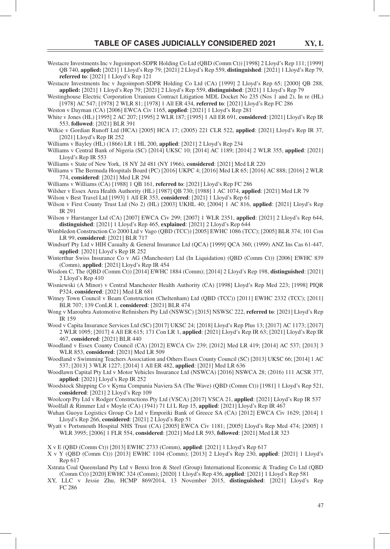Westacre Investments Inc v Jugoimport-SDPR Holding Co Ltd (QBD (Comm Ct)) [1998] 2 Lloyd's Rep 111; [1999] QB 740, **applied:** [2021] 1 Lloyd's Rep 79; [2021] 2 Lloyd's Rep 559, **distinguished**: [2021] 1 Lloyd's Rep 79, **referred to**: [2021] 1 Lloyd's Rep 121

Westacre Investments Inc v Jugoimport-SDPR Holding Co Ltd (CA) [1999] 2 Lloyd's Rep 65; [2000] QB 288, **applied:** [2021] 1 Lloyd's Rep 79; [2021] 2 Lloyd's Rep 559, **distinguished**: [2021] 1 Lloyd's Rep 79

Westinghouse Electric Corporation Uranium Contract Litigation MDL Docket No 235 (Nos 1 and 2), In re (HL) [1978] AC 547; [1978] 2 WLR 81; [1978] 1 All ER 434, **referred to**: [2021] Lloyd's Rep FC 286

Weston v Dayman (CA) [2006] EWCA Civ 1165, **applied**: [2021] 1 Lloyd's Rep 281

- White v Jones (HL) [1995] 2 AC 207; [1995] 2 WLR 187; [1995] 1 All ER 691, **considered**: [2021] Lloyd's Rep IR 553, **followed**: [2021] BLR 391
- Wilkie v Gordian Runoff Ltd (HCA) [2005] HCA 17; (2005) 221 CLR 522, **applied**: [2021] Lloyd's Rep IR 37, [2021] Lloyd's Rep IR 252

Williams v Bayley (HL) (1866) LR 1 HL 200, **applied**: [2021] 2 Lloyd's Rep 234

- Williams v Central Bank of Nigeria (SC) [2014] UKSC 10; [2014] AC 1189; [2014] 2 WLR 355, **applied**: [2021] Lloyd's Rep IR 553
- Williams v State of New York, 18 NY 2d 481 (NY 1966), **considered**: [2021] Med LR 220
- Williams v The Bermuda Hospitals Board (PC) [2016] UKPC 4; [2016] Med LR 65; [2016] AC 888; [2016] 2 WLR 774, **considered**: [2021] Med LR 294
- Williams v Williams (CA) [1988] 1 QB 161, **referred to**: [2021] Lloyd's Rep FC 286

Wilsher v Essex Area Health Authority (HL) [1987] QB 730; [1988] 1 AC 1074, **applied**: [2021] Med LR 79

- Wilson v Best Travel Ltd [1993] 1 All ER 353, **considered**: [2021] 1 Lloyd's Rep 61
- Wilson v First County Trust Ltd (No 2) (HL) [2003] UKHL 40; [2004] 1 AC 816, **applied**: [2021] Lloyd's Rep IR 291
- Wilson v Hurstanger Ltd (CA) [2007] EWCA Civ 299; [2007] 1 WLR 2351, **applied**: [2021] 2 Lloyd's Rep 644, **distinguished**: [2021] 1 Lloyd's Rep 465, **explained**: [2021] 2 Lloyd's Rep 644
- Wimbledon Construction Co 2000 Ltd v Vago (QBD (TCC)) [2005] EWHC 1086 (TCC); [2005] BLR 374; 101 Con LR 99, **considered**: [2021] BLR 717
- Windsurf Pty Ltd v HIH Casualty & General Insurance Ltd (QCA) [1999] QCA 360; (1999) ANZ Ins Cas 61-447, **applied**: [2021] Lloyd's Rep IR 252
- Winterthur Swiss Insurance Co v AG (Manchester) Ltd (In Liquidation) (QBD (Comm Ct)) [2006] EWHC 839 (Comm), **applied**: [2021] Lloyd's Rep IR 454
- Wisdom C, The (QBD (Comm Ct)) [2014] EWHC 1884 (Comm); [2014] 2 Lloyd's Rep 198, **distinguished**: [2021] 2 Lloyd's Rep 410
- Wisniewski (A Minor) v Central Manchester Health Authority (CA) [1998] Lloyd's Rep Med 223; [1998] PIQR P324, **considered**: [2021] Med LR 681
- Witney Town Council v Beam Construction (Cheltenham) Ltd (QBD (TCC)) [2011] EWHC 2332 (TCC); [2011] BLR 707; 139 ConLR 1, **considered**: [2021] BLR 474
- Wong v Maroubra Automotive Refinishers Pty Ltd (NSWSC) [2015] NSWSC 222, referred to: [2021] Lloyd's Rep IR 159
- Wood v Capita Insurance Services Ltd (SC) [2017] UKSC 24; [2018] Lloyd's Rep Plus 13; [2017] AC 1173; [2017] 2 WLR 1095; [2017] 4 All ER 615; 171 Con LR 1, **applied**: [2021] Lloyd's Rep IR 63; [2021] Lloyd's Rep IR 467, **considered**: [2021] BLR 440
- Woodland v Essex County Council (CA) [2012] EWCA Civ 239; [2012] Med LR 419; [2014] AC 537; [2013] 3 WLR 853, **considered**: [2021] Med LR 509
- Woodland v Swimming Teachers Association and Others Essex County Council (SC) [2013] UKSC 66; [2014] 1 AC 537; [2013] 3 WLR 1227; [2014] 1 All ER 482, **applied**: [2021] Med LR 636
- Woodlawn Capital Pty Ltd v Motor Vehicles Insurance Ltd (NSWCA) [2016] NSWCA 28; (2016) 111 ACSR 377, **applied**: [2021] Lloyd's Rep IR 252
- Woodstock Shipping Co v Kyma Compania Naviera SA (The Wave) (QBD (Comm Ct)) [1981] 1 Lloyd's Rep 521, **considered**: [2021] 2 Lloyd's Rep 109
- Woolcorp Pty Ltd v Rodger Constructions Pty Ltd (VSCA) [2017] VSCA 21, **applied**: [2021] Lloyd's Rep IR 537 Woolfall & Rimmer Ltd v Moyle (CA) (1941) 71 Ll L Rep 15, **applied**: [2021] Lloyd's Rep IR 467
- Wuhan Guoyu Logistics Group Co Ltd v Emporiki Bank of Greece SA (CA) [2012] EWCA Civ 1629; [2014] 1 Lloyd's Rep 266, **considered**: [2021] 2 Lloyd's Rep 51
- Wyatt v Portsmouth Hospital NHS Trust (CA) [2005] EWCA Civ 1181; [2005] Lloyd's Rep Med 474; [2005] 1 WLR 3995; [2006] 1 FLR 554, **considered**: [2021] Med LR 593, **followed**: [2021] Med LR 323
- X v E (QBD (Comm Ct)) [2013] EWHC 2733 (Comm), **applied**: [2021] 1 Lloyd's Rep 617
- X v Y (QBD (Comm Ct)) [2013] EWHC 1104 (Comm); [2013] 2 Lloyd's Rep 230, **applied**: [2021] 1 Lloyd's Rep 617
- Xstrata Coal Queensland Pty Ltd v Benxi Iron & Steel (Group) International Economic & Trading Co Ltd (QBD (Comm Ct)) [2020] EWHC 324 (Comm); [2020] 1 Lloyd's Rep 436, **applied**: [2021] 1 Lloyd's Rep 581
- XY, LLC v Jessie Zhu, HCMP 869/2014, 13 November 2015, **distinguished**: [2021] Lloyd's Rep FC 286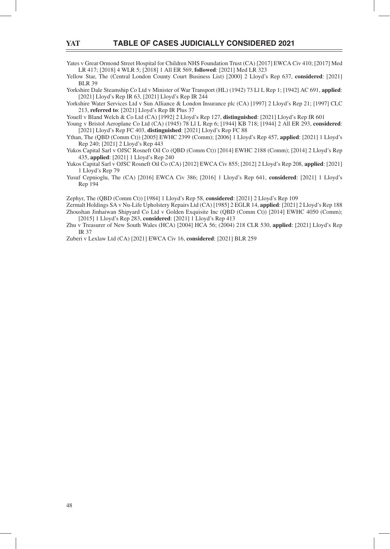Yates v Great Ormond Street Hospital for Children NHS Foundation Trust (CA) [2017] EWCA Civ 410; [2017] Med LR 417; [2018] 4 WLR 5; [2018] 1 All ER 569, **followed**: [2021] Med LR 323

Yellow Star, The (Central London County Court Business List) [2000] 2 Lloyd's Rep 637, **considered**: [2021] BLR 39

Yorkshire Dale Steamship Co Ltd v Minister of War Transport (HL) (1942) 73 Ll L Rep 1; [1942] AC 691, **applied**: [2021] Lloyd's Rep IR 63, [2021] Lloyd's Rep IR 244

Yorkshire Water Services Ltd v Sun Alliance & London Insurance plc (CA) [1997] 2 Lloyd's Rep 21; [1997] CLC 213, **referred to**: [2021] Lloyd's Rep IR Plus 37

Youell v Bland Welch & Co Ltd (CA) [1992] 2 Lloyd's Rep 127, **distinguished**: [2021] Lloyd's Rep IR 601

Young v Bristol Aeroplane Co Ltd (CA) (1945) 78 Ll L Rep 6; [1944] KB 718; [1944] 2 All ER 293, **considered**: [2021] Lloyd's Rep FC 403, **distinguished**: [2021] Lloyd's Rep FC 88

Ythan, The (QBD (Comm Ct)) [2005] EWHC 2399 (Comm); [2006] 1 Lloyd's Rep 457, **applied**: [2021] 1 Lloyd's Rep 240; [2021] 2 Lloyd's Rep 443

Yukos Capital Sarl v OJSC Rosneft Oil Co (QBD (Comm Ct)) [2014] EWHC 2188 (Comm); [2014] 2 Lloyd's Rep 435, **applied**: [2021] 1 Lloyd's Rep 240

Yukos Capital Sarl v OJSC Rosneft Oil Co (CA) [2012] EWCA Civ 855; [2012] 2 Lloyd's Rep 208, **applied**: [2021] 1 Lloyd's Rep 79

Yusuf Cepnioglu, The (CA) [2016] EWCA Civ 386; [2016] 1 Lloyd's Rep 641, **considered**: [2021] 1 Lloyd's Rep 194

Zephyr, The (QBD (Comm Ct)) [1984] 1 Lloyd's Rep 58, **considered**: [2021] 2 Lloyd's Rep 109

Zermalt Holdings SA v Nu-Life Upholstery Repairs Ltd (CA) [1985] 2 EGLR 14, **applied**: [2021] 2 Lloyd's Rep 188 Zhoushan Jinhaiwan Shipyard Co Ltd v Golden Exquisite Inc (QBD (Comm Ct)) [2014] EWHC 4050 (Comm); [2015] 1 Lloyd's Rep 283, **considered**: [2021] 1 Lloyd's Rep 413

Zhu v Treasurer of New South Wales (HCA) [2004] HCA 56; (2004) 218 CLR 530, **applied**: [2021] Lloyd's Rep IR 37

Zuberi v Lexlaw Ltd (CA) [2021] EWCA Civ 16, **considered**: [2021] BLR 259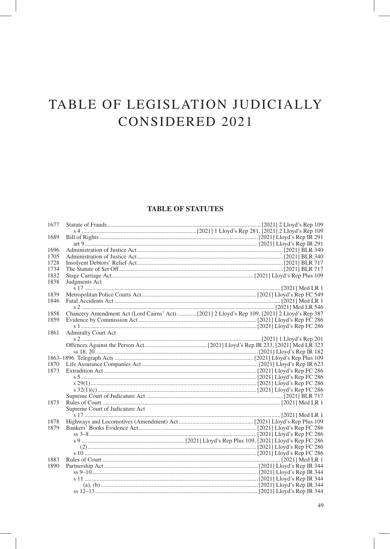#### **TABLE OF STATUTES**

| 1677 |                                 |                                                                                              |
|------|---------------------------------|----------------------------------------------------------------------------------------------|
|      |                                 |                                                                                              |
| 1689 |                                 |                                                                                              |
|      |                                 |                                                                                              |
| 1696 |                                 |                                                                                              |
| 1705 |                                 |                                                                                              |
| 1728 |                                 |                                                                                              |
| 1734 |                                 |                                                                                              |
| 1832 |                                 |                                                                                              |
| 1838 | Judgments Act                   |                                                                                              |
|      |                                 |                                                                                              |
| 1839 |                                 |                                                                                              |
| 1846 |                                 |                                                                                              |
|      |                                 |                                                                                              |
| 1858 |                                 | Chancery Amendment Act (Lord Cairns' Act) [2021] 2 Lloyd's Rep 109, [2021] 2 Lloyd's Rep 387 |
| 1859 |                                 |                                                                                              |
|      |                                 |                                                                                              |
| 1861 | <b>Admiralty Court Act</b>      |                                                                                              |
|      |                                 |                                                                                              |
|      |                                 |                                                                                              |
|      |                                 |                                                                                              |
|      |                                 |                                                                                              |
| 1870 |                                 |                                                                                              |
| 1873 |                                 |                                                                                              |
|      |                                 |                                                                                              |
|      |                                 |                                                                                              |
|      |                                 |                                                                                              |
|      |                                 |                                                                                              |
| 1875 |                                 |                                                                                              |
|      | Supreme Court of Judicature Act |                                                                                              |
|      |                                 |                                                                                              |
| 1878 |                                 |                                                                                              |
| 1879 |                                 |                                                                                              |
|      |                                 |                                                                                              |
|      |                                 |                                                                                              |
|      |                                 |                                                                                              |
|      |                                 |                                                                                              |
| 1883 |                                 |                                                                                              |
| 1890 |                                 |                                                                                              |
|      |                                 |                                                                                              |
|      |                                 |                                                                                              |
|      |                                 |                                                                                              |
|      |                                 |                                                                                              |
|      |                                 |                                                                                              |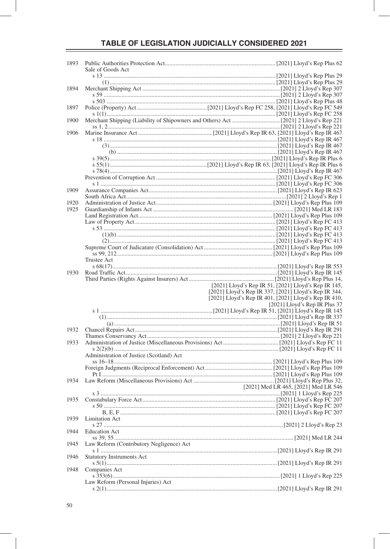| 1893 | Sale of Goods Act                        |                                                       |  |                               |
|------|------------------------------------------|-------------------------------------------------------|--|-------------------------------|
|      |                                          |                                                       |  |                               |
| 1894 |                                          |                                                       |  |                               |
|      |                                          |                                                       |  |                               |
|      |                                          |                                                       |  |                               |
| 1897 |                                          |                                                       |  |                               |
|      |                                          |                                                       |  |                               |
| 1900 |                                          |                                                       |  |                               |
|      |                                          |                                                       |  |                               |
| 1906 |                                          |                                                       |  |                               |
|      |                                          |                                                       |  |                               |
|      |                                          |                                                       |  |                               |
|      |                                          |                                                       |  |                               |
|      |                                          |                                                       |  |                               |
|      |                                          |                                                       |  |                               |
|      |                                          |                                                       |  |                               |
|      |                                          |                                                       |  |                               |
|      |                                          |                                                       |  |                               |
| 1909 |                                          |                                                       |  |                               |
|      |                                          |                                                       |  |                               |
| 1920 |                                          |                                                       |  |                               |
| 1925 |                                          |                                                       |  |                               |
|      |                                          |                                                       |  |                               |
|      |                                          |                                                       |  |                               |
|      |                                          |                                                       |  |                               |
|      |                                          |                                                       |  |                               |
|      |                                          |                                                       |  |                               |
|      |                                          |                                                       |  |                               |
|      |                                          |                                                       |  |                               |
|      | <b>Trustee Act</b>                       |                                                       |  |                               |
| 1930 |                                          |                                                       |  |                               |
|      |                                          |                                                       |  |                               |
|      |                                          | [2021] Lloyd's Rep IR 51, [2021] Lloyd's Rep IR 145,  |  |                               |
|      |                                          | [2021] Lloyd's Rep IR 337, [2021] Lloyd's Rep IR 344, |  |                               |
|      |                                          | [2021] Lloyd's Rep IR 401, [2021] Lloyd's Rep IR 410, |  |                               |
|      |                                          |                                                       |  | [2021] Lloyd's Rep IR Plus 37 |
|      |                                          |                                                       |  |                               |
|      |                                          |                                                       |  |                               |
|      |                                          |                                                       |  |                               |
|      |                                          |                                                       |  |                               |
| 1932 |                                          |                                                       |  |                               |
|      |                                          |                                                       |  |                               |
| 1933 |                                          |                                                       |  |                               |
|      |                                          |                                                       |  |                               |
|      | Administration of Justice (Scotland) Act |                                                       |  |                               |
|      |                                          |                                                       |  |                               |
|      |                                          |                                                       |  |                               |
|      |                                          |                                                       |  |                               |
| 1934 |                                          |                                                       |  |                               |
|      |                                          | [2021] Med LR 465, [2021] Med LR 546                  |  |                               |
|      |                                          |                                                       |  |                               |
| 1935 |                                          |                                                       |  |                               |
|      |                                          |                                                       |  |                               |
|      |                                          |                                                       |  |                               |
| 1939 | Limitation Act                           |                                                       |  |                               |
|      |                                          |                                                       |  |                               |
| 1944 | <b>Education Act</b>                     |                                                       |  |                               |
|      |                                          |                                                       |  |                               |
| 1945 | Law Reform (Contributory Negligence) Act |                                                       |  |                               |
|      |                                          |                                                       |  |                               |
| 1946 | <b>Statutory Instruments Act</b>         |                                                       |  |                               |
|      |                                          |                                                       |  |                               |
| 1948 | Companies Act                            |                                                       |  |                               |
|      | Law Reform (Personal Injuries) Act       |                                                       |  |                               |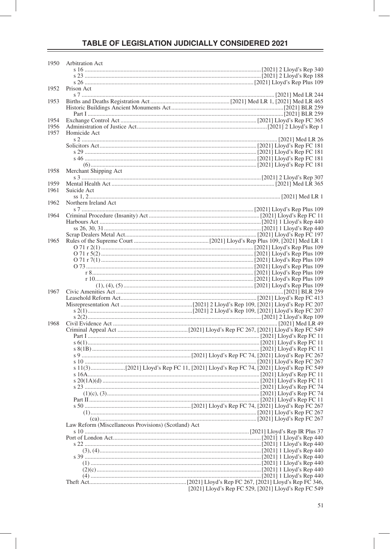| 1950         | Arbitration Act                                      |                                                      |
|--------------|------------------------------------------------------|------------------------------------------------------|
|              |                                                      |                                                      |
|              |                                                      |                                                      |
|              |                                                      |                                                      |
| 1952         | Prison Act                                           |                                                      |
|              |                                                      |                                                      |
| 1953         |                                                      |                                                      |
|              |                                                      |                                                      |
|              |                                                      |                                                      |
| 1954<br>1956 |                                                      |                                                      |
| 1957         | Homicide Act                                         |                                                      |
|              |                                                      |                                                      |
|              |                                                      |                                                      |
|              |                                                      |                                                      |
|              |                                                      |                                                      |
|              |                                                      |                                                      |
| 1958         | Merchant Shipping Act                                |                                                      |
|              |                                                      |                                                      |
| 1959         |                                                      |                                                      |
| 1961         | Suicide Act                                          |                                                      |
|              |                                                      |                                                      |
| 1962         | Northern Ireland Act                                 |                                                      |
|              |                                                      |                                                      |
| 1964         |                                                      |                                                      |
|              |                                                      |                                                      |
|              |                                                      |                                                      |
| 1965         |                                                      |                                                      |
|              |                                                      |                                                      |
|              |                                                      |                                                      |
|              |                                                      |                                                      |
|              |                                                      |                                                      |
|              |                                                      |                                                      |
|              |                                                      |                                                      |
|              |                                                      |                                                      |
| 1967         |                                                      |                                                      |
|              |                                                      |                                                      |
|              |                                                      |                                                      |
|              |                                                      |                                                      |
| 1968         |                                                      |                                                      |
|              |                                                      |                                                      |
|              |                                                      |                                                      |
|              |                                                      |                                                      |
|              |                                                      |                                                      |
|              |                                                      |                                                      |
|              |                                                      |                                                      |
|              |                                                      |                                                      |
|              |                                                      |                                                      |
|              |                                                      |                                                      |
|              |                                                      |                                                      |
|              |                                                      |                                                      |
|              |                                                      |                                                      |
|              |                                                      |                                                      |
|              |                                                      |                                                      |
|              | Law Reform (Miscellaneous Provisions) (Scotland) Act |                                                      |
|              |                                                      |                                                      |
|              |                                                      |                                                      |
|              |                                                      |                                                      |
|              |                                                      |                                                      |
|              |                                                      |                                                      |
|              |                                                      |                                                      |
|              |                                                      |                                                      |
|              |                                                      |                                                      |
|              |                                                      | [2021] Lloyd's Rep FC 529, [2021] Lloyd's Rep FC 549 |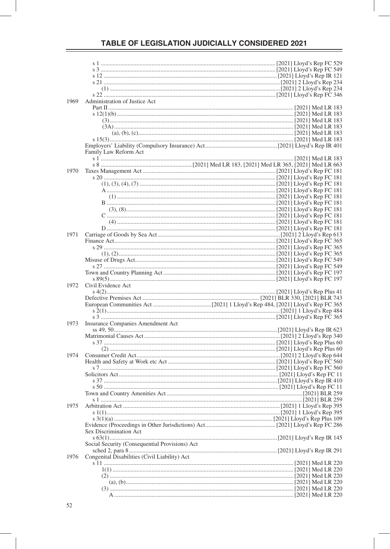| 1969 | Administration of Justice Act                  |  |
|------|------------------------------------------------|--|
|      |                                                |  |
|      |                                                |  |
|      |                                                |  |
|      |                                                |  |
|      |                                                |  |
|      |                                                |  |
|      |                                                |  |
|      |                                                |  |
|      |                                                |  |
|      | Family Law Reform Act                          |  |
|      |                                                |  |
|      |                                                |  |
|      |                                                |  |
| 1970 |                                                |  |
|      |                                                |  |
|      |                                                |  |
|      |                                                |  |
|      |                                                |  |
|      |                                                |  |
|      |                                                |  |
|      |                                                |  |
|      |                                                |  |
|      |                                                |  |
|      |                                                |  |
|      |                                                |  |
|      |                                                |  |
| 1971 |                                                |  |
|      |                                                |  |
|      |                                                |  |
|      |                                                |  |
|      |                                                |  |
|      |                                                |  |
|      |                                                |  |
|      |                                                |  |
|      |                                                |  |
|      |                                                |  |
|      |                                                |  |
|      |                                                |  |
| 1972 | Civil Evidence Act                             |  |
|      |                                                |  |
|      |                                                |  |
|      |                                                |  |
|      |                                                |  |
|      |                                                |  |
|      |                                                |  |
|      |                                                |  |
| 1973 | Insurance Companies Amendment Act              |  |
|      |                                                |  |
|      |                                                |  |
|      |                                                |  |
|      |                                                |  |
|      |                                                |  |
| 1974 |                                                |  |
|      |                                                |  |
|      |                                                |  |
|      |                                                |  |
|      |                                                |  |
|      |                                                |  |
|      |                                                |  |
|      |                                                |  |
|      |                                                |  |
|      |                                                |  |
|      |                                                |  |
| 1975 |                                                |  |
|      |                                                |  |
|      |                                                |  |
|      |                                                |  |
|      |                                                |  |
|      | Sex Discrimination Act                         |  |
|      |                                                |  |
|      | Social Security (Consequential Provisions) Act |  |
|      |                                                |  |
|      |                                                |  |
| 1976 | Congenital Disabilities (Civil Liability) Act  |  |
|      |                                                |  |
|      |                                                |  |
|      |                                                |  |
|      |                                                |  |
|      |                                                |  |
|      |                                                |  |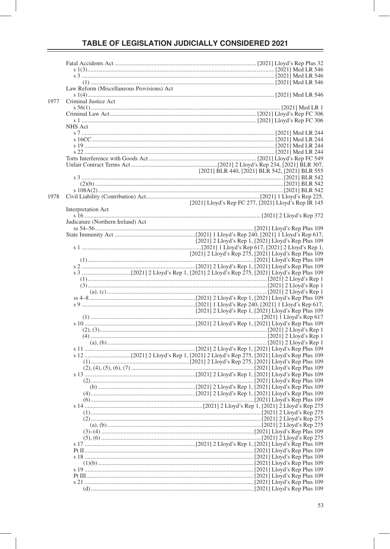|      | Law Reform (Miscellaneous Provisions) Act |                                                                                                                           |
|------|-------------------------------------------|---------------------------------------------------------------------------------------------------------------------------|
| 1977 | Criminal Justice Act                      |                                                                                                                           |
|      |                                           |                                                                                                                           |
|      |                                           |                                                                                                                           |
|      | NHS Act                                   |                                                                                                                           |
|      |                                           |                                                                                                                           |
|      |                                           |                                                                                                                           |
|      |                                           |                                                                                                                           |
|      |                                           |                                                                                                                           |
|      |                                           |                                                                                                                           |
|      |                                           |                                                                                                                           |
|      |                                           |                                                                                                                           |
|      |                                           | [2021] BLR 542, [2021] BLR 555 [2021] BLR 542, [2021] BLR 545 [2021] BLR 555 [2021] BLR 555 [2021] BLR 555 [2021] BLR 542 |
|      |                                           |                                                                                                                           |
|      |                                           |                                                                                                                           |
|      |                                           |                                                                                                                           |
| 1978 |                                           |                                                                                                                           |
|      |                                           | [2021] Lloyd's Rep FC 277, [2021] Lloyd's Rep IR 145                                                                      |
|      | Interpretation Act                        |                                                                                                                           |
|      | Judicature (Northern Ireland) Act         |                                                                                                                           |
|      |                                           |                                                                                                                           |
|      |                                           |                                                                                                                           |
|      |                                           | [2021] 2 Lloyd's Rep 1, [2021] Lloyd's Rep Plus 109                                                                       |
|      |                                           |                                                                                                                           |
|      |                                           | [2021] 2 Lloyd's Rep 275, [2021] Lloyd's Rep Plus 109                                                                     |
|      |                                           |                                                                                                                           |
|      |                                           |                                                                                                                           |
|      |                                           |                                                                                                                           |
|      |                                           |                                                                                                                           |
|      |                                           |                                                                                                                           |
|      |                                           |                                                                                                                           |
|      |                                           |                                                                                                                           |
|      |                                           |                                                                                                                           |
|      |                                           | [2021] 2 Lloyd's Rep 1, [2021] Lloyd's Rep Plus 109                                                                       |
|      |                                           |                                                                                                                           |
|      |                                           |                                                                                                                           |
|      |                                           |                                                                                                                           |
|      |                                           |                                                                                                                           |
|      |                                           |                                                                                                                           |
|      |                                           |                                                                                                                           |
|      |                                           |                                                                                                                           |
|      |                                           |                                                                                                                           |
|      |                                           |                                                                                                                           |
|      |                                           |                                                                                                                           |
|      |                                           |                                                                                                                           |
|      |                                           |                                                                                                                           |
|      |                                           |                                                                                                                           |
|      |                                           |                                                                                                                           |
|      |                                           |                                                                                                                           |
|      |                                           |                                                                                                                           |
|      |                                           |                                                                                                                           |
|      |                                           |                                                                                                                           |
|      |                                           |                                                                                                                           |
|      |                                           |                                                                                                                           |
|      |                                           |                                                                                                                           |
|      |                                           |                                                                                                                           |
|      |                                           |                                                                                                                           |
|      |                                           |                                                                                                                           |
|      |                                           |                                                                                                                           |
|      |                                           |                                                                                                                           |
|      |                                           |                                                                                                                           |
|      |                                           |                                                                                                                           |
|      |                                           |                                                                                                                           |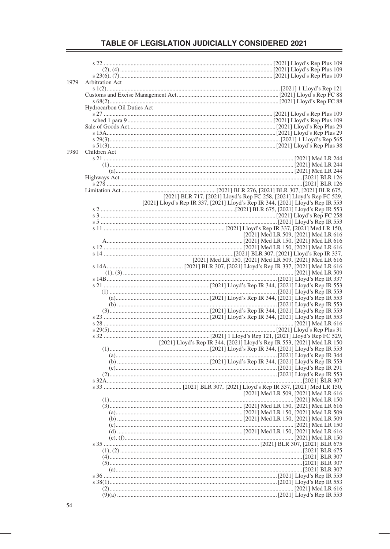| 1979 | Arbitration Act            |                                                                                 |
|------|----------------------------|---------------------------------------------------------------------------------|
|      |                            |                                                                                 |
|      |                            |                                                                                 |
|      |                            |                                                                                 |
|      | Hydrocarbon Oil Duties Act |                                                                                 |
|      |                            |                                                                                 |
|      |                            |                                                                                 |
|      |                            |                                                                                 |
|      |                            |                                                                                 |
|      |                            |                                                                                 |
|      |                            |                                                                                 |
|      |                            |                                                                                 |
| 1980 | Children Act               |                                                                                 |
|      |                            |                                                                                 |
|      |                            |                                                                                 |
|      |                            |                                                                                 |
|      |                            |                                                                                 |
|      |                            |                                                                                 |
|      |                            |                                                                                 |
|      |                            |                                                                                 |
|      |                            | [2021] BLR 717, [2021] Lloyd's Rep FC 258, [2021] Lloyd's Rep FC 529,           |
|      |                            | [2021] Lloyd's Rep IR 337, [2021] Lloyd's Rep IR 344, [2021] Lloyd's Rep IR 553 |
|      |                            |                                                                                 |
|      |                            |                                                                                 |
|      |                            |                                                                                 |
|      |                            |                                                                                 |
|      |                            | [2021] Med LR 509, [2021] Med LR 616                                            |
|      |                            |                                                                                 |
|      |                            |                                                                                 |
|      |                            |                                                                                 |
|      |                            |                                                                                 |
|      |                            | [2021] Med LR 150, [2021] Med LR 509, [2021] Med LR 616                         |
|      |                            |                                                                                 |
|      |                            |                                                                                 |
|      |                            |                                                                                 |
|      |                            |                                                                                 |
|      |                            |                                                                                 |
|      |                            |                                                                                 |
|      |                            |                                                                                 |
|      |                            |                                                                                 |
|      |                            |                                                                                 |
|      |                            |                                                                                 |
|      |                            |                                                                                 |
|      |                            |                                                                                 |
|      |                            |                                                                                 |
|      |                            | [2021] Lloyd's Rep IR 344, [2021] Lloyd's Rep IR 553, [2021] Med LR 150         |
|      |                            |                                                                                 |
|      |                            |                                                                                 |
|      |                            |                                                                                 |
|      |                            |                                                                                 |
|      |                            |                                                                                 |
|      |                            |                                                                                 |
|      |                            |                                                                                 |
|      |                            |                                                                                 |
|      |                            | [2021] Med LR 509, [2021] Med LR 616                                            |
|      |                            |                                                                                 |
|      |                            |                                                                                 |
|      |                            |                                                                                 |
|      |                            |                                                                                 |
|      |                            |                                                                                 |
|      |                            |                                                                                 |
|      |                            |                                                                                 |
|      |                            |                                                                                 |
|      |                            |                                                                                 |
|      |                            |                                                                                 |
|      |                            |                                                                                 |
|      |                            |                                                                                 |
|      |                            |                                                                                 |
|      |                            |                                                                                 |
|      |                            |                                                                                 |
|      |                            |                                                                                 |
|      |                            |                                                                                 |
|      |                            |                                                                                 |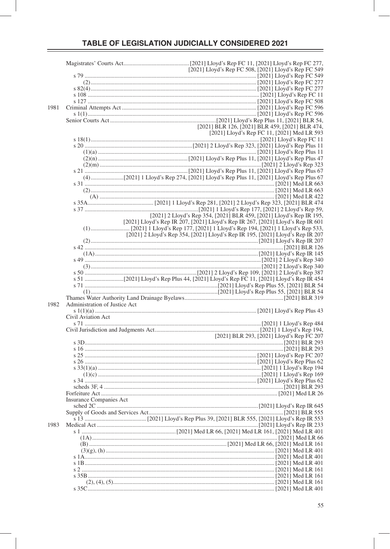| 1981 |                               |                                                                                 |
|------|-------------------------------|---------------------------------------------------------------------------------|
|      |                               |                                                                                 |
|      |                               |                                                                                 |
|      |                               |                                                                                 |
|      |                               | [2021] BLR 126, [2021] BLR 459, [2021] BLR 474,                                 |
|      |                               |                                                                                 |
|      |                               | [2021] Lloyd's Rep FC 11, [2021] Med LR 593                                     |
|      |                               |                                                                                 |
|      |                               |                                                                                 |
|      |                               |                                                                                 |
|      |                               |                                                                                 |
|      |                               |                                                                                 |
|      |                               |                                                                                 |
|      |                               |                                                                                 |
|      |                               |                                                                                 |
|      |                               |                                                                                 |
|      |                               |                                                                                 |
|      |                               |                                                                                 |
|      |                               |                                                                                 |
|      |                               |                                                                                 |
|      |                               |                                                                                 |
|      |                               |                                                                                 |
|      |                               |                                                                                 |
|      |                               | [2021] 2 Lloyd's Rep 354, [2021] BLR 459, [2021] Lloyd's Rep IR 195,            |
|      |                               |                                                                                 |
|      |                               | [2021] Lloyd's Rep IR 207, [2021] Lloyd's Rep IR 267, [2021] Lloyd's Rep IR 601 |
|      |                               |                                                                                 |
|      |                               |                                                                                 |
|      |                               | [2021] 2 Lloyd's Rep 354, [2021] Lloyd's Rep IR 195, [2021] Lloyd's Rep IR 207  |
|      |                               |                                                                                 |
|      |                               |                                                                                 |
|      |                               |                                                                                 |
|      |                               |                                                                                 |
|      |                               |                                                                                 |
|      |                               |                                                                                 |
|      |                               |                                                                                 |
|      |                               |                                                                                 |
|      |                               |                                                                                 |
|      |                               |                                                                                 |
|      |                               |                                                                                 |
|      |                               |                                                                                 |
|      |                               |                                                                                 |
| 1982 | Administration of Justice Act |                                                                                 |
|      |                               |                                                                                 |
|      |                               |                                                                                 |
|      | Civil Aviation Act            |                                                                                 |
|      |                               |                                                                                 |
|      |                               |                                                                                 |
|      |                               |                                                                                 |
|      |                               |                                                                                 |
|      |                               |                                                                                 |
|      |                               |                                                                                 |
|      |                               |                                                                                 |
|      |                               |                                                                                 |
|      |                               |                                                                                 |
|      |                               |                                                                                 |
|      |                               |                                                                                 |
|      |                               |                                                                                 |
|      |                               |                                                                                 |
|      |                               |                                                                                 |
|      |                               |                                                                                 |
|      |                               |                                                                                 |
|      |                               |                                                                                 |
|      | Insurance Companies Act       |                                                                                 |
|      |                               |                                                                                 |
|      |                               |                                                                                 |
|      |                               |                                                                                 |
|      |                               |                                                                                 |
| 1983 |                               |                                                                                 |
|      |                               |                                                                                 |
|      |                               |                                                                                 |
|      |                               |                                                                                 |
|      |                               |                                                                                 |
|      |                               |                                                                                 |
|      |                               |                                                                                 |
|      |                               |                                                                                 |
|      |                               |                                                                                 |
|      |                               |                                                                                 |
|      |                               |                                                                                 |
|      |                               |                                                                                 |
|      |                               |                                                                                 |
|      |                               |                                                                                 |
|      |                               |                                                                                 |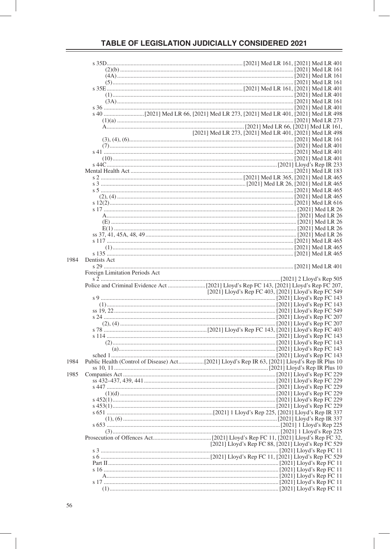|      |                                | [2021] Med LR 273, [2021] Med LR 401, [2021] Med LR 498 |  |
|------|--------------------------------|---------------------------------------------------------|--|
|      |                                |                                                         |  |
|      |                                |                                                         |  |
|      |                                |                                                         |  |
|      |                                |                                                         |  |
|      |                                |                                                         |  |
|      |                                |                                                         |  |
|      |                                |                                                         |  |
|      |                                |                                                         |  |
|      |                                |                                                         |  |
|      |                                |                                                         |  |
|      |                                |                                                         |  |
|      |                                |                                                         |  |
|      |                                |                                                         |  |
|      |                                |                                                         |  |
|      |                                |                                                         |  |
|      |                                |                                                         |  |
|      |                                |                                                         |  |
|      |                                |                                                         |  |
|      |                                |                                                         |  |
|      |                                |                                                         |  |
|      |                                |                                                         |  |
| 1984 | Dentists Act                   |                                                         |  |
|      |                                |                                                         |  |
|      | Foreign Limitation Periods Act |                                                         |  |
|      |                                |                                                         |  |
|      |                                |                                                         |  |
|      |                                | [2021] Lloyd's Rep FC 403, [2021] Lloyd's Rep FC 549    |  |
|      |                                |                                                         |  |
|      |                                |                                                         |  |
|      |                                |                                                         |  |
|      |                                |                                                         |  |
|      |                                |                                                         |  |
|      |                                |                                                         |  |
|      |                                |                                                         |  |
|      |                                |                                                         |  |
|      |                                |                                                         |  |
|      |                                |                                                         |  |
|      |                                |                                                         |  |
| 1984 |                                |                                                         |  |
|      |                                |                                                         |  |
| 1985 |                                |                                                         |  |
|      |                                |                                                         |  |
|      |                                |                                                         |  |
|      |                                |                                                         |  |
|      |                                |                                                         |  |
|      |                                |                                                         |  |
|      |                                |                                                         |  |
|      |                                |                                                         |  |
|      |                                |                                                         |  |
|      |                                |                                                         |  |
|      |                                |                                                         |  |
|      |                                |                                                         |  |
|      |                                | [2021] Lloyd's Rep FC 88, [2021] Lloyd's Rep FC 529     |  |
|      |                                |                                                         |  |
|      |                                |                                                         |  |
|      |                                |                                                         |  |
|      |                                |                                                         |  |
|      |                                |                                                         |  |
|      |                                |                                                         |  |
|      |                                |                                                         |  |
|      |                                |                                                         |  |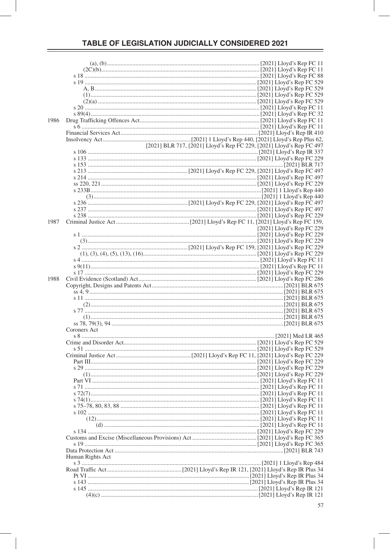| 1986 |                  |                                                                      |                           |
|------|------------------|----------------------------------------------------------------------|---------------------------|
|      |                  |                                                                      |                           |
|      |                  |                                                                      |                           |
|      |                  |                                                                      |                           |
|      |                  | [2021] BLR 717, [2021] Lloyd's Rep FC 229, [2021] Lloyd's Rep FC 497 |                           |
|      |                  |                                                                      |                           |
|      |                  |                                                                      |                           |
|      |                  |                                                                      |                           |
|      |                  |                                                                      |                           |
|      |                  |                                                                      |                           |
|      |                  |                                                                      |                           |
|      |                  |                                                                      |                           |
|      |                  |                                                                      |                           |
|      |                  |                                                                      |                           |
|      |                  |                                                                      |                           |
|      |                  |                                                                      |                           |
|      |                  |                                                                      |                           |
| 1987 |                  |                                                                      |                           |
|      |                  |                                                                      | [2021] Lloyd's Rep FC 229 |
|      |                  |                                                                      |                           |
|      |                  |                                                                      |                           |
|      |                  |                                                                      |                           |
|      |                  |                                                                      |                           |
|      |                  |                                                                      |                           |
|      |                  |                                                                      |                           |
|      |                  |                                                                      |                           |
| 1988 |                  |                                                                      |                           |
|      |                  |                                                                      |                           |
|      |                  |                                                                      |                           |
|      |                  |                                                                      |                           |
|      |                  |                                                                      |                           |
|      |                  |                                                                      |                           |
|      |                  |                                                                      |                           |
|      |                  |                                                                      |                           |
|      | Coroners Act     |                                                                      |                           |
|      |                  |                                                                      |                           |
|      |                  |                                                                      |                           |
|      |                  |                                                                      |                           |
|      |                  |                                                                      |                           |
|      |                  |                                                                      |                           |
|      |                  |                                                                      |                           |
|      |                  |                                                                      |                           |
|      |                  |                                                                      |                           |
|      |                  |                                                                      |                           |
|      |                  |                                                                      |                           |
|      |                  |                                                                      |                           |
|      |                  |                                                                      |                           |
|      |                  |                                                                      |                           |
|      |                  |                                                                      |                           |
|      |                  |                                                                      |                           |
|      |                  |                                                                      |                           |
|      |                  |                                                                      |                           |
|      |                  |                                                                      |                           |
|      |                  |                                                                      |                           |
|      |                  |                                                                      |                           |
|      | Human Rights Act |                                                                      |                           |
|      |                  |                                                                      |                           |
|      |                  |                                                                      |                           |
|      |                  |                                                                      |                           |
|      |                  |                                                                      |                           |
|      |                  |                                                                      |                           |
|      |                  |                                                                      |                           |
|      |                  |                                                                      |                           |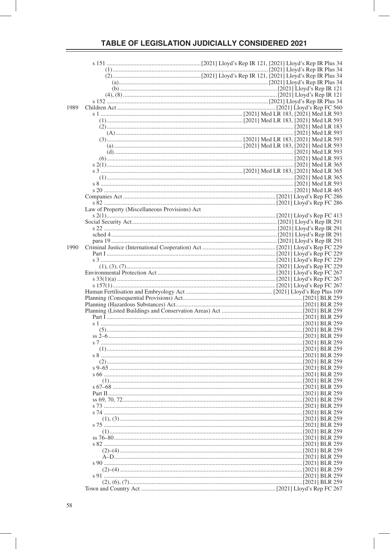| 1989 |                                                |  |  |
|------|------------------------------------------------|--|--|
|      |                                                |  |  |
|      |                                                |  |  |
|      |                                                |  |  |
|      |                                                |  |  |
|      |                                                |  |  |
|      |                                                |  |  |
|      |                                                |  |  |
|      |                                                |  |  |
|      |                                                |  |  |
|      |                                                |  |  |
|      |                                                |  |  |
|      |                                                |  |  |
|      |                                                |  |  |
|      | Law of Property (Miscellaneous Provisions) Act |  |  |
|      |                                                |  |  |
|      |                                                |  |  |
|      |                                                |  |  |
|      |                                                |  |  |
| 1990 |                                                |  |  |
|      |                                                |  |  |
|      |                                                |  |  |
|      |                                                |  |  |
|      |                                                |  |  |
|      |                                                |  |  |
|      |                                                |  |  |
|      |                                                |  |  |
|      |                                                |  |  |
|      |                                                |  |  |
|      |                                                |  |  |
|      |                                                |  |  |
|      |                                                |  |  |
|      |                                                |  |  |
|      |                                                |  |  |
|      |                                                |  |  |
|      |                                                |  |  |
|      |                                                |  |  |
|      |                                                |  |  |
|      |                                                |  |  |
|      |                                                |  |  |
|      |                                                |  |  |
|      |                                                |  |  |
|      |                                                |  |  |
|      |                                                |  |  |
|      |                                                |  |  |
|      |                                                |  |  |
|      |                                                |  |  |
|      |                                                |  |  |
|      |                                                |  |  |
|      |                                                |  |  |
|      |                                                |  |  |
|      |                                                |  |  |
|      |                                                |  |  |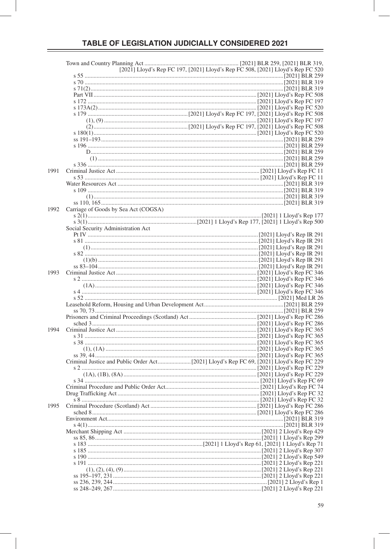|      | [2021] Lloyd's Rep FC 197, [2021] Lloyd's Rep FC 508, [2021] Lloyd's Rep FC 520 |  |
|------|---------------------------------------------------------------------------------|--|
|      |                                                                                 |  |
|      |                                                                                 |  |
|      |                                                                                 |  |
|      |                                                                                 |  |
|      |                                                                                 |  |
|      |                                                                                 |  |
|      |                                                                                 |  |
|      |                                                                                 |  |
|      |                                                                                 |  |
|      |                                                                                 |  |
|      |                                                                                 |  |
|      |                                                                                 |  |
|      |                                                                                 |  |
|      |                                                                                 |  |
|      |                                                                                 |  |
| 1991 |                                                                                 |  |
|      |                                                                                 |  |
|      |                                                                                 |  |
|      |                                                                                 |  |
|      |                                                                                 |  |
|      |                                                                                 |  |
| 1992 | Carriage of Goods by Sea Act (COGSA)                                            |  |
|      |                                                                                 |  |
|      |                                                                                 |  |
|      | Social Security Administration Act                                              |  |
|      |                                                                                 |  |
|      |                                                                                 |  |
|      |                                                                                 |  |
|      |                                                                                 |  |
|      |                                                                                 |  |
|      |                                                                                 |  |
| 1993 |                                                                                 |  |
|      |                                                                                 |  |
|      |                                                                                 |  |
|      |                                                                                 |  |
|      |                                                                                 |  |
|      |                                                                                 |  |
|      |                                                                                 |  |
|      |                                                                                 |  |
|      |                                                                                 |  |
| 1994 |                                                                                 |  |
|      |                                                                                 |  |
|      |                                                                                 |  |
|      |                                                                                 |  |
|      |                                                                                 |  |
|      |                                                                                 |  |
|      |                                                                                 |  |
|      |                                                                                 |  |
|      |                                                                                 |  |
|      |                                                                                 |  |
|      |                                                                                 |  |
|      |                                                                                 |  |
| 1995 |                                                                                 |  |
|      |                                                                                 |  |
|      |                                                                                 |  |
|      |                                                                                 |  |
|      |                                                                                 |  |
|      |                                                                                 |  |
|      |                                                                                 |  |
|      |                                                                                 |  |
|      |                                                                                 |  |
|      |                                                                                 |  |
|      |                                                                                 |  |
|      |                                                                                 |  |
|      |                                                                                 |  |
|      |                                                                                 |  |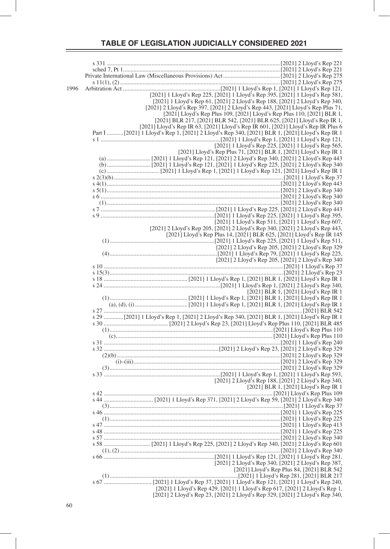| 1996 |                                                                                                 |
|------|-------------------------------------------------------------------------------------------------|
|      | [2021] 1 Lloyd's Rep 225, [2021] 1 Lloyd's Rep 395, [2021] 1 Lloyd's Rep 581,                   |
|      | [2021] 1 Lloyd's Rep 61, [2021] 2 Lloyd's Rep 188, [2021] 2 Lloyd's Rep 340,                    |
|      | [2021] 2 Lloyd's Rep 397, [2021] 2 Lloyd's Rep 443, [2021] Lloyd's Rep Plus 71,                 |
|      | [2021] Lloyd's Rep Plus 109, [2021] Lloyd's Rep Plus 110, [2021] BLR 1,                         |
|      | [2021] BLR 217, [2021] BLR 542, [2021] BLR 625, [2021] Lloyd's Rep IR 1,                        |
|      | [2021] Lloyd's Rep IR 63, [2021] Lloyd's Rep IR 601, [2021] Lloyd's Rep IR Plus 6               |
|      | Part I  [2021] 1 Lloyd's Rep 1, [2021] 2 Lloyd's Rep 340, [2021] BLR 1, [2021] Lloyd's Rep IR 1 |
|      |                                                                                                 |
|      | [2021] 1 Lloyd's Rep 225, [2021] 1 Lloyd's Rep 565,                                             |
|      | [2021] Lloyd's Rep Plus 71, [2021] BLR 1, [2021] Lloyd's Rep IR 1                               |
|      |                                                                                                 |
|      |                                                                                                 |
|      |                                                                                                 |
|      |                                                                                                 |
|      |                                                                                                 |
|      |                                                                                                 |
|      |                                                                                                 |
|      |                                                                                                 |
|      |                                                                                                 |
|      |                                                                                                 |
|      |                                                                                                 |
|      | [2021] 1 Lloyd's Rep 511, [2021] 1 Lloyd's Rep 607,                                             |
|      | [2021] 2 Lloyd's Rep 205, [2021] 2 Lloyd's Rep 340, [2021] 2 Lloyd's Rep 443,                   |
|      | [2021] Lloyd's Rep Plus 14, [2021] BLR 625, [2021] Lloyd's Rep IR 145                           |
|      |                                                                                                 |
|      | [2021] 2 Lloyd's Rep 205, [2021] 2 Lloyd's Rep 329                                              |
|      |                                                                                                 |
|      |                                                                                                 |
|      |                                                                                                 |
|      |                                                                                                 |
|      |                                                                                                 |
|      |                                                                                                 |
|      |                                                                                                 |
|      | [2021] BLR 1, [2021] Lloyd's Rep IR 1                                                           |
|      |                                                                                                 |
|      |                                                                                                 |
|      |                                                                                                 |
|      | s 29  [2021] 1 Lloyd's Rep 1, [2021] 2 Lloyd's Rep 340, [2021] BLR 1, [2021] Lloyd's Rep IR 1   |
|      |                                                                                                 |
|      |                                                                                                 |
|      |                                                                                                 |
|      |                                                                                                 |
|      |                                                                                                 |
|      |                                                                                                 |
|      |                                                                                                 |
|      |                                                                                                 |
|      |                                                                                                 |
|      | [2021] 2 Lloyd's Rep 188, [2021] 2 Lloyd's Rep 340,                                             |
|      | [2021] BLR 1, [2021] Lloyd's Rep IR 1                                                           |
|      |                                                                                                 |
|      |                                                                                                 |
|      |                                                                                                 |
|      |                                                                                                 |
|      |                                                                                                 |
|      |                                                                                                 |
|      |                                                                                                 |
|      |                                                                                                 |
|      |                                                                                                 |
|      |                                                                                                 |
|      |                                                                                                 |
|      |                                                                                                 |
|      | [2021] 2 Lloyd's Rep 340, [2021] 2 Lloyd's Rep 387,                                             |
|      | [2021] Lloyd's Rep Plus 84, [2021] BLR 542                                                      |
|      |                                                                                                 |
|      |                                                                                                 |
|      | [2021] 1 Lloyd's Rep 429, [2021] 1 Lloyd's Rep 617, [2021] 2 Lloyd's Rep 1,                     |
|      | [2021] 2 Lloyd's Rep 23, [2021] 2 Lloyd's Rep 329, [2021] 2 Lloyd's Rep 340,                    |
|      |                                                                                                 |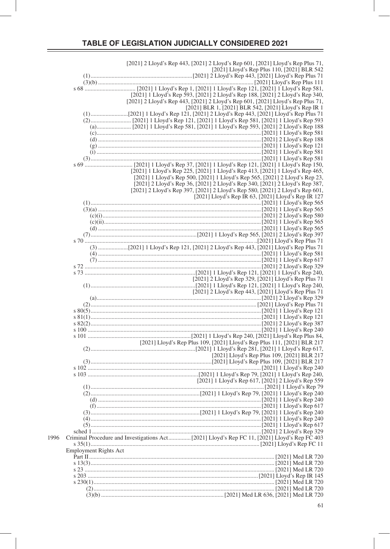|                       | [2021] 2 Lloyd's Rep 443, [2021] 2 Lloyd's Rep 601, [2021] Lloyd's Rep Plus 71,                                                                              |
|-----------------------|--------------------------------------------------------------------------------------------------------------------------------------------------------------|
|                       | [2021] Lloyd's Rep Plus 110, [2021] BLR 542                                                                                                                  |
|                       |                                                                                                                                                              |
|                       |                                                                                                                                                              |
|                       |                                                                                                                                                              |
|                       | [2021] 1 Lloyd's Rep 593, [2021] 2 Lloyd's Rep 188, [2021] 2 Lloyd's Rep 340,                                                                                |
|                       | [2021] 2 Lloyd's Rep 443, [2021] 2 Lloyd's Rep 601, [2021] Lloyd's Rep Plus 71,<br>[2021] BLR 1, [2021] BLR 542, [2021] Lloyd's Rep IR 1                     |
|                       |                                                                                                                                                              |
|                       |                                                                                                                                                              |
|                       |                                                                                                                                                              |
|                       |                                                                                                                                                              |
|                       |                                                                                                                                                              |
|                       |                                                                                                                                                              |
|                       |                                                                                                                                                              |
|                       |                                                                                                                                                              |
|                       |                                                                                                                                                              |
|                       | [2021] 1 Lloyd's Rep 225, [2021] 1 Lloyd's Rep 413, [2021] 1 Lloyd's Rep 465,                                                                                |
|                       | [2021] 1 Lloyd's Rep 500, [2021] 1 Lloyd's Rep 565, [2021] 2 Lloyd's Rep 23,<br>[2021] 2 Lloyd's Rep 36, [2021] 2 Lloyd's Rep 340, [2021] 2 Lloyd's Rep 387, |
|                       | [2021] 2 Lloyd's Rep 397, [2021] 2 Lloyd's Rep 580, [2021] 2 Lloyd's Rep 601,                                                                                |
|                       | [2021] Lloyd's Rep IR 63, [2021] Lloyd's Rep IR 127                                                                                                          |
|                       |                                                                                                                                                              |
|                       |                                                                                                                                                              |
|                       |                                                                                                                                                              |
|                       |                                                                                                                                                              |
|                       |                                                                                                                                                              |
|                       |                                                                                                                                                              |
|                       |                                                                                                                                                              |
|                       |                                                                                                                                                              |
|                       |                                                                                                                                                              |
|                       |                                                                                                                                                              |
|                       |                                                                                                                                                              |
|                       | [2021] 2 Lloyd's Rep 329, [2021] Lloyd's Rep Plus 71                                                                                                         |
|                       |                                                                                                                                                              |
|                       | [2021] 2 Lloyd's Rep 443, [2021] Lloyd's Rep Plus 71                                                                                                         |
|                       |                                                                                                                                                              |
|                       |                                                                                                                                                              |
|                       |                                                                                                                                                              |
|                       |                                                                                                                                                              |
|                       |                                                                                                                                                              |
|                       |                                                                                                                                                              |
|                       | [2021] Lloyd's Rep Plus 109, [2021] Lloyd's Rep Plus 111, [2021] BLR 217                                                                                     |
|                       |                                                                                                                                                              |
|                       | [2021] Lloyd's Rep Plus 109, [2021] BLR 217                                                                                                                  |
|                       |                                                                                                                                                              |
|                       |                                                                                                                                                              |
|                       | [2021] 1 Lloyd's Rep 617, [2021] 2 Lloyd's Rep 559                                                                                                           |
|                       | 12021   2 Lioya s Kep 517, [2021]   2 Lioya s Kep 517, [2021]<br>2021] 1 Lioya's Kep 79 [[2021] 1 Lioya's Rep 79.                                            |
|                       |                                                                                                                                                              |
|                       |                                                                                                                                                              |
|                       |                                                                                                                                                              |
|                       |                                                                                                                                                              |
|                       |                                                                                                                                                              |
|                       |                                                                                                                                                              |
|                       |                                                                                                                                                              |
|                       |                                                                                                                                                              |
| Employment Rights Act |                                                                                                                                                              |
|                       |                                                                                                                                                              |
|                       |                                                                                                                                                              |
|                       |                                                                                                                                                              |
|                       |                                                                                                                                                              |
|                       |                                                                                                                                                              |
|                       |                                                                                                                                                              |
|                       |                                                                                                                                                              |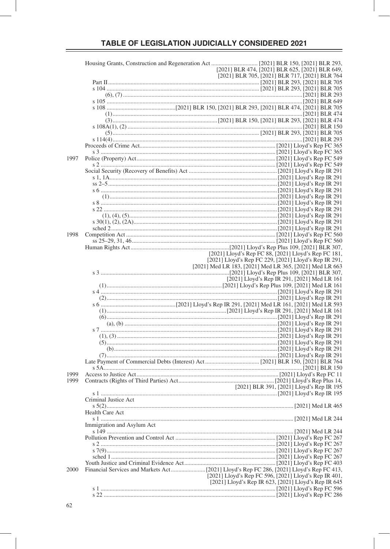|      |                            |                                                         | [2021] BLR 474, [2021] BLR 625, [2021] BLR 649,       |  |  |
|------|----------------------------|---------------------------------------------------------|-------------------------------------------------------|--|--|
|      |                            |                                                         | [2021] BLR 705, [2021] BLR 717, [2021] BLR 764        |  |  |
|      |                            |                                                         |                                                       |  |  |
|      |                            |                                                         |                                                       |  |  |
|      |                            |                                                         |                                                       |  |  |
|      |                            |                                                         |                                                       |  |  |
|      |                            |                                                         |                                                       |  |  |
|      |                            |                                                         |                                                       |  |  |
|      |                            |                                                         |                                                       |  |  |
|      |                            |                                                         |                                                       |  |  |
|      |                            |                                                         |                                                       |  |  |
|      |                            |                                                         |                                                       |  |  |
|      |                            |                                                         |                                                       |  |  |
|      |                            |                                                         |                                                       |  |  |
| 1997 |                            |                                                         |                                                       |  |  |
|      |                            |                                                         |                                                       |  |  |
|      |                            |                                                         |                                                       |  |  |
|      |                            |                                                         |                                                       |  |  |
|      |                            |                                                         |                                                       |  |  |
|      |                            |                                                         |                                                       |  |  |
|      |                            |                                                         |                                                       |  |  |
|      |                            |                                                         |                                                       |  |  |
|      |                            |                                                         |                                                       |  |  |
|      |                            |                                                         |                                                       |  |  |
|      |                            |                                                         |                                                       |  |  |
|      |                            |                                                         |                                                       |  |  |
| 1998 |                            |                                                         |                                                       |  |  |
|      |                            |                                                         |                                                       |  |  |
|      |                            |                                                         |                                                       |  |  |
|      |                            |                                                         | [2021] Lloyd's Rep FC 88, [2021] Lloyd's Rep FC 181,  |  |  |
|      |                            |                                                         | [2021] Lloyd's Rep FC 229, [2021] Lloyd's Rep IR 291, |  |  |
|      |                            | [2021] Med LR 183, [2021] Med LR 365, [2021] Med LR 663 |                                                       |  |  |
|      |                            |                                                         | [2021] Lloyd's Rep IR 291, [2021] Med LR 161          |  |  |
|      |                            |                                                         |                                                       |  |  |
|      |                            |                                                         |                                                       |  |  |
|      |                            |                                                         |                                                       |  |  |
|      |                            |                                                         |                                                       |  |  |
|      |                            |                                                         |                                                       |  |  |
|      |                            |                                                         |                                                       |  |  |
|      |                            |                                                         |                                                       |  |  |
|      |                            |                                                         |                                                       |  |  |
|      |                            |                                                         |                                                       |  |  |
|      |                            |                                                         |                                                       |  |  |
|      |                            |                                                         |                                                       |  |  |
|      |                            |                                                         |                                                       |  |  |
|      |                            |                                                         |                                                       |  |  |
|      |                            |                                                         |                                                       |  |  |
| 1999 |                            |                                                         |                                                       |  |  |
| 1999 |                            |                                                         |                                                       |  |  |
|      | s 1                        |                                                         | [2021] BLR 391, [2021] Lloyd's Rep IR 195             |  |  |
|      | Criminal Justice Act       |                                                         |                                                       |  |  |
|      |                            |                                                         |                                                       |  |  |
|      | Health Care Act            |                                                         |                                                       |  |  |
|      |                            |                                                         |                                                       |  |  |
|      | Immigration and Asylum Act |                                                         |                                                       |  |  |
|      |                            |                                                         |                                                       |  |  |
|      |                            |                                                         |                                                       |  |  |
|      |                            |                                                         |                                                       |  |  |
|      |                            |                                                         |                                                       |  |  |
|      |                            |                                                         |                                                       |  |  |
| 2000 |                            |                                                         |                                                       |  |  |
|      |                            |                                                         | [2021] Lloyd's Rep FC 596, [2021] Lloyd's Rep IR 401, |  |  |
|      |                            |                                                         | [2021] Lloyd's Rep IR 623, [2021] Lloyd's Rep IR 645  |  |  |
|      |                            |                                                         |                                                       |  |  |
|      |                            |                                                         |                                                       |  |  |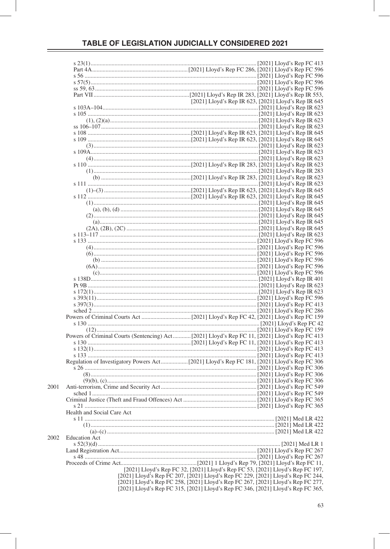|                            | Powers of Criminal Courts (Sentencing) Act[2021] Lloyd's Rep FC 11, [2021] Lloyd's Rep FC 413                                                                        |
|----------------------------|----------------------------------------------------------------------------------------------------------------------------------------------------------------------|
|                            |                                                                                                                                                                      |
|                            |                                                                                                                                                                      |
|                            |                                                                                                                                                                      |
|                            |                                                                                                                                                                      |
|                            |                                                                                                                                                                      |
|                            |                                                                                                                                                                      |
|                            |                                                                                                                                                                      |
|                            |                                                                                                                                                                      |
|                            |                                                                                                                                                                      |
|                            |                                                                                                                                                                      |
|                            |                                                                                                                                                                      |
| Health and Social Care Act |                                                                                                                                                                      |
|                            |                                                                                                                                                                      |
|                            |                                                                                                                                                                      |
|                            |                                                                                                                                                                      |
| <b>Education Act</b>       |                                                                                                                                                                      |
|                            |                                                                                                                                                                      |
|                            |                                                                                                                                                                      |
|                            |                                                                                                                                                                      |
|                            |                                                                                                                                                                      |
|                            | [2021] Lloyd's Rep FC 32, [2021] Lloyd's Rep FC 53, [2021] Lloyd's Rep FC 197,                                                                                       |
|                            | [2021] Lloyd's Rep FC 207, [2021] Lloyd's Rep FC 229, [2021] Lloyd's Rep FC 244,                                                                                     |
|                            |                                                                                                                                                                      |
|                            |                                                                                                                                                                      |
|                            | [2021] Lloyd's Rep FC 258, [2021] Lloyd's Rep FC 267, [2021] Lloyd's Rep FC 277,<br>[2021] Lloyd's Rep FC 315, [2021] Lloyd's Rep FC 346, [2021] Lloyd's Rep FC 365, |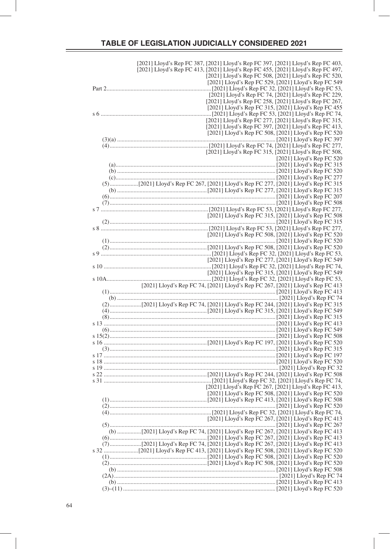| [2021] Lloyd's Rep FC 387, [2021] Lloyd's Rep FC 397, [2021] Lloyd's Rep FC 403,                                                                                                                                |  |  |                                                       |
|-----------------------------------------------------------------------------------------------------------------------------------------------------------------------------------------------------------------|--|--|-------------------------------------------------------|
| [2021] Lloyd's Rep FC 413, [2021] Lloyd's Rep FC 455, [2021] Lloyd's Rep FC 497,                                                                                                                                |  |  |                                                       |
|                                                                                                                                                                                                                 |  |  |                                                       |
|                                                                                                                                                                                                                 |  |  | [2021] Lloyd's Rep FC 508, [2021] Lloyd's Rep FC 520, |
|                                                                                                                                                                                                                 |  |  |                                                       |
|                                                                                                                                                                                                                 |  |  | [2021] Lloyd's Rep FC 529, [2021] Lloyd's Rep FC 549  |
|                                                                                                                                                                                                                 |  |  |                                                       |
|                                                                                                                                                                                                                 |  |  | [2021] Lloyd's Rep FC 74, [2021] Lloyd's Rep FC 229,  |
|                                                                                                                                                                                                                 |  |  |                                                       |
|                                                                                                                                                                                                                 |  |  | [2021] Lloyd's Rep FC 258, [2021] Lloyd's Rep FC 267, |
|                                                                                                                                                                                                                 |  |  | [2021] Lloyd's Rep FC 315, [2021] Lloyd's Rep FC 455  |
|                                                                                                                                                                                                                 |  |  |                                                       |
|                                                                                                                                                                                                                 |  |  |                                                       |
|                                                                                                                                                                                                                 |  |  | [2021] Lloyd's Rep FC 277, [2021] Lloyd's Rep FC 315, |
|                                                                                                                                                                                                                 |  |  |                                                       |
|                                                                                                                                                                                                                 |  |  | [2021] Lloyd's Rep FC 397, [2021] Lloyd's Rep FC 413, |
|                                                                                                                                                                                                                 |  |  | [2021] Lloyd's Rep FC 508, [2021] Lloyd's Rep FC 520  |
|                                                                                                                                                                                                                 |  |  |                                                       |
|                                                                                                                                                                                                                 |  |  |                                                       |
|                                                                                                                                                                                                                 |  |  |                                                       |
|                                                                                                                                                                                                                 |  |  | [2021] Lloyd's Rep FC 315, [2021] Lloyd's Rep FC 508, |
|                                                                                                                                                                                                                 |  |  |                                                       |
|                                                                                                                                                                                                                 |  |  | [2021] Lloyd's Rep FC $520$                           |
|                                                                                                                                                                                                                 |  |  |                                                       |
|                                                                                                                                                                                                                 |  |  |                                                       |
|                                                                                                                                                                                                                 |  |  |                                                       |
|                                                                                                                                                                                                                 |  |  |                                                       |
|                                                                                                                                                                                                                 |  |  |                                                       |
|                                                                                                                                                                                                                 |  |  |                                                       |
|                                                                                                                                                                                                                 |  |  |                                                       |
|                                                                                                                                                                                                                 |  |  |                                                       |
|                                                                                                                                                                                                                 |  |  |                                                       |
|                                                                                                                                                                                                                 |  |  |                                                       |
|                                                                                                                                                                                                                 |  |  |                                                       |
|                                                                                                                                                                                                                 |  |  |                                                       |
| [2021] Lloyd's Rep FC 315, [2021] Lloyd's Rep (2021] Lloyd's Rep (2021)<br>[2021] Lloyd's Rep FC 315, [2021] Lloyd's Rep FC 315                                                                                 |  |  |                                                       |
|                                                                                                                                                                                                                 |  |  |                                                       |
|                                                                                                                                                                                                                 |  |  |                                                       |
|                                                                                                                                                                                                                 |  |  |                                                       |
|                                                                                                                                                                                                                 |  |  |                                                       |
|                                                                                                                                                                                                                 |  |  |                                                       |
|                                                                                                                                                                                                                 |  |  |                                                       |
|                                                                                                                                                                                                                 |  |  |                                                       |
|                                                                                                                                                                                                                 |  |  |                                                       |
|                                                                                                                                                                                                                 |  |  |                                                       |
|                                                                                                                                                                                                                 |  |  |                                                       |
|                                                                                                                                                                                                                 |  |  |                                                       |
|                                                                                                                                                                                                                 |  |  |                                                       |
|                                                                                                                                                                                                                 |  |  | [2021] Lloyd's Rep FC 315, [2021] Lloyd's Rep FC 549  |
|                                                                                                                                                                                                                 |  |  |                                                       |
| 2021] Lloyd's Rep FC 315, [2021] Lloyd's Rep 15 [2021] Lloyd's Rep FC 315, [2021] Lloyd's Rep FC 549<br>[2021] Lloyd's Rep FC 32, [2021] Lloyd's Rep FC 53, [2021] Lloyd's Rep FC 53, [2021] Lloyd's Rep FC 53, |  |  |                                                       |
| [2021] Lloyd's Rep FC 74, [2021] Lloyd's Rep FC 267, [2021] Lloyd's Rep FC 413                                                                                                                                  |  |  |                                                       |
|                                                                                                                                                                                                                 |  |  |                                                       |
|                                                                                                                                                                                                                 |  |  |                                                       |
|                                                                                                                                                                                                                 |  |  |                                                       |
|                                                                                                                                                                                                                 |  |  |                                                       |
|                                                                                                                                                                                                                 |  |  |                                                       |
|                                                                                                                                                                                                                 |  |  |                                                       |
|                                                                                                                                                                                                                 |  |  |                                                       |
|                                                                                                                                                                                                                 |  |  |                                                       |
|                                                                                                                                                                                                                 |  |  |                                                       |
|                                                                                                                                                                                                                 |  |  |                                                       |
|                                                                                                                                                                                                                 |  |  |                                                       |
|                                                                                                                                                                                                                 |  |  |                                                       |
|                                                                                                                                                                                                                 |  |  |                                                       |
|                                                                                                                                                                                                                 |  |  |                                                       |
|                                                                                                                                                                                                                 |  |  |                                                       |
|                                                                                                                                                                                                                 |  |  |                                                       |
|                                                                                                                                                                                                                 |  |  |                                                       |
|                                                                                                                                                                                                                 |  |  |                                                       |
|                                                                                                                                                                                                                 |  |  |                                                       |
|                                                                                                                                                                                                                 |  |  |                                                       |
|                                                                                                                                                                                                                 |  |  |                                                       |
|                                                                                                                                                                                                                 |  |  |                                                       |
|                                                                                                                                                                                                                 |  |  | [2021] Lloyd's Rep FC 267, [2021] Lloyd's Rep FC 413, |
|                                                                                                                                                                                                                 |  |  |                                                       |
|                                                                                                                                                                                                                 |  |  | [2021] Lloyd's Rep FC 508, [2021] Lloyd's Rep FC 520  |
|                                                                                                                                                                                                                 |  |  |                                                       |
|                                                                                                                                                                                                                 |  |  |                                                       |
|                                                                                                                                                                                                                 |  |  |                                                       |
|                                                                                                                                                                                                                 |  |  |                                                       |
|                                                                                                                                                                                                                 |  |  |                                                       |
|                                                                                                                                                                                                                 |  |  | [2021] Lloyd's Rep FC 267, [2021] Lloyd's Rep FC 413  |
|                                                                                                                                                                                                                 |  |  |                                                       |
|                                                                                                                                                                                                                 |  |  |                                                       |
|                                                                                                                                                                                                                 |  |  |                                                       |
|                                                                                                                                                                                                                 |  |  |                                                       |
| (7)     [2021] Lloyd's Rep FC 74, [2021] Lloyd's Rep FC 267, [2021] Lloyd's Rep FC 413                                                                                                                          |  |  |                                                       |
|                                                                                                                                                                                                                 |  |  |                                                       |
|                                                                                                                                                                                                                 |  |  |                                                       |
|                                                                                                                                                                                                                 |  |  |                                                       |
|                                                                                                                                                                                                                 |  |  |                                                       |
|                                                                                                                                                                                                                 |  |  |                                                       |
|                                                                                                                                                                                                                 |  |  |                                                       |
|                                                                                                                                                                                                                 |  |  |                                                       |
|                                                                                                                                                                                                                 |  |  |                                                       |
|                                                                                                                                                                                                                 |  |  |                                                       |
|                                                                                                                                                                                                                 |  |  |                                                       |
|                                                                                                                                                                                                                 |  |  |                                                       |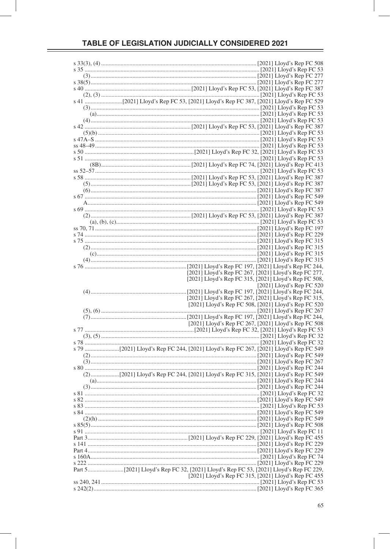| [2021] Lloyd's Rep FC 267, [2021] Lloyd's Rep FC 277, |
|-------------------------------------------------------|
| [2021] Lloyd's Rep FC 315, [2021] Lloyd's Rep FC 508, |
| [ $2021$ ] Lloyd's Rep FC 520                         |
|                                                       |
| [2021] Lloyd's Rep FC 267, [2021] Lloyd's Rep FC 315, |
| [2021] Lloyd's Rep FC 508, [2021] Lloyd's Rep FC 520  |
|                                                       |
|                                                       |
| [2021] Lloyd's Rep FC 267, [2021] Lloyd's Rep FC 508  |
|                                                       |
|                                                       |
|                                                       |
|                                                       |
|                                                       |
|                                                       |
|                                                       |
|                                                       |
|                                                       |
|                                                       |
|                                                       |
|                                                       |
|                                                       |
|                                                       |
|                                                       |
|                                                       |
|                                                       |
|                                                       |
|                                                       |
|                                                       |
|                                                       |
|                                                       |
|                                                       |
|                                                       |
|                                                       |
| [2021] Lloyd's Rep FC 315, [2021] Lloyd's Rep FC 455  |
|                                                       |
|                                                       |
|                                                       |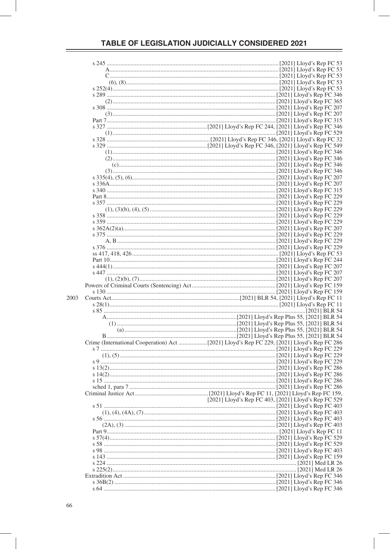|  | [2021] Lloyd's Rep FC 403, [2021] Lloyd's Rep FC 529 |  |  |
|--|------------------------------------------------------|--|--|
|  |                                                      |  |  |
|  |                                                      |  |  |
|  |                                                      |  |  |
|  |                                                      |  |  |
|  |                                                      |  |  |
|  |                                                      |  |  |
|  |                                                      |  |  |
|  |                                                      |  |  |
|  |                                                      |  |  |
|  |                                                      |  |  |
|  |                                                      |  |  |
|  |                                                      |  |  |
|  |                                                      |  |  |
|  |                                                      |  |  |
|  |                                                      |  |  |
|  |                                                      |  |  |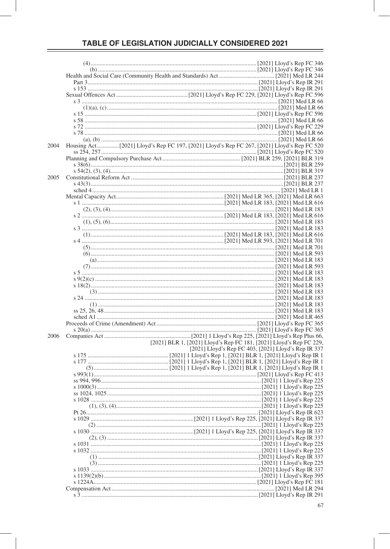| 2004 |                                                                     |
|------|---------------------------------------------------------------------|
|      |                                                                     |
|      |                                                                     |
|      |                                                                     |
|      |                                                                     |
| 2005 |                                                                     |
|      |                                                                     |
|      |                                                                     |
|      |                                                                     |
|      |                                                                     |
|      |                                                                     |
|      |                                                                     |
|      |                                                                     |
|      |                                                                     |
|      |                                                                     |
|      |                                                                     |
|      |                                                                     |
|      |                                                                     |
|      |                                                                     |
|      |                                                                     |
|      |                                                                     |
|      |                                                                     |
|      |                                                                     |
|      |                                                                     |
|      |                                                                     |
|      |                                                                     |
|      |                                                                     |
|      |                                                                     |
| 2006 |                                                                     |
|      | [2021] BLR 1, [2021] Lloyd's Rep FC 181, [2021] Lloyd's Rep FC 229, |
|      | [2021] Lloyd's Rep FC 403, [2021] Lloyd's Rep IR 337                |
|      |                                                                     |
|      |                                                                     |
|      |                                                                     |
|      |                                                                     |
|      |                                                                     |
|      |                                                                     |
|      |                                                                     |
|      |                                                                     |
|      |                                                                     |
|      |                                                                     |
|      |                                                                     |
|      |                                                                     |
|      |                                                                     |
|      |                                                                     |
|      |                                                                     |
|      |                                                                     |
|      |                                                                     |
|      |                                                                     |
|      |                                                                     |
|      |                                                                     |
|      |                                                                     |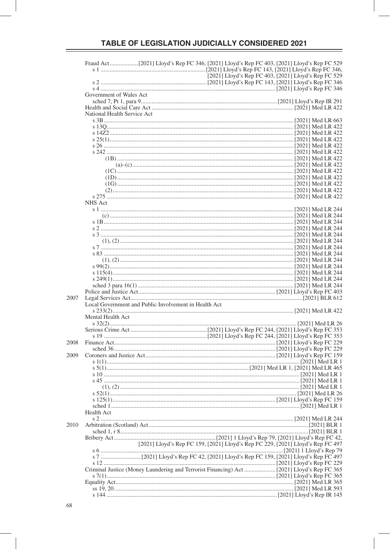|      |                                                       |                                                                                 |  | [2021] Lloyd's Rep FC 403, [2021] Lloyd's Rep FC 529 |  |  |  |
|------|-------------------------------------------------------|---------------------------------------------------------------------------------|--|------------------------------------------------------|--|--|--|
|      |                                                       |                                                                                 |  |                                                      |  |  |  |
|      | Government of Wales Act                               |                                                                                 |  |                                                      |  |  |  |
|      |                                                       |                                                                                 |  |                                                      |  |  |  |
|      |                                                       |                                                                                 |  |                                                      |  |  |  |
|      | National Health Service Act                           |                                                                                 |  |                                                      |  |  |  |
|      |                                                       |                                                                                 |  |                                                      |  |  |  |
|      |                                                       |                                                                                 |  |                                                      |  |  |  |
|      |                                                       |                                                                                 |  |                                                      |  |  |  |
|      |                                                       |                                                                                 |  |                                                      |  |  |  |
|      |                                                       |                                                                                 |  |                                                      |  |  |  |
|      |                                                       |                                                                                 |  |                                                      |  |  |  |
|      |                                                       |                                                                                 |  |                                                      |  |  |  |
|      |                                                       |                                                                                 |  |                                                      |  |  |  |
|      |                                                       |                                                                                 |  |                                                      |  |  |  |
|      |                                                       |                                                                                 |  |                                                      |  |  |  |
|      |                                                       |                                                                                 |  |                                                      |  |  |  |
|      |                                                       |                                                                                 |  |                                                      |  |  |  |
|      | NHS Act                                               |                                                                                 |  |                                                      |  |  |  |
|      |                                                       |                                                                                 |  |                                                      |  |  |  |
|      |                                                       |                                                                                 |  |                                                      |  |  |  |
|      |                                                       |                                                                                 |  |                                                      |  |  |  |
|      |                                                       |                                                                                 |  |                                                      |  |  |  |
|      |                                                       |                                                                                 |  |                                                      |  |  |  |
|      |                                                       |                                                                                 |  |                                                      |  |  |  |
|      |                                                       |                                                                                 |  |                                                      |  |  |  |
|      |                                                       |                                                                                 |  |                                                      |  |  |  |
|      |                                                       |                                                                                 |  |                                                      |  |  |  |
|      |                                                       |                                                                                 |  |                                                      |  |  |  |
|      |                                                       |                                                                                 |  |                                                      |  |  |  |
|      |                                                       |                                                                                 |  |                                                      |  |  |  |
| 2007 |                                                       |                                                                                 |  |                                                      |  |  |  |
|      | Local Government and Public Involvement in Health Act |                                                                                 |  |                                                      |  |  |  |
|      |                                                       |                                                                                 |  |                                                      |  |  |  |
|      | Mental Health Act                                     |                                                                                 |  |                                                      |  |  |  |
|      |                                                       |                                                                                 |  |                                                      |  |  |  |
|      |                                                       |                                                                                 |  |                                                      |  |  |  |
| 2008 |                                                       |                                                                                 |  |                                                      |  |  |  |
|      |                                                       |                                                                                 |  |                                                      |  |  |  |
| 2009 |                                                       |                                                                                 |  |                                                      |  |  |  |
|      |                                                       |                                                                                 |  |                                                      |  |  |  |
|      |                                                       |                                                                                 |  |                                                      |  |  |  |
|      |                                                       |                                                                                 |  |                                                      |  |  |  |
|      |                                                       |                                                                                 |  |                                                      |  |  |  |
|      |                                                       |                                                                                 |  |                                                      |  |  |  |
|      |                                                       |                                                                                 |  |                                                      |  |  |  |
|      |                                                       |                                                                                 |  |                                                      |  |  |  |
|      | Health Act                                            |                                                                                 |  |                                                      |  |  |  |
| 2010 |                                                       |                                                                                 |  |                                                      |  |  |  |
|      |                                                       |                                                                                 |  |                                                      |  |  |  |
|      |                                                       |                                                                                 |  |                                                      |  |  |  |
|      |                                                       | [2021] Lloyd's Rep FC 159, [2021] Lloyd's Rep FC 229, [2021] Lloyd's Rep FC 497 |  |                                                      |  |  |  |
|      |                                                       |                                                                                 |  |                                                      |  |  |  |
|      |                                                       |                                                                                 |  |                                                      |  |  |  |
|      |                                                       |                                                                                 |  |                                                      |  |  |  |
|      |                                                       |                                                                                 |  |                                                      |  |  |  |
|      |                                                       |                                                                                 |  |                                                      |  |  |  |
|      |                                                       |                                                                                 |  |                                                      |  |  |  |
|      |                                                       |                                                                                 |  |                                                      |  |  |  |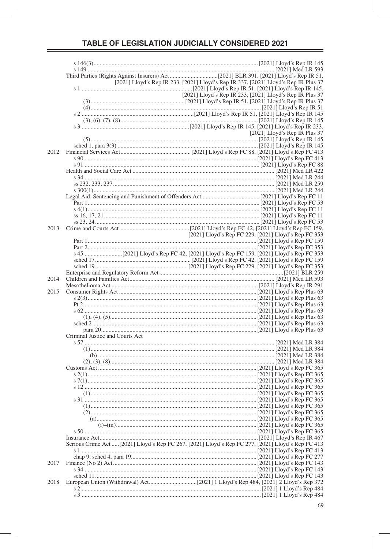|      |                                                                                                    | [2021] Lloyd's Rep IR 233, [2021] Lloyd's Rep IR 337, [2021] Lloyd's Rep IR Plus 37 |                                 |
|------|----------------------------------------------------------------------------------------------------|-------------------------------------------------------------------------------------|---------------------------------|
|      |                                                                                                    |                                                                                     |                                 |
|      |                                                                                                    | [2021] Lloyd's Rep IR 233, [2021] Lloyd's Rep IR Plus 37                            |                                 |
|      |                                                                                                    |                                                                                     |                                 |
|      |                                                                                                    |                                                                                     |                                 |
|      |                                                                                                    |                                                                                     |                                 |
|      |                                                                                                    |                                                                                     |                                 |
|      |                                                                                                    |                                                                                     | [2021] Lloyd's Rep IR Plus $37$ |
|      |                                                                                                    |                                                                                     |                                 |
|      |                                                                                                    |                                                                                     |                                 |
| 2012 |                                                                                                    |                                                                                     |                                 |
|      |                                                                                                    |                                                                                     |                                 |
|      |                                                                                                    |                                                                                     |                                 |
|      |                                                                                                    |                                                                                     |                                 |
|      |                                                                                                    |                                                                                     |                                 |
|      |                                                                                                    |                                                                                     |                                 |
|      |                                                                                                    |                                                                                     |                                 |
|      |                                                                                                    |                                                                                     |                                 |
|      |                                                                                                    |                                                                                     |                                 |
|      |                                                                                                    |                                                                                     |                                 |
|      |                                                                                                    |                                                                                     |                                 |
| 2013 |                                                                                                    |                                                                                     |                                 |
|      |                                                                                                    | [2021] Lloyd's Rep FC 229, [2021] Lloyd's Rep FC 353                                |                                 |
|      |                                                                                                    |                                                                                     |                                 |
|      |                                                                                                    |                                                                                     |                                 |
|      |                                                                                                    |                                                                                     |                                 |
|      |                                                                                                    |                                                                                     |                                 |
|      |                                                                                                    |                                                                                     |                                 |
|      |                                                                                                    |                                                                                     |                                 |
| 2014 |                                                                                                    |                                                                                     |                                 |
| 2015 |                                                                                                    |                                                                                     |                                 |
|      |                                                                                                    |                                                                                     |                                 |
|      |                                                                                                    |                                                                                     |                                 |
|      |                                                                                                    |                                                                                     |                                 |
|      |                                                                                                    |                                                                                     |                                 |
|      |                                                                                                    |                                                                                     |                                 |
|      |                                                                                                    |                                                                                     |                                 |
|      | Criminal Justice and Courts Act                                                                    |                                                                                     |                                 |
|      |                                                                                                    |                                                                                     |                                 |
|      |                                                                                                    |                                                                                     |                                 |
|      |                                                                                                    |                                                                                     |                                 |
|      |                                                                                                    |                                                                                     |                                 |
|      |                                                                                                    |                                                                                     |                                 |
|      |                                                                                                    |                                                                                     |                                 |
|      |                                                                                                    |                                                                                     |                                 |
|      |                                                                                                    |                                                                                     |                                 |
|      |                                                                                                    |                                                                                     |                                 |
|      |                                                                                                    |                                                                                     |                                 |
|      |                                                                                                    |                                                                                     |                                 |
|      |                                                                                                    |                                                                                     |                                 |
|      |                                                                                                    |                                                                                     |                                 |
|      |                                                                                                    |                                                                                     |                                 |
|      | Serious Crime Act  [2021] Lloyd's Rep FC 267, [2021] Lloyd's Rep FC 277, [2021] Lloyd's Rep FC 413 |                                                                                     |                                 |
|      |                                                                                                    |                                                                                     |                                 |
|      |                                                                                                    |                                                                                     |                                 |
| 2017 |                                                                                                    |                                                                                     |                                 |
|      |                                                                                                    |                                                                                     |                                 |
|      |                                                                                                    |                                                                                     |                                 |
| 2018 |                                                                                                    |                                                                                     |                                 |
|      |                                                                                                    |                                                                                     |                                 |
|      |                                                                                                    |                                                                                     |                                 |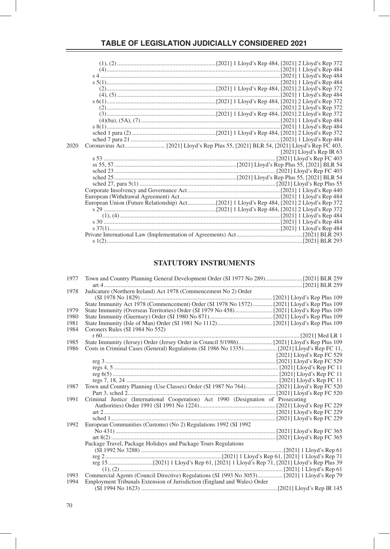| 2020 |  |                              |
|------|--|------------------------------|
|      |  | [ $2021$ ] Lloyd's Rep IR 63 |
|      |  |                              |
|      |  |                              |
|      |  |                              |
|      |  |                              |
|      |  |                              |
|      |  |                              |
|      |  |                              |
|      |  |                              |
|      |  |                              |
|      |  |                              |
|      |  |                              |
|      |  |                              |
|      |  |                              |
|      |  |                              |
|      |  |                              |

#### **STATUTORY INSTRUMENTS**

| 1977 | Town and Country Planning General Development Order (SI 1977 No 289) [2021] BLR 259         |                           |
|------|---------------------------------------------------------------------------------------------|---------------------------|
|      |                                                                                             |                           |
| 1978 | Judicature (Northern Ireland) Act 1978 (Commencement No 2) Order                            |                           |
|      |                                                                                             |                           |
|      | State Immunity Act 1978 (Commencement) Order (SI 1978 No 1572)  [2021] Lloyd's Rep Plus 109 |                           |
| 1979 |                                                                                             |                           |
| 1980 |                                                                                             |                           |
| 1981 |                                                                                             |                           |
| 1984 | Coroners Rules (SI 1984 No 552)                                                             |                           |
|      |                                                                                             |                           |
| 1985 |                                                                                             |                           |
| 1986 |                                                                                             |                           |
|      |                                                                                             | [2021] Lloyd's Rep FC 529 |
|      |                                                                                             |                           |
|      |                                                                                             |                           |
|      |                                                                                             |                           |
|      |                                                                                             |                           |
| 1987 |                                                                                             |                           |
|      |                                                                                             |                           |
| 1991 | Criminal Justice (International Cooperation) Act 1990 (Designation of Prosecuting           |                           |
|      |                                                                                             |                           |
|      |                                                                                             |                           |
|      |                                                                                             |                           |
| 1992 | European Communities (Customs) (No 2) Regulations 1992 (SI 1992                             |                           |
|      |                                                                                             |                           |
|      |                                                                                             |                           |
|      | Package Travel, Package Holidays and Package Tours Regulations                              |                           |
|      |                                                                                             |                           |
|      |                                                                                             |                           |
|      |                                                                                             |                           |
|      |                                                                                             |                           |
| 1993 |                                                                                             |                           |
| 1994 | Employment Tribunals Extension of Jurisdiction (England and Wales) Order                    |                           |
|      |                                                                                             |                           |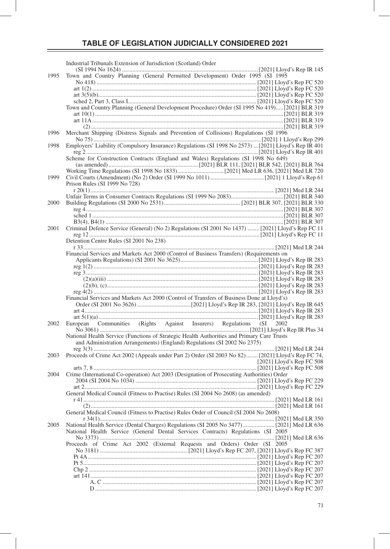|      | Industrial Tribunals Extension of Jurisdiction (Scotland) Order                                      |  |
|------|------------------------------------------------------------------------------------------------------|--|
| 1995 | Town and Country Planning (General Permitted Development) Order 1995 (SI 1995                        |  |
|      |                                                                                                      |  |
|      |                                                                                                      |  |
|      |                                                                                                      |  |
|      | Town and Country Planning (General Development Procedure) Order (SI 1995 No 419)[2021] BLR 319       |  |
|      |                                                                                                      |  |
|      |                                                                                                      |  |
| 1996 | Merchant Shipping (Distress Signals and Prevention of Collisions) Regulations (SI 1996               |  |
| 1998 | Employers' Liability (Compulsory Insurance) Regulations (SI 1998 No 2573)  [2021] Lloyd's Rep IR 401 |  |
|      |                                                                                                      |  |
|      | Scheme for Construction Contracts (England and Wales) Regulations (SI 1998 No 649)                   |  |
|      |                                                                                                      |  |
| 1999 |                                                                                                      |  |
|      | Prison Rules (SI 1999 No 728)                                                                        |  |
|      |                                                                                                      |  |
| 2000 |                                                                                                      |  |
|      |                                                                                                      |  |
|      |                                                                                                      |  |
| 2001 | Criminal Defence Service (General) (No 2) Regulations (SI 2001 No 1437)  [2021] Lloyd's Rep FC 11    |  |
|      | Detention Centre Rules (SI 2001 No 238)                                                              |  |
|      |                                                                                                      |  |
|      | Financial Services and Markets Act 2000 (Control of Business Transfers) (Requirements on             |  |
|      |                                                                                                      |  |
|      |                                                                                                      |  |
|      |                                                                                                      |  |
|      |                                                                                                      |  |
|      | Financial Services and Markets Act 2000 (Control of Transfers of Business Done at Lloyd's)           |  |
|      |                                                                                                      |  |
|      |                                                                                                      |  |
| 2002 |                                                                                                      |  |
|      | National Health Service (Functions of Strategic Health Authorities and Primary Care Trusts           |  |
|      | and Administration Arrangements) (England) Regulations (SI 2002 No 2375)                             |  |
| 2003 | Proceeds of Crime Act 2002 (Appeals under Part 2) Order (SI 2003 No 82) [2021] Lloyd's Rep FC 74,    |  |
|      |                                                                                                      |  |
| 2004 | Crime (International Co-operation) Act 2003 (Designation of Prosecuting Authorities) Order           |  |
|      |                                                                                                      |  |
|      | General Medical Council (Fitness to Practise) Rules (SI 2004 No 2608) (as amended)                   |  |
|      |                                                                                                      |  |
|      | General Medical Council (Fitness to Practise) Rules Order of Council (SI 2004 No 2608)               |  |
|      |                                                                                                      |  |
| 2005 |                                                                                                      |  |
|      | National Health Service (General Dental Services Contracts) Regulations (SI 2005                     |  |
|      | Proceeds of Crime Act 2002 (External Requests and Orders) Order (SI 2005                             |  |
|      |                                                                                                      |  |
|      |                                                                                                      |  |
|      |                                                                                                      |  |
|      |                                                                                                      |  |
|      |                                                                                                      |  |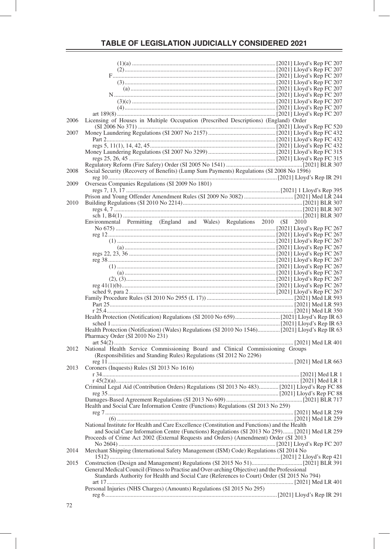| 2006 | Licensing of Houses in Multiple Occupation (Prescribed Descriptions) (England) Order           |  |
|------|------------------------------------------------------------------------------------------------|--|
|      |                                                                                                |  |
| 2007 |                                                                                                |  |
|      |                                                                                                |  |
|      |                                                                                                |  |
|      |                                                                                                |  |
|      |                                                                                                |  |
|      |                                                                                                |  |
| 2008 | Social Security (Recovery of Benefits) (Lump Sum Payments) Regulations (SI 2008 No 1596)       |  |
|      |                                                                                                |  |
| 2009 | Overseas Companies Regulations (SI 2009 No 1801)                                               |  |
|      |                                                                                                |  |
|      |                                                                                                |  |
| 2010 |                                                                                                |  |
|      |                                                                                                |  |
|      |                                                                                                |  |
|      | Environmental Permitting (England and Wales) Regulations 2010 (SI 2010                         |  |
|      |                                                                                                |  |
|      |                                                                                                |  |
|      |                                                                                                |  |
|      |                                                                                                |  |
|      |                                                                                                |  |
|      |                                                                                                |  |
|      |                                                                                                |  |
|      |                                                                                                |  |
|      |                                                                                                |  |
|      |                                                                                                |  |
|      |                                                                                                |  |
|      |                                                                                                |  |
|      |                                                                                                |  |
|      |                                                                                                |  |
|      |                                                                                                |  |
|      |                                                                                                |  |
|      | Health Protection (Notification) (Wales) Regulations (SI 2010 No 1546)[2021] Lloyd's Rep IR 63 |  |
|      | Pharmacy Order (SI 2010 No 231)                                                                |  |
|      |                                                                                                |  |
| 2012 | National Health Service Commissioning Board and Clinical Commissioning Groups                  |  |
|      | (Responsibilities and Standing Rules) Regulations (SI 2012 No 2296)                            |  |
|      |                                                                                                |  |
| 2013 | Coroners (Inquests) Rules (SI 2013 No 1616)                                                    |  |
|      |                                                                                                |  |
|      |                                                                                                |  |
|      |                                                                                                |  |
|      |                                                                                                |  |
|      |                                                                                                |  |
|      | Health and Social Care Information Centre (Functions) Regulations (SI 2013 No 259)             |  |
|      |                                                                                                |  |
|      |                                                                                                |  |
|      | National Institute for Health and Care Excellence (Constitution and Functions) and the Health  |  |
|      | and Social Care Information Centre (Functions) Regulations (SI 2013 No 259) [2021] Med LR 259  |  |
|      | Proceeds of Crime Act 2002 (External Requests and Orders) (Amendment) Order (SI 2013           |  |
|      |                                                                                                |  |
| 2014 | Merchant Shipping (International Safety Management (ISM) Code) Regulations (SI 2014 No         |  |
|      |                                                                                                |  |
| 2015 |                                                                                                |  |
|      | General Medical Council (Fitness to Practise and Over-arching Objective) and the Professional  |  |
|      | Standards Authority for Health and Social Care (References to Court) Order (SI 2015 No 794)    |  |
|      |                                                                                                |  |
|      | Personal Injuries (NHS Charges) (Amounts) Regulations (SI 2015 No 295)                         |  |
|      |                                                                                                |  |
|      |                                                                                                |  |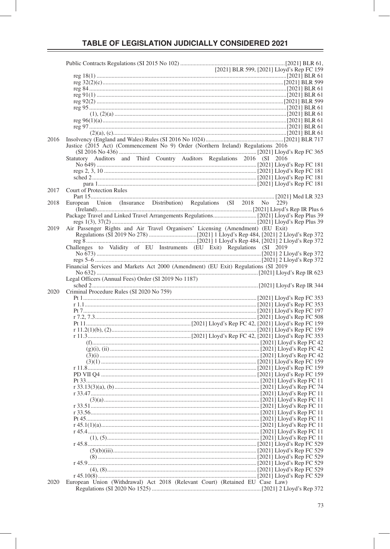| 2016 |                                                                                    |
|------|------------------------------------------------------------------------------------|
|      | Justice (2015 Act) (Commencement No 9) Order (Northern Ireland) Regulations 2016   |
|      |                                                                                    |
|      | Statutory Auditors and Third Country Auditors Regulations 2016 (SI 2016            |
|      |                                                                                    |
|      |                                                                                    |
|      |                                                                                    |
|      |                                                                                    |
| 2017 | <b>Court of Protection Rules</b>                                                   |
| 2018 |                                                                                    |
|      | European Union (Insurance Distribution) Regulations (SI 2018 No 229)               |
|      |                                                                                    |
|      |                                                                                    |
|      |                                                                                    |
| 2019 | Air Passenger Rights and Air Travel Organisers' Licensing (Amendment) (EU Exit)    |
|      |                                                                                    |
|      |                                                                                    |
|      | Challenges to Validity of EU Instruments (EU Exit) Regulations (SI 2019            |
|      |                                                                                    |
|      |                                                                                    |
|      | Financial Services and Markets Act 2000 (Amendment) (EU Exit) Regulations (SI 2019 |
|      |                                                                                    |
|      | Legal Officers (Annual Fees) Order (SI 2019 No 1187)                               |
|      |                                                                                    |
| 2020 | Criminal Procedure Rules (SI 2020 No 759)                                          |
|      |                                                                                    |
|      |                                                                                    |
|      |                                                                                    |
|      |                                                                                    |
|      |                                                                                    |
|      |                                                                                    |
|      |                                                                                    |
|      |                                                                                    |
|      |                                                                                    |
|      |                                                                                    |
|      |                                                                                    |
|      |                                                                                    |
|      |                                                                                    |
|      |                                                                                    |
|      |                                                                                    |
|      |                                                                                    |
|      |                                                                                    |
|      |                                                                                    |
|      |                                                                                    |
|      |                                                                                    |
|      |                                                                                    |
|      |                                                                                    |
|      |                                                                                    |
|      |                                                                                    |
|      |                                                                                    |
|      |                                                                                    |
|      |                                                                                    |
|      |                                                                                    |
|      |                                                                                    |
|      |                                                                                    |
| 2020 | European Union (Withdrawal) Act 2018 (Relevant Court) (Retained EU Case Law)       |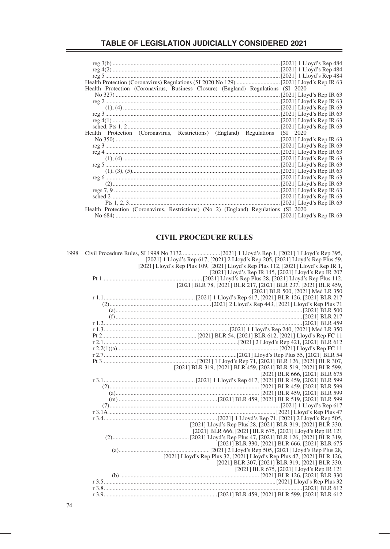| Health Protection (Coronavirus, Business Closure) (England) Regulations (SI 2020    |  |
|-------------------------------------------------------------------------------------|--|
|                                                                                     |  |
|                                                                                     |  |
|                                                                                     |  |
|                                                                                     |  |
|                                                                                     |  |
|                                                                                     |  |
| Health Protection (Coronavirus, Restrictions) (England) Regulations (SI 2020        |  |
|                                                                                     |  |
|                                                                                     |  |
|                                                                                     |  |
|                                                                                     |  |
|                                                                                     |  |
|                                                                                     |  |
|                                                                                     |  |
|                                                                                     |  |
|                                                                                     |  |
|                                                                                     |  |
|                                                                                     |  |
| Health Protection (Coronavirus, Restrictions) (No 2) (England) Regulations (SI 2020 |  |
|                                                                                     |  |
|                                                                                     |  |

#### **CIVIL PROCEDURE RULES**

|  | [2021] 1 Lloyd's Rep 617, [2021] 2 Lloyd's Rep 205, [2021] Lloyd's Rep Plus 59,    |
|--|------------------------------------------------------------------------------------|
|  | [2021] Lloyd's Rep Plus 109, [2021] Lloyd's Rep Plus 112, [2021] Lloyd's Rep IR 1, |
|  | [2021] Lloyd's Rep IR 145, [2021] Lloyd's Rep IR 207                               |
|  |                                                                                    |
|  | [2021] BLR 78, [2021] BLR 217, [2021] BLR 237, [2021] BLR 459,                     |
|  | [2021] BLR 500, [2021] Med LR 350                                                  |
|  |                                                                                    |
|  |                                                                                    |
|  |                                                                                    |
|  |                                                                                    |
|  |                                                                                    |
|  |                                                                                    |
|  |                                                                                    |
|  |                                                                                    |
|  |                                                                                    |
|  |                                                                                    |
|  |                                                                                    |
|  | [2021] BLR 319, [2021] BLR 459, [2021] BLR 519, [2021] BLR 599,                    |
|  | [2021] BLR 666, [2021] BLR 675                                                     |
|  |                                                                                    |
|  |                                                                                    |
|  |                                                                                    |
|  |                                                                                    |
|  |                                                                                    |
|  |                                                                                    |
|  |                                                                                    |
|  | [2021] Lloyd's Rep Plus 28, [2021] BLR 319, [2021] BLR 330,                        |
|  | [2021] BLR 666, [2021] BLR 675, [2021] Lloyd's Rep IR 121                          |
|  |                                                                                    |
|  | [2021] BLR 330, [2021] BLR 666, [2021] BLR 675                                     |
|  |                                                                                    |
|  | [2021] Lloyd's Rep Plus 32, [2021] Lloyd's Rep Plus 47, [2021] BLR 126,            |
|  | [2021] BLR 307, [2021] BLR 319, [2021] BLR 330,                                    |
|  | [2021] BLR 675, [2021] Lloyd's Rep IR 121                                          |
|  |                                                                                    |
|  |                                                                                    |
|  |                                                                                    |
|  |                                                                                    |
|  |                                                                                    |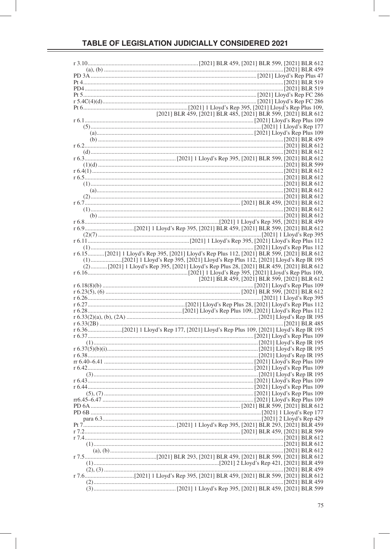| [2021] BLR 459, [2021] BLR 485, [2021] BLR 599, [2021] BLR 612                                |
|-----------------------------------------------------------------------------------------------|
|                                                                                               |
|                                                                                               |
|                                                                                               |
|                                                                                               |
|                                                                                               |
|                                                                                               |
|                                                                                               |
|                                                                                               |
|                                                                                               |
|                                                                                               |
|                                                                                               |
|                                                                                               |
|                                                                                               |
|                                                                                               |
|                                                                                               |
|                                                                                               |
|                                                                                               |
|                                                                                               |
|                                                                                               |
|                                                                                               |
|                                                                                               |
|                                                                                               |
|                                                                                               |
|                                                                                               |
| r 6.15  [2021] 1 Lloyd's Rep 395, [2021] Lloyd's Rep Plus 112, [2021] BLR 599, [2021] BLR 612 |
|                                                                                               |
| (2)  [2021] 1 Lloyd's Rep 395, [2021] Lloyd's Rep Plus 28, [2021] BLR 459, [2021] BLR 612     |
|                                                                                               |
|                                                                                               |
| [2021] BLR 459, [2021] BLR 599, [2021] BLR 612                                                |
|                                                                                               |
|                                                                                               |
|                                                                                               |
|                                                                                               |
|                                                                                               |
|                                                                                               |
|                                                                                               |
|                                                                                               |
| r 6.36[2021] 1 Lloyd's Rep 177, [2021] Lloyd's Rep Plus 109, [2021] Lloyd's Rep IR 195        |
|                                                                                               |
|                                                                                               |
|                                                                                               |
|                                                                                               |
|                                                                                               |
|                                                                                               |
|                                                                                               |
|                                                                                               |
|                                                                                               |
|                                                                                               |
|                                                                                               |
|                                                                                               |
|                                                                                               |
|                                                                                               |
|                                                                                               |
|                                                                                               |
|                                                                                               |
|                                                                                               |
|                                                                                               |
|                                                                                               |
|                                                                                               |
|                                                                                               |
|                                                                                               |
|                                                                                               |
| r 7.6. [2021] BLR 599, [2021] 12. [2021] 12. [2021] BLR 459, [2021] BLR 599, [2021] BLR 612   |
|                                                                                               |
|                                                                                               |
|                                                                                               |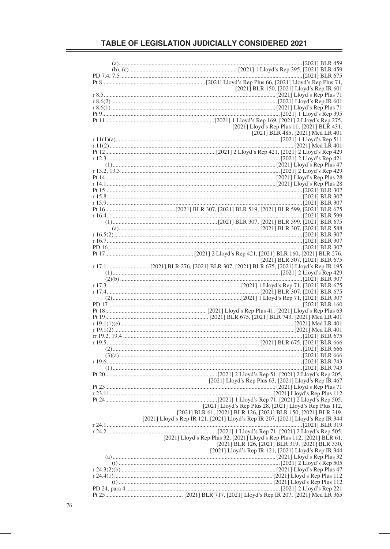| [2021] BLR 150, [2021] Lloyd's Rep IR 601                                             |
|---------------------------------------------------------------------------------------|
|                                                                                       |
|                                                                                       |
|                                                                                       |
|                                                                                       |
|                                                                                       |
|                                                                                       |
|                                                                                       |
| [2021] Lloyd's Rep Plus 11, [2021] BLR 431,                                           |
| [2021] BLR 485, [2021] Med LR 401                                                     |
|                                                                                       |
|                                                                                       |
|                                                                                       |
|                                                                                       |
|                                                                                       |
|                                                                                       |
|                                                                                       |
|                                                                                       |
|                                                                                       |
|                                                                                       |
|                                                                                       |
|                                                                                       |
|                                                                                       |
|                                                                                       |
|                                                                                       |
| Pt 16. \ 2021] BLR 675 [2021] BLR 307, [2021] BLR 519, [2021] BLR 599, [2021] BLR 675 |
|                                                                                       |
|                                                                                       |
|                                                                                       |
|                                                                                       |
|                                                                                       |
|                                                                                       |
|                                                                                       |
|                                                                                       |
|                                                                                       |
| [2021] BLR 307, [2021] BLR 675                                                        |
|                                                                                       |
|                                                                                       |
|                                                                                       |
|                                                                                       |
|                                                                                       |
|                                                                                       |
|                                                                                       |
|                                                                                       |
|                                                                                       |
|                                                                                       |
|                                                                                       |
|                                                                                       |
|                                                                                       |
|                                                                                       |
|                                                                                       |
|                                                                                       |
|                                                                                       |
|                                                                                       |
|                                                                                       |
|                                                                                       |
|                                                                                       |
|                                                                                       |
|                                                                                       |
| [2021] Lloyd's Rep Plus 63, [2021] Lloyd's Rep IR 467                                 |
|                                                                                       |
|                                                                                       |
|                                                                                       |
|                                                                                       |
| [2021] Lloyd's Rep Plus 28, [2021] Lloyd's Rep Plus 112,                              |
| [2021] BLR 61, [2021] BLR 126, [2021] BLR 150, [2021] BLR 319,                        |
|                                                                                       |
| [2021] Lloyd's Rep IR 121, [2021] Lloyd's Rep IR 207, [2021] Lloyd's Rep IR 344       |
|                                                                                       |
|                                                                                       |
|                                                                                       |
| [2021] Lloyd's Rep Plus 32, [2021] Lloyd's Rep Plus 112, [2021] BLR 61,               |
| [2021] BLR 126, [2021] BLR 319, [2021] BLR 330,                                       |
| [2021] Lloyd's Rep IR 121, [2021] Lloyd's Rep IR 344                                  |
|                                                                                       |
|                                                                                       |
|                                                                                       |
|                                                                                       |
|                                                                                       |
|                                                                                       |
|                                                                                       |
|                                                                                       |
|                                                                                       |
|                                                                                       |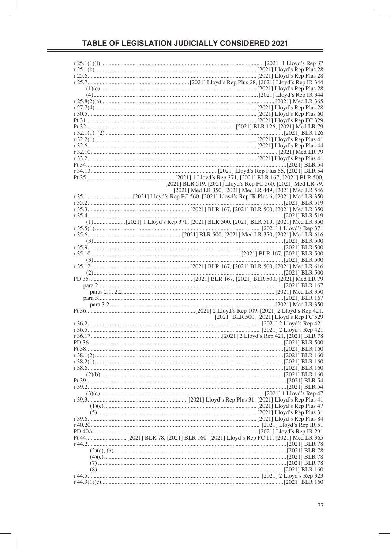| [2021] BLR 519, [2021] Lloyd's Rep FC 560, [2021] Med LR 79, |
|--------------------------------------------------------------|
| [2021] Med LR 350, [2021] Med LR 449, [2021] Med LR 546      |
|                                                              |
|                                                              |
|                                                              |
|                                                              |
|                                                              |
|                                                              |
|                                                              |
|                                                              |
|                                                              |
|                                                              |
|                                                              |
|                                                              |
|                                                              |
|                                                              |
|                                                              |
|                                                              |
|                                                              |
|                                                              |
|                                                              |
|                                                              |
|                                                              |
|                                                              |
|                                                              |
|                                                              |
|                                                              |
|                                                              |
|                                                              |
| [2021] BLR 500, [2021] Lloyd's Rep FC 529                    |
|                                                              |
|                                                              |
|                                                              |
|                                                              |
|                                                              |
|                                                              |
|                                                              |
|                                                              |
|                                                              |
|                                                              |
|                                                              |
|                                                              |
|                                                              |
|                                                              |
|                                                              |
|                                                              |
|                                                              |
|                                                              |
|                                                              |
|                                                              |
|                                                              |
|                                                              |
|                                                              |
|                                                              |
|                                                              |
|                                                              |
|                                                              |
|                                                              |
|                                                              |
|                                                              |
|                                                              |
|                                                              |
|                                                              |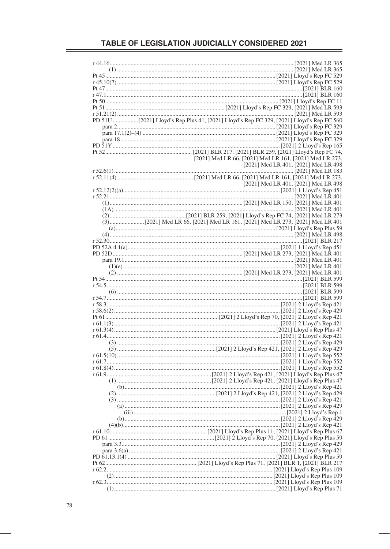| [2021] Med LR 66, [2021] Med LR 161, [2021] Med LR 273, |
|---------------------------------------------------------|
| [2021] Med LR 401, [2021] Med LR 498                    |
|                                                         |
|                                                         |
|                                                         |
| [2021] Med LR 401, [2021] Med LR 498                    |
|                                                         |
|                                                         |
|                                                         |
|                                                         |
|                                                         |
|                                                         |
|                                                         |
|                                                         |
|                                                         |
|                                                         |
|                                                         |
|                                                         |
|                                                         |
|                                                         |
|                                                         |
|                                                         |
|                                                         |
|                                                         |
|                                                         |
|                                                         |
|                                                         |
|                                                         |
|                                                         |
|                                                         |
|                                                         |
|                                                         |
|                                                         |
|                                                         |
|                                                         |
|                                                         |
|                                                         |
|                                                         |
|                                                         |
|                                                         |
|                                                         |
|                                                         |
|                                                         |
|                                                         |
|                                                         |
|                                                         |
|                                                         |
|                                                         |
|                                                         |
|                                                         |
|                                                         |
|                                                         |
|                                                         |
|                                                         |
|                                                         |
|                                                         |
|                                                         |
|                                                         |
|                                                         |
|                                                         |
|                                                         |
|                                                         |
|                                                         |
|                                                         |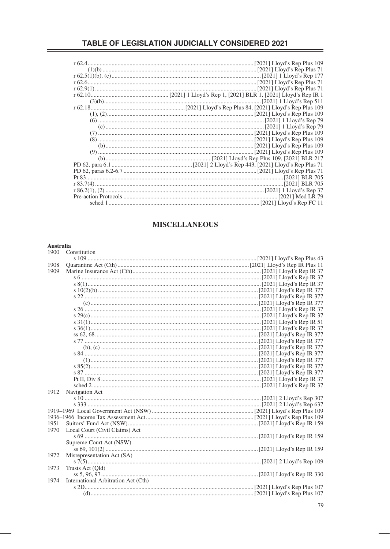#### **MISCELLANEOUS**

# Australia<br>1900  $\degree$ Co

|      | 1900 Constitution                   |  |
|------|-------------------------------------|--|
|      |                                     |  |
| 1908 |                                     |  |
| 1909 |                                     |  |
|      |                                     |  |
|      |                                     |  |
|      |                                     |  |
|      |                                     |  |
|      |                                     |  |
|      |                                     |  |
|      |                                     |  |
|      |                                     |  |
|      |                                     |  |
|      |                                     |  |
|      |                                     |  |
|      |                                     |  |
|      |                                     |  |
|      |                                     |  |
|      |                                     |  |
|      |                                     |  |
|      |                                     |  |
|      |                                     |  |
|      |                                     |  |
| 1912 | Navigation Act                      |  |
|      |                                     |  |
|      |                                     |  |
|      |                                     |  |
|      |                                     |  |
| 1951 |                                     |  |
| 1970 | Local Court (Civil Claims) Act      |  |
|      |                                     |  |
|      | Supreme Court Act (NSW)             |  |
|      |                                     |  |
| 1972 | Misrepresentation Act (SA)          |  |
|      |                                     |  |
| 1973 | Trusts Act (Qld)                    |  |
|      |                                     |  |
| 1974 | International Arbitration Act (Cth) |  |
|      |                                     |  |
|      |                                     |  |
|      |                                     |  |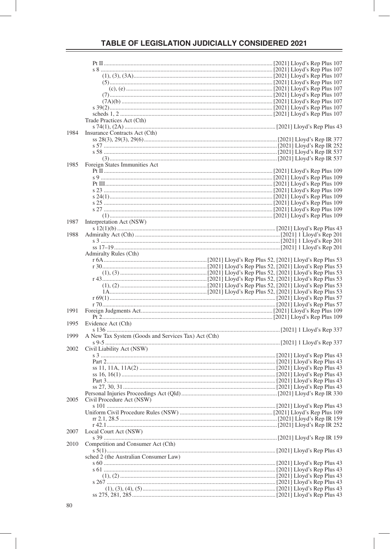|      | Trade Practices Act (Cth)                           |  |  |
|------|-----------------------------------------------------|--|--|
|      |                                                     |  |  |
| 1984 | Insurance Contracts Act (Cth)                       |  |  |
|      |                                                     |  |  |
|      |                                                     |  |  |
|      |                                                     |  |  |
|      |                                                     |  |  |
|      |                                                     |  |  |
| 1985 | Foreign States Immunities Act                       |  |  |
|      |                                                     |  |  |
|      |                                                     |  |  |
|      |                                                     |  |  |
|      |                                                     |  |  |
|      |                                                     |  |  |
|      |                                                     |  |  |
|      |                                                     |  |  |
|      |                                                     |  |  |
|      |                                                     |  |  |
| 1987 | Interpretation Act (NSW)                            |  |  |
|      |                                                     |  |  |
|      |                                                     |  |  |
| 1988 |                                                     |  |  |
|      |                                                     |  |  |
|      |                                                     |  |  |
|      | <b>Admiralty Rules (Cth)</b>                        |  |  |
|      |                                                     |  |  |
|      |                                                     |  |  |
|      |                                                     |  |  |
|      |                                                     |  |  |
|      |                                                     |  |  |
|      |                                                     |  |  |
|      |                                                     |  |  |
|      |                                                     |  |  |
|      |                                                     |  |  |
|      |                                                     |  |  |
| 1991 |                                                     |  |  |
|      |                                                     |  |  |
| 1995 | Evidence Act (Cth)                                  |  |  |
|      |                                                     |  |  |
| 1999 | A New Tax System (Goods and Services Tax) Act (Cth) |  |  |
|      |                                                     |  |  |
| 2002 | Civil Liability Act (NSW)                           |  |  |
|      |                                                     |  |  |
|      |                                                     |  |  |
|      |                                                     |  |  |
|      |                                                     |  |  |
|      |                                                     |  |  |
|      |                                                     |  |  |
|      |                                                     |  |  |
|      |                                                     |  |  |
|      |                                                     |  |  |
| 2005 | Civil Procedure Act (NSW)                           |  |  |
|      |                                                     |  |  |
|      |                                                     |  |  |
|      |                                                     |  |  |
|      |                                                     |  |  |
| 2007 | Local Court Act (NSW)                               |  |  |
|      |                                                     |  |  |
|      |                                                     |  |  |
| 2010 | Competition and Consumer Act (Cth)                  |  |  |
|      |                                                     |  |  |
|      | sched 2 (the Australian Consumer Law)               |  |  |
|      |                                                     |  |  |
|      |                                                     |  |  |
|      |                                                     |  |  |
|      |                                                     |  |  |
|      |                                                     |  |  |
|      |                                                     |  |  |
|      |                                                     |  |  |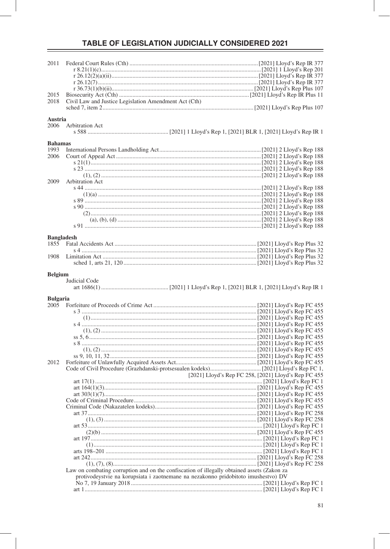| 2011              |                                                                                            |                                                      |
|-------------------|--------------------------------------------------------------------------------------------|------------------------------------------------------|
|                   |                                                                                            |                                                      |
|                   |                                                                                            |                                                      |
|                   |                                                                                            |                                                      |
|                   |                                                                                            |                                                      |
|                   |                                                                                            |                                                      |
| 2015              |                                                                                            |                                                      |
| 2018              | Civil Law and Justice Legislation Amendment Act (Cth)                                      |                                                      |
|                   |                                                                                            |                                                      |
|                   |                                                                                            |                                                      |
| Austria           |                                                                                            |                                                      |
| 2006              | Arbitration Act                                                                            |                                                      |
|                   |                                                                                            |                                                      |
|                   |                                                                                            |                                                      |
| <b>Bahamas</b>    |                                                                                            |                                                      |
| 1993              |                                                                                            |                                                      |
| 2006              |                                                                                            |                                                      |
|                   |                                                                                            |                                                      |
|                   |                                                                                            |                                                      |
|                   |                                                                                            |                                                      |
| 2009              | Arbitration Act                                                                            |                                                      |
|                   |                                                                                            |                                                      |
|                   |                                                                                            |                                                      |
|                   |                                                                                            |                                                      |
|                   |                                                                                            |                                                      |
|                   |                                                                                            |                                                      |
|                   |                                                                                            |                                                      |
|                   |                                                                                            |                                                      |
|                   |                                                                                            |                                                      |
|                   |                                                                                            |                                                      |
| <b>Bangladesh</b> |                                                                                            |                                                      |
| 1855              |                                                                                            |                                                      |
|                   |                                                                                            |                                                      |
| 1908              |                                                                                            |                                                      |
|                   |                                                                                            |                                                      |
|                   |                                                                                            |                                                      |
| <b>Belgium</b>    |                                                                                            |                                                      |
|                   | Judicial Code                                                                              |                                                      |
|                   |                                                                                            |                                                      |
|                   |                                                                                            |                                                      |
|                   |                                                                                            |                                                      |
|                   |                                                                                            |                                                      |
| <b>Bulgaria</b>   |                                                                                            |                                                      |
| 2005              |                                                                                            |                                                      |
|                   |                                                                                            |                                                      |
|                   |                                                                                            |                                                      |
|                   |                                                                                            |                                                      |
|                   |                                                                                            |                                                      |
|                   |                                                                                            |                                                      |
|                   |                                                                                            |                                                      |
|                   |                                                                                            |                                                      |
|                   |                                                                                            |                                                      |
| 2012              |                                                                                            |                                                      |
|                   |                                                                                            |                                                      |
|                   |                                                                                            |                                                      |
|                   |                                                                                            | [2021] Lloyd's Rep FC 258, [2021] Lloyd's Rep FC 455 |
|                   |                                                                                            |                                                      |
|                   |                                                                                            |                                                      |
|                   |                                                                                            |                                                      |
|                   |                                                                                            |                                                      |
|                   |                                                                                            |                                                      |
|                   |                                                                                            |                                                      |
|                   |                                                                                            |                                                      |
|                   |                                                                                            |                                                      |
|                   |                                                                                            |                                                      |
|                   |                                                                                            |                                                      |
|                   |                                                                                            |                                                      |
|                   |                                                                                            |                                                      |
|                   |                                                                                            |                                                      |
|                   |                                                                                            |                                                      |
|                   |                                                                                            |                                                      |
|                   | Law on combating corruption and on the confiscation of illegally obtained assets (Zakon za |                                                      |
|                   | protivodeystvie na korupsiata i zaotnemane na nezakonno pridobitoto imushestvo) DV         |                                                      |
|                   |                                                                                            |                                                      |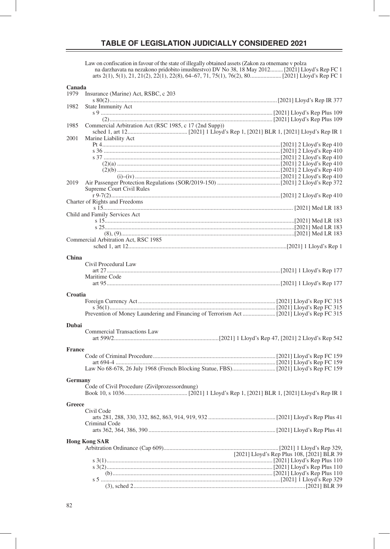Law on confiscation in favour of the state of illegally obtained assets (Zakon za otnemane v polza na darzhavata na nezakono pridobito imushtestvo) DV No 38, 18 May 2012 ......... [2021] Lloyd's Rep FC 1 arts 2(1), 5(1), 21, 21(2), 22(1), 22(8), 64–67, 71, 75(1), 76(2), 80 ..................... [2021] Lloyd's Rep FC 1

#### **Canada**

| 1979          | Insurance (Marine) Act, RSBC, c 203                    |                                            |
|---------------|--------------------------------------------------------|--------------------------------------------|
| 1982          | <b>State Immunity Act</b>                              |                                            |
|               |                                                        |                                            |
|               |                                                        |                                            |
| 1985          | Commercial Arbitration Act (RSC 1985, c 17 (2nd Supp)) |                                            |
|               |                                                        |                                            |
| 2001          | Marine Liability Act                                   |                                            |
|               |                                                        |                                            |
|               |                                                        |                                            |
|               |                                                        |                                            |
|               |                                                        |                                            |
|               |                                                        |                                            |
| 2019          |                                                        |                                            |
|               | Supreme Court Civil Rules                              |                                            |
|               | Charter of Rights and Freedoms                         |                                            |
|               |                                                        |                                            |
|               | Child and Family Services Act                          |                                            |
|               |                                                        |                                            |
|               |                                                        |                                            |
|               |                                                        |                                            |
|               | Commercial Arbitration Act, RSC 1985                   |                                            |
|               |                                                        |                                            |
| China         |                                                        |                                            |
|               | Civil Procedural Law                                   |                                            |
|               |                                                        |                                            |
|               | Maritime Code                                          |                                            |
|               |                                                        |                                            |
| Croatia       |                                                        |                                            |
|               |                                                        |                                            |
|               |                                                        |                                            |
|               |                                                        |                                            |
|               |                                                        |                                            |
| Dubai         |                                                        |                                            |
|               | <b>Commercial Transactions Law</b>                     |                                            |
|               |                                                        |                                            |
| <b>France</b> |                                                        |                                            |
|               |                                                        |                                            |
|               |                                                        |                                            |
|               |                                                        |                                            |
| Germany       |                                                        |                                            |
|               | Code of Civil Procedure (Zivilprozessordnung)          |                                            |
|               |                                                        |                                            |
|               |                                                        |                                            |
| Greece        | Civil Code                                             |                                            |
|               |                                                        |                                            |
|               | Criminal Code                                          |                                            |
|               |                                                        |                                            |
|               |                                                        |                                            |
|               | <b>Hong Kong SAR</b>                                   |                                            |
|               |                                                        |                                            |
|               |                                                        | [2021] Lloyd's Rep Plus 108, [2021] BLR 39 |
|               |                                                        |                                            |
|               |                                                        |                                            |
|               |                                                        |                                            |
|               |                                                        |                                            |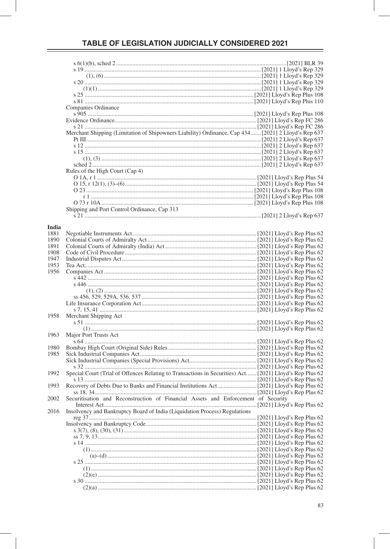|       | Companies Ordinance                                                                                     |  |
|-------|---------------------------------------------------------------------------------------------------------|--|
|       |                                                                                                         |  |
|       |                                                                                                         |  |
|       |                                                                                                         |  |
|       | Merchant Shipping (Limitation of Shipowners Liability) Ordinance, Cap 434 [2021] 2 Lloyd's Rep 637      |  |
|       |                                                                                                         |  |
|       |                                                                                                         |  |
|       |                                                                                                         |  |
|       |                                                                                                         |  |
|       |                                                                                                         |  |
|       |                                                                                                         |  |
|       | Rules of the High Court (Cap 4)                                                                         |  |
|       |                                                                                                         |  |
|       |                                                                                                         |  |
|       |                                                                                                         |  |
|       |                                                                                                         |  |
|       |                                                                                                         |  |
|       | Shipping and Port Control Ordinance, Cap 313                                                            |  |
|       |                                                                                                         |  |
|       |                                                                                                         |  |
| India |                                                                                                         |  |
| 1881  |                                                                                                         |  |
| 1890  |                                                                                                         |  |
| 1891  |                                                                                                         |  |
| 1908  |                                                                                                         |  |
| 1947  |                                                                                                         |  |
| 1953  |                                                                                                         |  |
| 1956  |                                                                                                         |  |
|       |                                                                                                         |  |
|       |                                                                                                         |  |
|       |                                                                                                         |  |
|       |                                                                                                         |  |
|       |                                                                                                         |  |
|       |                                                                                                         |  |
| 1958  | Merchant Shipping Act                                                                                   |  |
|       |                                                                                                         |  |
|       |                                                                                                         |  |
| 1963  | Major Port Trusts Act                                                                                   |  |
|       |                                                                                                         |  |
| 1980  |                                                                                                         |  |
| 1985  |                                                                                                         |  |
|       |                                                                                                         |  |
|       |                                                                                                         |  |
| 1992  | Special Court (Trial of Offences Relating to Transactions in Securities) Act [2021] Lloyd's Rep Plus 62 |  |
|       |                                                                                                         |  |
| 1993  |                                                                                                         |  |
|       |                                                                                                         |  |
|       |                                                                                                         |  |
| 2002  | Securitisation and Reconstruction of Financial Assets and Enforcement of Security                       |  |
|       |                                                                                                         |  |
| 2016  | Insolvency and Bankruptcy Board of India (Liquidation Process) Regulations                              |  |
|       |                                                                                                         |  |
|       |                                                                                                         |  |
|       |                                                                                                         |  |
|       |                                                                                                         |  |
|       |                                                                                                         |  |
|       |                                                                                                         |  |
|       |                                                                                                         |  |
|       |                                                                                                         |  |
|       |                                                                                                         |  |
|       |                                                                                                         |  |
|       |                                                                                                         |  |
|       |                                                                                                         |  |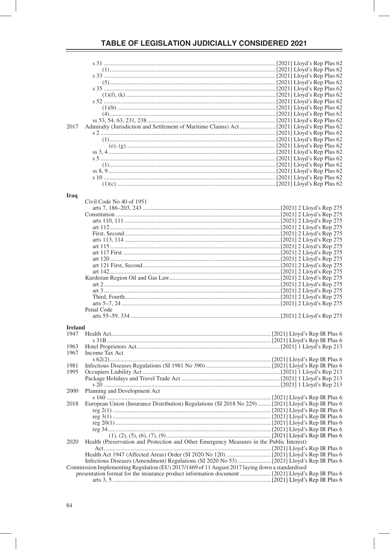| 2017           |                                                                                                    |  |
|----------------|----------------------------------------------------------------------------------------------------|--|
|                |                                                                                                    |  |
|                |                                                                                                    |  |
|                |                                                                                                    |  |
|                |                                                                                                    |  |
|                |                                                                                                    |  |
|                |                                                                                                    |  |
|                |                                                                                                    |  |
|                |                                                                                                    |  |
|                |                                                                                                    |  |
|                |                                                                                                    |  |
| Iraq           |                                                                                                    |  |
|                | Civil Code No 40 of 1951                                                                           |  |
|                |                                                                                                    |  |
|                |                                                                                                    |  |
|                |                                                                                                    |  |
|                |                                                                                                    |  |
|                |                                                                                                    |  |
|                |                                                                                                    |  |
|                |                                                                                                    |  |
|                |                                                                                                    |  |
|                |                                                                                                    |  |
|                |                                                                                                    |  |
|                |                                                                                                    |  |
|                |                                                                                                    |  |
|                |                                                                                                    |  |
|                |                                                                                                    |  |
|                |                                                                                                    |  |
|                |                                                                                                    |  |
|                | Penal Code                                                                                         |  |
|                |                                                                                                    |  |
|                |                                                                                                    |  |
| <b>Ireland</b> |                                                                                                    |  |
| 1947           |                                                                                                    |  |
|                |                                                                                                    |  |
| 1963           |                                                                                                    |  |
| 1967           | Income Tax Act                                                                                     |  |
|                |                                                                                                    |  |
| 1981           |                                                                                                    |  |
| 1995           |                                                                                                    |  |
|                |                                                                                                    |  |
|                |                                                                                                    |  |
| 2000           | Planning and Development Act                                                                       |  |
|                |                                                                                                    |  |
| 2018           | European Union (Insurance Distribution) Regulations (SI 2018 No 229)  [2021] Lloyd's Rep IR Plus 6 |  |
|                |                                                                                                    |  |
|                |                                                                                                    |  |
|                |                                                                                                    |  |
|                |                                                                                                    |  |
|                |                                                                                                    |  |
| 2020           | Health (Preservation and Protection and Other Emergency Measures in the Public Interest)           |  |
|                |                                                                                                    |  |
|                |                                                                                                    |  |
|                |                                                                                                    |  |
|                | Commission Implementing Regulation (EU) 2017/1469 of 11 August 2017 laying down a standardised     |  |
|                |                                                                                                    |  |
|                |                                                                                                    |  |
|                |                                                                                                    |  |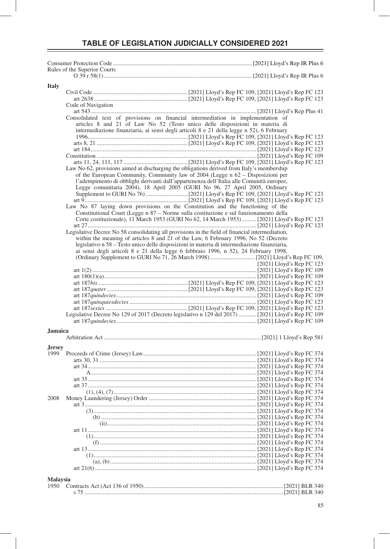| Rules of the Superior Courts                                                                                                                                                         |                           |
|--------------------------------------------------------------------------------------------------------------------------------------------------------------------------------------|---------------------------|
|                                                                                                                                                                                      |                           |
| <b>Italy</b>                                                                                                                                                                         |                           |
|                                                                                                                                                                                      |                           |
| Code of Navigation                                                                                                                                                                   |                           |
|                                                                                                                                                                                      |                           |
| Consolidated text of provisions on financial intermediation in implementation of                                                                                                     |                           |
| articles 8 and 21 of Law No 52 (Testo unico delle disposizioni in materia di<br>intermediazione finanziaria, ai sensi degli articoli 8 e 21 della legge n 52), 6 February            |                           |
|                                                                                                                                                                                      |                           |
|                                                                                                                                                                                      |                           |
|                                                                                                                                                                                      |                           |
|                                                                                                                                                                                      |                           |
| Law No 62, provisions aimed at discharging the obligations derived from Italy's membership                                                                                           |                           |
| of the European Community, Community law of 2004 (Legge n 62 - Disposizioni per                                                                                                      |                           |
| l'adempimento di obblighi derivanti dall'appartenenza dell'Italia alle Comunità europee,                                                                                             |                           |
| Legge comunitaria 2004), 18 April 2005 (GURI No 96, 27 April 2005, Ordinary                                                                                                          |                           |
|                                                                                                                                                                                      |                           |
|                                                                                                                                                                                      |                           |
| Law No 87 laying down provisions on the Constitution and the functioning of the<br>Constitutional Court (Legge n 87 – Norme sulla costituzione e sul funzionamento della             |                           |
| Corte costituzionale), 11 March 1953 (GURI No 62, 14 March 1953) [2021] Lloyd's Rep FC 123                                                                                           |                           |
|                                                                                                                                                                                      |                           |
| Legislative Decree No 58 consolidating all provisions in the field of financial intermediation,                                                                                      |                           |
| within the meaning of articles 8 and 21 of the Law, 6 February 1996, No 52 (Decreto                                                                                                  |                           |
| legislativo n 58 – Testo unico delle disposizioni in materia di intermediazione finanziaria,<br>ai sensi degli articoli 8 e 21 della legge 6 febbraio 1996, n 52), 24 February 1998, |                           |
|                                                                                                                                                                                      |                           |
|                                                                                                                                                                                      | [2021] Lloyd's Rep FC 123 |
|                                                                                                                                                                                      |                           |
|                                                                                                                                                                                      |                           |
|                                                                                                                                                                                      |                           |
|                                                                                                                                                                                      |                           |
|                                                                                                                                                                                      |                           |
|                                                                                                                                                                                      |                           |
| Legislative Decree No 129 of 2017 (Decreto legislativo n 129 del 2017)  [2021] Lloyd's Rep FC 109                                                                                    |                           |
|                                                                                                                                                                                      |                           |
| <b>Jamaica</b>                                                                                                                                                                       |                           |
|                                                                                                                                                                                      |                           |
| <b>Jersey</b>                                                                                                                                                                        |                           |
| 1999                                                                                                                                                                                 |                           |
|                                                                                                                                                                                      |                           |
|                                                                                                                                                                                      |                           |
|                                                                                                                                                                                      |                           |
|                                                                                                                                                                                      |                           |
|                                                                                                                                                                                      |                           |
| 2008                                                                                                                                                                                 |                           |
|                                                                                                                                                                                      |                           |
|                                                                                                                                                                                      |                           |
|                                                                                                                                                                                      |                           |
|                                                                                                                                                                                      |                           |
|                                                                                                                                                                                      |                           |
|                                                                                                                                                                                      |                           |
|                                                                                                                                                                                      |                           |
|                                                                                                                                                                                      |                           |
|                                                                                                                                                                                      |                           |
|                                                                                                                                                                                      |                           |
| <b>Malaysia</b>                                                                                                                                                                      |                           |
|                                                                                                                                                                                      |                           |
|                                                                                                                                                                                      |                           |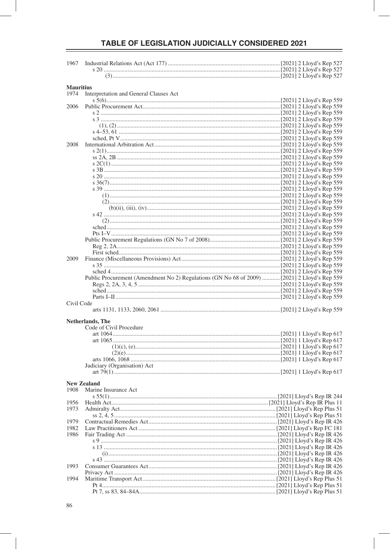| 1967             |                                        |  |
|------------------|----------------------------------------|--|
|                  |                                        |  |
|                  |                                        |  |
|                  |                                        |  |
| <b>Mauritius</b> |                                        |  |
| 1974             | Interpretation and General Clauses Act |  |
| 2006             |                                        |  |
|                  |                                        |  |
|                  |                                        |  |
|                  |                                        |  |
|                  |                                        |  |
|                  |                                        |  |
| 2008             |                                        |  |
|                  |                                        |  |
|                  |                                        |  |
|                  |                                        |  |
|                  |                                        |  |
|                  |                                        |  |
|                  |                                        |  |
|                  |                                        |  |
|                  |                                        |  |
|                  |                                        |  |
|                  |                                        |  |
|                  |                                        |  |
|                  |                                        |  |
|                  |                                        |  |
|                  |                                        |  |
|                  |                                        |  |
|                  |                                        |  |
| 2009             |                                        |  |
|                  |                                        |  |
|                  |                                        |  |
|                  |                                        |  |
|                  |                                        |  |
|                  |                                        |  |
|                  |                                        |  |
| Civil Code       |                                        |  |
|                  |                                        |  |
|                  |                                        |  |
|                  | <b>Netherlands</b> , The               |  |
|                  | Code of Civil Procedure                |  |
|                  |                                        |  |
|                  |                                        |  |
|                  |                                        |  |
|                  |                                        |  |
|                  | Judiciary (Organisation) Act           |  |
|                  |                                        |  |
|                  |                                        |  |
|                  | <b>New Zealand</b>                     |  |
| 1908             | Marine Insurance Act                   |  |
|                  |                                        |  |
| 1956             |                                        |  |
| 1973             |                                        |  |
|                  |                                        |  |
| 1979             |                                        |  |
| 1982             |                                        |  |
| 1986             |                                        |  |
|                  |                                        |  |
|                  |                                        |  |
|                  |                                        |  |
| 1993             |                                        |  |
|                  |                                        |  |
| 1994             |                                        |  |
|                  |                                        |  |
|                  |                                        |  |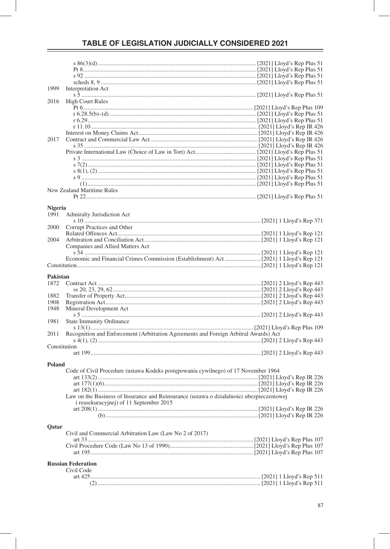| 1999          | Interpretation Act                                                                       |  |
|---------------|------------------------------------------------------------------------------------------|--|
|               |                                                                                          |  |
| 2016          | <b>High Court Rules</b>                                                                  |  |
|               |                                                                                          |  |
|               |                                                                                          |  |
|               |                                                                                          |  |
|               |                                                                                          |  |
|               |                                                                                          |  |
| 2017          |                                                                                          |  |
|               |                                                                                          |  |
|               |                                                                                          |  |
|               |                                                                                          |  |
|               |                                                                                          |  |
|               |                                                                                          |  |
|               |                                                                                          |  |
|               |                                                                                          |  |
|               | New Zealand Maritime Rules                                                               |  |
|               |                                                                                          |  |
|               |                                                                                          |  |
| Nigeria       |                                                                                          |  |
| 1991          | <b>Admiralty Jurisdiction Act</b>                                                        |  |
|               |                                                                                          |  |
| 2000          | Corrupt Practices and Other                                                              |  |
| 2004          |                                                                                          |  |
|               | Companies and Allied Matters Act                                                         |  |
|               |                                                                                          |  |
|               |                                                                                          |  |
|               |                                                                                          |  |
|               |                                                                                          |  |
|               |                                                                                          |  |
| Pakistan      |                                                                                          |  |
| 1872          |                                                                                          |  |
|               |                                                                                          |  |
| 1882          |                                                                                          |  |
| 1908          |                                                                                          |  |
| 1948          | Mineral Development Act                                                                  |  |
|               |                                                                                          |  |
| 1981          | <b>State Immunity Ordinance</b>                                                          |  |
|               |                                                                                          |  |
| 2011          | Recognition and Enforcement (Arbitration Agreements and Foreign Arbitral Awards) Act     |  |
|               |                                                                                          |  |
| Constitution  |                                                                                          |  |
|               |                                                                                          |  |
|               |                                                                                          |  |
| <b>Poland</b> |                                                                                          |  |
|               | Code of Civil Procedure (ustawa Kodeks postępowania cywilnego) of 17 November 1964       |  |
|               |                                                                                          |  |
|               |                                                                                          |  |
|               |                                                                                          |  |
|               | Law on the Business of Insurance and Reinsurance (ustawa o działalności ubezpieczeniowej |  |
|               | i reasekuracyjnej) of 11 September 2015                                                  |  |
|               |                                                                                          |  |
|               |                                                                                          |  |
| Qatar         |                                                                                          |  |
|               | Civil and Commercial Arbitration Law (Law No 2 of 2017)                                  |  |
|               |                                                                                          |  |
|               |                                                                                          |  |
|               |                                                                                          |  |
|               |                                                                                          |  |
|               | <b>Russian Federation</b>                                                                |  |
|               | Civil Code                                                                               |  |
|               |                                                                                          |  |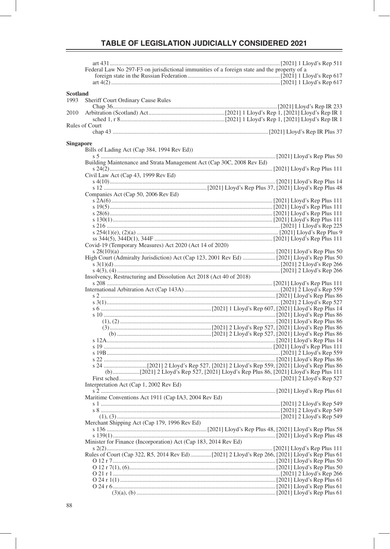|                  | Federal Law No 297-F3 on jurisdictional immunities of a foreign state and the property of a |  |
|------------------|---------------------------------------------------------------------------------------------|--|
|                  |                                                                                             |  |
|                  |                                                                                             |  |
|                  |                                                                                             |  |
| <b>Scotland</b>  |                                                                                             |  |
| 1993             | Sheriff Court Ordinary Cause Rules                                                          |  |
|                  |                                                                                             |  |
| 2010             |                                                                                             |  |
|                  |                                                                                             |  |
|                  | Rules of Court                                                                              |  |
|                  |                                                                                             |  |
|                  |                                                                                             |  |
| <b>Singapore</b> |                                                                                             |  |
|                  | Bills of Lading Act (Cap 384, 1994 Rev Ed))                                                 |  |
|                  | Building Maintenance and Strata Management Act (Cap 30C, 2008 Rev Ed)                       |  |
|                  |                                                                                             |  |
|                  | Civil Law Act (Cap 43, 1999 Rev Ed)                                                         |  |
|                  |                                                                                             |  |
|                  |                                                                                             |  |
|                  | Companies Act (Cap 50, 2006 Rev Ed)                                                         |  |
|                  |                                                                                             |  |
|                  |                                                                                             |  |
|                  |                                                                                             |  |
|                  |                                                                                             |  |
|                  |                                                                                             |  |
|                  |                                                                                             |  |
|                  |                                                                                             |  |
|                  | Covid-19 (Temporary Measures) Act 2020 (Act 14 of 2020)                                     |  |
|                  |                                                                                             |  |
|                  |                                                                                             |  |
|                  |                                                                                             |  |
|                  |                                                                                             |  |
|                  | Insolvency, Restructuring and Dissolution Act 2018 (Act 40 of 2018)                         |  |
|                  |                                                                                             |  |
|                  |                                                                                             |  |
|                  |                                                                                             |  |
|                  |                                                                                             |  |
|                  |                                                                                             |  |
|                  |                                                                                             |  |
|                  |                                                                                             |  |
|                  |                                                                                             |  |
|                  |                                                                                             |  |
|                  |                                                                                             |  |
|                  |                                                                                             |  |
|                  |                                                                                             |  |
|                  |                                                                                             |  |
|                  |                                                                                             |  |
|                  |                                                                                             |  |
|                  |                                                                                             |  |
|                  |                                                                                             |  |
|                  | Interpretation Act (Cap 1, 2002 Rev Ed)                                                     |  |
|                  |                                                                                             |  |
|                  | Maritime Conventions Act 1911 (Cap IA3, 2004 Rev Ed)                                        |  |
|                  |                                                                                             |  |
|                  |                                                                                             |  |
|                  |                                                                                             |  |
|                  | Merchant Shipping Act (Cap 179, 1996 Rev Ed)                                                |  |
|                  |                                                                                             |  |
|                  |                                                                                             |  |
|                  | Minister for Finance (Incorporation) Act (Cap 183, 2014 Rev Ed)                             |  |
|                  |                                                                                             |  |
|                  |                                                                                             |  |
|                  |                                                                                             |  |
|                  |                                                                                             |  |
|                  |                                                                                             |  |
|                  |                                                                                             |  |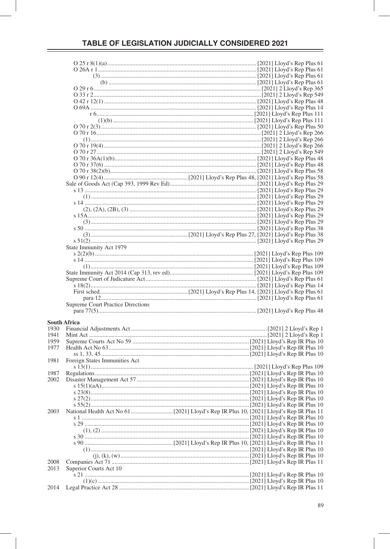|                     | State Immunity Act 1979                  |  |
|---------------------|------------------------------------------|--|
|                     |                                          |  |
|                     |                                          |  |
|                     |                                          |  |
|                     |                                          |  |
|                     |                                          |  |
|                     |                                          |  |
|                     |                                          |  |
|                     |                                          |  |
|                     |                                          |  |
|                     | <b>Supreme Court Practice Directions</b> |  |
|                     |                                          |  |
|                     |                                          |  |
| <b>South Africa</b> |                                          |  |
| 1930                |                                          |  |
| 1941                |                                          |  |
| 1959                |                                          |  |
| 1977                |                                          |  |
|                     |                                          |  |
| 1981                | Foreign States Immunities Act            |  |
|                     |                                          |  |
| 1987                |                                          |  |
| 2002                |                                          |  |
|                     |                                          |  |
|                     |                                          |  |
|                     | $s\,23(8)$ .                             |  |
|                     |                                          |  |
|                     |                                          |  |
| 2003                |                                          |  |
|                     |                                          |  |
|                     |                                          |  |
|                     |                                          |  |
|                     |                                          |  |
|                     |                                          |  |
|                     |                                          |  |
|                     |                                          |  |
|                     |                                          |  |
| 2008                |                                          |  |
| 2013                | Superior Courts Act 10                   |  |
|                     |                                          |  |
|                     |                                          |  |
| 2014                |                                          |  |
|                     |                                          |  |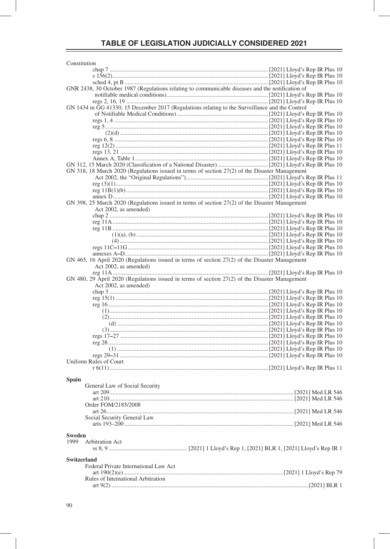| Constitution                                                                                     |  |  |  |
|--------------------------------------------------------------------------------------------------|--|--|--|
|                                                                                                  |  |  |  |
|                                                                                                  |  |  |  |
|                                                                                                  |  |  |  |
| GNR 2438, 30 October 1987 (Regulations relating to communicable diseases and the notification of |  |  |  |
|                                                                                                  |  |  |  |
| GN 1434 in GG 41330, 15 December 2017 (Regulations relating to the Surveillance and the Control  |  |  |  |
|                                                                                                  |  |  |  |
|                                                                                                  |  |  |  |
|                                                                                                  |  |  |  |
|                                                                                                  |  |  |  |
|                                                                                                  |  |  |  |
|                                                                                                  |  |  |  |
|                                                                                                  |  |  |  |
|                                                                                                  |  |  |  |
| GN 318, 18 March 2020 (Regulations issued in terms of section 27(2) of the Disaster Management   |  |  |  |
|                                                                                                  |  |  |  |
|                                                                                                  |  |  |  |
|                                                                                                  |  |  |  |
|                                                                                                  |  |  |  |
| GN 398, 25 March 2020 (Regulations issued in terms of section 27(2) of the Disaster Management   |  |  |  |
| Act 2002, as amended)                                                                            |  |  |  |
|                                                                                                  |  |  |  |
|                                                                                                  |  |  |  |
|                                                                                                  |  |  |  |
|                                                                                                  |  |  |  |
|                                                                                                  |  |  |  |
|                                                                                                  |  |  |  |
| GN 465, 16 April 2020 (Regulations issued in terms of section 27(2) of the Disaster Management   |  |  |  |
| Act 2002, as amended)                                                                            |  |  |  |
|                                                                                                  |  |  |  |
| GN 480, 29 April 2020 (Regulations issued in terms of section 27(2) of the Disaster Management   |  |  |  |
| Act 2002, as amended)                                                                            |  |  |  |
|                                                                                                  |  |  |  |
|                                                                                                  |  |  |  |
|                                                                                                  |  |  |  |
|                                                                                                  |  |  |  |
|                                                                                                  |  |  |  |
|                                                                                                  |  |  |  |
|                                                                                                  |  |  |  |
|                                                                                                  |  |  |  |
|                                                                                                  |  |  |  |
|                                                                                                  |  |  |  |
|                                                                                                  |  |  |  |
| Uniform Rules of Court                                                                           |  |  |  |
|                                                                                                  |  |  |  |
|                                                                                                  |  |  |  |
| <b>Spain</b>                                                                                     |  |  |  |
| General Law of Social Security                                                                   |  |  |  |
|                                                                                                  |  |  |  |
| Order FOM/2185/2008                                                                              |  |  |  |
|                                                                                                  |  |  |  |
| Social Security General Law                                                                      |  |  |  |
|                                                                                                  |  |  |  |
|                                                                                                  |  |  |  |
| <b>Sweden</b>                                                                                    |  |  |  |
| 1999<br>Arbitration Act                                                                          |  |  |  |
|                                                                                                  |  |  |  |
| <b>Switzerland</b>                                                                               |  |  |  |
| Federal Private International Law Act                                                            |  |  |  |
|                                                                                                  |  |  |  |
| Rules of International Arbitration                                                               |  |  |  |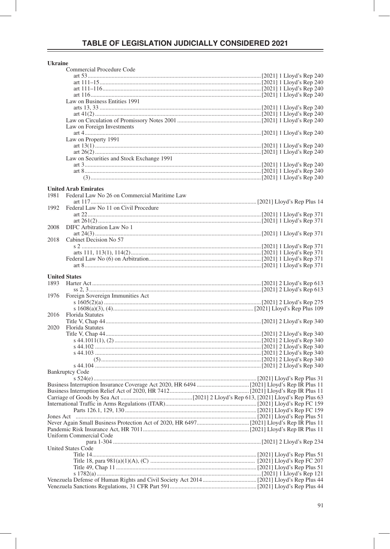|  | kraine |  |
|--|--------|--|

|                      | Commercial Procedure Code                    |  |  |
|----------------------|----------------------------------------------|--|--|
|                      |                                              |  |  |
|                      |                                              |  |  |
|                      |                                              |  |  |
|                      |                                              |  |  |
|                      | Law on Business Entities 1991                |  |  |
|                      |                                              |  |  |
|                      |                                              |  |  |
|                      |                                              |  |  |
|                      | Law on Foreign Investments                   |  |  |
|                      |                                              |  |  |
|                      | Law on Property 1991                         |  |  |
|                      |                                              |  |  |
|                      |                                              |  |  |
|                      | Law on Securities and Stock Exchange 1991    |  |  |
|                      |                                              |  |  |
|                      |                                              |  |  |
|                      |                                              |  |  |
|                      |                                              |  |  |
|                      | <b>United Arab Emirates</b>                  |  |  |
| 1981                 | Federal Law No 26 on Commercial Maritime Law |  |  |
|                      |                                              |  |  |
| 1992                 | Federal Law No 11 on Civil Procedure         |  |  |
|                      |                                              |  |  |
|                      |                                              |  |  |
| 2008                 | DIFC Arbitration Law No 1                    |  |  |
|                      |                                              |  |  |
| 2018                 | Cabinet Decision No 57                       |  |  |
|                      |                                              |  |  |
|                      |                                              |  |  |
|                      |                                              |  |  |
|                      |                                              |  |  |
|                      |                                              |  |  |
| <b>United States</b> |                                              |  |  |
| 1893                 |                                              |  |  |
|                      |                                              |  |  |
| 1976                 | Foreign Sovereign Immunities Act             |  |  |
|                      |                                              |  |  |
|                      |                                              |  |  |
| 2016                 | <b>Florida Statutes</b>                      |  |  |
|                      |                                              |  |  |
| 2020                 | <b>Florida Statutes</b>                      |  |  |
|                      |                                              |  |  |
|                      |                                              |  |  |
|                      |                                              |  |  |
|                      |                                              |  |  |
|                      |                                              |  |  |
|                      |                                              |  |  |
|                      | <b>Bankruptcy Code</b>                       |  |  |
|                      |                                              |  |  |
|                      |                                              |  |  |
|                      |                                              |  |  |
|                      |                                              |  |  |
|                      |                                              |  |  |
|                      |                                              |  |  |
|                      |                                              |  |  |
|                      |                                              |  |  |
|                      |                                              |  |  |
|                      |                                              |  |  |
|                      | <b>Uniform Commercial Code</b>               |  |  |
|                      |                                              |  |  |
|                      | <b>United States Code</b>                    |  |  |
|                      |                                              |  |  |
|                      |                                              |  |  |
|                      |                                              |  |  |
|                      |                                              |  |  |
|                      |                                              |  |  |
|                      |                                              |  |  |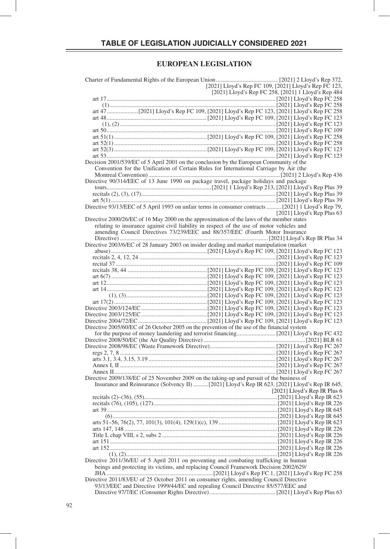#### **EUROPEAN LEGISLATION**

| [2021] Lloyd's Rep FC 109, [2021] Lloyd's Rep FC 123,<br>[2021] Lloyd's Rep FC 109, [2021] Lloyd's Rep FC 123, |
|----------------------------------------------------------------------------------------------------------------|
| [2021] Lloyd's Rep FC 258, [2021] 1 Lloyd's Rep 484                                                            |
|                                                                                                                |
|                                                                                                                |
|                                                                                                                |
|                                                                                                                |
|                                                                                                                |
|                                                                                                                |
|                                                                                                                |
|                                                                                                                |
|                                                                                                                |
|                                                                                                                |
| Decision 2001/539/EC of 5 April 2001 on the conclusion by the European Community of the                        |
| Convention for the Unification of Certain Rules for International Carriage by Air (the                         |
|                                                                                                                |
| Directive 90/314/EEC of 13 June 1990 on package travel, package holidays and package                           |
|                                                                                                                |
|                                                                                                                |
|                                                                                                                |
| Directive 93/13/EEC of 5 April 1993 on unfair terms in consumer contracts  [2021] 1 Lloyd's Rep 79,            |
| [2021] Lloyd's Rep Plus $63$                                                                                   |
| Directive 2000/26/EC of 16 May 2000 on the approximation of the laws of the member states                      |
| relating to insurance against civil liability in respect of the use of motor vehicles and                      |
| amending Council Directives 73/239/EEC and 88/357/EEC (Fourth Motor Insurance                                  |
|                                                                                                                |
| Directive 2003/6/EC of 28 January 2003 on insider dealing and market manipulation (market                      |
|                                                                                                                |
|                                                                                                                |
|                                                                                                                |
|                                                                                                                |
|                                                                                                                |
|                                                                                                                |
|                                                                                                                |
|                                                                                                                |
|                                                                                                                |
|                                                                                                                |
|                                                                                                                |
|                                                                                                                |
|                                                                                                                |
| Directive 2005/60/EC of 26 October 2005 on the prevention of the use of the financial system                   |
|                                                                                                                |
|                                                                                                                |
|                                                                                                                |
|                                                                                                                |
|                                                                                                                |
|                                                                                                                |
|                                                                                                                |
| Directive 2009/138/EC of 25 November 2009 on the taking-up and pursuit of the business of                      |
|                                                                                                                |
| [2021] Lloyd's Rep IR Plus $6$                                                                                 |
|                                                                                                                |
|                                                                                                                |
|                                                                                                                |
|                                                                                                                |
|                                                                                                                |
|                                                                                                                |
|                                                                                                                |
|                                                                                                                |
|                                                                                                                |
|                                                                                                                |
|                                                                                                                |
| Directive 2011/36/EU of 5 April 2011 on preventing and combating trafficking in human                          |
| beings and protecting its victims, and replacing Council Framework Decision 2002/629/                          |
|                                                                                                                |
| Directive 2011/83/EU of 25 October 2011 on consumer rights, amending Council Directive                         |
| 93/13/EEC and Directive 1999/44/EC and repealing Council Directive 85/577/EEC and                              |
|                                                                                                                |
|                                                                                                                |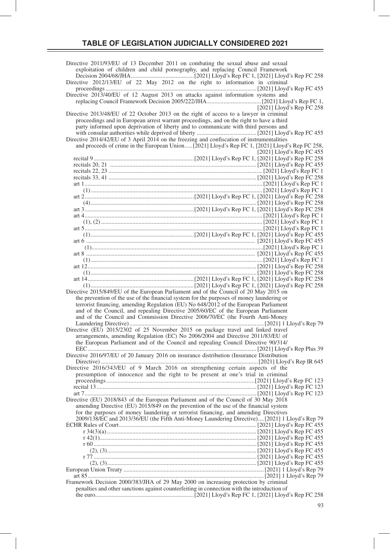| Directive 2011/93/EU of 13 December 2011 on combating the sexual abuse and sexual                                                                                                      |
|----------------------------------------------------------------------------------------------------------------------------------------------------------------------------------------|
| exploitation of children and child pornography, and replacing Council Framework                                                                                                        |
| Directive 2012/13/EU of 22 May 2012 on the right to information in criminal                                                                                                            |
| Directive 2013/40/EU of 12 August 2013 on attacks against information systems and                                                                                                      |
| [2021] Lloyd's Rep FC 258                                                                                                                                                              |
| Directive 2013/48/EU of 22 October 2013 on the right of access to a lawyer in criminal                                                                                                 |
| proceedings and in European arrest warrant proceedings, and on the right to have a third<br>party informed upon deprivation of liberty and to communicate with third persons and       |
|                                                                                                                                                                                        |
| Directive 2014/42/EU of 3 April 2014 on the freezing and confiscation of instrumentalities                                                                                             |
| and proceeds of crime in the European Union [2021] Lloyd's Rep FC 1, [2021] Lloyd's Rep FC 258,                                                                                        |
| [2021] Lloyd's Rep FC 455                                                                                                                                                              |
|                                                                                                                                                                                        |
|                                                                                                                                                                                        |
|                                                                                                                                                                                        |
|                                                                                                                                                                                        |
|                                                                                                                                                                                        |
|                                                                                                                                                                                        |
|                                                                                                                                                                                        |
|                                                                                                                                                                                        |
|                                                                                                                                                                                        |
|                                                                                                                                                                                        |
|                                                                                                                                                                                        |
|                                                                                                                                                                                        |
|                                                                                                                                                                                        |
|                                                                                                                                                                                        |
|                                                                                                                                                                                        |
|                                                                                                                                                                                        |
| Directive 2015/849/EU of the European Parliament and of the Council of 20 May 2015 on                                                                                                  |
| the prevention of the use of the financial system for the purposes of money laundering or                                                                                              |
| terrorist financing, amending Regulation (EU) No 648/2012 of the European Parliament                                                                                                   |
| and of the Council, and repealing Directive 2005/60/EC of the European Parliament                                                                                                      |
| and of the Council and Commission Directive 2006/70/EC (the Fourth Anti-Money                                                                                                          |
| Directive (EU) 2015/2302 of 25 November 2015 on package travel and linked travel                                                                                                       |
| arrangements, amending Regulation (EC) No 2006/2004 and Directive 2011/83/EU of                                                                                                        |
| the European Parliament and of the Council and repealing Council Directive 90/314/                                                                                                     |
| Directive 2016/97/EU of 20 January 2016 on insurance distribution (Insurance Distribution                                                                                              |
|                                                                                                                                                                                        |
| Directive 2016/343/EU of 9 March 2016 on strengthening certain aspects of the                                                                                                          |
| presumption of innocence and the right to be present at one's trial in criminal                                                                                                        |
|                                                                                                                                                                                        |
|                                                                                                                                                                                        |
| Directive (EU) 2018/843 of the European Parliament and of the Council of 30 May 2018                                                                                                   |
| amending Directive (EU) 2015/849 on the prevention of the use of the financial system                                                                                                  |
| for the purposes of money laundering or terrorist financing, and amending Directives<br>2009/138/EC and 2013/36/EU (the Fifth Anti-Money Laundering Directive) [2021] 1 Lloyd's Rep 79 |
|                                                                                                                                                                                        |
|                                                                                                                                                                                        |
|                                                                                                                                                                                        |
|                                                                                                                                                                                        |
|                                                                                                                                                                                        |
|                                                                                                                                                                                        |
|                                                                                                                                                                                        |
|                                                                                                                                                                                        |
| Framework Decision 2000/383/JHA of 29 May 2000 on increasing protection by criminal<br>penalties and other sanctions against counterfeiting in connection with the introduction of     |
|                                                                                                                                                                                        |
|                                                                                                                                                                                        |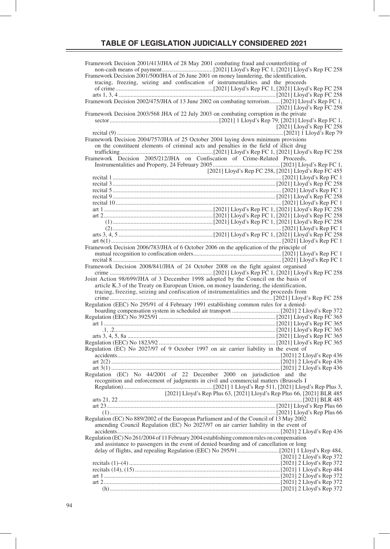Framework Decision 2001/413/JHA of 28 May 2001 combating fraud and counterfeiting of non-cash means of payment ..................................[2021] Lloyd's Rep FC 1, [2021] Lloyd's Rep FC 258 Framework Decision 2001/500/JHA of 26 June 2001 on money laundering, the identification, tracing, freezing, seizing and confiscation of instrumentalities and the proceeds of crime .................................................................[2021] Lloyd's Rep FC 1, [2021] Lloyd's Rep FC 258 arts 1, 3, 4 ......................................................................................................... [2021] Lloyd's Rep FC 258 Framework Decision 2002/475/JHA of 13 June 2002 on combating terrorism ....... [2021] Lloyd's Rep FC 1, [2021] Lloyd's Rep FC 258 Framework Decision 2003/568 JHA of 22 July 2003 on combating corruption in the private sector .........................................................................[2021] 1 Lloyd's Rep 79, [2021] Lloyd's Rep FC 1, [2021] Lloyd's Rep FC 258 recital (9) ...............................................................................................................[2021] 1 Lloyd's Rep 79 Framework Decision 2004/757/JHA of 25 October 2004 laying down minimum provisions on the constituent elements of criminal acts and penalties in the field of illicit drug trafficking ..............................................................[2021] Lloyd's Rep FC 1, [2021] Lloyd's Rep FC 258 Framework Decision 2005/212/JHA on Confiscation of Crime-Related Proceeds, Instrumentalities and Property, 24 February 2005 ............................................. [2021] Lloyd's Rep FC 1, [2021] Lloyd's Rep FC 258, [2021] Lloyd's Rep FC 455 رزه براس و عند العربي و عند العربي و العربي العربي و العربي العربي العربي العربي العربي العربي و recital 1<br>[ 2021] Lloyd's Rep FC 1 recital 3 ............................................................................................................. [2021] Lloyd's Rep FC 258 recital 5 ................................................................................................................. [2021] Lloyd's Rep FC 1 recital 9 ............................................................................................................. [2021] Lloyd's Rep FC 258 recital 10 ............................................................................................................... [2021] Lloyd's Rep FC 1 art 1 .........................................................................[2021] Lloyd's Rep FC 1, [2021] Lloyd's Rep FC 258 art 2 .........................................................................[2021] Lloyd's Rep FC 1, [2021] Lloyd's Rep FC 258 (1) ...................................................................[2021] Lloyd's Rep FC 1, [2021] Lloyd's Rep FC 258 (2) ................................................................................................................. [2021] Lloyd's Rep FC 1 arts 3, 4, 5 ...............................................................[2021] Lloyd's Rep FC 1, [2021] Lloyd's Rep FC 258 art 6(1) .................................................................................................................. [2021] Lloyd's Rep FC 1 Framework Decision 2006/783/JHA of 6 October 2006 on the application of the principle of mutual recognition to confiscation orders ........................................................... [2021] Lloyd's Rep FC 1 recital 8 ................................................................................................................. [2021] Lloyd's Rep FC 1 Framework Decision 2008/841/JHA of 24 October 2008 on the fight against organised crime .....................................................................[2021] Lloyd's Rep FC 1, [2021] Lloyd's Rep FC 258 Joint Action 98/699/JHA of 3 December 1998 adopted by the Council on the basis of article K.3 of the Treaty on European Union, on money laundering, the identification, tracing, freezing, seizing and confiscation of instrumentalities and the proceeds from crime .....................................................................................................[2021] Lloyd's Rep FC 258 Regulation (EEC) No 295/91 of 4 February 1991 establishing common rules for a deniedboarding compensation system in scheduled air transport ................................[2021] 2 Lloyd's Rep 372 Regulation (EEC) No 3925/91 .............................................................................. [2021] Lloyd's Rep FC 365 art 1 ................................................................................................................... [2021] Lloyd's Rep FC 365 .1, .2............................................................................................................ [2021] Lloyd's Rep FC 365 arts 3, 4, 5, 8a ................................................................................................... [2021] Lloyd's Rep FC 365 Regulation (EEC) No 1823/92 .............................................................................. [2021] Lloyd's Rep FC 365 Regulation (EC) No 2027/97 of 9 October 1997 on air carrier liability in the event of accidents .............................................................................................................[2021] 2 Lloyd's Rep 436 art 2(2) .................................................................................................................[2021] 2 Lloyd's Rep 436 art 3(1) .................................................................................................................[2021] 2 Lloyd's Rep 436 Regulation (EC) No 44/2001 of 22 December 2000 on jurisdiction and the recognition and enforcement of judgments in civil and commercial matters (Brussels I Regulation) ............................................................[2021] 1 Lloyd's Rep 511, [2021] Lloyd's Rep Plus 3, [2021] Lloyd's Rep Plus 63, [2021] Lloyd's Rep Plus 66, [2021] BLR 485 arts 21, 22 ...........................................................................................................................[2021] BLR 485 art 23 ................................................................................................................. [2021] Lloyd's Rep Plus 66 (1) ............................................................................................................... [2021] Lloyd's Rep Plus 66 Regulation (EC) No 889/2002 of the European Parliament and of the Council of 13 May 2002 amending Council Regulation (EC) No 2027/97 on air carrier liability in the event of accidents .............................................................................................................[2021] 2 Lloyd's Rep 436 Regulation (EC) No 261/2004 of 11 February 2004 establishing common rules on compensation and assistance to passengers in the event of denied boarding and of cancellation or long delay of flights, and repealing Regulation (EEC) No 295/91 ............................[2021] 1 Lloyd's Rep 484, [2021] 2 Lloyd's Rep 372 recitals (1)–(4) .....................................................................................................[2021] 2 Lloyd's Rep 372 recitals (14), (15) .................................................................................................[2021] 1 Lloyd's Rep 484 art 1 ......................................................................................................................[2021] 2 Lloyd's Rep 372 art 2 ......................................................................................................................[2021] 2 Lloyd's Rep 372 (h) ..................................................................................................................[2021] 2 Lloyd's Rep 372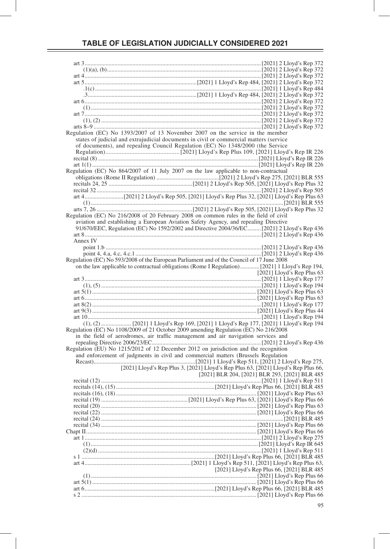|          | Regulation (EC) No 1393/2007 of 13 November 2007 on the service in the member                             |
|----------|-----------------------------------------------------------------------------------------------------------|
|          | states of judicial and extrajudicial documents in civil or commercial matters (service                    |
|          | of documents), and repealing Council Regulation (EC) No 1348/2000 (the Service                            |
|          |                                                                                                           |
|          |                                                                                                           |
|          |                                                                                                           |
|          |                                                                                                           |
|          | Regulation (EC) No 864/2007 of 11 July 2007 on the law applicable to non-contractual                      |
|          |                                                                                                           |
|          |                                                                                                           |
|          |                                                                                                           |
|          |                                                                                                           |
|          |                                                                                                           |
|          |                                                                                                           |
|          |                                                                                                           |
|          | Regulation (EC) No 216/2008 of 20 February 2008 on common rules in the field of civil                     |
|          | aviation and establishing a European Aviation Safety Agency, and repealing Directive                      |
|          | 91/670/EEC, Regulation (EC) No 1592/2002 and Directive 2004/36/EC [2021] 2 Lloyd's Rep 436                |
|          |                                                                                                           |
| Annex IV |                                                                                                           |
|          |                                                                                                           |
|          |                                                                                                           |
|          | Regulation (EC) No 593/2008 of the European Parliament and of the Council of 17 June 2008                 |
|          |                                                                                                           |
|          |                                                                                                           |
|          | [2021] Lloyd's Rep Plus $63$                                                                              |
|          |                                                                                                           |
|          |                                                                                                           |
|          |                                                                                                           |
|          |                                                                                                           |
|          |                                                                                                           |
|          |                                                                                                           |
|          |                                                                                                           |
|          | (1), (2)  [2021] 1 Lloyd's Rep 169, [2021] 1 Lloyd's Rep 177, [2021] 1 Lloyd's Rep 194                    |
|          |                                                                                                           |
|          | Regulation (EC) No 1108/2009 of 21 October 2009 amending Regulation (EC) No 216/2008                      |
|          | in the field of aerodromes, air traffic management and air navigation services and                        |
|          |                                                                                                           |
|          | Regulation (EU) No 1215/2012 of 12 December 2012 on jurisdiction and the recognition                      |
|          | and enforcement of judgments in civil and commercial matters (Brussels Regulation                         |
|          |                                                                                                           |
|          | [2021] Lloyd's Rep Plus 3, [2021] Lloyd's Rep Plus 63, [2021] Lloyd's Rep Plus 66,                        |
|          |                                                                                                           |
|          | 2021] BLR 203, [2021] BLR 293, [2021] BLR 204, [2021] BLR 293, [2021] BLR 485<br>[2021] I Lloyd's Rep 511 |
|          |                                                                                                           |
|          |                                                                                                           |
|          |                                                                                                           |
|          |                                                                                                           |
|          |                                                                                                           |
|          |                                                                                                           |
|          |                                                                                                           |
|          |                                                                                                           |
|          |                                                                                                           |
|          |                                                                                                           |
|          |                                                                                                           |
|          |                                                                                                           |
|          |                                                                                                           |
|          |                                                                                                           |
|          |                                                                                                           |
|          | [2021] Lloyd's Rep Plus 66, [2021] BLR 485                                                                |
|          |                                                                                                           |
|          |                                                                                                           |
|          |                                                                                                           |
|          |                                                                                                           |
|          |                                                                                                           |
|          |                                                                                                           |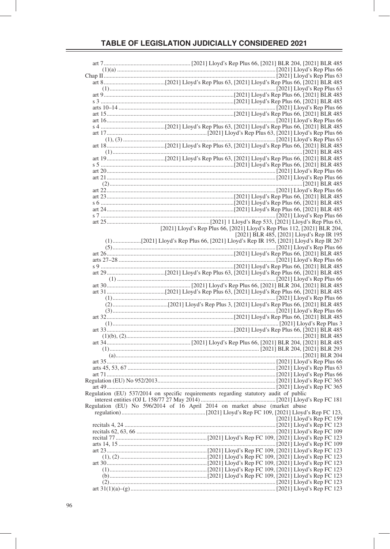| [2021] Lloyd's Rep Plus 66, [2021] Lloyd's Rep Plus 112, [2021] BLR 204,<br>[2021] BLR 485, [2021] Lloyd's Rep IR 195 |
|-----------------------------------------------------------------------------------------------------------------------|
|                                                                                                                       |
|                                                                                                                       |
|                                                                                                                       |
|                                                                                                                       |
|                                                                                                                       |
|                                                                                                                       |
|                                                                                                                       |
|                                                                                                                       |
|                                                                                                                       |
|                                                                                                                       |
|                                                                                                                       |
|                                                                                                                       |
|                                                                                                                       |
|                                                                                                                       |
|                                                                                                                       |
|                                                                                                                       |
|                                                                                                                       |
|                                                                                                                       |
|                                                                                                                       |
|                                                                                                                       |
| Regulation (EU) 537/2014 on specific requirements regarding statutory audit of public                                 |
|                                                                                                                       |
| Regulation (EU) No 596/2014 of 16 April 2014 on market abuse (market abuse                                            |
|                                                                                                                       |
| [ $2021$ ] Lloyd's Rep FC 159                                                                                         |
|                                                                                                                       |
|                                                                                                                       |
|                                                                                                                       |
|                                                                                                                       |
|                                                                                                                       |
|                                                                                                                       |
|                                                                                                                       |
|                                                                                                                       |
|                                                                                                                       |
|                                                                                                                       |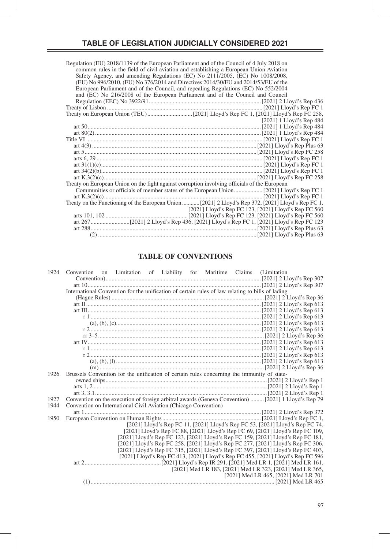| Regulation (EU) 2018/1139 of the European Parliament and of the Council of 4 July 2018 on<br>common rules in the field of civil aviation and establishing a European Union Aviation |
|-------------------------------------------------------------------------------------------------------------------------------------------------------------------------------------|
|                                                                                                                                                                                     |
| Safety Agency, and amending Regulations (EC) No 2111/2005, (EC) No 1008/2008,                                                                                                       |
| (EU) No 996/2010, (EU) No 376/2014 and Directives 2014/30/EU and 2014/53/EU of the<br>European Parliament and of the Council, and repealing Regulations (EC) No 552/2004            |
|                                                                                                                                                                                     |
| and (EC) No 216/2008 of the European Parliament and of the Council and Council                                                                                                      |
|                                                                                                                                                                                     |
|                                                                                                                                                                                     |
|                                                                                                                                                                                     |
| [2021] 1 Lloyd's Rep 484                                                                                                                                                            |
|                                                                                                                                                                                     |
|                                                                                                                                                                                     |
|                                                                                                                                                                                     |
|                                                                                                                                                                                     |
|                                                                                                                                                                                     |
|                                                                                                                                                                                     |
|                                                                                                                                                                                     |
|                                                                                                                                                                                     |
|                                                                                                                                                                                     |
| Treaty on European Union on the fight against corruption involving officials of the European                                                                                        |
|                                                                                                                                                                                     |
|                                                                                                                                                                                     |
| Treaty on the Functioning of the European Union  [2021] 2 Lloyd's Rep 372, [2021] Lloyd's Rep FC 1,                                                                                 |
| [2021] Lloyd's Rep FC 123, [2021] Lloyd's Rep FC 560                                                                                                                                |
|                                                                                                                                                                                     |
|                                                                                                                                                                                     |
|                                                                                                                                                                                     |
|                                                                                                                                                                                     |

# **TABLE OF CONVENTIONS**

| 1924 | Convention on Limitation of Liability for Maritime Claims (Limitation                            |  |  |  |                                                                                                     |
|------|--------------------------------------------------------------------------------------------------|--|--|--|-----------------------------------------------------------------------------------------------------|
|      |                                                                                                  |  |  |  |                                                                                                     |
|      |                                                                                                  |  |  |  |                                                                                                     |
|      | International Convention for the unification of certain rules of law relating to bills of lading |  |  |  |                                                                                                     |
|      |                                                                                                  |  |  |  |                                                                                                     |
|      |                                                                                                  |  |  |  |                                                                                                     |
|      |                                                                                                  |  |  |  |                                                                                                     |
|      |                                                                                                  |  |  |  |                                                                                                     |
|      |                                                                                                  |  |  |  |                                                                                                     |
|      |                                                                                                  |  |  |  |                                                                                                     |
|      |                                                                                                  |  |  |  |                                                                                                     |
|      |                                                                                                  |  |  |  |                                                                                                     |
|      |                                                                                                  |  |  |  |                                                                                                     |
|      |                                                                                                  |  |  |  |                                                                                                     |
|      |                                                                                                  |  |  |  |                                                                                                     |
|      |                                                                                                  |  |  |  |                                                                                                     |
| 1926 | Brussels Convention for the unification of certain rules concerning the immunity of state-       |  |  |  |                                                                                                     |
|      |                                                                                                  |  |  |  |                                                                                                     |
|      |                                                                                                  |  |  |  |                                                                                                     |
|      |                                                                                                  |  |  |  |                                                                                                     |
| 1927 |                                                                                                  |  |  |  | Convention on the execution of foreign arbitral awards (Geneva Convention)  [2021] 1 Lloyd's Rep 79 |
| 1944 | Convention on International Civil Aviation (Chicago Convention)                                  |  |  |  |                                                                                                     |
|      |                                                                                                  |  |  |  |                                                                                                     |
| 1950 |                                                                                                  |  |  |  |                                                                                                     |
|      |                                                                                                  |  |  |  | [2021] Lloyd's Rep FC 11, [2021] Lloyd's Rep FC 53, [2021] Lloyd's Rep FC 74,                       |
|      |                                                                                                  |  |  |  | [2021] Lloyd's Rep FC 88, [2021] Lloyd's Rep FC 69, [2021] Lloyd's Rep FC 109,                      |
|      |                                                                                                  |  |  |  | [2021] Lloyd's Rep FC 123, [2021] Lloyd's Rep FC 159, [2021] Lloyd's Rep FC 181,                    |
|      |                                                                                                  |  |  |  | [2021] Lloyd's Rep FC 258, [2021] Lloyd's Rep FC 277, [2021] Lloyd's Rep FC 306,                    |
|      |                                                                                                  |  |  |  | [2021] Lloyd's Rep FC 315, [2021] Lloyd's Rep FC 397, [2021] Lloyd's Rep FC 403,                    |
|      |                                                                                                  |  |  |  | [2021] Lloyd's Rep FC 413, [2021] Lloyd's Rep FC 455, [2021] Lloyd's Rep FC 596                     |
|      |                                                                                                  |  |  |  |                                                                                                     |
|      |                                                                                                  |  |  |  | [2021] Med LR 183, [2021] Med LR 323, [2021] Med LR 365,                                            |
|      |                                                                                                  |  |  |  | [2021] Med LR 465, [2021] Med LR 701                                                                |
|      |                                                                                                  |  |  |  |                                                                                                     |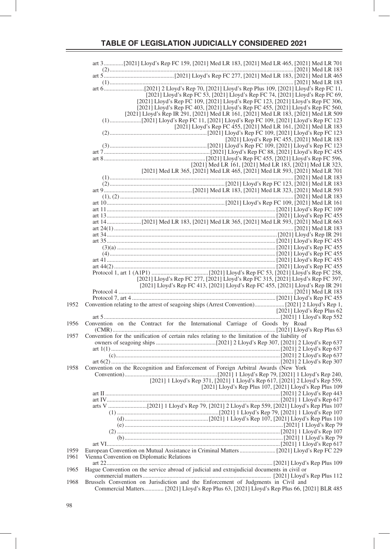|      | art 3[2021] Lloyd's Rep FC 159, [2021] Med LR 183, [2021] Med LR 465, [2021] Med LR 701        |                              |
|------|------------------------------------------------------------------------------------------------|------------------------------|
|      |                                                                                                |                              |
|      |                                                                                                |                              |
|      |                                                                                                |                              |
|      | [2021] Lloyd's Rep FC 53, [2021] Lloyd's Rep FC 74, [2021] Lloyd's Rep FC 69,                  |                              |
|      | [2021] Lloyd's Rep FC 109, [2021] Lloyd's Rep FC 123, [2021] Lloyd's Rep FC 306,               |                              |
|      | [2021] Lloyd's Rep FC 403, [2021] Lloyd's Rep FC 455, [2021] Lloyd's Rep FC 560,               |                              |
|      | [2021] Lloyd's Rep IR 291, [2021] Med LR 161, [2021] Med LR 183, [2021] Med LR 509             |                              |
|      | [2021] Lloyd's Rep FC 455, [2021] Med LR 161, [2021] Med LR 183                                |                              |
|      |                                                                                                |                              |
|      | [2021] Lloyd's Rep FC 455, [2021] Med LR 183                                                   |                              |
|      |                                                                                                |                              |
|      |                                                                                                |                              |
|      | [2021] Med LR 161, [2021] Med LR 183, [2021] Med LR 323,                                       |                              |
|      | [2021] Med LR 365, [2021] Med LR 465, [2021] Med LR 593, [2021] Med LR 701                     |                              |
|      |                                                                                                |                              |
|      |                                                                                                |                              |
|      |                                                                                                |                              |
|      |                                                                                                |                              |
|      |                                                                                                |                              |
|      |                                                                                                |                              |
|      |                                                                                                |                              |
|      |                                                                                                |                              |
|      |                                                                                                |                              |
|      |                                                                                                |                              |
|      |                                                                                                |                              |
|      |                                                                                                |                              |
|      |                                                                                                |                              |
|      |                                                                                                |                              |
|      | [2021] Lloyd's Rep FC 277, [2021] Lloyd's Rep FC 315, [2021] Lloyd's Rep FC 397,               |                              |
|      | [2021] Lloyd's Rep FC 413, [2021] Lloyd's Rep FC 455, [2021] Lloyd's Rep IR 291                |                              |
|      |                                                                                                |                              |
| 1952 |                                                                                                |                              |
|      |                                                                                                | [2021] Lloyd's Rep Plus $62$ |
|      |                                                                                                |                              |
| 1956 | Convention on the Contract for the International Carriage of Goods by Road                     |                              |
| 1957 | Convention for the unification of certain rules relating to the limitation of the liability of |                              |
|      |                                                                                                |                              |
|      |                                                                                                |                              |
|      |                                                                                                |                              |
|      |                                                                                                |                              |
| 1958 | Convention on the Recognition and Enforcement of Foreign Arbitral Awards (New York             |                              |
|      | [2021] 1 Lloyd's Rep 371, [2021] 1 Lloyd's Rep 617, [2021] 2 Lloyd's Rep 559,                  |                              |
|      | [2021] Lloyd's Rep Plus 107, [2021] Lloyd's Rep Plus 109                                       |                              |
|      |                                                                                                |                              |
|      |                                                                                                |                              |
|      |                                                                                                |                              |
|      |                                                                                                |                              |
|      |                                                                                                |                              |
|      |                                                                                                |                              |
|      |                                                                                                |                              |
|      |                                                                                                |                              |
| 1959 |                                                                                                |                              |
| 1961 | Vienna Convention on Diplomatic Relations                                                      |                              |
| 1965 | Hague Convention on the service abroad of judicial and extrajudicial documents in civil or     |                              |
|      |                                                                                                |                              |
| 1968 | Brussels Convention on Jurisdiction and the Enforcement of Judgments in Civil and              |                              |
|      | Commercial Matters [2021] Lloyd's Rep Plus 63, [2021] Lloyd's Rep Plus 66, [2021] BLR 485      |                              |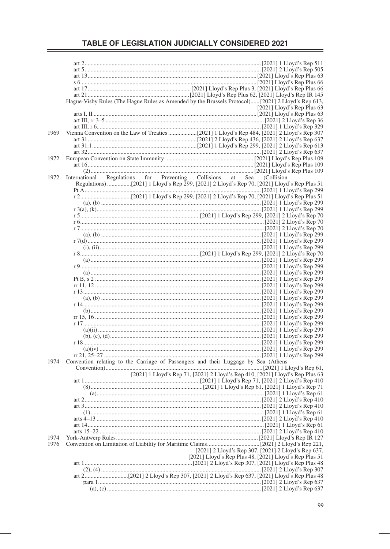|      | Hague-Visby Rules (The Hague Rules as Amended by the Brussels Protocol) [2021] 2 Lloyd's Rep 613, |                                                        |
|------|---------------------------------------------------------------------------------------------------|--------------------------------------------------------|
|      |                                                                                                   | $[2021]$ Lloyd's Rep Plus 63                           |
|      |                                                                                                   |                                                        |
|      |                                                                                                   |                                                        |
|      |                                                                                                   |                                                        |
| 1969 |                                                                                                   |                                                        |
|      |                                                                                                   |                                                        |
|      |                                                                                                   |                                                        |
|      |                                                                                                   |                                                        |
| 1972 |                                                                                                   |                                                        |
|      |                                                                                                   |                                                        |
|      |                                                                                                   |                                                        |
|      |                                                                                                   |                                                        |
| 1972 | International Regulations for Preventing Collisions at Sea (Collision                             |                                                        |
|      |                                                                                                   |                                                        |
|      |                                                                                                   |                                                        |
|      |                                                                                                   |                                                        |
|      |                                                                                                   |                                                        |
|      |                                                                                                   |                                                        |
|      |                                                                                                   |                                                        |
|      |                                                                                                   |                                                        |
|      |                                                                                                   |                                                        |
|      |                                                                                                   |                                                        |
|      |                                                                                                   |                                                        |
|      |                                                                                                   |                                                        |
|      |                                                                                                   |                                                        |
|      |                                                                                                   |                                                        |
|      |                                                                                                   |                                                        |
|      |                                                                                                   |                                                        |
|      |                                                                                                   |                                                        |
|      |                                                                                                   |                                                        |
|      |                                                                                                   |                                                        |
|      |                                                                                                   |                                                        |
|      |                                                                                                   |                                                        |
|      |                                                                                                   |                                                        |
|      |                                                                                                   |                                                        |
|      |                                                                                                   |                                                        |
|      |                                                                                                   |                                                        |
|      |                                                                                                   |                                                        |
|      |                                                                                                   |                                                        |
|      |                                                                                                   |                                                        |
|      |                                                                                                   |                                                        |
|      | Convention relating to the Carriage of Passengers and their Luggage by Sea (Athens                |                                                        |
| 1974 |                                                                                                   |                                                        |
|      |                                                                                                   |                                                        |
|      | [2021] 1 Lloyd's Rep 71, [2021] 2 Lloyd's Rep 410, [2021] Lloyd's Rep Plus 63                     |                                                        |
|      |                                                                                                   |                                                        |
|      |                                                                                                   |                                                        |
|      |                                                                                                   |                                                        |
|      |                                                                                                   |                                                        |
|      |                                                                                                   |                                                        |
|      |                                                                                                   |                                                        |
|      |                                                                                                   |                                                        |
|      |                                                                                                   |                                                        |
|      |                                                                                                   |                                                        |
| 1974 |                                                                                                   |                                                        |
| 1976 |                                                                                                   |                                                        |
|      |                                                                                                   | [2021] 2 Lloyd's Rep 307, [2021] 2 Lloyd's Rep 637,    |
|      |                                                                                                   | [2021] Lloyd's Rep Plus 48, [2021] Lloyd's Rep Plus 51 |
|      |                                                                                                   |                                                        |
|      |                                                                                                   |                                                        |
|      |                                                                                                   |                                                        |
|      |                                                                                                   |                                                        |
|      |                                                                                                   |                                                        |
|      |                                                                                                   |                                                        |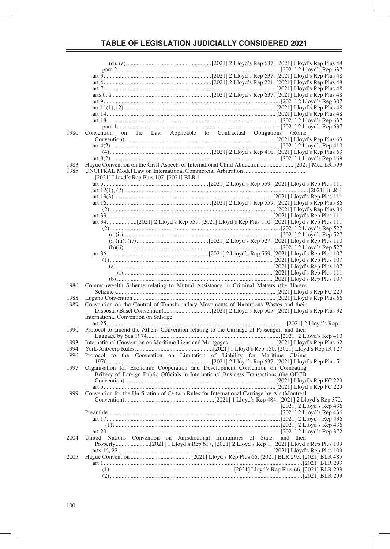| 1980 | Convention on the Law Applicable to Contractual Obligations (Rome                                |  |  |  |                          |  |
|------|--------------------------------------------------------------------------------------------------|--|--|--|--------------------------|--|
|      |                                                                                                  |  |  |  |                          |  |
|      |                                                                                                  |  |  |  |                          |  |
|      |                                                                                                  |  |  |  |                          |  |
| 1983 |                                                                                                  |  |  |  |                          |  |
| 1985 |                                                                                                  |  |  |  |                          |  |
|      | [2021] Lloyd's Rep Plus 107, [2021] BLR 1                                                        |  |  |  |                          |  |
|      |                                                                                                  |  |  |  |                          |  |
|      |                                                                                                  |  |  |  |                          |  |
|      |                                                                                                  |  |  |  |                          |  |
|      |                                                                                                  |  |  |  |                          |  |
|      |                                                                                                  |  |  |  |                          |  |
|      |                                                                                                  |  |  |  |                          |  |
|      |                                                                                                  |  |  |  |                          |  |
|      |                                                                                                  |  |  |  |                          |  |
|      |                                                                                                  |  |  |  |                          |  |
|      |                                                                                                  |  |  |  |                          |  |
|      |                                                                                                  |  |  |  |                          |  |
|      |                                                                                                  |  |  |  |                          |  |
|      |                                                                                                  |  |  |  |                          |  |
|      |                                                                                                  |  |  |  |                          |  |
|      |                                                                                                  |  |  |  |                          |  |
| 1986 | Commonwealth Scheme relating to Mutual Assistance in Criminal Matters (the Harare                |  |  |  |                          |  |
|      |                                                                                                  |  |  |  |                          |  |
| 1988 |                                                                                                  |  |  |  |                          |  |
| 1989 | Convention on the Control of Transboundary Movements of Hazardous Wastes and their               |  |  |  |                          |  |
|      |                                                                                                  |  |  |  |                          |  |
|      | International Convention on Salvage                                                              |  |  |  |                          |  |
|      |                                                                                                  |  |  |  |                          |  |
| 1990 | Protocol to amend the Athens Convention relating to the Carriage of Passengers and their         |  |  |  |                          |  |
| 1993 |                                                                                                  |  |  |  |                          |  |
| 1994 |                                                                                                  |  |  |  |                          |  |
| 1996 | Protocol to the Convention on Limitation of Liability for Maritime Claims                        |  |  |  |                          |  |
|      |                                                                                                  |  |  |  |                          |  |
| 1997 | Organisation for Economic Cooperation and Development Convention on Combating                    |  |  |  |                          |  |
|      | Bribery of Foreign Public Officials in International Business Transactions (the OECD             |  |  |  |                          |  |
|      |                                                                                                  |  |  |  |                          |  |
|      |                                                                                                  |  |  |  |                          |  |
|      | 1999 Convention for the Unification of Certain Rules for International Carriage by Air (Montreal |  |  |  |                          |  |
|      |                                                                                                  |  |  |  |                          |  |
|      |                                                                                                  |  |  |  | [2021] 2 Lloyd's Rep 436 |  |
|      |                                                                                                  |  |  |  |                          |  |
|      |                                                                                                  |  |  |  |                          |  |
|      |                                                                                                  |  |  |  |                          |  |
|      |                                                                                                  |  |  |  |                          |  |
| 2004 | United Nations Convention on Jurisdictional Immunities of States and their                       |  |  |  |                          |  |
|      |                                                                                                  |  |  |  |                          |  |
| 2005 |                                                                                                  |  |  |  |                          |  |
|      |                                                                                                  |  |  |  |                          |  |
|      |                                                                                                  |  |  |  |                          |  |
|      |                                                                                                  |  |  |  |                          |  |
|      |                                                                                                  |  |  |  |                          |  |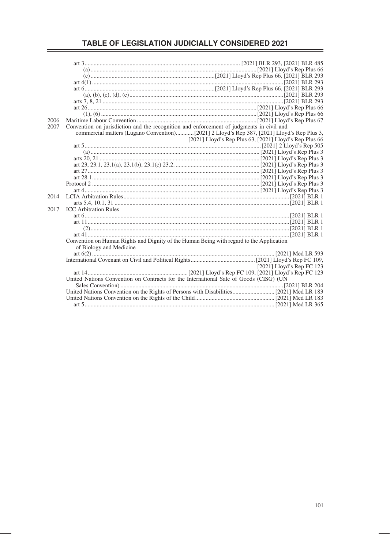| 2006 |                                                                                          |                                                        |
|------|------------------------------------------------------------------------------------------|--------------------------------------------------------|
| 2007 | Convention on jurisdiction and the recognition and enforcement of judgments in civil and |                                                        |
|      |                                                                                          |                                                        |
|      |                                                                                          | [2021] Lloyd's Rep Plus 63, [2021] Lloyd's Rep Plus 66 |
|      |                                                                                          |                                                        |
|      |                                                                                          |                                                        |
|      |                                                                                          |                                                        |
|      |                                                                                          |                                                        |
|      |                                                                                          |                                                        |
|      |                                                                                          |                                                        |
|      |                                                                                          |                                                        |
|      |                                                                                          |                                                        |
| 2014 |                                                                                          |                                                        |
|      |                                                                                          |                                                        |
|      |                                                                                          |                                                        |
| 2017 | <b>ICC</b> Arbitration Rules                                                             |                                                        |
|      |                                                                                          |                                                        |
|      |                                                                                          |                                                        |
|      |                                                                                          |                                                        |
|      |                                                                                          |                                                        |
|      | Convention on Human Rights and Dignity of the Human Being with regard to the Application |                                                        |
|      | of Biology and Medicine                                                                  |                                                        |
|      |                                                                                          |                                                        |
|      |                                                                                          |                                                        |
|      |                                                                                          | [2021] Lloyd's Rep FC 123                              |
|      |                                                                                          |                                                        |
|      | United Nations Convention on Contracts for the International Sale of Goods (CISG) (UN    |                                                        |
|      |                                                                                          |                                                        |
|      |                                                                                          |                                                        |
|      |                                                                                          |                                                        |
|      |                                                                                          |                                                        |
|      |                                                                                          |                                                        |